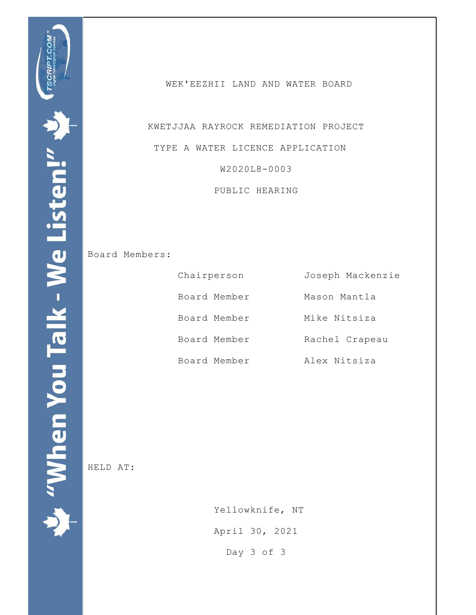WEK'EEZHII LAND AND WATER BOARD

 KWETJJAA RAYROCK REMEDIATION PROJECT TYPE A WATER LICENCE APPLICATION W2020L8-0003

PUBLIC HEARING

Board Members:

| Chairperson  | Joseph Mackenzie |
|--------------|------------------|
| Board Member | Mason Mantla     |
| Board Member | Mike Nitsiza     |
| Board Member | Rachel Crapeau   |
| Board Member | Alex Nitsiza     |

HELD AT:

 Yellowknife, NT April 30, 2021 Day 3 of 3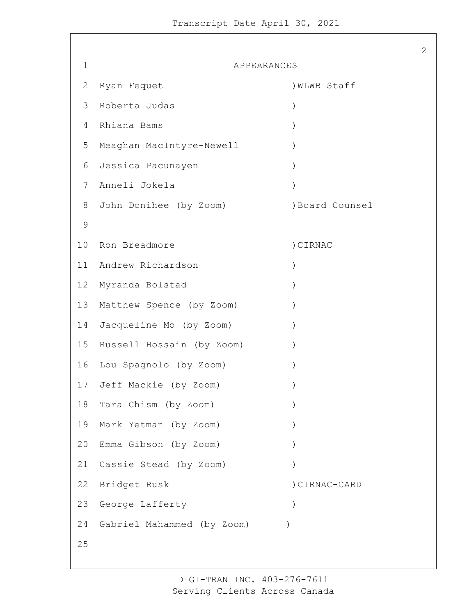| 1               | APPEARANCES                |                 |
|-----------------|----------------------------|-----------------|
| 2               | Ryan Fequet                | ) WLWB Staff    |
| 3               | Roberta Judas              | $\mathcal{C}$   |
| 4               | Rhiana Bams                | $\mathcal{E}$   |
| 5               | Meaghan MacIntyre-Newell   |                 |
| 6               | Jessica Pacunayen          |                 |
| 7               | Anneli Jokela              |                 |
| 8               | John Donihee (by Zoom)     | ) Board Counsel |
| $\mathcal{G}$   |                            |                 |
| 10              | Ron Breadmore              | ) CIRNAC        |
|                 | 11 Andrew Richardson       | $\mathcal{E}$   |
| 12 <sup>°</sup> | Myranda Bolstad            |                 |
| 13              | Matthew Spence (by Zoom)   |                 |
| 14              | Jacqueline Mo (by Zoom)    | $\lambda$       |
| 15              | Russell Hossain (by Zoom)  | $\mathcal{E}$   |
| 16              | Lou Spagnolo (by Zoom)     |                 |
| 17              | Jeff Mackie (by Zoom)      |                 |
| 18              | Tara Chism (by Zoom)       |                 |
| 19              | Mark Yetman (by Zoom)      |                 |
| 20              | Emma Gibson (by Zoom)      |                 |
| 21              | Cassie Stead (by Zoom)     |                 |
| 22              | Bridget Rusk               | ) CIRNAC-CARD   |
| 23              | George Lafferty            | $\mathcal{E}$   |
| 24              | Gabriel Mahammed (by Zoom) |                 |
| 25              |                            |                 |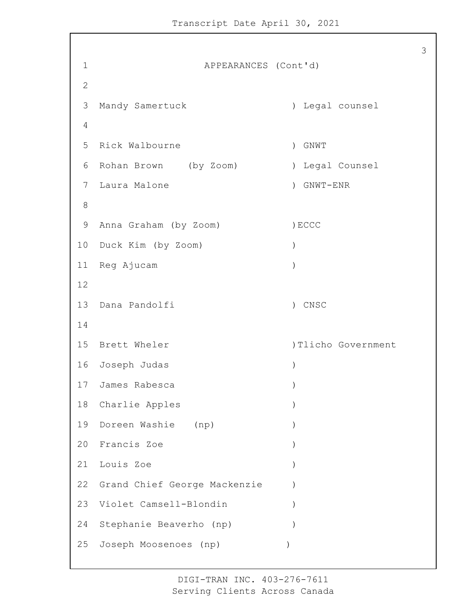1 APPEARANCES (Cont'd) Mandy Samertuck ) Legal counsel Rick Walbourne ) GNWT Rohan Brown (by Zoom) ) Legal Counsel Laura Malone ) GNWT-ENR 9 Anna Graham (by Zoom) (BCCC Duck Kim (by Zoom) ) Reg Ajucam ) Dana Pandolfi ) CNSC 15 Brett Wheler (1998) 112ho Government Joseph Judas ) James Rabesca ) 18 Charlie Apples Doreen Washie (np) ) Francis Zoe ) Louis Zoe ) Grand Chief George Mackenzie ) Violet Camsell-Blondin ) Stephanie Beaverho (np) ) Joseph Moosenoes (np) )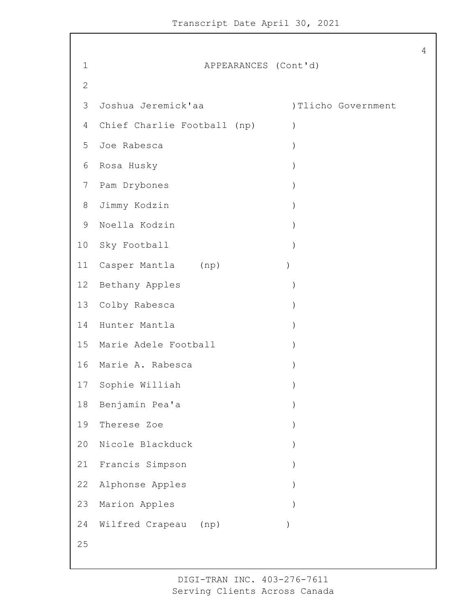1 APPEARANCES (Cont'd) Joshua Jeremick'aa )Tlicho Government Chief Charlie Football (np) ) Joe Rabesca ) Rosa Husky ) Pam Drybones ) Jimmy Kodzin ) Noella Kodzin ) Sky Football ) 11 Casper Mantla (np) (1) Bethany Apples ) Colby Rabesca ) Hunter Mantla ) Marie Adele Football ) Marie A. Rabesca ) Sophie Williah ) Benjamin Pea'a ) Therese Zoe ) Nicole Blackduck ) Francis Simpson ) Alphonse Apples ) 23 Marion Apples Wilfred Crapeau (np) )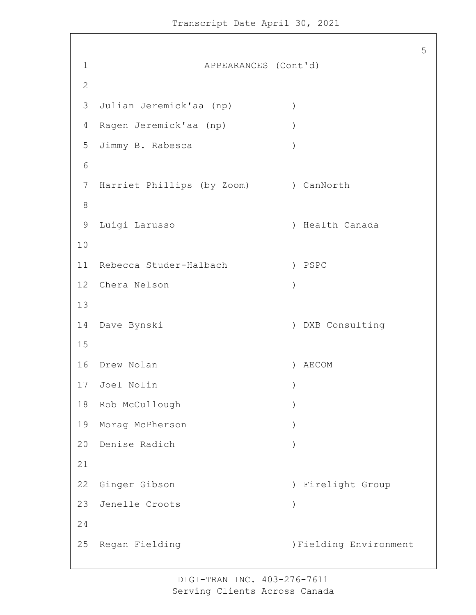1 APPEARANCES (Cont'd) Julian Jeremick'aa (np) ) Ragen Jeremick'aa (np) ) Jimmy B. Rabesca ) 7 Harriet Phillips (by Zoom) ) CanNorth Luigi Larusso ) Health Canada Rebecca Studer-Halbach ) PSPC Chera Nelson ) Dave Bynski ) DXB Consulting Drew Nolan ) AECOM Joel Nolin ) Rob McCullough ) Morag McPherson ) Denise Radich ) Ginger Gibson ) Firelight Group Jenelle Croots ) 25 Regan Fielding (25 Regan Pielding Environment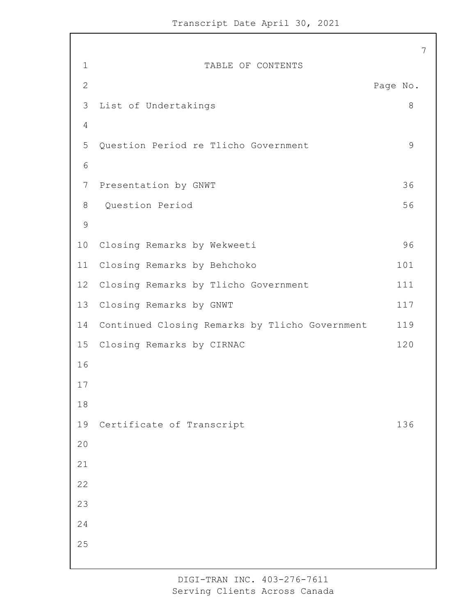7

1 TABLE OF CONTENTS 2 Page No. 3 List of Undertakings 8 4 5 Question Period re Tlicho Government 9 6 7 Presentation by GNWT 36 8 Question Period 56 9 10 Closing Remarks by Wekweeti 96 11 Closing Remarks by Behchoko 101 12 Closing Remarks by Tlicho Government 111 13 Closing Remarks by GNWT 117 14 Continued Closing Remarks by Tlicho Government 119 15 Closing Remarks by CIRNAC 120 16 17 18 19 Certificate of Transcript 136 20 21 22 23 24 25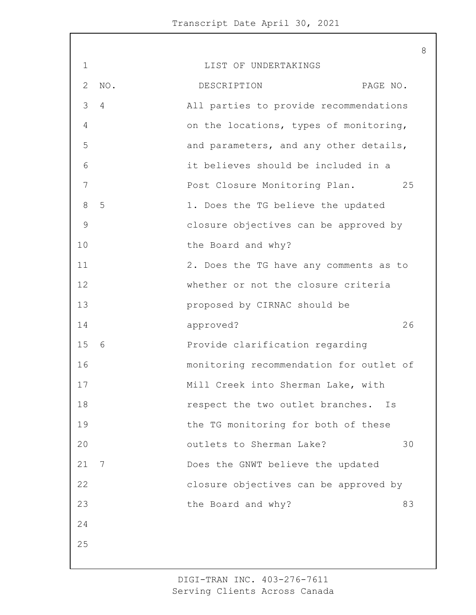| 1              |     | LIST OF UNDERTAKINGS                    |    |
|----------------|-----|-----------------------------------------|----|
| 2              | NO. | DESCRIPTION<br>PAGE NO.                 |    |
| 3              | 4   | All parties to provide recommendations  |    |
| 4              |     | on the locations, types of monitoring,  |    |
| 5              |     | and parameters, and any other details,  |    |
| 6              |     | it believes should be included in a     |    |
| 7              |     | Post Closure Monitoring Plan.           | 25 |
| 8              | 5   | 1. Does the TG believe the updated      |    |
| $\overline{9}$ |     | closure objectives can be approved by   |    |
| 10             |     | the Board and why?                      |    |
| 11             |     | 2. Does the TG have any comments as to  |    |
| 12             |     | whether or not the closure criteria     |    |
| 13             |     | proposed by CIRNAC should be            |    |
| 14             |     | approved?                               | 26 |
| 15             | - 6 | Provide clarification regarding         |    |
| 16             |     | monitoring recommendation for outlet of |    |
| 17             |     | Mill Creek into Sherman Lake, with      |    |
| 18             |     | respect the two outlet branches.<br>Ιs  |    |
| 19             |     | the TG monitoring for both of these     |    |
| 20             |     | outlets to Sherman Lake?                | 30 |
| 21             | 7   | Does the GNWT believe the updated       |    |
| 22             |     | closure objectives can be approved by   |    |
| 23             |     | the Board and why?                      | 83 |
|                |     |                                         |    |
| 24             |     |                                         |    |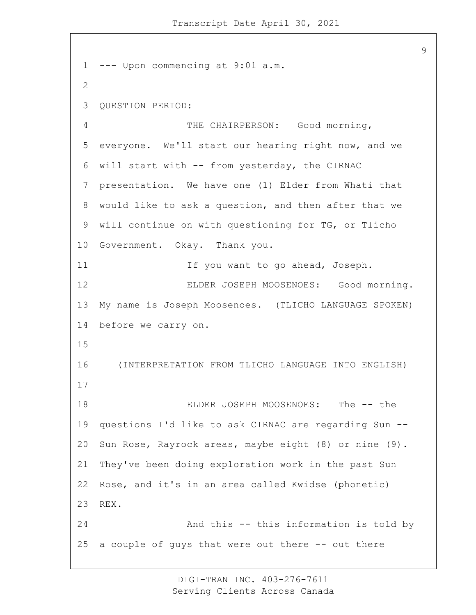--- Upon commencing at 9:01 a.m. QUESTION PERIOD: 4 THE CHAIRPERSON: Good morning, everyone. We'll start our hearing right now, and we will start with -- from yesterday, the CIRNAC presentation. We have one (1) Elder from Whati that would like to ask a question, and then after that we will continue on with questioning for TG, or Tlicho Government. Okay. Thank you. 11 11 If you want to go ahead, Joseph. 12 ELDER JOSEPH MOOSENOES: Good morning. My name is Joseph Moosenoes. (TLICHO LANGUAGE SPOKEN) before we carry on. 16 (INTERPRETATION FROM TLICHO LANGUAGE INTO ENGLISH) 18 ELDER JOSEPH MOOSENOES: The -- the questions I'd like to ask CIRNAC are regarding Sun -- Sun Rose, Rayrock areas, maybe eight (8) or nine (9). They've been doing exploration work in the past Sun Rose, and it's in an area called Kwidse (phonetic) REX. 24 And this -- this information is told by a couple of guys that were out there -- out there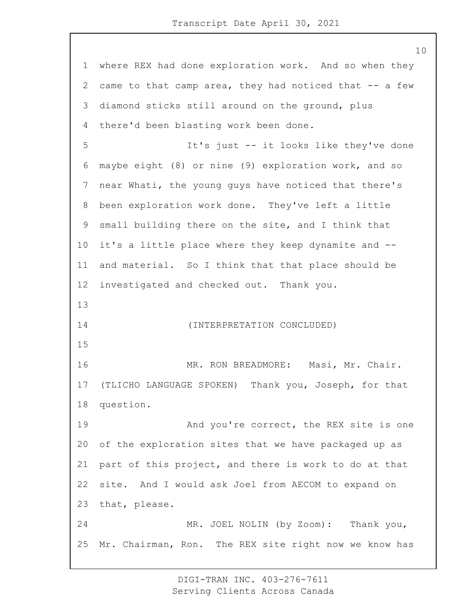where REX had done exploration work. And so when they 2 came to that camp area, they had noticed that -- a few diamond sticks still around on the ground, plus there'd been blasting work been done. 5 It's just -- it looks like they've done maybe eight (8) or nine (9) exploration work, and so near Whati, the young guys have noticed that there's been exploration work done. They've left a little small building there on the site, and I think that it's a little place where they keep dynamite and -- and material. So I think that that place should be investigated and checked out. Thank you. 14 (INTERPRETATION CONCLUDED) 16 MR. RON BREADMORE: Masi, Mr. Chair. (TLICHO LANGUAGE SPOKEN) Thank you, Joseph, for that question. 19 And you're correct, the REX site is one of the exploration sites that we have packaged up as part of this project, and there is work to do at that site. And I would ask Joel from AECOM to expand on that, please. 24 MR. JOEL NOLIN (by Zoom): Thank you, Mr. Chairman, Ron. The REX site right now we know has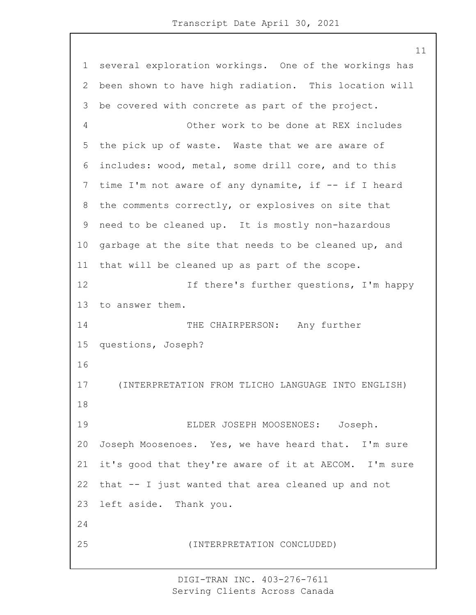several exploration workings. One of the workings has been shown to have high radiation. This location will be covered with concrete as part of the project. 4 Other work to be done at REX includes the pick up of waste. Waste that we are aware of includes: wood, metal, some drill core, and to this time I'm not aware of any dynamite, if -- if I heard the comments correctly, or explosives on site that need to be cleaned up. It is mostly non-hazardous garbage at the site that needs to be cleaned up, and that will be cleaned up as part of the scope. 12 12 If there's further questions, I'm happy to answer them. 14 THE CHAIRPERSON: Any further questions, Joseph? 17 (INTERPRETATION FROM TLICHO LANGUAGE INTO ENGLISH) 19 ELDER JOSEPH MOOSENOES: Joseph. Joseph Moosenoes. Yes, we have heard that. I'm sure it's good that they're aware of it at AECOM. I'm sure that -- I just wanted that area cleaned up and not left aside. Thank you. 25 (INTERPRETATION CONCLUDED)

> DIGI-TRAN INC. 403-276-7611 Serving Clients Across Canada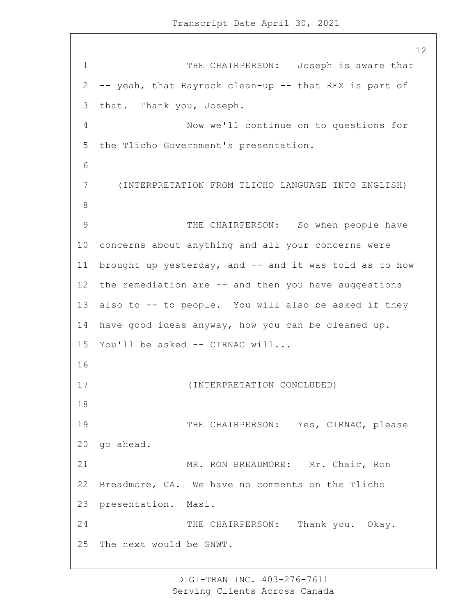1 THE CHAIRPERSON: Joseph is aware that -- yeah, that Rayrock clean-up -- that REX is part of that. Thank you, Joseph. 4 Now we'll continue on to questions for the Tlicho Government's presentation. 7 (INTERPRETATION FROM TLICHO LANGUAGE INTO ENGLISH) 9 THE CHAIRPERSON: So when people have concerns about anything and all your concerns were brought up yesterday, and -- and it was told as to how the remediation are -- and then you have suggestions also to -- to people. You will also be asked if they have good ideas anyway, how you can be cleaned up. You'll be asked -- CIRNAC will... 17 (INTERPRETATION CONCLUDED) 19 THE CHAIRPERSON: Yes, CIRNAC, please go ahead. 21 MR. RON BREADMORE: Mr. Chair, Ron Breadmore, CA. We have no comments on the Tlicho presentation. Masi. 24 THE CHAIRPERSON: Thank you. Okay. The next would be GNWT.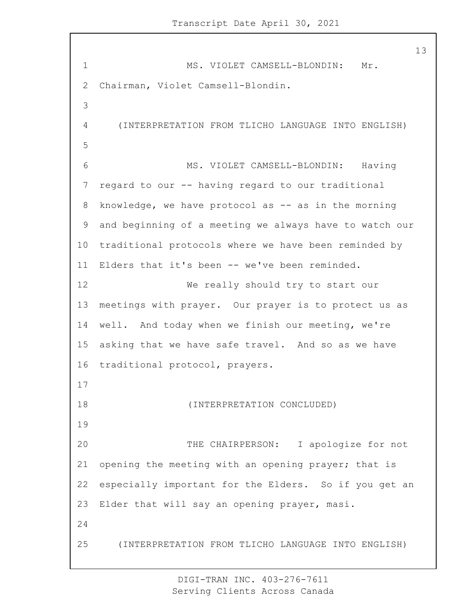1 MS. VIOLET CAMSELL-BLONDIN: Mr. Chairman, Violet Camsell-Blondin. 4 (INTERPRETATION FROM TLICHO LANGUAGE INTO ENGLISH) 6 MS. VIOLET CAMSELL-BLONDIN: Having regard to our -- having regard to our traditional knowledge, we have protocol as -- as in the morning and beginning of a meeting we always have to watch our traditional protocols where we have been reminded by Elders that it's been -- we've been reminded. 12 We really should try to start our meetings with prayer. Our prayer is to protect us as well. And today when we finish our meeting, we're asking that we have safe travel. And so as we have traditional protocol, prayers. 18 (INTERPRETATION CONCLUDED) 20 THE CHAIRPERSON: I apologize for not opening the meeting with an opening prayer; that is especially important for the Elders. So if you get an Elder that will say an opening prayer, masi. 25 (INTERPRETATION FROM TLICHO LANGUAGE INTO ENGLISH)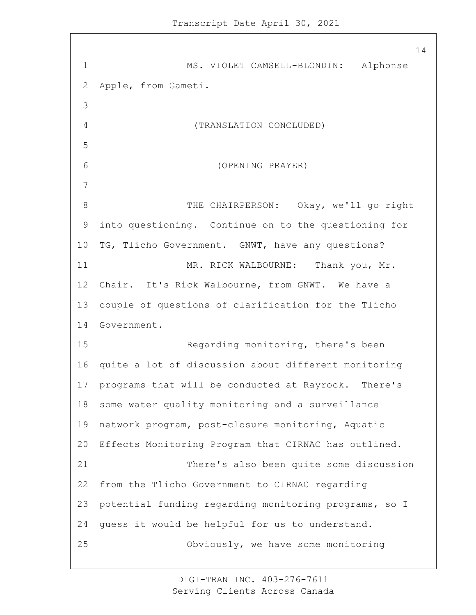1 MS. VIOLET CAMSELL-BLONDIN: Alphonse Apple, from Gameti. 4 (TRANSLATION CONCLUDED) 6 (OPENING PRAYER) 8 THE CHAIRPERSON: Okay, we'll go right into questioning. Continue on to the questioning for TG, Tlicho Government. GNWT, have any questions? 11 MR. RICK WALBOURNE: Thank you, Mr. Chair. It's Rick Walbourne, from GNWT. We have a couple of questions of clarification for the Tlicho Government. 15 Regarding monitoring, there's been quite a lot of discussion about different monitoring programs that will be conducted at Rayrock. There's some water quality monitoring and a surveillance network program, post-closure monitoring, Aquatic Effects Monitoring Program that CIRNAC has outlined. 21 There's also been quite some discussion from the Tlicho Government to CIRNAC regarding potential funding regarding monitoring programs, so I guess it would be helpful for us to understand. 25 Obviously, we have some monitoring

> DIGI-TRAN INC. 403-276-7611 Serving Clients Across Canada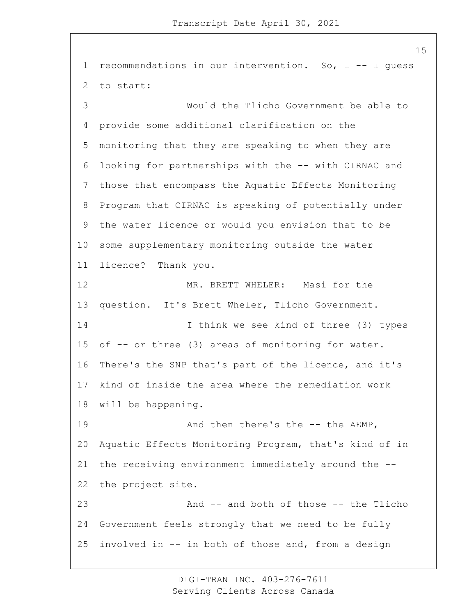recommendations in our intervention. So, I -- I guess to start: 3 Would the Tlicho Government be able to provide some additional clarification on the monitoring that they are speaking to when they are looking for partnerships with the -- with CIRNAC and those that encompass the Aquatic Effects Monitoring Program that CIRNAC is speaking of potentially under the water licence or would you envision that to be some supplementary monitoring outside the water licence? Thank you. 12 MR. BRETT WHELER: Masi for the question. It's Brett Wheler, Tlicho Government. 14 I think we see kind of three (3) types of -- or three (3) areas of monitoring for water. There's the SNP that's part of the licence, and it's kind of inside the area where the remediation work will be happening. 19 And then there's the -- the AEMP, Aquatic Effects Monitoring Program, that's kind of in the receiving environment immediately around the -- the project site. 23 And -- and both of those -- the Tlicho Government feels strongly that we need to be fully involved in -- in both of those and, from a design

> DIGI-TRAN INC. 403-276-7611 Serving Clients Across Canada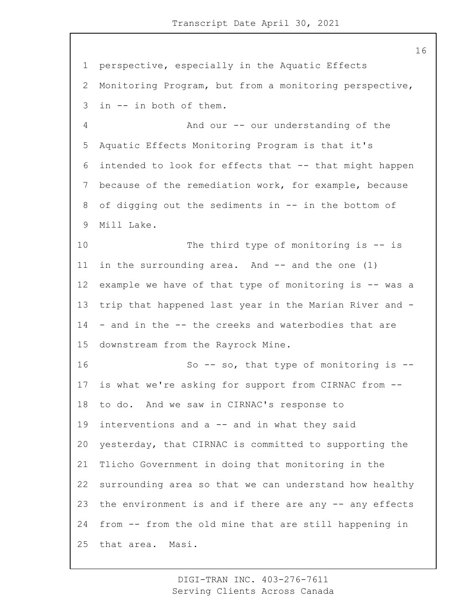perspective, especially in the Aquatic Effects Monitoring Program, but from a monitoring perspective, in -- in both of them. 4 And our -- our understanding of the Aquatic Effects Monitoring Program is that it's intended to look for effects that -- that might happen because of the remediation work, for example, because of digging out the sediments in -- in the bottom of Mill Lake. 10 The third type of monitoring is -- is in the surrounding area. And -- and the one (1) example we have of that type of monitoring is -- was a trip that happened last year in the Marian River and - - and in the -- the creeks and waterbodies that are downstream from the Rayrock Mine. 16 So -- so, that type of monitoring is -- is what we're asking for support from CIRNAC from -- to do. And we saw in CIRNAC's response to interventions and a -- and in what they said yesterday, that CIRNAC is committed to supporting the Tlicho Government in doing that monitoring in the surrounding area so that we can understand how healthy 23 the environment is and if there are any -- any effects from -- from the old mine that are still happening in that area. Masi.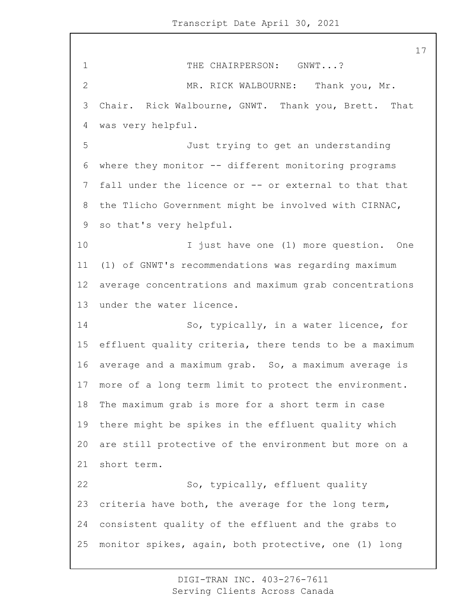1 THE CHAIRPERSON: GNWT...? 2 MR. RICK WALBOURNE: Thank you, Mr. Chair. Rick Walbourne, GNWT. Thank you, Brett. That was very helpful. 5 Just trying to get an understanding where they monitor -- different monitoring programs fall under the licence or -- or external to that that the Tlicho Government might be involved with CIRNAC, so that's very helpful. 10 I just have one (1) more question. One (1) of GNWT's recommendations was regarding maximum average concentrations and maximum grab concentrations under the water licence. 14 So, typically, in a water licence, for effluent quality criteria, there tends to be a maximum average and a maximum grab. So, a maximum average is more of a long term limit to protect the environment. The maximum grab is more for a short term in case there might be spikes in the effluent quality which are still protective of the environment but more on a short term. 22 So, typically, effluent quality criteria have both, the average for the long term, consistent quality of the effluent and the grabs to monitor spikes, again, both protective, one (1) long

> DIGI-TRAN INC. 403-276-7611 Serving Clients Across Canada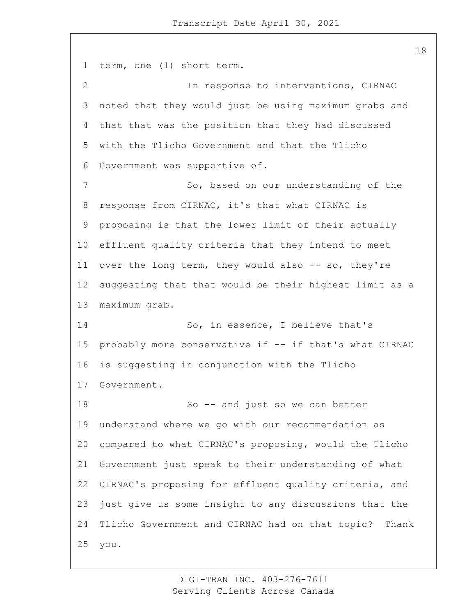term, one (1) short term. 2 In response to interventions, CIRNAC noted that they would just be using maximum grabs and that that was the position that they had discussed with the Tlicho Government and that the Tlicho Government was supportive of. 7 So, based on our understanding of the response from CIRNAC, it's that what CIRNAC is proposing is that the lower limit of their actually effluent quality criteria that they intend to meet over the long term, they would also -- so, they're suggesting that that would be their highest limit as a maximum grab. 14 So, in essence, I believe that's probably more conservative if -- if that's what CIRNAC is suggesting in conjunction with the Tlicho Government. 18 So -- and just so we can better understand where we go with our recommendation as compared to what CIRNAC's proposing, would the Tlicho Government just speak to their understanding of what CIRNAC's proposing for effluent quality criteria, and just give us some insight to any discussions that the Tlicho Government and CIRNAC had on that topic? Thank you.

> DIGI-TRAN INC. 403-276-7611 Serving Clients Across Canada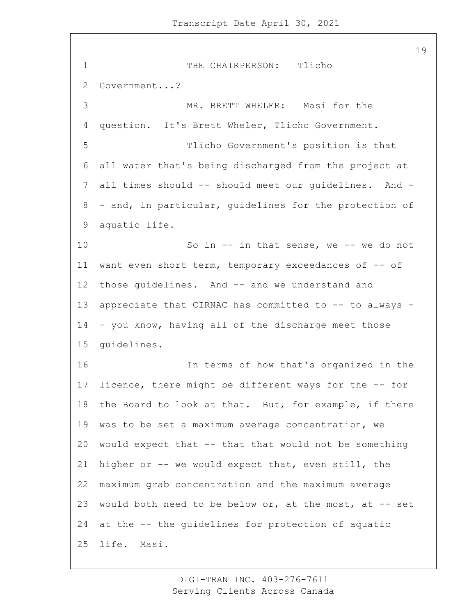1 THE CHAIRPERSON: Tlicho Government...? 3 MR. BRETT WHELER: Masi for the question. It's Brett Wheler, Tlicho Government. 5 Tlicho Government's position is that all water that's being discharged from the project at all times should -- should meet our guidelines. And - - and, in particular, guidelines for the protection of aquatic life. 10 So in -- in that sense, we -- we do not want even short term, temporary exceedances of -- of those guidelines. And -- and we understand and appreciate that CIRNAC has committed to -- to always - - you know, having all of the discharge meet those guidelines. 16 In terms of how that's organized in the licence, there might be different ways for the -- for the Board to look at that. But, for example, if there was to be set a maximum average concentration, we would expect that -- that that would not be something higher or -- we would expect that, even still, the maximum grab concentration and the maximum average would both need to be below or, at the most, at -- set at the -- the guidelines for protection of aquatic life. Masi.

> DIGI-TRAN INC. 403-276-7611 Serving Clients Across Canada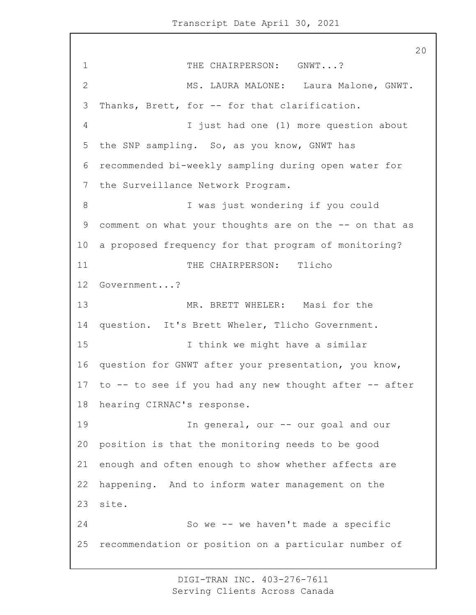1 THE CHAIRPERSON: GNWT...? 2 MS. LAURA MALONE: Laura Malone, GNWT. 3 Thanks, Brett, for -- for that clarification. 4 I just had one (1) more question about 5 the SNP sampling. So, as you know, GNWT has 6 recommended bi-weekly sampling during open water for 7 the Surveillance Network Program. 8 I was just wondering if you could 9 comment on what your thoughts are on the -- on that as 10 a proposed frequency for that program of monitoring? 11 THE CHAIRPERSON: Tlicho 12 Government...? 13 MR. BRETT WHELER: Masi for the 14 question. It's Brett Wheler, Tlicho Government. 15 I think we might have a similar 16 question for GNWT after your presentation, you know, 17 to -- to see if you had any new thought after -- after 18 hearing CIRNAC's response. 19 In general, our -- our goal and our 20 position is that the monitoring needs to be good 21 enough and often enough to show whether affects are 22 happening. And to inform water management on the 23 site. 24 So we -- we haven't made a specific 25 recommendation or position on a particular number of

> DIGI-TRAN INC. 403-276-7611 Serving Clients Across Canada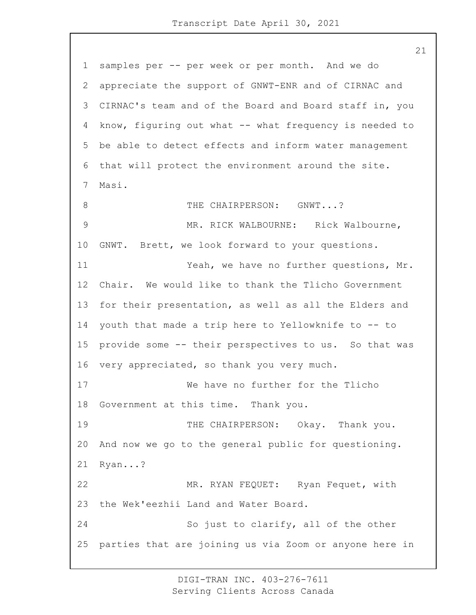samples per -- per week or per month. And we do appreciate the support of GNWT-ENR and of CIRNAC and CIRNAC's team and of the Board and Board staff in, you know, figuring out what -- what frequency is needed to be able to detect effects and inform water management that will protect the environment around the site. Masi. 8 THE CHAIRPERSON: GNWT...? 9 MR. RICK WALBOURNE: Rick Walbourne, GNWT. Brett, we look forward to your questions. 11 Yeah, we have no further questions, Mr. Chair. We would like to thank the Tlicho Government for their presentation, as well as all the Elders and youth that made a trip here to Yellowknife to -- to provide some -- their perspectives to us. So that was very appreciated, so thank you very much. 17 We have no further for the Tlicho Government at this time. Thank you. 19 THE CHAIRPERSON: Okay. Thank you. And now we go to the general public for questioning. Ryan...? 22 MR. RYAN FEQUET: Ryan Fequet, with the Wek'eezhii Land and Water Board. 24 So just to clarify, all of the other parties that are joining us via Zoom or anyone here in

> DIGI-TRAN INC. 403-276-7611 Serving Clients Across Canada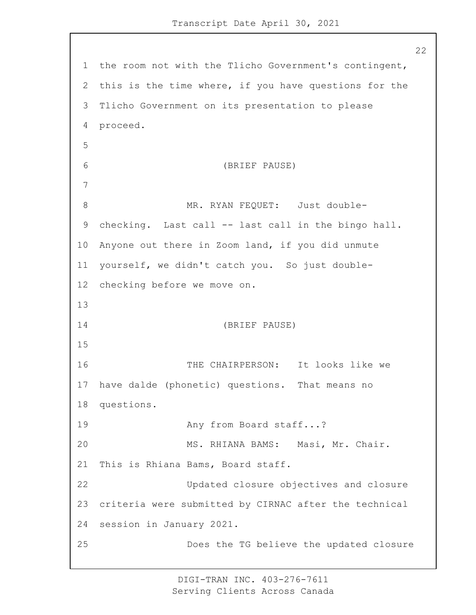the room not with the Tlicho Government's contingent, this is the time where, if you have questions for the Tlicho Government on its presentation to please proceed. 6 (BRIEF PAUSE) 8 MR. RYAN FEQUET: Just double- checking. Last call -- last call in the bingo hall. Anyone out there in Zoom land, if you did unmute yourself, we didn't catch you. So just double- checking before we move on. 14 (BRIEF PAUSE) 16 THE CHAIRPERSON: It looks like we have dalde (phonetic) questions. That means no questions. 19 Any from Board staff...? 20 MS. RHIANA BAMS: Masi, Mr. Chair. This is Rhiana Bams, Board staff. 22 Updated closure objectives and closure criteria were submitted by CIRNAC after the technical session in January 2021. 25 Does the TG believe the updated closure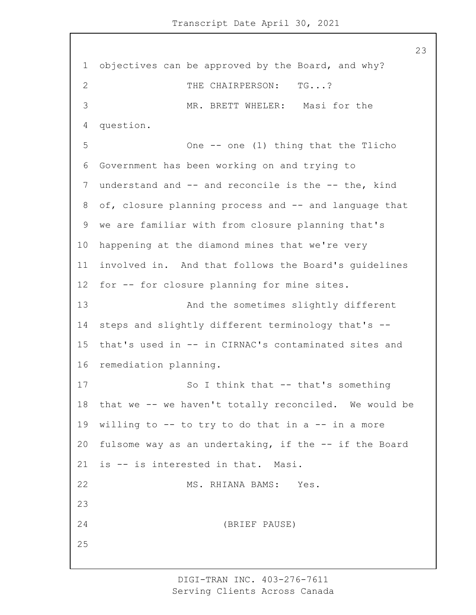objectives can be approved by the Board, and why? 2 THE CHAIRPERSON: TG...? 3 MR. BRETT WHELER: Masi for the question. 5 One -- one (1) thing that the Tlicho Government has been working on and trying to understand and -- and reconcile is the -- the, kind of, closure planning process and -- and language that we are familiar with from closure planning that's happening at the diamond mines that we're very involved in. And that follows the Board's guidelines for -- for closure planning for mine sites. 13 And the sometimes slightly different steps and slightly different terminology that's -- that's used in -- in CIRNAC's contaminated sites and remediation planning. 17 So I think that -- that's something that we -- we haven't totally reconciled. We would be willing to -- to try to do that in a -- in a more 20 fulsome way as an undertaking, if the -- if the Board is -- is interested in that. Masi. 22 MS. RHIANA BAMS: Yes. 24 (BRIEF PAUSE)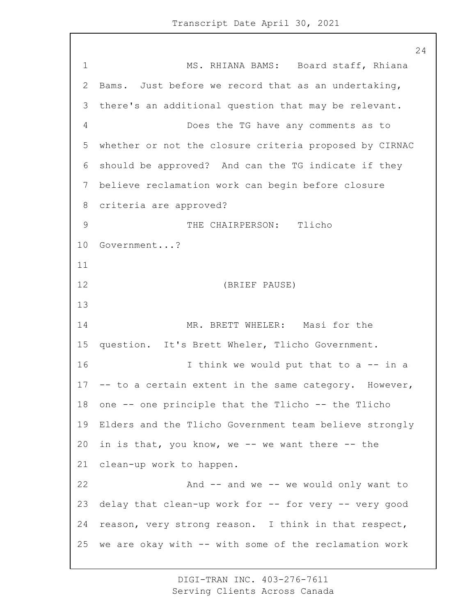1 MS. RHIANA BAMS: Board staff, Rhiana Bams. Just before we record that as an undertaking, there's an additional question that may be relevant. 4 Does the TG have any comments as to whether or not the closure criteria proposed by CIRNAC should be approved? And can the TG indicate if they believe reclamation work can begin before closure criteria are approved? 9 THE CHAIRPERSON: Tlicho Government...? 12 (BRIEF PAUSE) 14 MR. BRETT WHELER: Masi for the question. It's Brett Wheler, Tlicho Government. 16 16 I think we would put that to a -- in a -- to a certain extent in the same category. However, one -- one principle that the Tlicho -- the Tlicho Elders and the Tlicho Government team believe strongly in is that, you know, we -- we want there -- the clean-up work to happen. 22 And -- and we -- we would only want to delay that clean-up work for -- for very -- very good reason, very strong reason. I think in that respect, we are okay with -- with some of the reclamation work

> DIGI-TRAN INC. 403-276-7611 Serving Clients Across Canada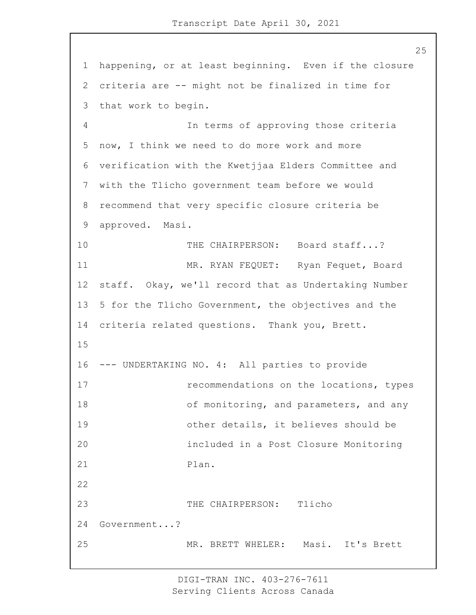1 happening, or at least beginning. Even if the closure 2 criteria are -- might not be finalized in time for 3 that work to begin. 4 In terms of approving those criteria 5 now, I think we need to do more work and more 6 verification with the Kwetjjaa Elders Committee and 7 with the Tlicho government team before we would 8 recommend that very specific closure criteria be 9 approved. Masi. 10 THE CHAIRPERSON: Board staff...? 11 MR. RYAN FEQUET: Ryan Fequet, Board 12 staff. Okay, we'll record that as Undertaking Number 13 5 for the Tlicho Government, the objectives and the 14 criteria related questions. Thank you, Brett. 15 16 --- UNDERTAKING NO. 4: All parties to provide 17 recommendations on the locations, types 18 of monitoring, and parameters, and any 19 other details, it believes should be 20 included in a Post Closure Monitoring 21 Plan. 22 23 THE CHAIRPERSON: Tlicho 24 Government...? 25 MR. BRETT WHELER: Masi. It's Brett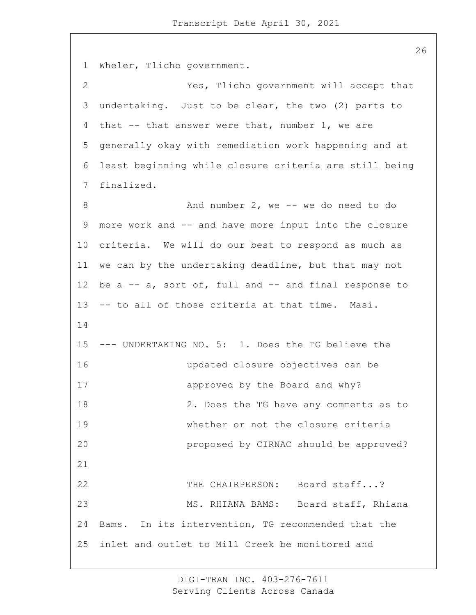1 Wheler, Tlicho government. 2 Yes, Tlicho government will accept that 3 undertaking. Just to be clear, the two (2) parts to 4 that -- that answer were that, number 1, we are 5 generally okay with remediation work happening and at 6 least beginning while closure criteria are still being 7 finalized. 8 And number 2, we -- we do need to do 9 more work and -- and have more input into the closure 10 criteria. We will do our best to respond as much as 11 we can by the undertaking deadline, but that may not 12 be a -- a, sort of, full and -- and final response to 13 -- to all of those criteria at that time. Masi. 14 15 --- UNDERTAKING NO. 5: 1. Does the TG believe the 16 updated closure objectives can be 17 approved by the Board and why? 18 2. Does the TG have any comments as to 19 whether or not the closure criteria 20 proposed by CIRNAC should be approved? 21 22 THE CHAIRPERSON: Board staff...? 23 MS. RHIANA BAMS: Board staff, Rhiana 24 Bams. In its intervention, TG recommended that the 25 inlet and outlet to Mill Creek be monitored and

> DIGI-TRAN INC. 403-276-7611 Serving Clients Across Canada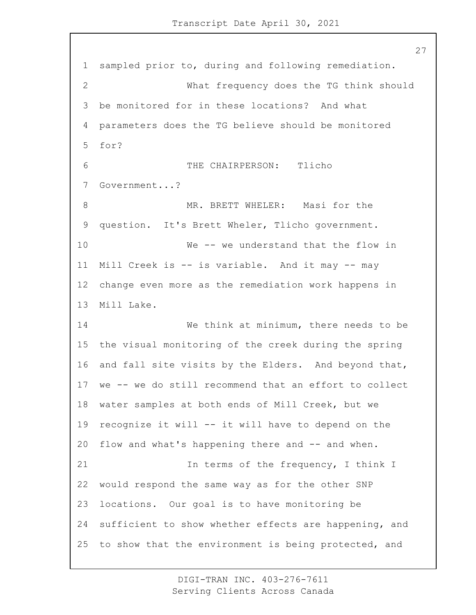sampled prior to, during and following remediation. 2 What frequency does the TG think should be monitored for in these locations? And what parameters does the TG believe should be monitored for? 6 THE CHAIRPERSON: Tlicho Government...? 8 MR. BRETT WHELER: Masi for the question. It's Brett Wheler, Tlicho government. 10 We -- we understand that the flow in Mill Creek is -- is variable. And it may -- may change even more as the remediation work happens in Mill Lake. 14 We think at minimum, there needs to be the visual monitoring of the creek during the spring and fall site visits by the Elders. And beyond that, we -- we do still recommend that an effort to collect water samples at both ends of Mill Creek, but we recognize it will -- it will have to depend on the flow and what's happening there and -- and when. 21 In terms of the frequency, I think I would respond the same way as for the other SNP locations. Our goal is to have monitoring be sufficient to show whether effects are happening, and to show that the environment is being protected, and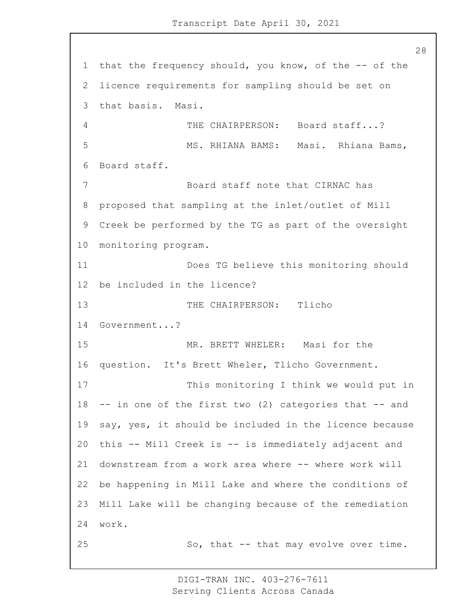28 1 that the frequency should, you know, of the -- of the 2 licence requirements for sampling should be set on 3 that basis. Masi. 4 THE CHAIRPERSON: Board staff...? 5 MS. RHIANA BAMS: Masi. Rhiana Bams, 6 Board staff. 7 Board staff note that CIRNAC has 8 proposed that sampling at the inlet/outlet of Mill 9 Creek be performed by the TG as part of the oversight 10 monitoring program. 11 Does TG believe this monitoring should 12 be included in the licence? 13 THE CHAIRPERSON: Tlicho 14 Government...? 15 MR. BRETT WHELER: Masi for the 16 question. It's Brett Wheler, Tlicho Government. 17 This monitoring I think we would put in 18 -- in one of the first two (2) categories that -- and 19 say, yes, it should be included in the licence because 20 this -- Mill Creek is -- is immediately adjacent and 21 downstream from a work area where -- where work will 22 be happening in Mill Lake and where the conditions of 23 Mill Lake will be changing because of the remediation 24 work. 25 So, that -- that may evolve over time.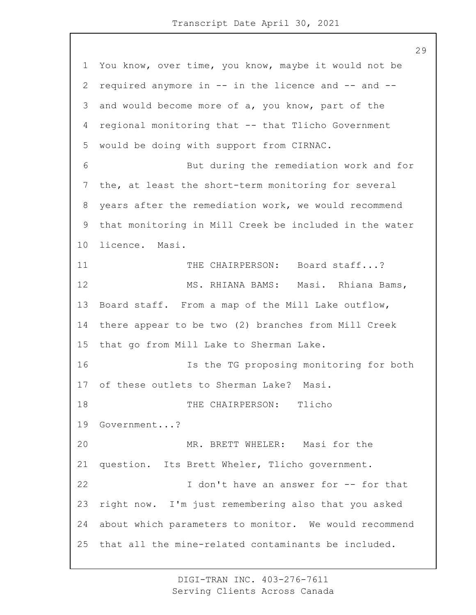You know, over time, you know, maybe it would not be required anymore in -- in the licence and -- and -- and would become more of a, you know, part of the regional monitoring that -- that Tlicho Government would be doing with support from CIRNAC. 6 But during the remediation work and for the, at least the short-term monitoring for several years after the remediation work, we would recommend that monitoring in Mill Creek be included in the water licence. Masi. 11 THE CHAIRPERSON: Board staff...? 12 MS. RHIANA BAMS: Masi. Rhiana Bams, Board staff. From a map of the Mill Lake outflow, there appear to be two (2) branches from Mill Creek that go from Mill Lake to Sherman Lake. 16 Is the TG proposing monitoring for both of these outlets to Sherman Lake? Masi. 18 THE CHAIRPERSON: Tlicho Government...? 20 MR. BRETT WHELER: Masi for the question. Its Brett Wheler, Tlicho government. 22 I don't have an answer for -- for that right now. I'm just remembering also that you asked about which parameters to monitor. We would recommend that all the mine-related contaminants be included.

> DIGI-TRAN INC. 403-276-7611 Serving Clients Across Canada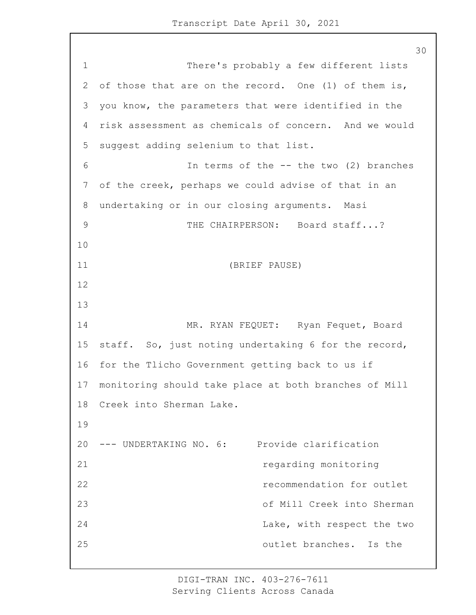1 There's probably a few different lists 2 of those that are on the record. One (1) of them is, 3 you know, the parameters that were identified in the 4 risk assessment as chemicals of concern. And we would 5 suggest adding selenium to that list. 6 In terms of the -- the two (2) branches 7 of the creek, perhaps we could advise of that in an 8 undertaking or in our closing arguments. Masi 9 THE CHAIRPERSON: Board staff...? 10 11 (BRIEF PAUSE) 12 13 14 MR. RYAN FEQUET: Ryan Fequet, Board 15 staff. So, just noting undertaking 6 for the record, 16 for the Tlicho Government getting back to us if 17 monitoring should take place at both branches of Mill 18 Creek into Sherman Lake. 19 20 --- UNDERTAKING NO. 6: Provide clarification 21 regarding monitoring 22 recommendation for outlet 23 of Mill Creek into Sherman 24 Lake, with respect the two 25 outlet branches. Is the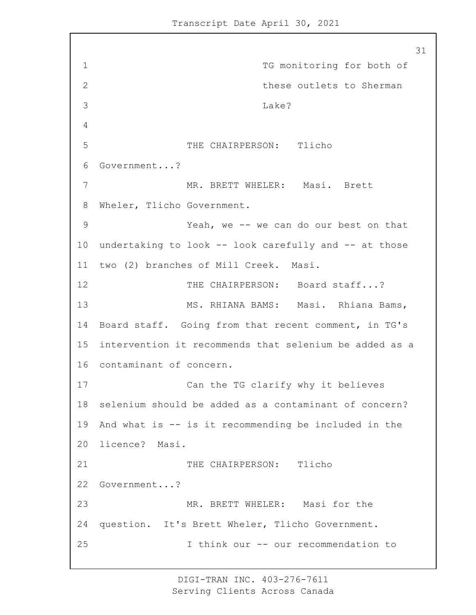31 1 TG monitoring for both of 2 these outlets to Sherman 3 Lake? 4 5 THE CHAIRPERSON: Tlicho 6 Government...? 7 MR. BRETT WHELER: Masi. Brett 8 Wheler, Tlicho Government. 9 Yeah, we -- we can do our best on that 10 undertaking to look -- look carefully and -- at those 11 two (2) branches of Mill Creek. Masi. 12 THE CHAIRPERSON: Board staff...? 13 MS. RHIANA BAMS: Masi. Rhiana Bams, 14 Board staff. Going from that recent comment, in TG's 15 intervention it recommends that selenium be added as a 16 contaminant of concern. 17 Can the TG clarify why it believes 18 selenium should be added as a contaminant of concern? 19 And what is -- is it recommending be included in the 20 licence? Masi. 21 THE CHAIRPERSON: Tlicho 22 Government...? 23 MR. BRETT WHELER: Masi for the 24 question. It's Brett Wheler, Tlicho Government. 25 I think our -- our recommendation to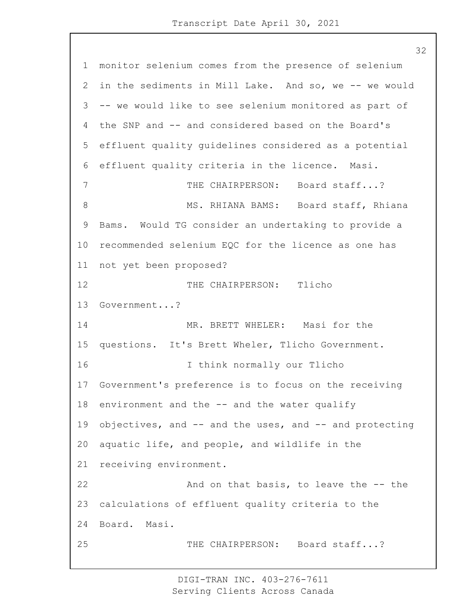monitor selenium comes from the presence of selenium in the sediments in Mill Lake. And so, we -- we would -- we would like to see selenium monitored as part of the SNP and -- and considered based on the Board's effluent quality guidelines considered as a potential effluent quality criteria in the licence. Masi. 7 THE CHAIRPERSON: Board staff...? 8 MS. RHIANA BAMS: Board staff, Rhiana Bams. Would TG consider an undertaking to provide a recommended selenium EQC for the licence as one has not yet been proposed? 12 THE CHAIRPERSON: Tlicho Government...? 14 MR. BRETT WHELER: Masi for the questions. It's Brett Wheler, Tlicho Government. 16 I think normally our Tlicho Government's preference is to focus on the receiving environment and the -- and the water qualify objectives, and -- and the uses, and -- and protecting aquatic life, and people, and wildlife in the receiving environment. 22 And on that basis, to leave the -- the calculations of effluent quality criteria to the Board. Masi. 25 THE CHAIRPERSON: Board staff...?

> DIGI-TRAN INC. 403-276-7611 Serving Clients Across Canada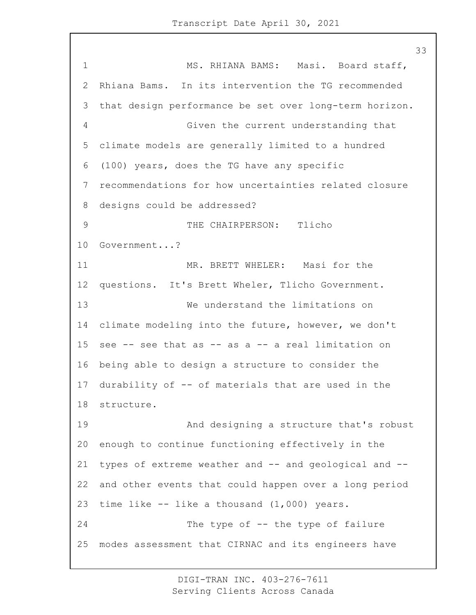1 MS. RHIANA BAMS: Masi. Board staff, Rhiana Bams. In its intervention the TG recommended that design performance be set over long-term horizon. 4 Given the current understanding that climate models are generally limited to a hundred (100) years, does the TG have any specific recommendations for how uncertainties related closure designs could be addressed? 9 THE CHAIRPERSON: Tlicho Government...? 11 MR. BRETT WHELER: Masi for the questions. It's Brett Wheler, Tlicho Government. 13 We understand the limitations on climate modeling into the future, however, we don't see -- see that as -- as a -- a real limitation on being able to design a structure to consider the durability of -- of materials that are used in the structure. 19 And designing a structure that's robust enough to continue functioning effectively in the 21 types of extreme weather and -- and geological and -- and other events that could happen over a long period time like -- like a thousand (1,000) years. 24 The type of -- the type of failure modes assessment that CIRNAC and its engineers have

> DIGI-TRAN INC. 403-276-7611 Serving Clients Across Canada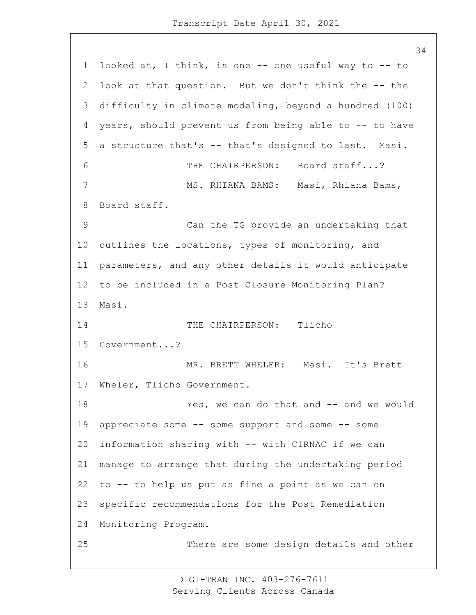looked at, I think, is one -- one useful way to -- to look at that question. But we don't think the -- the difficulty in climate modeling, beyond a hundred (100) years, should prevent us from being able to -- to have a structure that's -- that's designed to last. Masi. 6 THE CHAIRPERSON: Board staff...? 7 MS. RHIANA BAMS: Masi, Rhiana Bams, Board staff. 9 Can the TG provide an undertaking that outlines the locations, types of monitoring, and parameters, and any other details it would anticipate to be included in a Post Closure Monitoring Plan? Masi. 14 THE CHAIRPERSON: Tlicho Government...? 16 MR. BRETT WHELER: Masi. It's Brett Wheler, Tlicho Government. 18 Yes, we can do that and -- and we would appreciate some -- some support and some -- some information sharing with -- with CIRNAC if we can manage to arrange that during the undertaking period to -- to help us put as fine a point as we can on specific recommendations for the Post Remediation Monitoring Program. 25 There are some design details and other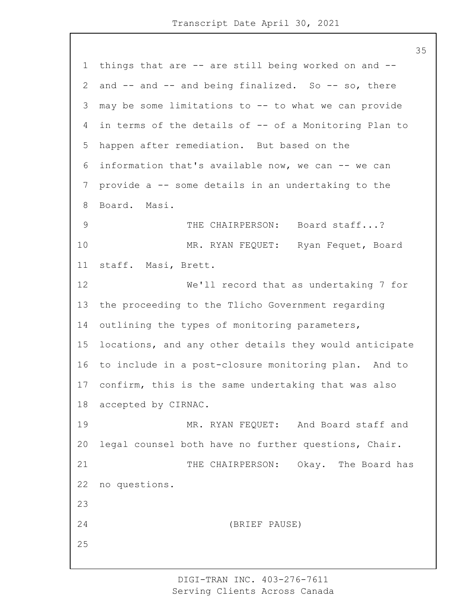things that are -- are still being worked on and -- 2 and -- and -- and being finalized. So -- so, there may be some limitations to -- to what we can provide in terms of the details of -- of a Monitoring Plan to happen after remediation. But based on the information that's available now, we can -- we can provide a -- some details in an undertaking to the Board. Masi. 9 THE CHAIRPERSON: Board staff...? 10 MR. RYAN FEQUET: Ryan Fequet, Board staff. Masi, Brett. 12 We'll record that as undertaking 7 for the proceeding to the Tlicho Government regarding outlining the types of monitoring parameters, locations, and any other details they would anticipate to include in a post-closure monitoring plan. And to confirm, this is the same undertaking that was also accepted by CIRNAC. 19 MR. RYAN FEQUET: And Board staff and legal counsel both have no further questions, Chair. 21 THE CHAIRPERSON: Okay. The Board has no questions. 24 (BRIEF PAUSE)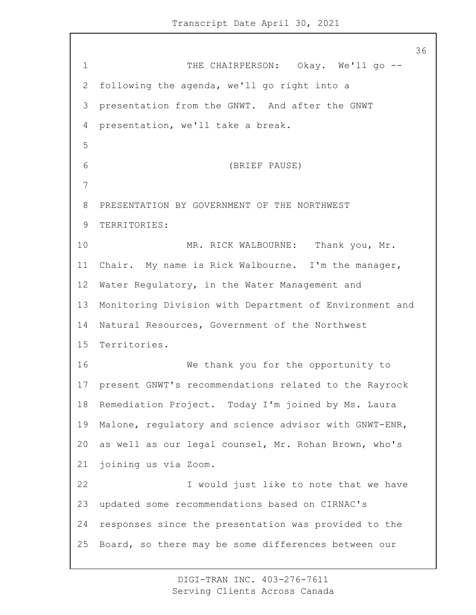1 THE CHAIRPERSON: Okay. We'll go -- following the agenda, we'll go right into a presentation from the GNWT. And after the GNWT presentation, we'll take a break. 6 (BRIEF PAUSE) PRESENTATION BY GOVERNMENT OF THE NORTHWEST TERRITORIES: 10 MR. RICK WALBOURNE: Thank you, Mr. Chair. My name is Rick Walbourne. I'm the manager, Water Regulatory, in the Water Management and Monitoring Division with Department of Environment and Natural Resources, Government of the Northwest Territories. 16 We thank you for the opportunity to present GNWT's recommendations related to the Rayrock Remediation Project. Today I'm joined by Ms. Laura Malone, regulatory and science advisor with GNWT-ENR, as well as our legal counsel, Mr. Rohan Brown, who's joining us via Zoom. 22 I would just like to note that we have updated some recommendations based on CIRNAC's responses since the presentation was provided to the Board, so there may be some differences between our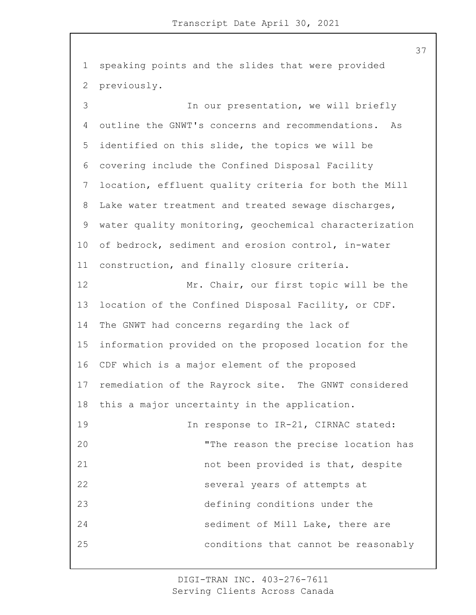1 speaking points and the slides that were provided 2 previously.

3 In our presentation, we will briefly outline the GNWT's concerns and recommendations. As identified on this slide, the topics we will be covering include the Confined Disposal Facility location, effluent quality criteria for both the Mill Lake water treatment and treated sewage discharges, water quality monitoring, geochemical characterization of bedrock, sediment and erosion control, in-water construction, and finally closure criteria. 12 Mr. Chair, our first topic will be the location of the Confined Disposal Facility, or CDF. The GNWT had concerns regarding the lack of information provided on the proposed location for the CDF which is a major element of the proposed remediation of the Rayrock site. The GNWT considered this a major uncertainty in the application. 19 19 In response to IR-21, CIRNAC stated: 20 "The reason the precise location has 21 not been provided is that, despite 22 several years of attempts at 23 defining conditions under the 24 sediment of Mill Lake, there are 25 conditions that cannot be reasonably

> DIGI-TRAN INC. 403-276-7611 Serving Clients Across Canada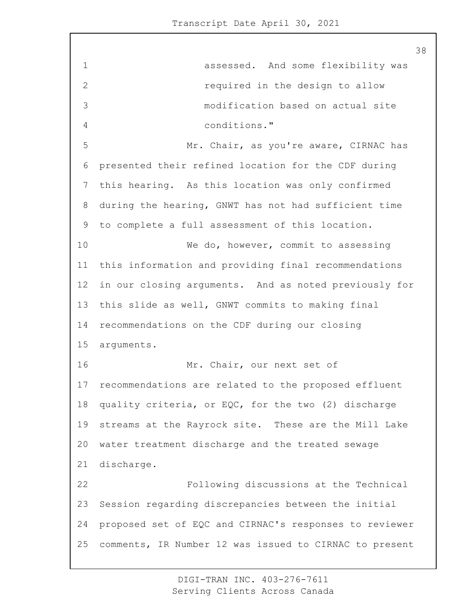1 assessed. And some flexibility was 2 required in the design to allow 3 modification based on actual site 4 conditions." 5 Mr. Chair, as you're aware, CIRNAC has presented their refined location for the CDF during this hearing. As this location was only confirmed during the hearing, GNWT has not had sufficient time to complete a full assessment of this location. 10 We do, however, commit to assessing this information and providing final recommendations in our closing arguments. And as noted previously for this slide as well, GNWT commits to making final recommendations on the CDF during our closing arguments. 16 Mr. Chair, our next set of recommendations are related to the proposed effluent quality criteria, or EQC, for the two (2) discharge streams at the Rayrock site. These are the Mill Lake water treatment discharge and the treated sewage discharge. 22 Following discussions at the Technical Session regarding discrepancies between the initial proposed set of EQC and CIRNAC's responses to reviewer comments, IR Number 12 was issued to CIRNAC to present

> DIGI-TRAN INC. 403-276-7611 Serving Clients Across Canada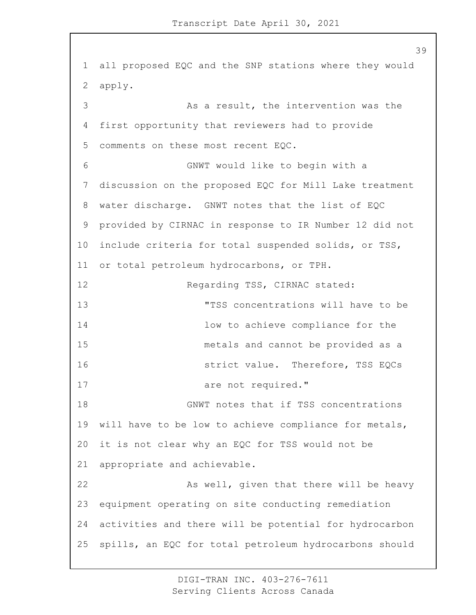1 all proposed EQC and the SNP stations where they would 2 apply. 3 As a result, the intervention was the 4 first opportunity that reviewers had to provide 5 comments on these most recent EQC. 6 GNWT would like to begin with a 7 discussion on the proposed EQC for Mill Lake treatment 8 water discharge. GNWT notes that the list of EQC 9 provided by CIRNAC in response to IR Number 12 did not 10 include criteria for total suspended solids, or TSS, 11 or total petroleum hydrocarbons, or TPH. 12 Regarding TSS, CIRNAC stated: 13 "TSS concentrations will have to be 14 low to achieve compliance for the 15 metals and cannot be provided as a 16 strict value. Therefore, TSS EQCs 17 are not required." 18 GNWT notes that if TSS concentrations 19 will have to be low to achieve compliance for metals, 20 it is not clear why an EQC for TSS would not be 21 appropriate and achievable. 22 As well, given that there will be heavy 23 equipment operating on site conducting remediation 24 activities and there will be potential for hydrocarbon 25 spills, an EQC for total petroleum hydrocarbons should

> DIGI-TRAN INC. 403-276-7611 Serving Clients Across Canada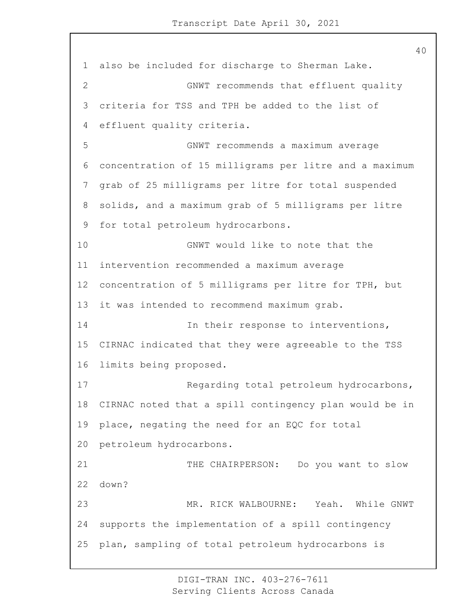also be included for discharge to Sherman Lake. 2 GNWT recommends that effluent quality criteria for TSS and TPH be added to the list of effluent quality criteria. 5 GNWT recommends a maximum average concentration of 15 milligrams per litre and a maximum grab of 25 milligrams per litre for total suspended solids, and a maximum grab of 5 milligrams per litre for total petroleum hydrocarbons. 10 GNWT would like to note that the intervention recommended a maximum average concentration of 5 milligrams per litre for TPH, but it was intended to recommend maximum grab. 14 14 In their response to interventions, CIRNAC indicated that they were agreeable to the TSS limits being proposed. 17 Regarding total petroleum hydrocarbons, CIRNAC noted that a spill contingency plan would be in place, negating the need for an EQC for total petroleum hydrocarbons. 21 THE CHAIRPERSON: Do you want to slow down? 23 MR. RICK WALBOURNE: Yeah. While GNWT supports the implementation of a spill contingency plan, sampling of total petroleum hydrocarbons is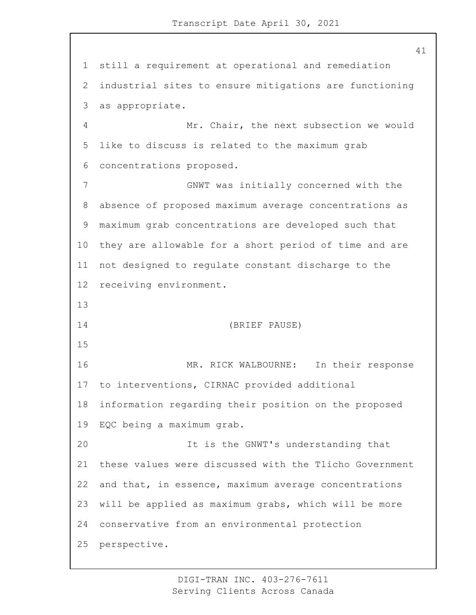still a requirement at operational and remediation industrial sites to ensure mitigations are functioning as appropriate. 4 Mr. Chair, the next subsection we would like to discuss is related to the maximum grab concentrations proposed. 7 GNWT was initially concerned with the absence of proposed maximum average concentrations as maximum grab concentrations are developed such that they are allowable for a short period of time and are not designed to regulate constant discharge to the receiving environment. 14 (BRIEF PAUSE) 16 MR. RICK WALBOURNE: In their response to interventions, CIRNAC provided additional information regarding their position on the proposed EQC being a maximum grab. 20 It is the GNWT's understanding that these values were discussed with the Tlicho Government and that, in essence, maximum average concentrations will be applied as maximum grabs, which will be more conservative from an environmental protection perspective.

> DIGI-TRAN INC. 403-276-7611 Serving Clients Across Canada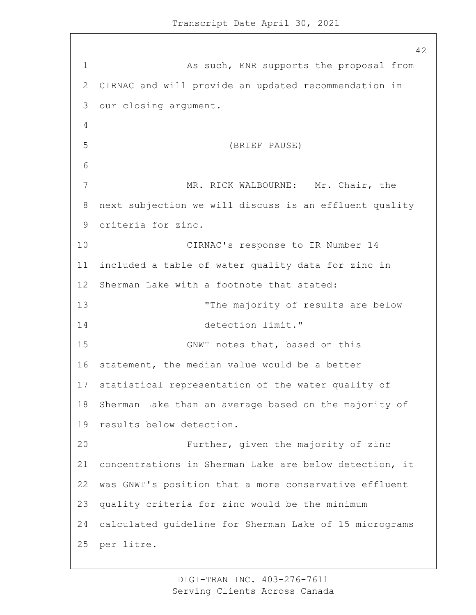1 As such, ENR supports the proposal from CIRNAC and will provide an updated recommendation in our closing argument. 5 (BRIEF PAUSE) 7 MR. RICK WALBOURNE: Mr. Chair, the next subjection we will discuss is an effluent quality criteria for zinc. 10 CIRNAC's response to IR Number 14 included a table of water quality data for zinc in Sherman Lake with a footnote that stated: 13 The majority of results are below 14 detection limit." 15 GNWT notes that, based on this statement, the median value would be a better statistical representation of the water quality of Sherman Lake than an average based on the majority of results below detection. 20 Further, given the majority of zinc concentrations in Sherman Lake are below detection, it was GNWT's position that a more conservative effluent quality criteria for zinc would be the minimum calculated guideline for Sherman Lake of 15 micrograms per litre.

> DIGI-TRAN INC. 403-276-7611 Serving Clients Across Canada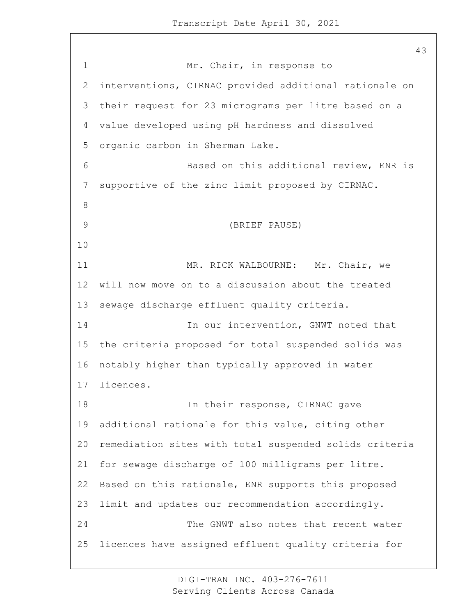1 Mr. Chair, in response to interventions, CIRNAC provided additional rationale on their request for 23 micrograms per litre based on a value developed using pH hardness and dissolved organic carbon in Sherman Lake. 6 Based on this additional review, ENR is supportive of the zinc limit proposed by CIRNAC. 9 (BRIEF PAUSE) 11 MR. RICK WALBOURNE: Mr. Chair, we will now move on to a discussion about the treated sewage discharge effluent quality criteria. 14 In our intervention, GNWT noted that the criteria proposed for total suspended solids was notably higher than typically approved in water licences. **In their response, CIRNAC gave**  additional rationale for this value, citing other remediation sites with total suspended solids criteria for sewage discharge of 100 milligrams per litre. Based on this rationale, ENR supports this proposed limit and updates our recommendation accordingly. 24 The GNWT also notes that recent water licences have assigned effluent quality criteria for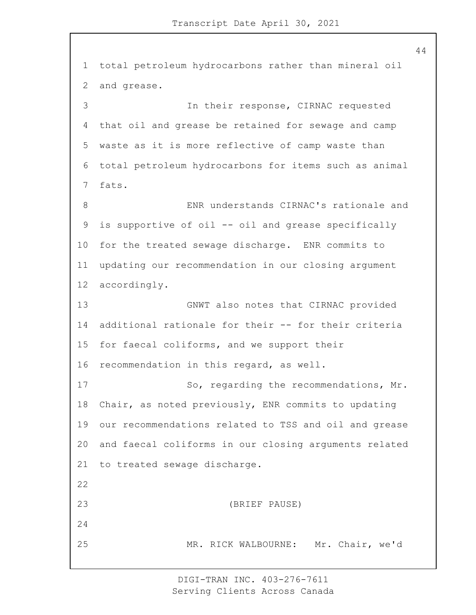total petroleum hydrocarbons rather than mineral oil and grease. 3 In their response, CIRNAC requested that oil and grease be retained for sewage and camp waste as it is more reflective of camp waste than total petroleum hydrocarbons for items such as animal fats. 8 ENR understands CIRNAC's rationale and is supportive of oil -- oil and grease specifically for the treated sewage discharge. ENR commits to updating our recommendation in our closing argument accordingly. 13 GNWT also notes that CIRNAC provided additional rationale for their -- for their criteria for faecal coliforms, and we support their recommendation in this regard, as well. 17 So, regarding the recommendations, Mr. Chair, as noted previously, ENR commits to updating our recommendations related to TSS and oil and grease and faecal coliforms in our closing arguments related to treated sewage discharge. 23 (BRIEF PAUSE) 25 MR. RICK WALBOURNE: Mr. Chair, we'd

> DIGI-TRAN INC. 403-276-7611 Serving Clients Across Canada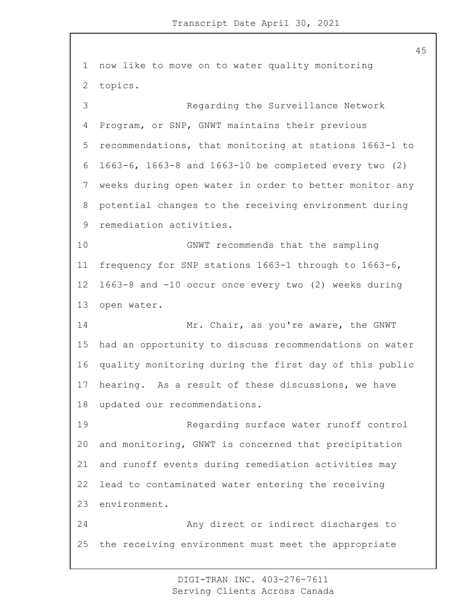now like to move on to water quality monitoring topics. 3 Regarding the Surveillance Network Program, or SNP, GNWT maintains their previous recommendations, that monitoring at stations 1663-1 to 1663-6, 1663-8 and 1663-10 be completed every two (2) weeks during open water in order to better monitor any potential changes to the receiving environment during remediation activities. 10 GNWT recommends that the sampling frequency for SNP stations 1663-1 through to 1663-6, 1663-8 and -10 occur once every two (2) weeks during open water. 14 Mr. Chair, as you're aware, the GNWT had an opportunity to discuss recommendations on water quality monitoring during the first day of this public hearing. As a result of these discussions, we have updated our recommendations. 19 Regarding surface water runoff control and monitoring, GNWT is concerned that precipitation and runoff events during remediation activities may lead to contaminated water entering the receiving environment. 24 Any direct or indirect discharges to the receiving environment must meet the appropriate

> DIGI-TRAN INC. 403-276-7611 Serving Clients Across Canada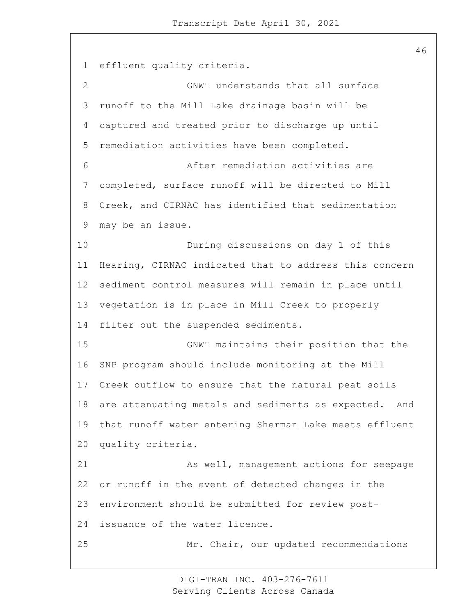effluent quality criteria. 2 GNWT understands that all surface runoff to the Mill Lake drainage basin will be captured and treated prior to discharge up until remediation activities have been completed. 6 After remediation activities are completed, surface runoff will be directed to Mill Creek, and CIRNAC has identified that sedimentation may be an issue. 10 During discussions on day 1 of this Hearing, CIRNAC indicated that to address this concern sediment control measures will remain in place until vegetation is in place in Mill Creek to properly filter out the suspended sediments. 15 GNWT maintains their position that the SNP program should include monitoring at the Mill Creek outflow to ensure that the natural peat soils are attenuating metals and sediments as expected. And that runoff water entering Sherman Lake meets effluent quality criteria. 21 As well, management actions for seepage or runoff in the event of detected changes in the environment should be submitted for review post- issuance of the water licence. 25 Mr. Chair, our updated recommendations

> DIGI-TRAN INC. 403-276-7611 Serving Clients Across Canada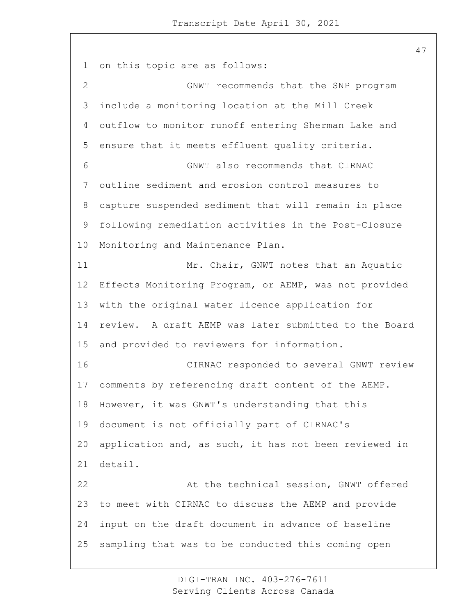on this topic are as follows: 2 GNWT recommends that the SNP program include a monitoring location at the Mill Creek outflow to monitor runoff entering Sherman Lake and ensure that it meets effluent quality criteria. 6 GNWT also recommends that CIRNAC outline sediment and erosion control measures to capture suspended sediment that will remain in place following remediation activities in the Post-Closure Monitoring and Maintenance Plan. 11 Mr. Chair, GNWT notes that an Aquatic Effects Monitoring Program, or AEMP, was not provided with the original water licence application for review. A draft AEMP was later submitted to the Board and provided to reviewers for information. 16 CIRNAC responded to several GNWT review comments by referencing draft content of the AEMP. However, it was GNWT's understanding that this document is not officially part of CIRNAC's application and, as such, it has not been reviewed in detail. 22 At the technical session, GNWT offered to meet with CIRNAC to discuss the AEMP and provide input on the draft document in advance of baseline sampling that was to be conducted this coming open

> DIGI-TRAN INC. 403-276-7611 Serving Clients Across Canada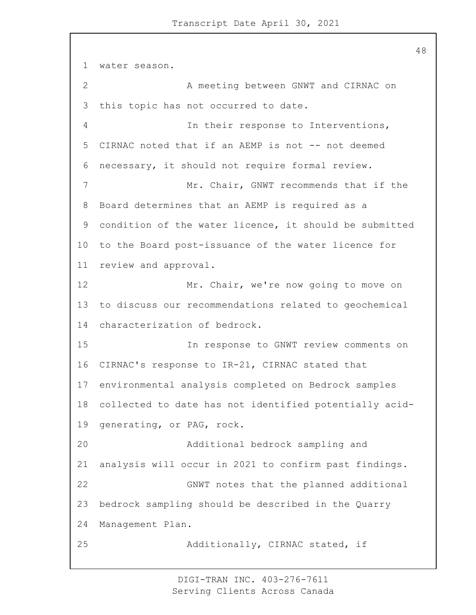water season. 2 A meeting between GNWT and CIRNAC on this topic has not occurred to date. 4 In their response to Interventions, CIRNAC noted that if an AEMP is not -- not deemed necessary, it should not require formal review. 7 Mr. Chair, GNWT recommends that if the Board determines that an AEMP is required as a condition of the water licence, it should be submitted to the Board post-issuance of the water licence for review and approval. 12 Mr. Chair, we're now going to move on to discuss our recommendations related to geochemical characterization of bedrock. 15 In response to GNWT review comments on CIRNAC's response to IR-21, CIRNAC stated that environmental analysis completed on Bedrock samples collected to date has not identified potentially acid- generating, or PAG, rock. 20 Additional bedrock sampling and analysis will occur in 2021 to confirm past findings. 22 GNWT notes that the planned additional bedrock sampling should be described in the Quarry Management Plan. 25 Additionally, CIRNAC stated, if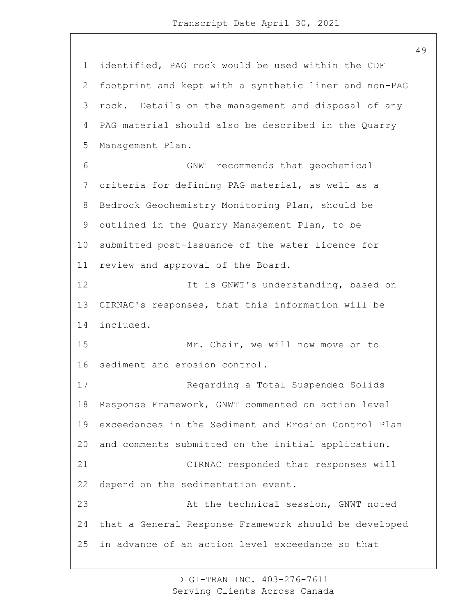identified, PAG rock would be used within the CDF footprint and kept with a synthetic liner and non-PAG rock. Details on the management and disposal of any PAG material should also be described in the Quarry Management Plan. 6 GNWT recommends that geochemical criteria for defining PAG material, as well as a Bedrock Geochemistry Monitoring Plan, should be outlined in the Quarry Management Plan, to be submitted post-issuance of the water licence for review and approval of the Board. 12 12 It is GNWT's understanding, based on CIRNAC's responses, that this information will be included. 15 Mr. Chair, we will now move on to sediment and erosion control. 17 Regarding a Total Suspended Solids Response Framework, GNWT commented on action level exceedances in the Sediment and Erosion Control Plan and comments submitted on the initial application. 21 CIRNAC responded that responses will depend on the sedimentation event. 23 At the technical session, GNWT noted that a General Response Framework should be developed in advance of an action level exceedance so that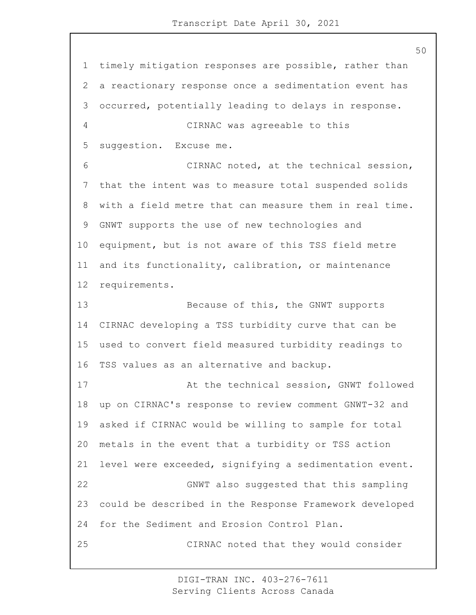timely mitigation responses are possible, rather than a reactionary response once a sedimentation event has occurred, potentially leading to delays in response. 4 CIRNAC was agreeable to this suggestion. Excuse me. 6 CIRNAC noted, at the technical session, that the intent was to measure total suspended solids with a field metre that can measure them in real time. GNWT supports the use of new technologies and equipment, but is not aware of this TSS field metre and its functionality, calibration, or maintenance requirements. 13 Because of this, the GNWT supports CIRNAC developing a TSS turbidity curve that can be used to convert field measured turbidity readings to TSS values as an alternative and backup. 17 At the technical session, GNWT followed up on CIRNAC's response to review comment GNWT-32 and asked if CIRNAC would be willing to sample for total metals in the event that a turbidity or TSS action level were exceeded, signifying a sedimentation event. 22 GNWT also suggested that this sampling could be described in the Response Framework developed for the Sediment and Erosion Control Plan. 25 CIRNAC noted that they would consider

> DIGI-TRAN INC. 403-276-7611 Serving Clients Across Canada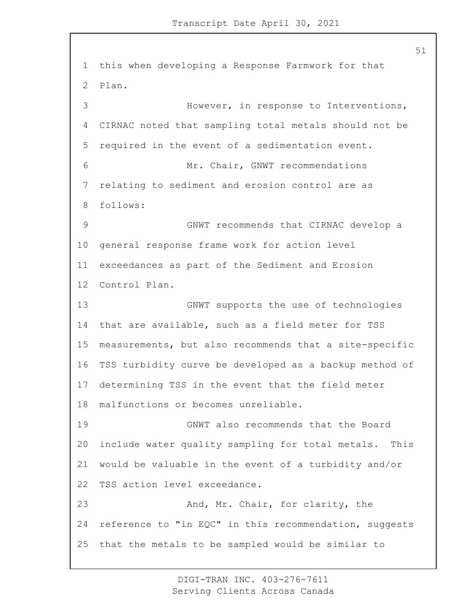this when developing a Response Farmwork for that Plan. 3 However, in response to Interventions, CIRNAC noted that sampling total metals should not be required in the event of a sedimentation event. 6 Mr. Chair, GNWT recommendations relating to sediment and erosion control are as follows: 9 GNWT recommends that CIRNAC develop a general response frame work for action level exceedances as part of the Sediment and Erosion Control Plan. 13 GNWT supports the use of technologies that are available, such as a field meter for TSS measurements, but also recommends that a site-specific TSS turbidity curve be developed as a backup method of determining TSS in the event that the field meter malfunctions or becomes unreliable. 19 GNWT also recommends that the Board include water quality sampling for total metals. This would be valuable in the event of a turbidity and/or TSS action level exceedance. 23 And, Mr. Chair, for clarity, the reference to "in EQC" in this recommendation, suggests that the metals to be sampled would be similar to

> DIGI-TRAN INC. 403-276-7611 Serving Clients Across Canada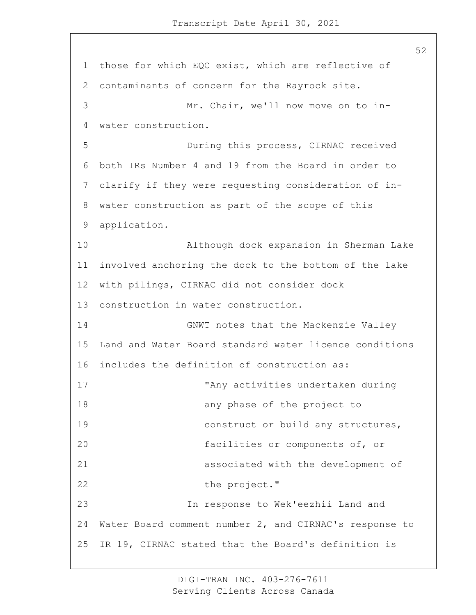1 those for which EQC exist, which are reflective of 2 contaminants of concern for the Rayrock site. 3 Mr. Chair, we'll now move on to in-4 water construction. 5 During this process, CIRNAC received 6 both IRs Number 4 and 19 from the Board in order to 7 clarify if they were requesting consideration of in-8 water construction as part of the scope of this 9 application. 10 Although dock expansion in Sherman Lake 11 involved anchoring the dock to the bottom of the lake 12 with pilings, CIRNAC did not consider dock 13 construction in water construction. 14 GNWT notes that the Mackenzie Valley 15 Land and Water Board standard water licence conditions 16 includes the definition of construction as: 17 "Any activities undertaken during 18 any phase of the project to 19 **construct or build any structures**, 20 facilities or components of, or 21 associated with the development of 22 the project." 23 In response to Wek'eezhii Land and 24 Water Board comment number 2, and CIRNAC's response to 25 IR 19, CIRNAC stated that the Board's definition is

> DIGI-TRAN INC. 403-276-7611 Serving Clients Across Canada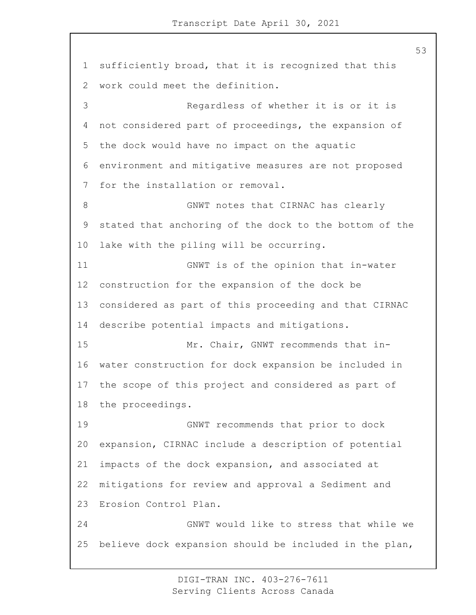sufficiently broad, that it is recognized that this work could meet the definition. 3 Regardless of whether it is or it is not considered part of proceedings, the expansion of the dock would have no impact on the aquatic environment and mitigative measures are not proposed for the installation or removal. 8 GNWT notes that CIRNAC has clearly stated that anchoring of the dock to the bottom of the lake with the piling will be occurring. 11 GNWT is of the opinion that in-water construction for the expansion of the dock be considered as part of this proceeding and that CIRNAC describe potential impacts and mitigations. 15 Mr. Chair, GNWT recommends that in- water construction for dock expansion be included in the scope of this project and considered as part of the proceedings. 19 GNWT recommends that prior to dock expansion, CIRNAC include a description of potential impacts of the dock expansion, and associated at mitigations for review and approval a Sediment and Erosion Control Plan. 24 GNWT would like to stress that while we believe dock expansion should be included in the plan,

> DIGI-TRAN INC. 403-276-7611 Serving Clients Across Canada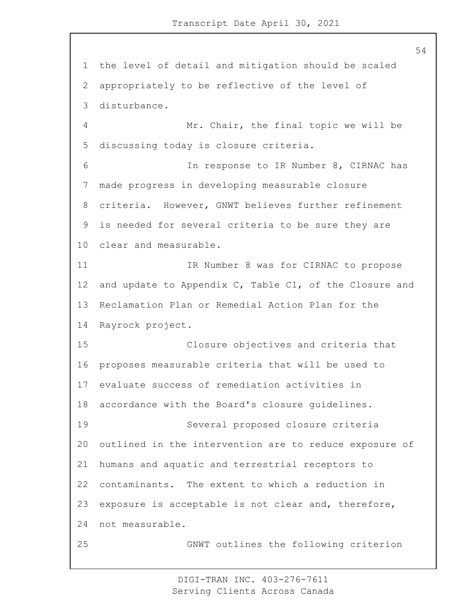the level of detail and mitigation should be scaled appropriately to be reflective of the level of disturbance. 4 Mr. Chair, the final topic we will be discussing today is closure criteria. 6 In response to IR Number 8, CIRNAC has made progress in developing measurable closure criteria. However, GNWT believes further refinement is needed for several criteria to be sure they are clear and measurable. 11 1 IR Number 8 was for CIRNAC to propose and update to Appendix C, Table C1, of the Closure and Reclamation Plan or Remedial Action Plan for the Rayrock project. 15 Closure objectives and criteria that proposes measurable criteria that will be used to evaluate success of remediation activities in accordance with the Board's closure guidelines. 19 Several proposed closure criteria outlined in the intervention are to reduce exposure of humans and aquatic and terrestrial receptors to contaminants. The extent to which a reduction in exposure is acceptable is not clear and, therefore, not measurable. 25 GNWT outlines the following criterion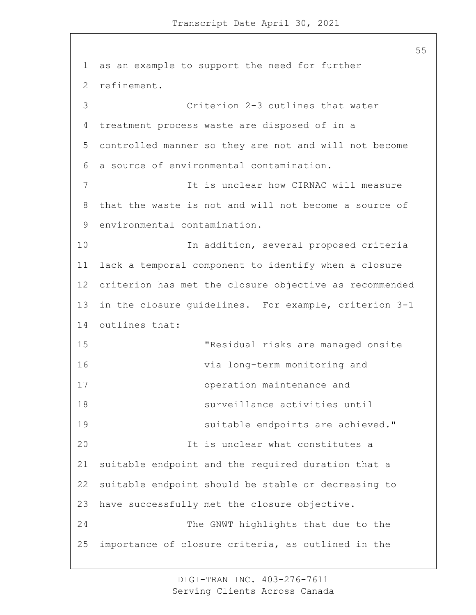1 as an example to support the need for further 2 refinement. 3 Criterion 2-3 outlines that water 4 treatment process waste are disposed of in a 5 controlled manner so they are not and will not become 6 a source of environmental contamination. 7 It is unclear how CIRNAC will measure 8 that the waste is not and will not become a source of 9 environmental contamination. 10 In addition, several proposed criteria 11 lack a temporal component to identify when a closure 12 criterion has met the closure objective as recommended 13 in the closure guidelines. For example, criterion 3-1 14 outlines that: 15 "Residual risks are managed onsite 16 via long-term monitoring and 17 operation maintenance and 18 surveillance activities until 19 suitable endpoints are achieved." 20 It is unclear what constitutes a 21 suitable endpoint and the required duration that a 22 suitable endpoint should be stable or decreasing to 23 have successfully met the closure objective. 24 The GNWT highlights that due to the 25 importance of closure criteria, as outlined in the

> DIGI-TRAN INC. 403-276-7611 Serving Clients Across Canada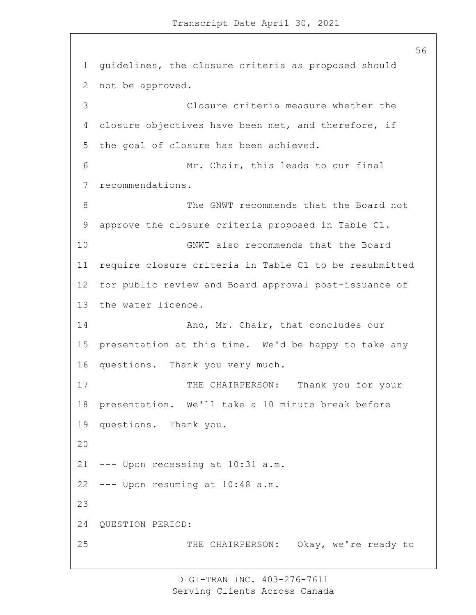guidelines, the closure criteria as proposed should not be approved. 3 Closure criteria measure whether the closure objectives have been met, and therefore, if the goal of closure has been achieved. 6 Mr. Chair, this leads to our final recommendations. 8 The GNWT recommends that the Board not approve the closure criteria proposed in Table C1. 10 GNWT also recommends that the Board require closure criteria in Table C1 to be resubmitted for public review and Board approval post-issuance of the water licence. 14 And, Mr. Chair, that concludes our presentation at this time. We'd be happy to take any questions. Thank you very much. 17 THE CHAIRPERSON: Thank you for your presentation. We'll take a 10 minute break before questions. Thank you. --- Upon recessing at 10:31 a.m. --- Upon resuming at 10:48 a.m. QUESTION PERIOD: 25 THE CHAIRPERSON: Okay, we're ready to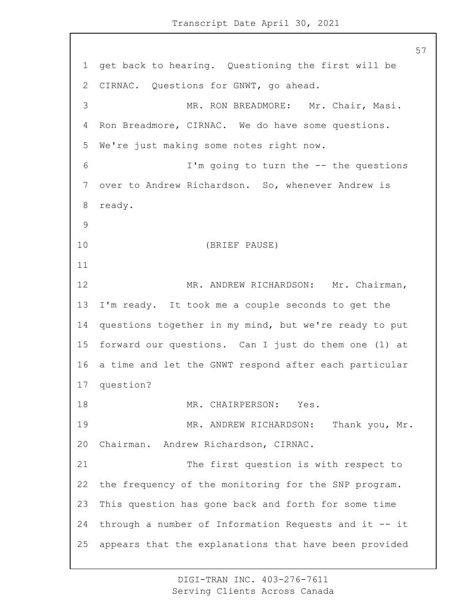get back to hearing. Questioning the first will be CIRNAC. Questions for GNWT, go ahead. 3 MR. RON BREADMORE: Mr. Chair, Masi. Ron Breadmore, CIRNAC. We do have some questions. We're just making some notes right now. 6 I'm going to turn the -- the questions over to Andrew Richardson. So, whenever Andrew is ready. 10 (BRIEF PAUSE) 12 MR. ANDREW RICHARDSON: Mr. Chairman, I'm ready. It took me a couple seconds to get the questions together in my mind, but we're ready to put forward our questions. Can I just do them one (1) at a time and let the GNWT respond after each particular question? 18 MR. CHAIRPERSON: Yes. 19 MR. ANDREW RICHARDSON: Thank you, Mr. Chairman. Andrew Richardson, CIRNAC. 21 The first question is with respect to the frequency of the monitoring for the SNP program. This question has gone back and forth for some time through a number of Information Requests and it -- it appears that the explanations that have been provided

> DIGI-TRAN INC. 403-276-7611 Serving Clients Across Canada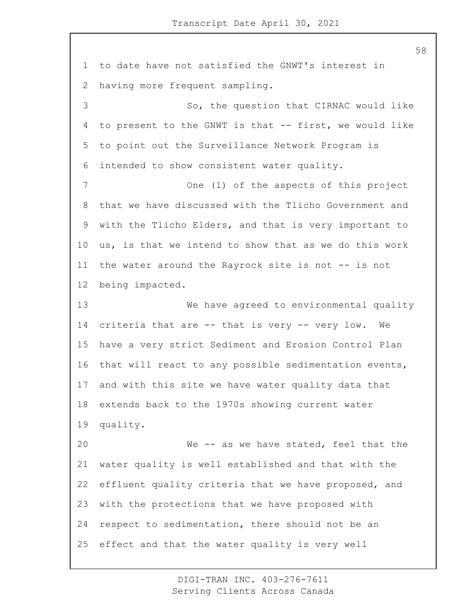to date have not satisfied the GNWT's interest in having more frequent sampling. 3 So, the question that CIRNAC would like to present to the GNWT is that -- first, we would like to point out the Surveillance Network Program is intended to show consistent water quality. 7 One (1) of the aspects of this project that we have discussed with the Tlicho Government and with the Tlicho Elders, and that is very important to us, is that we intend to show that as we do this work the water around the Rayrock site is not -- is not being impacted. 13 We have agreed to environmental quality criteria that are -- that is very -- very low. We have a very strict Sediment and Erosion Control Plan that will react to any possible sedimentation events, and with this site we have water quality data that extends back to the 1970s showing current water quality. 20 We -- as we have stated, feel that the water quality is well established and that with the effluent quality criteria that we have proposed, and with the protections that we have proposed with respect to sedimentation, there should not be an effect and that the water quality is very well

> DIGI-TRAN INC. 403-276-7611 Serving Clients Across Canada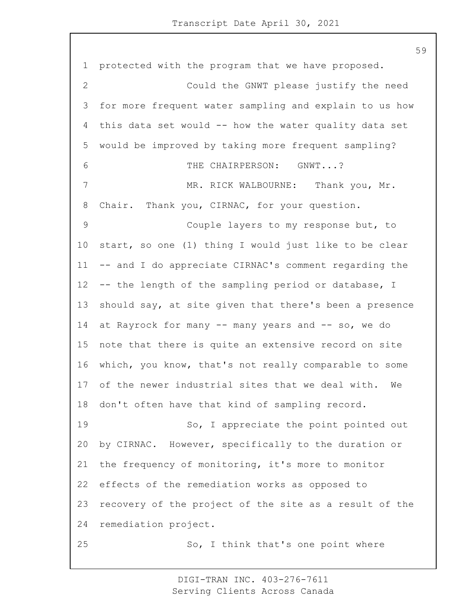protected with the program that we have proposed. 2 Could the GNWT please justify the need for more frequent water sampling and explain to us how this data set would -- how the water quality data set would be improved by taking more frequent sampling? 6 THE CHAIRPERSON: GNWT...? 7 MR. RICK WALBOURNE: Thank you, Mr. Chair. Thank you, CIRNAC, for your question. 9 Couple layers to my response but, to start, so one (1) thing I would just like to be clear -- and I do appreciate CIRNAC's comment regarding the -- the length of the sampling period or database, I should say, at site given that there's been a presence at Rayrock for many -- many years and -- so, we do note that there is quite an extensive record on site which, you know, that's not really comparable to some of the newer industrial sites that we deal with. We don't often have that kind of sampling record. 19 So, I appreciate the point pointed out by CIRNAC. However, specifically to the duration or the frequency of monitoring, it's more to monitor effects of the remediation works as opposed to recovery of the project of the site as a result of the remediation project. 25 So, I think that's one point where

> DIGI-TRAN INC. 403-276-7611 Serving Clients Across Canada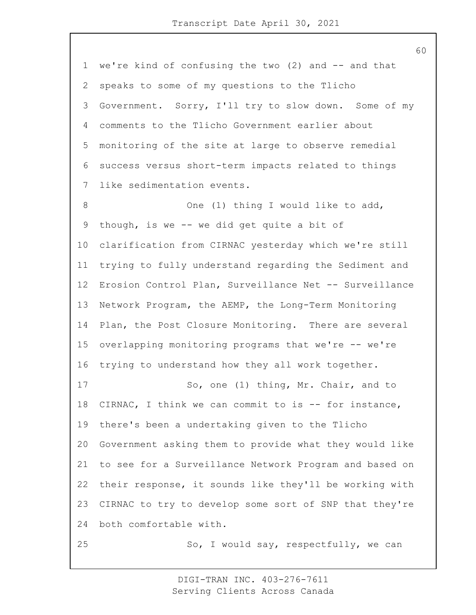we're kind of confusing the two (2) and -- and that speaks to some of my questions to the Tlicho Government. Sorry, I'll try to slow down. Some of my comments to the Tlicho Government earlier about monitoring of the site at large to observe remedial success versus short-term impacts related to things like sedimentation events. 8 One (1) thing I would like to add, though, is we -- we did get quite a bit of clarification from CIRNAC yesterday which we're still trying to fully understand regarding the Sediment and Erosion Control Plan, Surveillance Net -- Surveillance Network Program, the AEMP, the Long-Term Monitoring Plan, the Post Closure Monitoring. There are several overlapping monitoring programs that we're -- we're trying to understand how they all work together. 17 So, one (1) thing, Mr. Chair, and to 18 CIRNAC, I think we can commit to is -- for instance, there's been a undertaking given to the Tlicho Government asking them to provide what they would like to see for a Surveillance Network Program and based on their response, it sounds like they'll be working with CIRNAC to try to develop some sort of SNP that they're both comfortable with. 25 So, I would say, respectfully, we can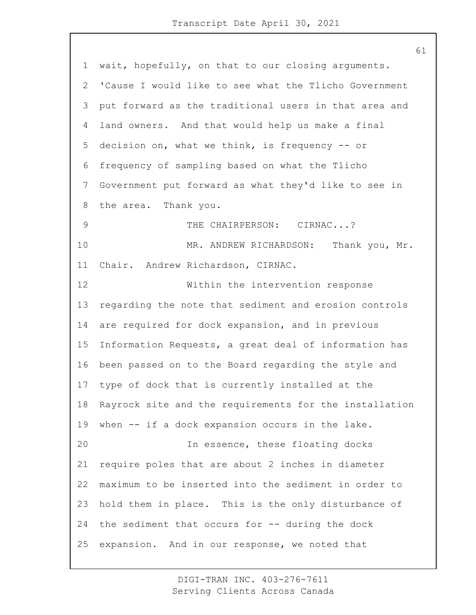wait, hopefully, on that to our closing arguments. 'Cause I would like to see what the Tlicho Government put forward as the traditional users in that area and land owners. And that would help us make a final decision on, what we think, is frequency -- or frequency of sampling based on what the Tlicho Government put forward as what they'd like to see in the area. Thank you. 9 THE CHAIRPERSON: CIRNAC...? 10 MR. ANDREW RICHARDSON: Thank you, Mr. Chair. Andrew Richardson, CIRNAC. 12 Within the intervention response regarding the note that sediment and erosion controls are required for dock expansion, and in previous Information Requests, a great deal of information has been passed on to the Board regarding the style and type of dock that is currently installed at the Rayrock site and the requirements for the installation when -- if a dock expansion occurs in the lake. 20 In essence, these floating docks require poles that are about 2 inches in diameter maximum to be inserted into the sediment in order to hold them in place. This is the only disturbance of the sediment that occurs for -- during the dock expansion. And in our response, we noted that

> DIGI-TRAN INC. 403-276-7611 Serving Clients Across Canada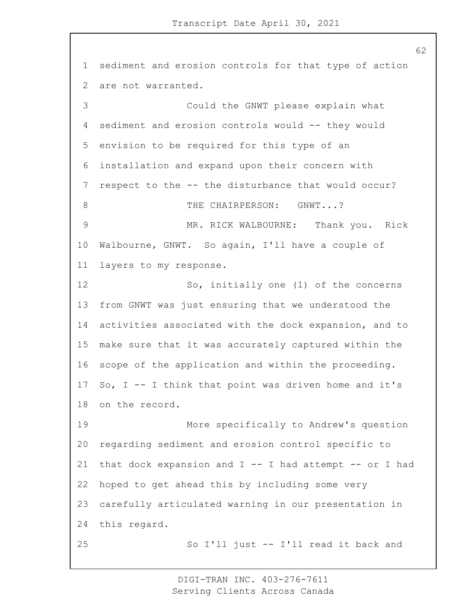sediment and erosion controls for that type of action are not warranted. 3 Could the GNWT please explain what sediment and erosion controls would -- they would envision to be required for this type of an installation and expand upon their concern with respect to the -- the disturbance that would occur? 8 THE CHAIRPERSON: GNWT...? 9 MR. RICK WALBOURNE: Thank you. Rick Walbourne, GNWT. So again, I'll have a couple of layers to my response. 12 So, initially one (1) of the concerns from GNWT was just ensuring that we understood the activities associated with the dock expansion, and to make sure that it was accurately captured within the scope of the application and within the proceeding. So, I -- I think that point was driven home and it's on the record. 19 More specifically to Andrew's question regarding sediment and erosion control specific to 21 that dock expansion and  $I$  -- I had attempt -- or I had hoped to get ahead this by including some very carefully articulated warning in our presentation in this regard. 25 So I'll just -- I'll read it back and

> DIGI-TRAN INC. 403-276-7611 Serving Clients Across Canada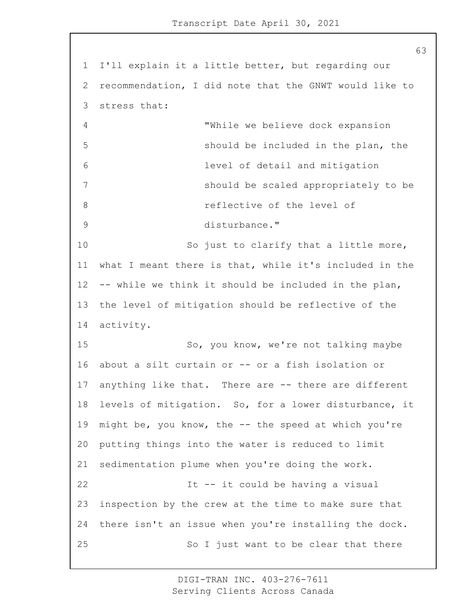I'll explain it a little better, but regarding our recommendation, I did note that the GNWT would like to stress that: 4 "While we believe dock expansion 5 should be included in the plan, the 6 level of detail and mitigation 7 should be scaled appropriately to be **8 reflective of the level of** 9 disturbance." 10 So just to clarify that a little more, what I meant there is that, while it's included in the -- while we think it should be included in the plan, the level of mitigation should be reflective of the activity. 15 So, you know, we're not talking maybe about a silt curtain or -- or a fish isolation or anything like that. There are -- there are different levels of mitigation. So, for a lower disturbance, it might be, you know, the -- the speed at which you're putting things into the water is reduced to limit sedimentation plume when you're doing the work. 22 It -- it could be having a visual inspection by the crew at the time to make sure that there isn't an issue when you're installing the dock. 25 So I just want to be clear that there

> DIGI-TRAN INC. 403-276-7611 Serving Clients Across Canada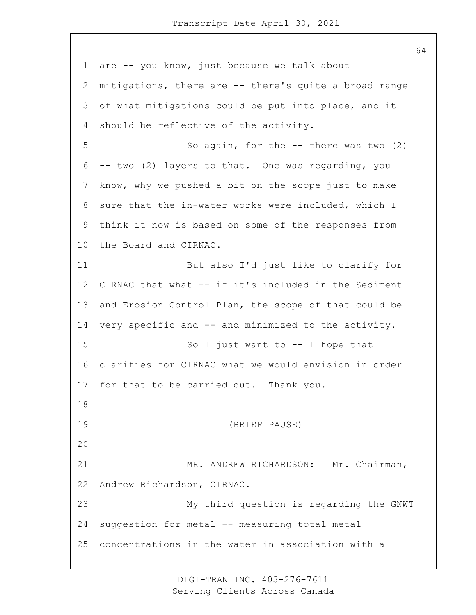are -- you know, just because we talk about mitigations, there are -- there's quite a broad range of what mitigations could be put into place, and it should be reflective of the activity. 5 So again, for the -- there was two (2) -- two (2) layers to that. One was regarding, you know, why we pushed a bit on the scope just to make sure that the in-water works were included, which I think it now is based on some of the responses from the Board and CIRNAC. 11 But also I'd just like to clarify for CIRNAC that what -- if it's included in the Sediment and Erosion Control Plan, the scope of that could be 14 very specific and -- and minimized to the activity. 15 So I just want to -- I hope that clarifies for CIRNAC what we would envision in order for that to be carried out. Thank you. 19 (BRIEF PAUSE) 21 MR. ANDREW RICHARDSON: Mr. Chairman, Andrew Richardson, CIRNAC. 23 My third question is regarding the GNWT suggestion for metal -- measuring total metal concentrations in the water in association with a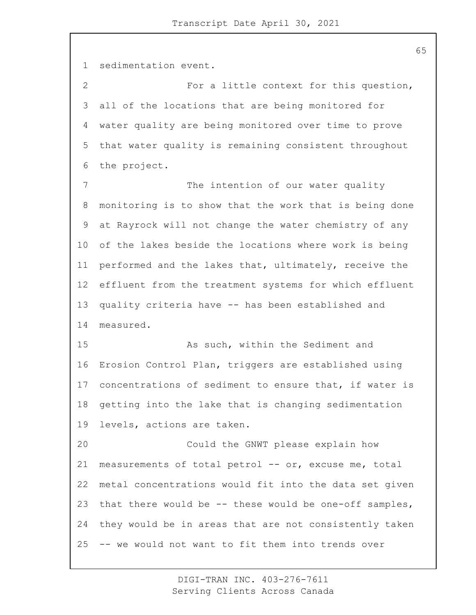sedimentation event. 2 For a little context for this question, all of the locations that are being monitored for water quality are being monitored over time to prove that water quality is remaining consistent throughout the project. 7 The intention of our water quality monitoring is to show that the work that is being done at Rayrock will not change the water chemistry of any of the lakes beside the locations where work is being performed and the lakes that, ultimately, receive the effluent from the treatment systems for which effluent quality criteria have -- has been established and measured. 15 As such, within the Sediment and Erosion Control Plan, triggers are established using concentrations of sediment to ensure that, if water is getting into the lake that is changing sedimentation levels, actions are taken. 20 Could the GNWT please explain how measurements of total petrol -- or, excuse me, total metal concentrations would fit into the data set given that there would be -- these would be one-off samples, they would be in areas that are not consistently taken -- we would not want to fit them into trends over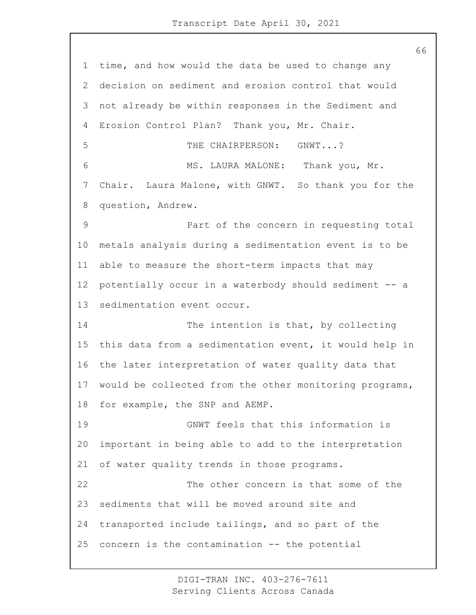time, and how would the data be used to change any decision on sediment and erosion control that would not already be within responses in the Sediment and Erosion Control Plan? Thank you, Mr. Chair. 5 THE CHAIRPERSON: GNWT...? 6 MS. LAURA MALONE: Thank you, Mr. Chair. Laura Malone, with GNWT. So thank you for the question, Andrew. 9 Part of the concern in requesting total metals analysis during a sedimentation event is to be able to measure the short-term impacts that may potentially occur in a waterbody should sediment -- a sedimentation event occur. 14 The intention is that, by collecting this data from a sedimentation event, it would help in the later interpretation of water quality data that would be collected from the other monitoring programs, for example, the SNP and AEMP. 19 GNWT feels that this information is important in being able to add to the interpretation of water quality trends in those programs. 22 The other concern is that some of the sediments that will be moved around site and transported include tailings, and so part of the concern is the contamination -- the potential

> DIGI-TRAN INC. 403-276-7611 Serving Clients Across Canada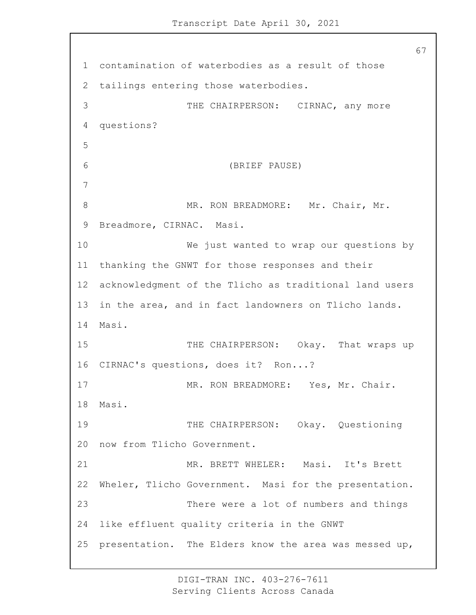67 1 contamination of waterbodies as a result of those 2 tailings entering those waterbodies. 3 THE CHAIRPERSON: CIRNAC, any more 4 questions? 5 6 (BRIEF PAUSE) 7 8 MR. RON BREADMORE: Mr. Chair, Mr. 9 Breadmore, CIRNAC. Masi. 10 We just wanted to wrap our questions by 11 thanking the GNWT for those responses and their 12 acknowledgment of the Tlicho as traditional land users 13 in the area, and in fact landowners on Tlicho lands. 14 Masi. 15 THE CHAIRPERSON: Okay. That wraps up 16 CIRNAC's questions, does it? Ron...? 17 MR. RON BREADMORE: Yes, Mr. Chair. 18 Masi. 19 THE CHAIRPERSON: Okay. Questioning 20 now from Tlicho Government. 21 MR. BRETT WHELER: Masi. It's Brett 22 Wheler, Tlicho Government. Masi for the presentation. 23 There were a lot of numbers and things 24 like effluent quality criteria in the GNWT 25 presentation. The Elders know the area was messed up,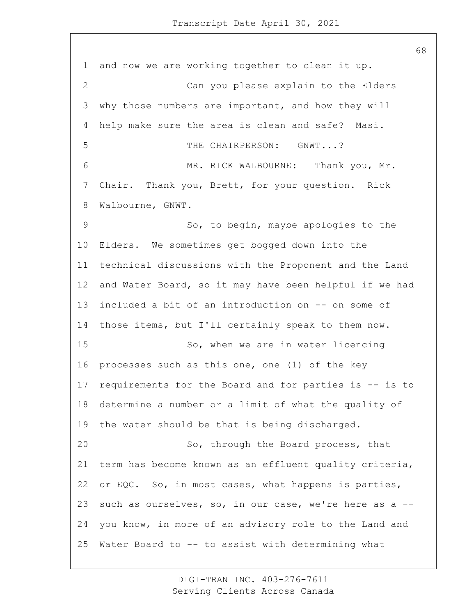and now we are working together to clean it up. 2 Can you please explain to the Elders why those numbers are important, and how they will help make sure the area is clean and safe? Masi. 5 THE CHAIRPERSON: GNWT...? 6 MR. RICK WALBOURNE: Thank you, Mr. Chair. Thank you, Brett, for your question. Rick Walbourne, GNWT. 9 So, to begin, maybe apologies to the Elders. We sometimes get bogged down into the technical discussions with the Proponent and the Land and Water Board, so it may have been helpful if we had included a bit of an introduction on -- on some of those items, but I'll certainly speak to them now. 15 So, when we are in water licencing processes such as this one, one (1) of the key requirements for the Board and for parties is -- is to determine a number or a limit of what the quality of the water should be that is being discharged. 20 So, through the Board process, that term has become known as an effluent quality criteria, or EQC. So, in most cases, what happens is parties, such as ourselves, so, in our case, we're here as a -- you know, in more of an advisory role to the Land and Water Board to -- to assist with determining what

> DIGI-TRAN INC. 403-276-7611 Serving Clients Across Canada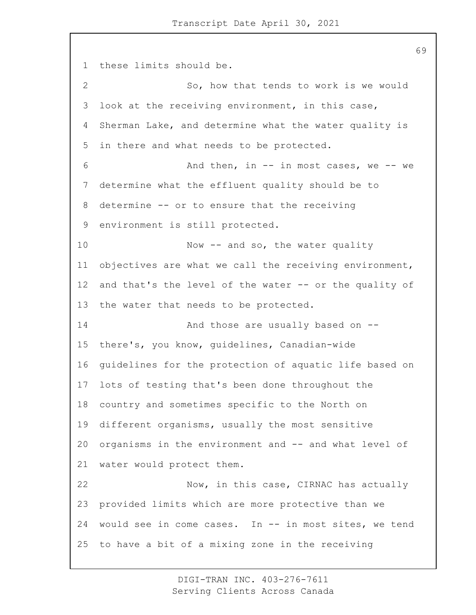these limits should be. 2 So, how that tends to work is we would look at the receiving environment, in this case, Sherman Lake, and determine what the water quality is in there and what needs to be protected. 6 And then, in -- in most cases, we -- we determine what the effluent quality should be to determine -- or to ensure that the receiving environment is still protected. 10 Now -- and so, the water quality objectives are what we call the receiving environment, and that's the level of the water -- or the quality of the water that needs to be protected. 14 And those are usually based on -- there's, you know, guidelines, Canadian-wide guidelines for the protection of aquatic life based on lots of testing that's been done throughout the country and sometimes specific to the North on different organisms, usually the most sensitive organisms in the environment and -- and what level of water would protect them. 22 Now, in this case, CIRNAC has actually provided limits which are more protective than we would see in come cases. In -- in most sites, we tend to have a bit of a mixing zone in the receiving

> DIGI-TRAN INC. 403-276-7611 Serving Clients Across Canada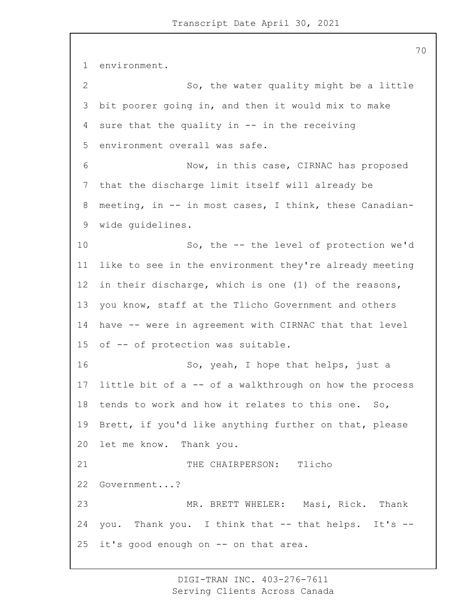environment. 2 So, the water quality might be a little bit poorer going in, and then it would mix to make sure that the quality in -- in the receiving environment overall was safe. 6 Now, in this case, CIRNAC has proposed that the discharge limit itself will already be meeting, in -- in most cases, I think, these Canadian- wide guidelines. 10 So, the -- the level of protection we'd like to see in the environment they're already meeting in their discharge, which is one (1) of the reasons, you know, staff at the Tlicho Government and others have -- were in agreement with CIRNAC that that level of -- of protection was suitable. 16 So, yeah, I hope that helps, just a little bit of a -- of a walkthrough on how the process tends to work and how it relates to this one. So, Brett, if you'd like anything further on that, please let me know. Thank you. 21 THE CHAIRPERSON: Tlicho Government...? 23 MR. BRETT WHELER: Masi, Rick. Thank you. Thank you. I think that -- that helps. It's -- it's good enough on -- on that area.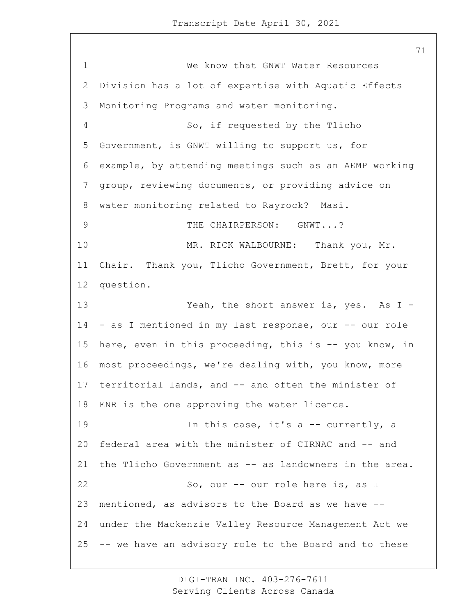1 We know that GNWT Water Resources Division has a lot of expertise with Aquatic Effects Monitoring Programs and water monitoring. 4 So, if requested by the Tlicho Government, is GNWT willing to support us, for example, by attending meetings such as an AEMP working group, reviewing documents, or providing advice on water monitoring related to Rayrock? Masi. 9 THE CHAIRPERSON: GNWT...? 10 MR. RICK WALBOURNE: Thank you, Mr. Chair. Thank you, Tlicho Government, Brett, for your question. 13 Yeah, the short answer is, yes. As I - - as I mentioned in my last response, our -- our role here, even in this proceeding, this is -- you know, in most proceedings, we're dealing with, you know, more territorial lands, and -- and often the minister of ENR is the one approving the water licence. 19 19 In this case, it's a -- currently, a federal area with the minister of CIRNAC and -- and the Tlicho Government as -- as landowners in the area. 22 So, our -- our role here is, as I mentioned, as advisors to the Board as we have -- under the Mackenzie Valley Resource Management Act we -- we have an advisory role to the Board and to these

> DIGI-TRAN INC. 403-276-7611 Serving Clients Across Canada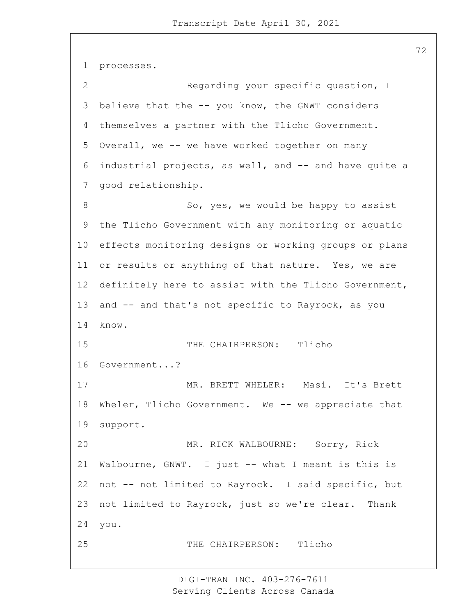```
1 processes.
2 Regarding your specific question, I
3 believe that the -- you know, the GNWT considers
4 themselves a partner with the Tlicho Government.
5 Overall, we -- we have worked together on many
6 industrial projects, as well, and -- and have quite a
7 good relationship.
8 So, yes, we would be happy to assist
9 the Tlicho Government with any monitoring or aquatic
10 effects monitoring designs or working groups or plans
11 or results or anything of that nature. Yes, we are
12 definitely here to assist with the Tlicho Government,
13 and -- and that's not specific to Rayrock, as you
14 know.
15 THE CHAIRPERSON: Tlicho
16 Government...?
17 MR. BRETT WHELER: Masi. It's Brett
18 Wheler, Tlicho Government. We -- we appreciate that
19 support.
20 MR. RICK WALBOURNE: Sorry, Rick
21 Walbourne, GNWT. I just -- what I meant is this is
22 not -- not limited to Rayrock. I said specific, but
23 not limited to Rayrock, just so we're clear. Thank
24 you.
25 THE CHAIRPERSON: Tlicho
```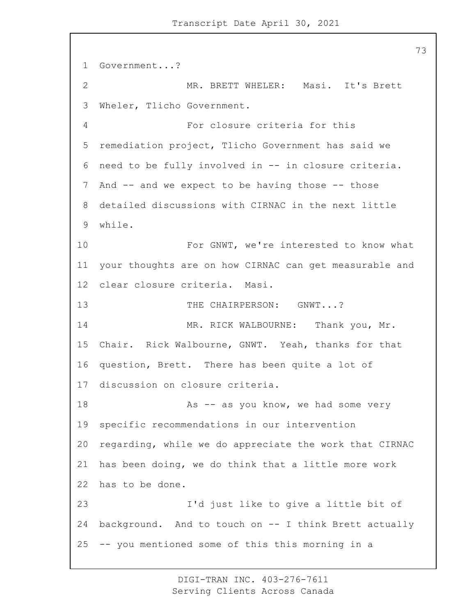```
1 Government...?
2 MR. BRETT WHELER: Masi. It's Brett
3 Wheler, Tlicho Government.
4 For closure criteria for this
5 remediation project, Tlicho Government has said we
6 need to be fully involved in -- in closure criteria.
7 And -- and we expect to be having those -- those
8 detailed discussions with CIRNAC in the next little
9 while.
10 For GNWT, we're interested to know what
11 your thoughts are on how CIRNAC can get measurable and
12 clear closure criteria. Masi.
13 THE CHAIRPERSON: GNWT...?
14 MR. RICK WALBOURNE: Thank you, Mr.
15 Chair. Rick Walbourne, GNWT. Yeah, thanks for that
16 question, Brett. There has been quite a lot of
17 discussion on closure criteria.
18 As -- as you know, we had some very
19 specific recommendations in our intervention
20 regarding, while we do appreciate the work that CIRNAC
21 has been doing, we do think that a little more work
22 has to be done.
23 I'd just like to give a little bit of
24 background. And to touch on -- I think Brett actually
25 -- you mentioned some of this this morning in a
```
DIGI-TRAN INC. 403-276-7611 Serving Clients Across Canada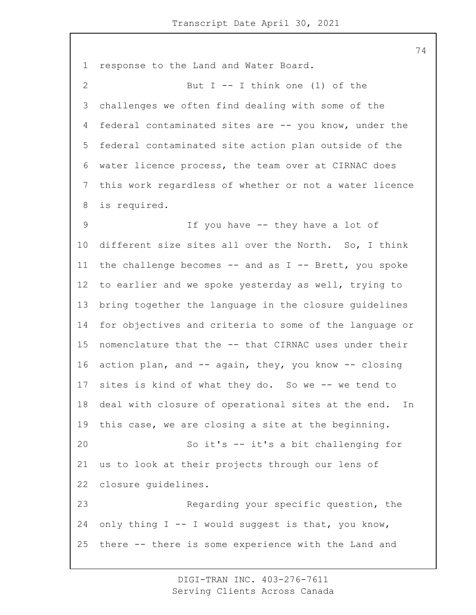response to the Land and Water Board. 2 But I -- I think one (1) of the challenges we often find dealing with some of the federal contaminated sites are -- you know, under the federal contaminated site action plan outside of the water licence process, the team over at CIRNAC does this work regardless of whether or not a water licence is required. 9 If you have -- they have a lot of different size sites all over the North. So, I think the challenge becomes -- and as I -- Brett, you spoke to earlier and we spoke yesterday as well, trying to bring together the language in the closure guidelines for objectives and criteria to some of the language or nomenclature that the -- that CIRNAC uses under their action plan, and -- again, they, you know -- closing sites is kind of what they do. So we -- we tend to deal with closure of operational sites at the end. In this case, we are closing a site at the beginning. 20 So it's -- it's a bit challenging for us to look at their projects through our lens of closure guidelines. 23 Regarding your specific question, the only thing I -- I would suggest is that, you know, there -- there is some experience with the Land and

> DIGI-TRAN INC. 403-276-7611 Serving Clients Across Canada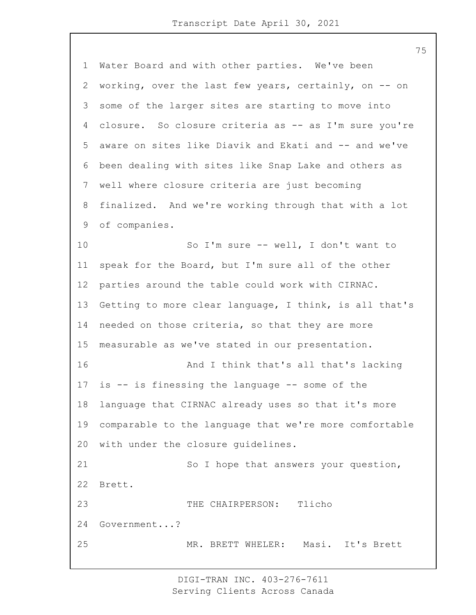Water Board and with other parties. We've been working, over the last few years, certainly, on -- on some of the larger sites are starting to move into closure. So closure criteria as -- as I'm sure you're aware on sites like Diavik and Ekati and -- and we've been dealing with sites like Snap Lake and others as well where closure criteria are just becoming finalized. And we're working through that with a lot of companies. 10 So I'm sure -- well, I don't want to speak for the Board, but I'm sure all of the other parties around the table could work with CIRNAC. Getting to more clear language, I think, is all that's 14 needed on those criteria, so that they are more measurable as we've stated in our presentation. 16 And I think that's all that's lacking is -- is finessing the language -- some of the language that CIRNAC already uses so that it's more comparable to the language that we're more comfortable with under the closure guidelines. 21 So I hope that answers your question, Brett. 23 THE CHAIRPERSON: Tlicho Government...? 25 MR. BRETT WHELER: Masi. It's Brett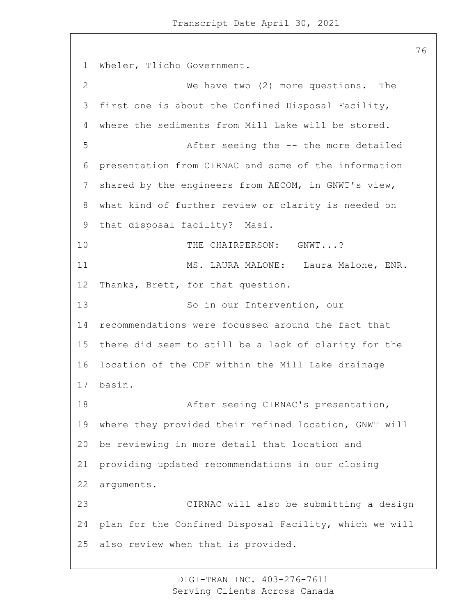Wheler, Tlicho Government. 2 We have two (2) more questions. The first one is about the Confined Disposal Facility, where the sediments from Mill Lake will be stored. 5 After seeing the -- the more detailed presentation from CIRNAC and some of the information shared by the engineers from AECOM, in GNWT's view, what kind of further review or clarity is needed on that disposal facility? Masi. 10 THE CHAIRPERSON: GNWT...? 11 MS. LAURA MALONE: Laura Malone, ENR. Thanks, Brett, for that question. 13 So in our Intervention, our recommendations were focussed around the fact that there did seem to still be a lack of clarity for the location of the CDF within the Mill Lake drainage basin. 18 After seeing CIRNAC's presentation, where they provided their refined location, GNWT will be reviewing in more detail that location and providing updated recommendations in our closing arguments. 23 CIRNAC will also be submitting a design plan for the Confined Disposal Facility, which we will also review when that is provided.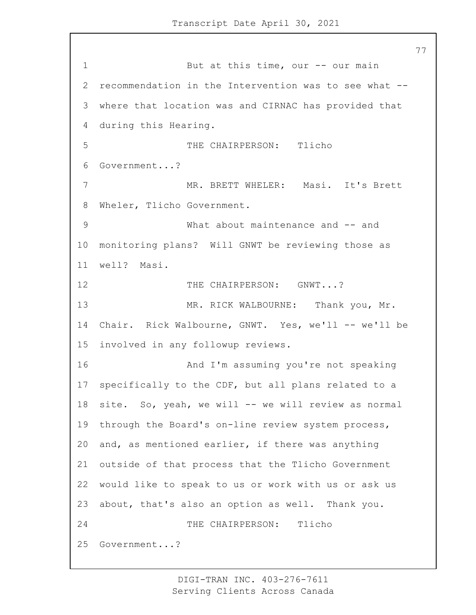1 But at this time, our -- our main recommendation in the Intervention was to see what -- where that location was and CIRNAC has provided that during this Hearing. 5 THE CHAIRPERSON: Tlicho Government...? 7 MR. BRETT WHELER: Masi. It's Brett Wheler, Tlicho Government. 9 What about maintenance and -- and monitoring plans? Will GNWT be reviewing those as well? Masi. 12 THE CHAIRPERSON: GNWT...? 13 MR. RICK WALBOURNE: Thank you, Mr. 14 Chair. Rick Walbourne, GNWT. Yes, we'll -- we'll be involved in any followup reviews. 16 And I'm assuming you're not speaking specifically to the CDF, but all plans related to a site. So, yeah, we will -- we will review as normal through the Board's on-line review system process, and, as mentioned earlier, if there was anything outside of that process that the Tlicho Government would like to speak to us or work with us or ask us about, that's also an option as well. Thank you. 24 THE CHAIRPERSON: Tlicho Government...?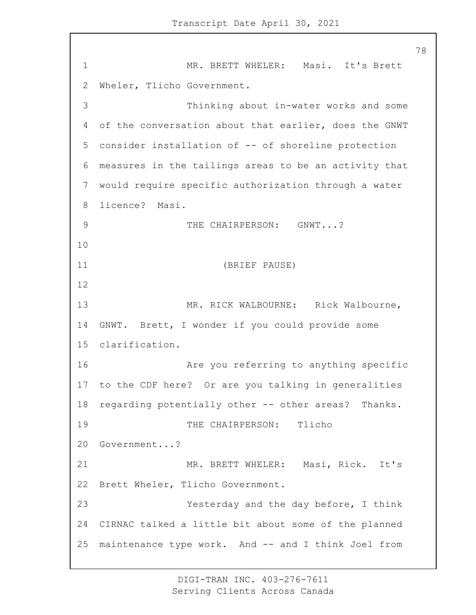1 MR. BRETT WHELER: Masi. It's Brett Wheler, Tlicho Government. 3 Thinking about in-water works and some of the conversation about that earlier, does the GNWT consider installation of -- of shoreline protection measures in the tailings areas to be an activity that would require specific authorization through a water licence? Masi. 9 THE CHAIRPERSON: GNWT...? 11 (BRIEF PAUSE) 13 MR. RICK WALBOURNE: Rick Walbourne, GNWT. Brett, I wonder if you could provide some clarification. **Are you referring to anything specific**  to the CDF here? Or are you talking in generalities regarding potentially other -- other areas? Thanks. 19 THE CHAIRPERSON: Tlicho Government...? 21 MR. BRETT WHELER: Masi, Rick. It's Brett Wheler, Tlicho Government. 23 Yesterday and the day before, I think CIRNAC talked a little bit about some of the planned maintenance type work. And -- and I think Joel from

> DIGI-TRAN INC. 403-276-7611 Serving Clients Across Canada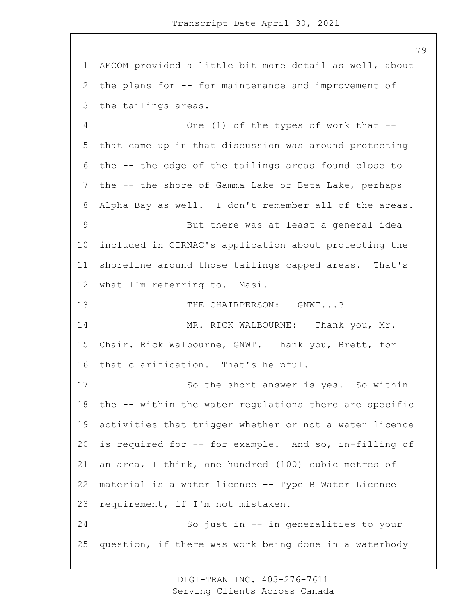AECOM provided a little bit more detail as well, about the plans for -- for maintenance and improvement of the tailings areas. 4 One (1) of the types of work that -- that came up in that discussion was around protecting the -- the edge of the tailings areas found close to the -- the shore of Gamma Lake or Beta Lake, perhaps Alpha Bay as well. I don't remember all of the areas. 9 But there was at least a general idea included in CIRNAC's application about protecting the shoreline around those tailings capped areas. That's what I'm referring to. Masi.

13 THE CHAIRPERSON: GNWT...?

14 MR. RICK WALBOURNE: Thank you, Mr. Chair. Rick Walbourne, GNWT. Thank you, Brett, for that clarification. That's helpful.

17 So the short answer is yes. So within the -- within the water regulations there are specific activities that trigger whether or not a water licence is required for -- for example. And so, in-filling of an area, I think, one hundred (100) cubic metres of material is a water licence -- Type B Water Licence requirement, if I'm not mistaken. 24 So just in -- in generalities to your

question, if there was work being done in a waterbody

DIGI-TRAN INC. 403-276-7611 Serving Clients Across Canada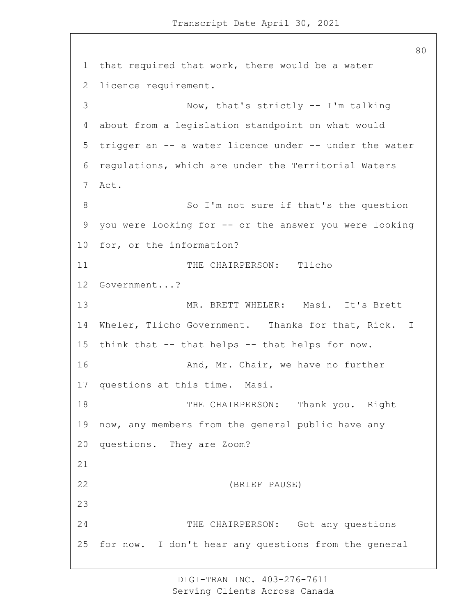that required that work, there would be a water licence requirement. 3 Now, that's strictly -- I'm talking about from a legislation standpoint on what would trigger an -- a water licence under -- under the water regulations, which are under the Territorial Waters Act. 8 So I'm not sure if that's the question you were looking for -- or the answer you were looking for, or the information? 11 THE CHAIRPERSON: Tlicho Government...? 13 MR. BRETT WHELER: Masi. It's Brett Wheler, Tlicho Government. Thanks for that, Rick. I think that -- that helps -- that helps for now. **And, Mr. Chair, we have no further**  questions at this time. Masi. 18 THE CHAIRPERSON: Thank you. Right now, any members from the general public have any questions. They are Zoom? 22 (BRIEF PAUSE) 24 THE CHAIRPERSON: Got any questions for now. I don't hear any questions from the general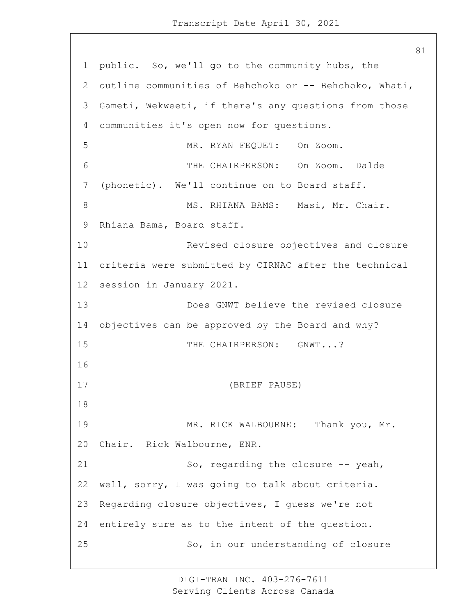1 public. So, we'll go to the community hubs, the 2 outline communities of Behchoko or -- Behchoko, Whati, 3 Gameti, Wekweeti, if there's any questions from those 4 communities it's open now for questions. 5 MR. RYAN FEQUET: On Zoom. 6 THE CHAIRPERSON: On Zoom. Dalde 7 (phonetic). We'll continue on to Board staff. 8 MS. RHIANA BAMS: Masi, Mr. Chair. 9 Rhiana Bams, Board staff. 10 Revised closure objectives and closure 11 criteria were submitted by CIRNAC after the technical 12 session in January 2021. 13 Does GNWT believe the revised closure 14 objectives can be approved by the Board and why? 15 THE CHAIRPERSON: GNWT...? 16 17 (BRIEF PAUSE) 18 19 MR. RICK WALBOURNE: Thank you, Mr. 20 Chair. Rick Walbourne, ENR. 21 So, regarding the closure -- yeah, 22 well, sorry, I was going to talk about criteria. 23 Regarding closure objectives, I guess we're not 24 entirely sure as to the intent of the question. 25 So, in our understanding of closure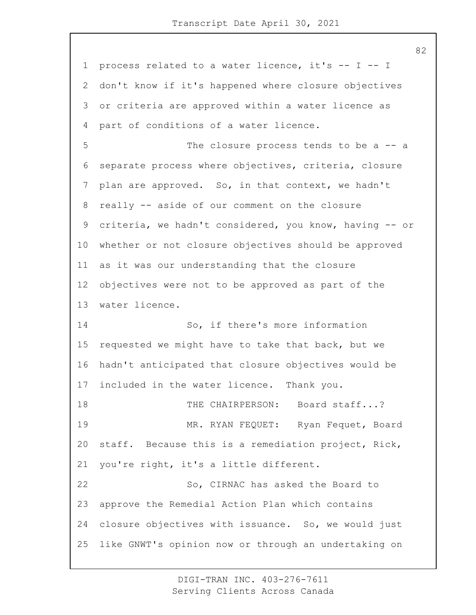process related to a water licence, it's -- I -- I don't know if it's happened where closure objectives or criteria are approved within a water licence as part of conditions of a water licence. 5 The closure process tends to be a -- a separate process where objectives, criteria, closure plan are approved. So, in that context, we hadn't really -- aside of our comment on the closure criteria, we hadn't considered, you know, having -- or whether or not closure objectives should be approved as it was our understanding that the closure objectives were not to be approved as part of the water licence. 14 So, if there's more information requested we might have to take that back, but we hadn't anticipated that closure objectives would be included in the water licence. Thank you. 18 THE CHAIRPERSON: Board staff...? 19 MR. RYAN FEQUET: Ryan Fequet, Board staff. Because this is a remediation project, Rick, you're right, it's a little different. 22 So, CIRNAC has asked the Board to approve the Remedial Action Plan which contains closure objectives with issuance. So, we would just like GNWT's opinion now or through an undertaking on

> DIGI-TRAN INC. 403-276-7611 Serving Clients Across Canada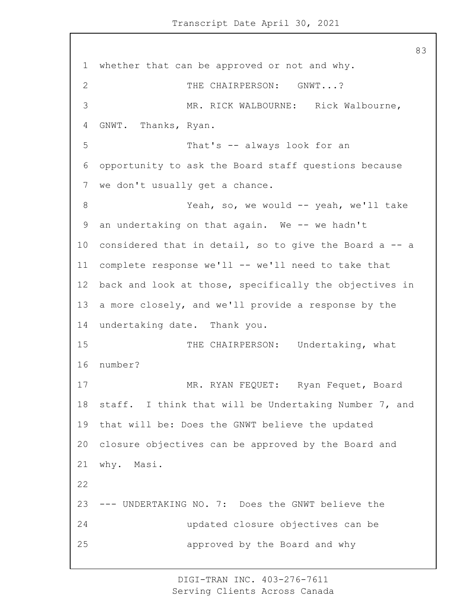whether that can be approved or not and why. 2 THE CHAIRPERSON: GNWT...? 3 MR. RICK WALBOURNE: Rick Walbourne, GNWT. Thanks, Ryan. 5 That's -- always look for an opportunity to ask the Board staff questions because we don't usually get a chance. 8 Yeah, so, we would -- yeah, we'll take an undertaking on that again. We -- we hadn't considered that in detail, so to give the Board a -- a complete response we'll -- we'll need to take that back and look at those, specifically the objectives in a more closely, and we'll provide a response by the undertaking date. Thank you. 15 THE CHAIRPERSON: Undertaking, what number? 17 MR. RYAN FEQUET: Ryan Fequet, Board staff. I think that will be Undertaking Number 7, and that will be: Does the GNWT believe the updated closure objectives can be approved by the Board and why. Masi. --- UNDERTAKING NO. 7: Does the GNWT believe the 24 updated closure objectives can be 25 approved by the Board and why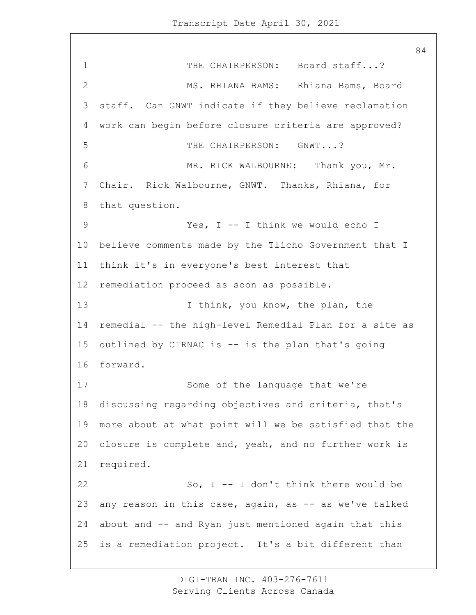1 THE CHAIRPERSON: Board staff...? 2 MS. RHIANA BAMS: Rhiana Bams, Board 3 staff. Can GNWT indicate if they believe reclamation 4 work can begin before closure criteria are approved? 5 THE CHAIRPERSON: GNWT...? 6 MR. RICK WALBOURNE: Thank you, Mr. 7 Chair. Rick Walbourne, GNWT. Thanks, Rhiana, for 8 that question. 9 Yes, I -- I think we would echo I 10 believe comments made by the Tlicho Government that I 11 think it's in everyone's best interest that 12 remediation proceed as soon as possible. 13 13 I think, you know, the plan, the 14 remedial -- the high-level Remedial Plan for a site as 15 outlined by CIRNAC is -- is the plan that's going 16 forward. 17 Some of the language that we're 18 discussing regarding objectives and criteria, that's 19 more about at what point will we be satisfied that the 20 closure is complete and, yeah, and no further work is 21 required. 22 So, I -- I don't think there would be 23 any reason in this case, again, as -- as we've talked 24 about and -- and Ryan just mentioned again that this 25 is a remediation project. It's a bit different than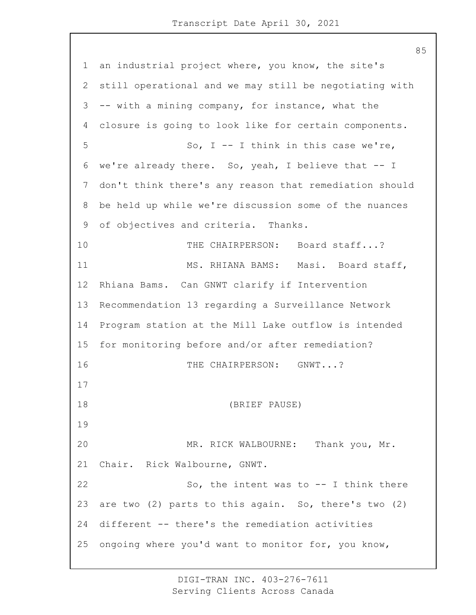an industrial project where, you know, the site's still operational and we may still be negotiating with -- with a mining company, for instance, what the closure is going to look like for certain components. 5 So, I -- I think in this case we're, we're already there. So, yeah, I believe that -- I don't think there's any reason that remediation should be held up while we're discussion some of the nuances of objectives and criteria. Thanks. 10 THE CHAIRPERSON: Board staff...? 11 MS. RHIANA BAMS: Masi. Board staff, Rhiana Bams. Can GNWT clarify if Intervention Recommendation 13 regarding a Surveillance Network Program station at the Mill Lake outflow is intended for monitoring before and/or after remediation? 16 THE CHAIRPERSON: GNWT...? 18 (BRIEF PAUSE) 20 MR. RICK WALBOURNE: Thank you, Mr. Chair. Rick Walbourne, GNWT. 22 So, the intent was to -- I think there are two (2) parts to this again. So, there's two (2) different -- there's the remediation activities ongoing where you'd want to monitor for, you know,

> DIGI-TRAN INC. 403-276-7611 Serving Clients Across Canada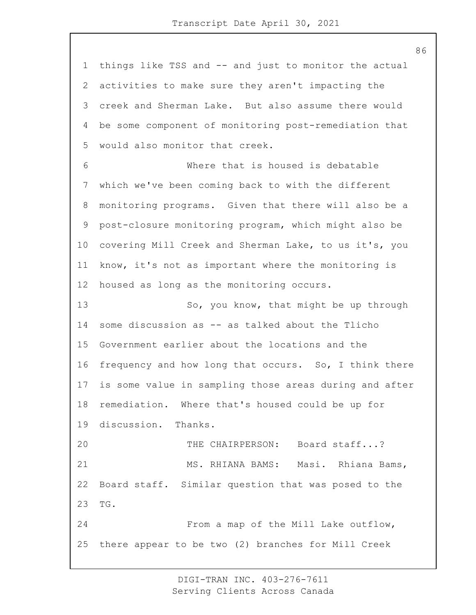things like TSS and -- and just to monitor the actual activities to make sure they aren't impacting the creek and Sherman Lake. But also assume there would be some component of monitoring post-remediation that would also monitor that creek. 6 Where that is housed is debatable which we've been coming back to with the different monitoring programs. Given that there will also be a post-closure monitoring program, which might also be covering Mill Creek and Sherman Lake, to us it's, you know, it's not as important where the monitoring is housed as long as the monitoring occurs. 13 So, you know, that might be up through some discussion as -- as talked about the Tlicho Government earlier about the locations and the frequency and how long that occurs. So, I think there is some value in sampling those areas during and after remediation. Where that's housed could be up for discussion. Thanks. 20 THE CHAIRPERSON: Board staff...? 21 MS. RHIANA BAMS: Masi. Rhiana Bams, Board staff. Similar question that was posed to the TG. 24 From a map of the Mill Lake outflow, there appear to be two (2) branches for Mill Creek

> DIGI-TRAN INC. 403-276-7611 Serving Clients Across Canada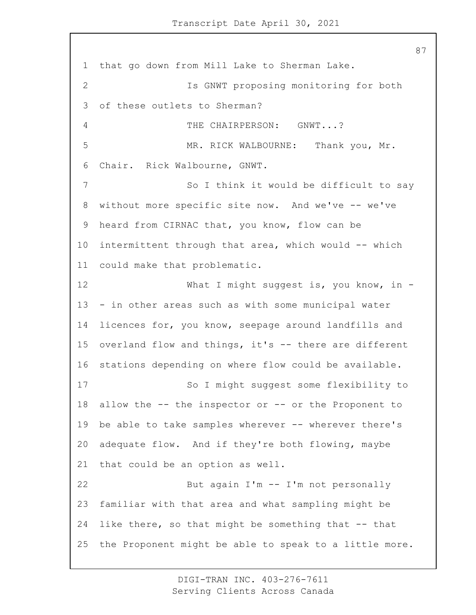that go down from Mill Lake to Sherman Lake. 2 Is GNWT proposing monitoring for both of these outlets to Sherman? 4 THE CHAIRPERSON: GNWT...? 5 MR. RICK WALBOURNE: Thank you, Mr. Chair. Rick Walbourne, GNWT. 7 So I think it would be difficult to say without more specific site now. And we've -- we've heard from CIRNAC that, you know, flow can be intermittent through that area, which would -- which could make that problematic. 12 What I might suggest is, you know, in - - in other areas such as with some municipal water licences for, you know, seepage around landfills and overland flow and things, it's -- there are different stations depending on where flow could be available. 17 So I might suggest some flexibility to allow the -- the inspector or -- or the Proponent to be able to take samples wherever -- wherever there's adequate flow. And if they're both flowing, maybe that could be an option as well. 22 But again I'm -- I'm not personally familiar with that area and what sampling might be like there, so that might be something that -- that the Proponent might be able to speak to a little more.

> DIGI-TRAN INC. 403-276-7611 Serving Clients Across Canada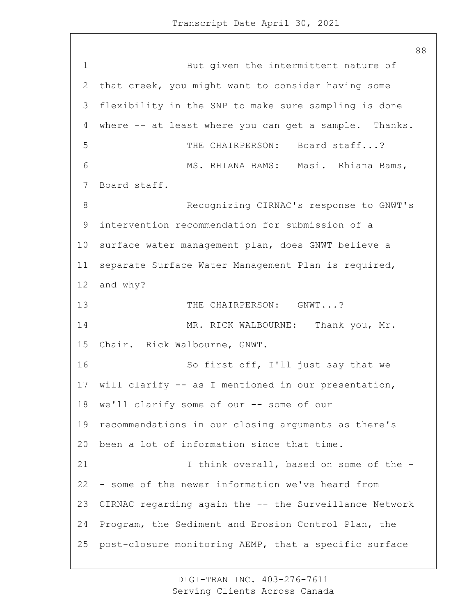1 But given the intermittent nature of that creek, you might want to consider having some flexibility in the SNP to make sure sampling is done where -- at least where you can get a sample. Thanks. 5 THE CHAIRPERSON: Board staff...? 6 MS. RHIANA BAMS: Masi. Rhiana Bams, Board staff. 8 Recognizing CIRNAC's response to GNWT's intervention recommendation for submission of a surface water management plan, does GNWT believe a separate Surface Water Management Plan is required, and why? 13 THE CHAIRPERSON: GNWT...? 14 MR. RICK WALBOURNE: Thank you, Mr. Chair. Rick Walbourne, GNWT. 16 So first off, I'll just say that we will clarify -- as I mentioned in our presentation, we'll clarify some of our -- some of our recommendations in our closing arguments as there's been a lot of information since that time. 21 1 I think overall, based on some of the - - some of the newer information we've heard from CIRNAC regarding again the -- the Surveillance Network Program, the Sediment and Erosion Control Plan, the post-closure monitoring AEMP, that a specific surface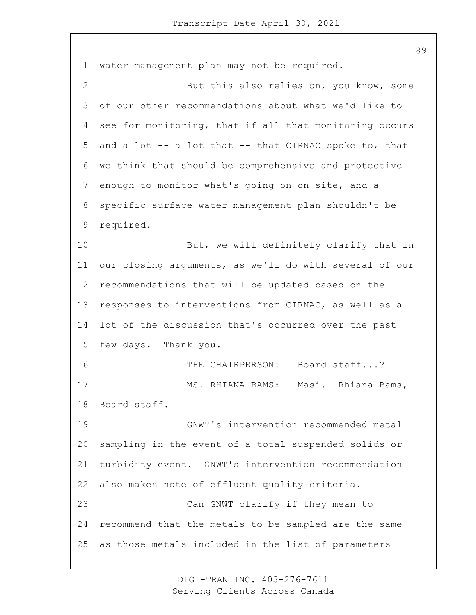water management plan may not be required. 2 But this also relies on, you know, some of our other recommendations about what we'd like to see for monitoring, that if all that monitoring occurs and a lot -- a lot that -- that CIRNAC spoke to, that we think that should be comprehensive and protective enough to monitor what's going on on site, and a specific surface water management plan shouldn't be required. 10 But, we will definitely clarify that in our closing arguments, as we'll do with several of our recommendations that will be updated based on the responses to interventions from CIRNAC, as well as a lot of the discussion that's occurred over the past few days. Thank you. 16 THE CHAIRPERSON: Board staff...? 17 MS. RHIANA BAMS: Masi. Rhiana Bams, Board staff. 19 GNWT's intervention recommended metal sampling in the event of a total suspended solids or turbidity event. GNWT's intervention recommendation also makes note of effluent quality criteria. 23 Can GNWT clarify if they mean to recommend that the metals to be sampled are the same as those metals included in the list of parameters

> DIGI-TRAN INC. 403-276-7611 Serving Clients Across Canada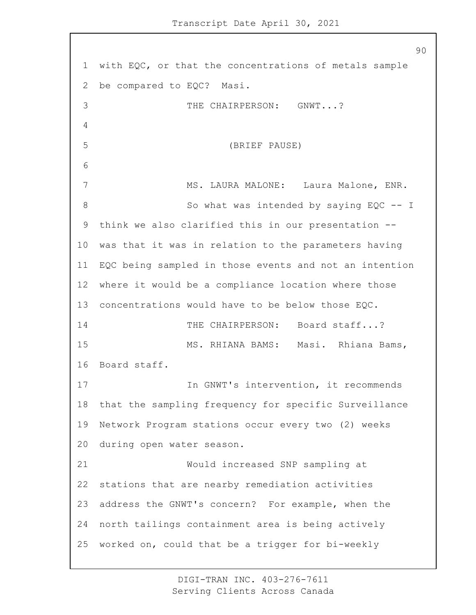with EQC, or that the concentrations of metals sample be compared to EQC? Masi. 3 THE CHAIRPERSON: GNWT...? 5 (BRIEF PAUSE) 7 MS. LAURA MALONE: Laura Malone, ENR. 8 So what was intended by saying EQC -- I think we also clarified this in our presentation -- was that it was in relation to the parameters having EQC being sampled in those events and not an intention where it would be a compliance location where those concentrations would have to be below those EQC. 14 THE CHAIRPERSON: Board staff...? 15 MS. RHIANA BAMS: Masi. Rhiana Bams, Board staff. 17 17 In GNWT's intervention, it recommends that the sampling frequency for specific Surveillance Network Program stations occur every two (2) weeks during open water season. 21 Would increased SNP sampling at stations that are nearby remediation activities address the GNWT's concern? For example, when the north tailings containment area is being actively worked on, could that be a trigger for bi-weekly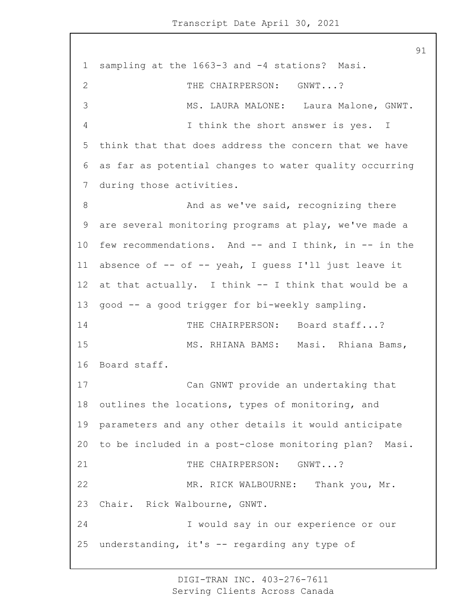1 sampling at the 1663-3 and -4 stations? Masi. 2 THE CHAIRPERSON: GNWT...? 3 MS. LAURA MALONE: Laura Malone, GNWT. 4 I think the short answer is yes. I 5 think that that does address the concern that we have 6 as far as potential changes to water quality occurring 7 during those activities. 8 And as we've said, recognizing there 9 are several monitoring programs at play, we've made a 10 few recommendations. And -- and I think, in -- in the 11 absence of -- of -- yeah, I guess I'll just leave it 12 at that actually. I think -- I think that would be a 13 good -- a good trigger for bi-weekly sampling. 14 THE CHAIRPERSON: Board staff...? 15 MS. RHIANA BAMS: Masi. Rhiana Bams, 16 Board staff. 17 Can GNWT provide an undertaking that 18 outlines the locations, types of monitoring, and 19 parameters and any other details it would anticipate 20 to be included in a post-close monitoring plan? Masi. 21 THE CHAIRPERSON: GNWT...? 22 MR. RICK WALBOURNE: Thank you, Mr. 23 Chair. Rick Walbourne, GNWT. 24 I would say in our experience or our 25 understanding, it's -- regarding any type of

> DIGI-TRAN INC. 403-276-7611 Serving Clients Across Canada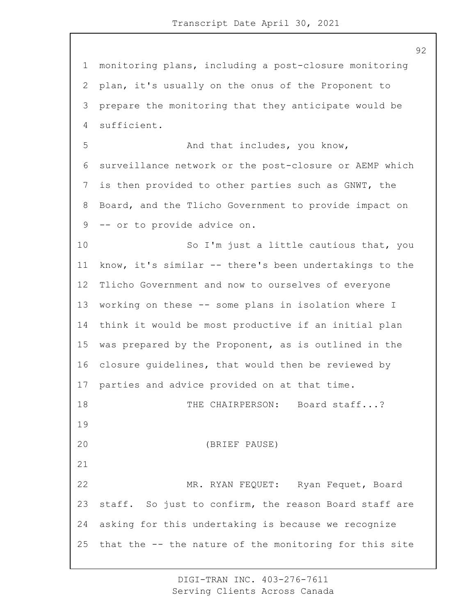monitoring plans, including a post-closure monitoring plan, it's usually on the onus of the Proponent to prepare the monitoring that they anticipate would be sufficient. 5 And that includes, you know, surveillance network or the post-closure or AEMP which is then provided to other parties such as GNWT, the Board, and the Tlicho Government to provide impact on -- or to provide advice on. 10 So I'm just a little cautious that, you know, it's similar -- there's been undertakings to the Tlicho Government and now to ourselves of everyone working on these -- some plans in isolation where I think it would be most productive if an initial plan was prepared by the Proponent, as is outlined in the closure guidelines, that would then be reviewed by parties and advice provided on at that time. 18 THE CHAIRPERSON: Board staff...? 20 (BRIEF PAUSE) 22 MR. RYAN FEQUET: Ryan Fequet, Board staff. So just to confirm, the reason Board staff are asking for this undertaking is because we recognize that the -- the nature of the monitoring for this site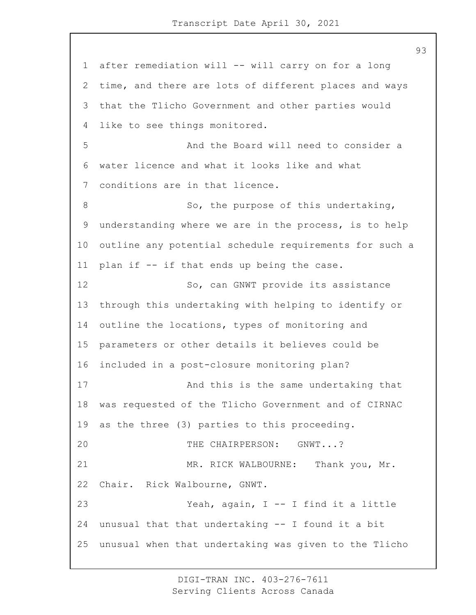after remediation will -- will carry on for a long time, and there are lots of different places and ways that the Tlicho Government and other parties would like to see things monitored. 5 And the Board will need to consider a water licence and what it looks like and what conditions are in that licence. 8 So, the purpose of this undertaking, understanding where we are in the process, is to help outline any potential schedule requirements for such a plan if -- if that ends up being the case. 12 So, can GNWT provide its assistance through this undertaking with helping to identify or 14 outline the locations, types of monitoring and parameters or other details it believes could be included in a post-closure monitoring plan? 17 And this is the same undertaking that was requested of the Tlicho Government and of CIRNAC as the three (3) parties to this proceeding. 20 THE CHAIRPERSON: GNWT...? 21 MR. RICK WALBOURNE: Thank you, Mr. Chair. Rick Walbourne, GNWT. 23 Yeah, again, I -- I find it a little unusual that that undertaking -- I found it a bit unusual when that undertaking was given to the Tlicho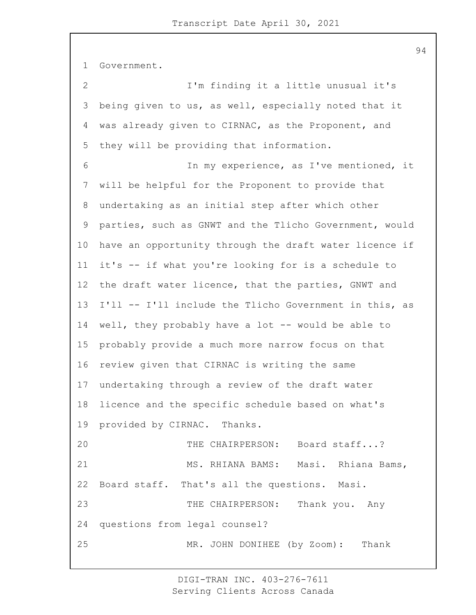Government. 2 I'm finding it a little unusual it's being given to us, as well, especially noted that it was already given to CIRNAC, as the Proponent, and they will be providing that information. 6 In my experience, as I've mentioned, it will be helpful for the Proponent to provide that undertaking as an initial step after which other parties, such as GNWT and the Tlicho Government, would have an opportunity through the draft water licence if it's -- if what you're looking for is a schedule to the draft water licence, that the parties, GNWT and I'll -- I'll include the Tlicho Government in this, as well, they probably have a lot -- would be able to probably provide a much more narrow focus on that review given that CIRNAC is writing the same undertaking through a review of the draft water licence and the specific schedule based on what's provided by CIRNAC. Thanks. 20 THE CHAIRPERSON: Board staff...? 21 MS. RHIANA BAMS: Masi. Rhiana Bams, Board staff. That's all the questions. Masi. 23 THE CHAIRPERSON: Thank you. Any questions from legal counsel? 25 MR. JOHN DONIHEE (by Zoom): Thank

> DIGI-TRAN INC. 403-276-7611 Serving Clients Across Canada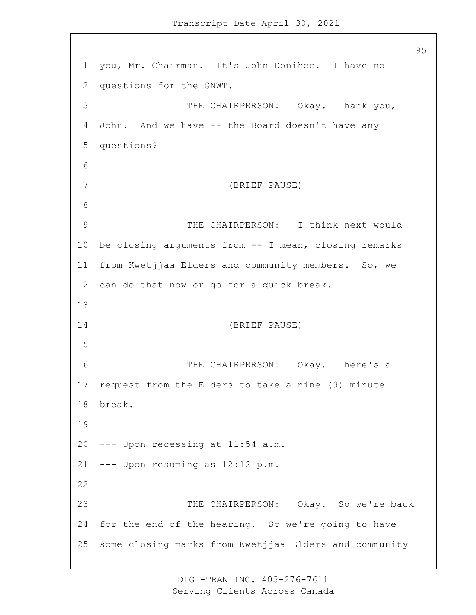you, Mr. Chairman. It's John Donihee. I have no questions for the GNWT. 3 THE CHAIRPERSON: Okay. Thank you, John. And we have -- the Board doesn't have any questions? 7 (BRIEF PAUSE) 9 THE CHAIRPERSON: I think next would be closing arguments from -- I mean, closing remarks from Kwetjjaa Elders and community members. So, we can do that now or go for a quick break. 14 (BRIEF PAUSE) 16 THE CHAIRPERSON: Okay. There's a request from the Elders to take a nine (9) minute break. --- Upon recessing at 11:54 a.m. --- Upon resuming as  $12:12$  p.m. 23 THE CHAIRPERSON: Okay. So we're back for the end of the hearing. So we're going to have some closing marks from Kwetjjaa Elders and community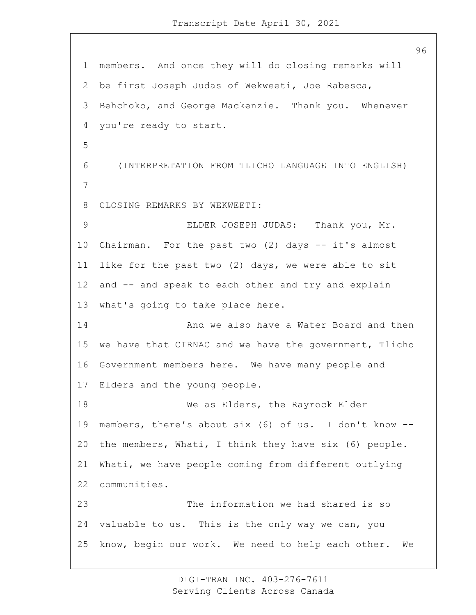members. And once they will do closing remarks will be first Joseph Judas of Wekweeti, Joe Rabesca, Behchoko, and George Mackenzie. Thank you. Whenever you're ready to start. 6 (INTERPRETATION FROM TLICHO LANGUAGE INTO ENGLISH) CLOSING REMARKS BY WEKWEETI: 9 ELDER JOSEPH JUDAS: Thank you, Mr. Chairman. For the past two (2) days -- it's almost like for the past two (2) days, we were able to sit and -- and speak to each other and try and explain what's going to take place here. 14 And we also have a Water Board and then we have that CIRNAC and we have the government, Tlicho Government members here. We have many people and Elders and the young people. 18 We as Elders, the Rayrock Elder members, there's about six (6) of us. I don't know -- the members, Whati, I think they have six (6) people. Whati, we have people coming from different outlying communities. 23 The information we had shared is so valuable to us. This is the only way we can, you know, begin our work. We need to help each other. We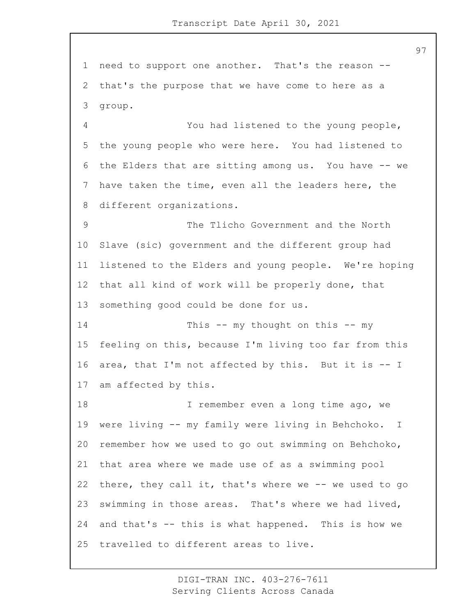need to support one another. That's the reason -- that's the purpose that we have come to here as a group. 4 You had listened to the young people, the young people who were here. You had listened to the Elders that are sitting among us. You have -- we have taken the time, even all the leaders here, the different organizations. 9 The Tlicho Government and the North Slave (sic) government and the different group had listened to the Elders and young people. We're hoping that all kind of work will be properly done, that something good could be done for us. 14 This -- my thought on this -- my feeling on this, because I'm living too far from this area, that I'm not affected by this. But it is -- I am affected by this. **I** remember even a long time ago, we were living -- my family were living in Behchoko. I remember how we used to go out swimming on Behchoko, that area where we made use of as a swimming pool there, they call it, that's where we -- we used to go swimming in those areas. That's where we had lived, and that's -- this is what happened. This is how we travelled to different areas to live.

> DIGI-TRAN INC. 403-276-7611 Serving Clients Across Canada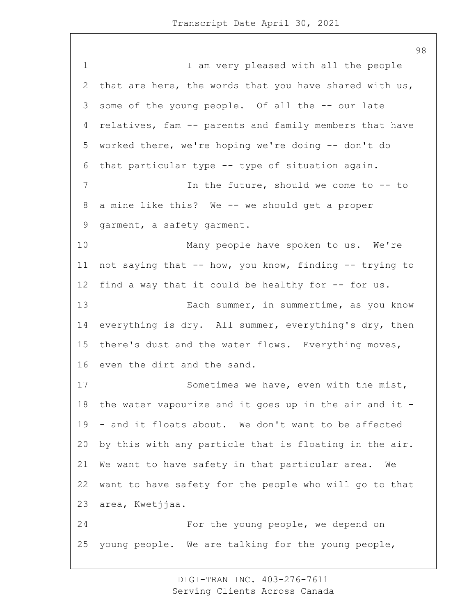1 1 I am very pleased with all the people that are here, the words that you have shared with us, some of the young people. Of all the -- our late relatives, fam -- parents and family members that have worked there, we're hoping we're doing -- don't do that particular type -- type of situation again. 7 In the future, should we come to -- to a mine like this? We -- we should get a proper garment, a safety garment. 10 Many people have spoken to us. We're not saying that -- how, you know, finding -- trying to 12 find a way that it could be healthy for -- for us. 13 Each summer, in summertime, as you know everything is dry. All summer, everything's dry, then there's dust and the water flows. Everything moves, even the dirt and the sand. 17 Sometimes we have, even with the mist, the water vapourize and it goes up in the air and it - - and it floats about. We don't want to be affected by this with any particle that is floating in the air. We want to have safety in that particular area. We want to have safety for the people who will go to that area, Kwetjjaa. 24 For the young people, we depend on young people. We are talking for the young people,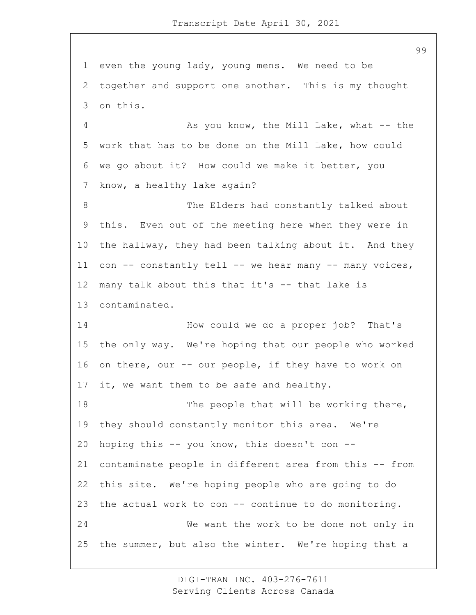even the young lady, young mens. We need to be together and support one another. This is my thought on this.

4 As you know, the Mill Lake, what -- the work that has to be done on the Mill Lake, how could we go about it? How could we make it better, you know, a healthy lake again?

8 The Elders had constantly talked about this. Even out of the meeting here when they were in the hallway, they had been talking about it. And they 11 con -- constantly tell -- we hear many -- many voices, many talk about this that it's -- that lake is contaminated.

14 How could we do a proper job? That's the only way. We're hoping that our people who worked on there, our -- our people, if they have to work on 17 it, we want them to be safe and healthy.

18 The people that will be working there, they should constantly monitor this area. We're hoping this -- you know, this doesn't con -- contaminate people in different area from this -- from this site. We're hoping people who are going to do the actual work to con -- continue to do monitoring. 24 We want the work to be done not only in the summer, but also the winter. We're hoping that a

> DIGI-TRAN INC. 403-276-7611 Serving Clients Across Canada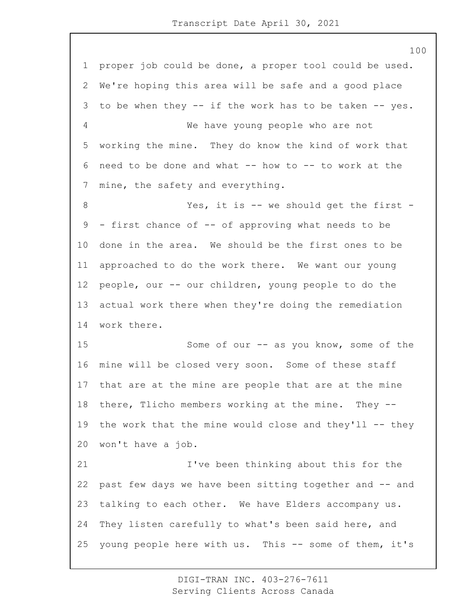proper job could be done, a proper tool could be used. We're hoping this area will be safe and a good place to be when they -- if the work has to be taken -- yes. 4 We have young people who are not working the mine. They do know the kind of work that need to be done and what -- how to -- to work at the mine, the safety and everything. 8 Yes, it is -- we should get the first - - first chance of -- of approving what needs to be done in the area. We should be the first ones to be approached to do the work there. We want our young people, our -- our children, young people to do the actual work there when they're doing the remediation work there. 15 Some of our -- as you know, some of the mine will be closed very soon. Some of these staff that are at the mine are people that are at the mine there, Tlicho members working at the mine. They -- 19 the work that the mine would close and they'll -- they won't have a job. 21 I've been thinking about this for the past few days we have been sitting together and -- and talking to each other. We have Elders accompany us. They listen carefully to what's been said here, and young people here with us. This -- some of them, it's

> DIGI-TRAN INC. 403-276-7611 Serving Clients Across Canada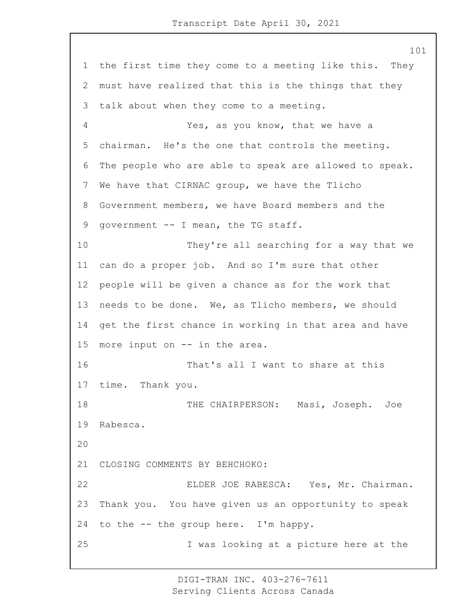the first time they come to a meeting like this. They must have realized that this is the things that they talk about when they come to a meeting. 4 Yes, as you know, that we have a chairman. He's the one that controls the meeting. The people who are able to speak are allowed to speak. We have that CIRNAC group, we have the Tlicho Government members, we have Board members and the 9 government -- I mean, the TG staff. 10 They're all searching for a way that we can do a proper job. And so I'm sure that other people will be given a chance as for the work that needs to be done. We, as Tlicho members, we should get the first chance in working in that area and have more input on -- in the area. 16 That's all I want to share at this time. Thank you. 18 THE CHAIRPERSON: Masi, Joseph. Joe Rabesca. CLOSING COMMENTS BY BEHCHOKO: 22 ELDER JOE RABESCA: Yes, Mr. Chairman. Thank you. You have given us an opportunity to speak to the -- the group here. I'm happy. 25 I was looking at a picture here at the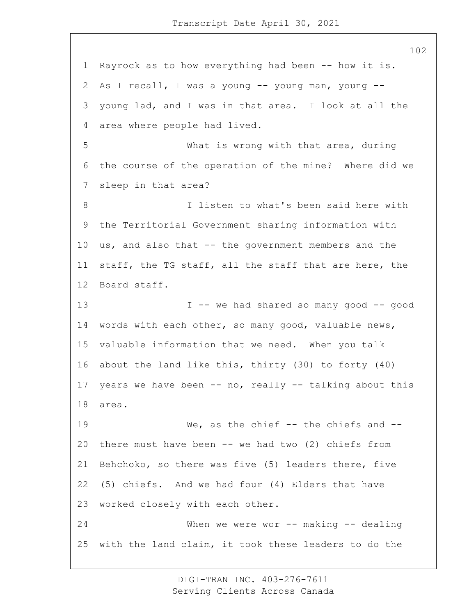Rayrock as to how everything had been -- how it is. As I recall, I was a young -- young man, young -- young lad, and I was in that area. I look at all the area where people had lived. 5 What is wrong with that area, during the course of the operation of the mine? Where did we sleep in that area? 8 I listen to what's been said here with the Territorial Government sharing information with us, and also that -- the government members and the staff, the TG staff, all the staff that are here, the Board staff. 13 I -- we had shared so many good -- good words with each other, so many good, valuable news, valuable information that we need. When you talk about the land like this, thirty (30) to forty (40) years we have been -- no, really -- talking about this area. 19 We, as the chief -- the chiefs and -- there must have been -- we had two (2) chiefs from Behchoko, so there was five (5) leaders there, five (5) chiefs. And we had four (4) Elders that have worked closely with each other. 24 When we were wor -- making -- dealing with the land claim, it took these leaders to do the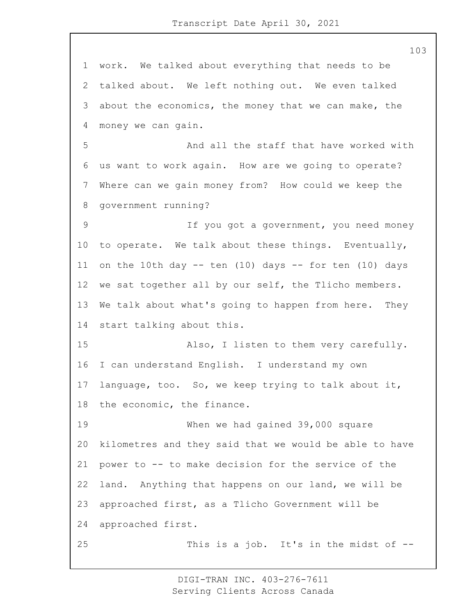work. We talked about everything that needs to be talked about. We left nothing out. We even talked about the economics, the money that we can make, the money we can gain. 5 And all the staff that have worked with us want to work again. How are we going to operate? Where can we gain money from? How could we keep the government running? 9 If you got a government, you need money to operate. We talk about these things. Eventually, 11 on the 10th day  $-$  ten (10) days  $-$  for ten (10) days we sat together all by our self, the Tlicho members. We talk about what's going to happen from here. They start talking about this. 15 Also, I listen to them very carefully. I can understand English. I understand my own language, too. So, we keep trying to talk about it, the economic, the finance. 19 When we had gained 39,000 square kilometres and they said that we would be able to have power to -- to make decision for the service of the land. Anything that happens on our land, we will be approached first, as a Tlicho Government will be approached first. 25 This is a job. It's in the midst of --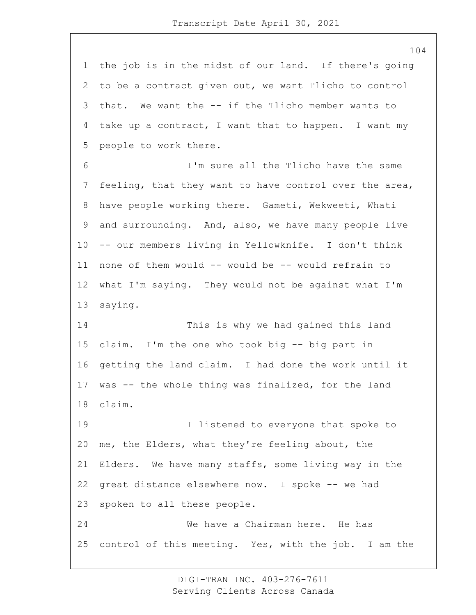the job is in the midst of our land. If there's going to be a contract given out, we want Tlicho to control that. We want the -- if the Tlicho member wants to take up a contract, I want that to happen. I want my people to work there. 6 I'm sure all the Tlicho have the same feeling, that they want to have control over the area, have people working there. Gameti, Wekweeti, Whati and surrounding. And, also, we have many people live -- our members living in Yellowknife. I don't think none of them would -- would be -- would refrain to what I'm saying. They would not be against what I'm saying. 14 This is why we had gained this land claim. I'm the one who took big -- big part in getting the land claim. I had done the work until it was -- the whole thing was finalized, for the land claim. 19 19 I listened to everyone that spoke to me, the Elders, what they're feeling about, the Elders. We have many staffs, some living way in the great distance elsewhere now. I spoke -- we had spoken to all these people. 24 We have a Chairman here. He has control of this meeting. Yes, with the job. I am the

> DIGI-TRAN INC. 403-276-7611 Serving Clients Across Canada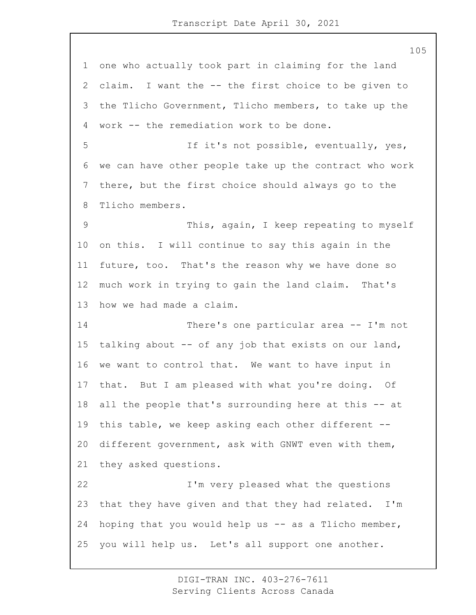one who actually took part in claiming for the land claim. I want the -- the first choice to be given to the Tlicho Government, Tlicho members, to take up the work -- the remediation work to be done. 5 If it's not possible, eventually, yes, we can have other people take up the contract who work there, but the first choice should always go to the Tlicho members. 9 This, again, I keep repeating to myself on this. I will continue to say this again in the future, too. That's the reason why we have done so much work in trying to gain the land claim. That's how we had made a claim. 14 There's one particular area -- I'm not talking about -- of any job that exists on our land, we want to control that. We want to have input in that. But I am pleased with what you're doing. Of all the people that's surrounding here at this -- at this table, we keep asking each other different -- different government, ask with GNWT even with them, they asked questions. 22 I'm very pleased what the questions that they have given and that they had related. I'm hoping that you would help us -- as a Tlicho member, you will help us. Let's all support one another.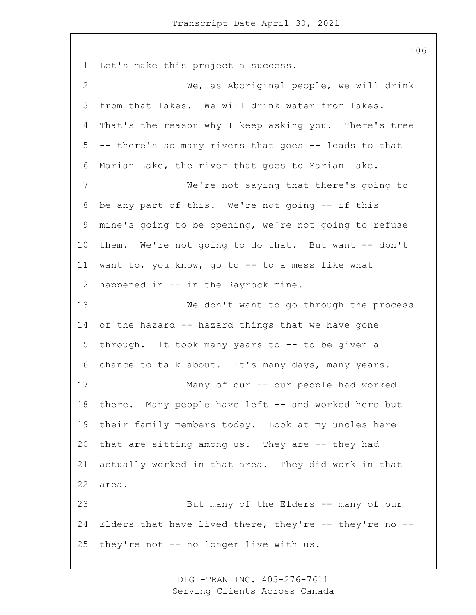Let's make this project a success. 2 We, as Aboriginal people, we will drink from that lakes. We will drink water from lakes. That's the reason why I keep asking you. There's tree -- there's so many rivers that goes -- leads to that Marian Lake, the river that goes to Marian Lake. 7 We're not saying that there's going to be any part of this. We're not going -- if this mine's going to be opening, we're not going to refuse them. We're not going to do that. But want -- don't want to, you know, go to -- to a mess like what happened in -- in the Rayrock mine. 13 We don't want to go through the process of the hazard -- hazard things that we have gone through. It took many years to -- to be given a chance to talk about. It's many days, many years. 17 Many of our -- our people had worked 18 there. Many people have left -- and worked here but their family members today. Look at my uncles here that are sitting among us. They are -- they had actually worked in that area. They did work in that area. 23 But many of the Elders -- many of our Elders that have lived there, they're -- they're no -- they're not -- no longer live with us.

> DIGI-TRAN INC. 403-276-7611 Serving Clients Across Canada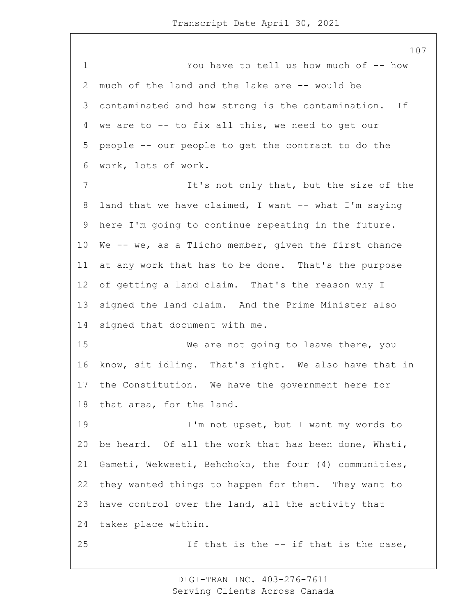1 You have to tell us how much of -- how much of the land and the lake are -- would be contaminated and how strong is the contamination. If we are to -- to fix all this, we need to get our people -- our people to get the contract to do the work, lots of work. 7 It's not only that, but the size of the 8 land that we have claimed, I want -- what I'm saying here I'm going to continue repeating in the future. We -- we, as a Tlicho member, given the first chance at any work that has to be done. That's the purpose of getting a land claim. That's the reason why I signed the land claim. And the Prime Minister also signed that document with me. 15 We are not going to leave there, you know, sit idling. That's right. We also have that in the Constitution. We have the government here for that area, for the land. 19 I'm not upset, but I want my words to be heard. Of all the work that has been done, Whati, Gameti, Wekweeti, Behchoko, the four (4) communities, they wanted things to happen for them. They want to have control over the land, all the activity that takes place within. 25 1f that is the -- if that is the case,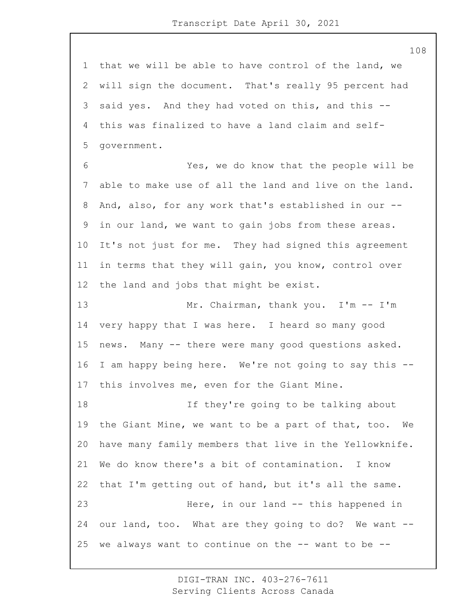that we will be able to have control of the land, we will sign the document. That's really 95 percent had said yes. And they had voted on this, and this -- this was finalized to have a land claim and self-government.

6 Yes, we do know that the people will be able to make use of all the land and live on the land. And, also, for any work that's established in our -- in our land, we want to gain jobs from these areas. It's not just for me. They had signed this agreement in terms that they will gain, you know, control over the land and jobs that might be exist.

13 Mr. Chairman, thank you. I'm -- I'm very happy that I was here. I heard so many good news. Many -- there were many good questions asked. I am happy being here. We're not going to say this -- this involves me, even for the Giant Mine.

18 If they're going to be talking about the Giant Mine, we want to be a part of that, too. We have many family members that live in the Yellowknife. We do know there's a bit of contamination. I know that I'm getting out of hand, but it's all the same. 23 Here, in our land -- this happened in our land, too. What are they going to do? We want -- 25 we always want to continue on the  $--$  want to be  $--$ 

> DIGI-TRAN INC. 403-276-7611 Serving Clients Across Canada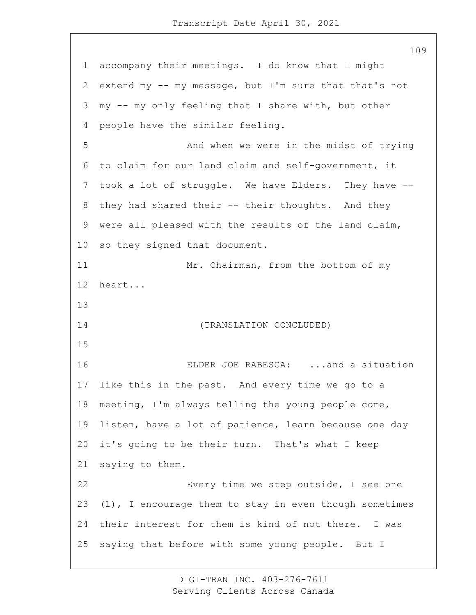accompany their meetings. I do know that I might extend my -- my message, but I'm sure that that's not my -- my only feeling that I share with, but other people have the similar feeling. 5 And when we were in the midst of trying to claim for our land claim and self-government, it took a lot of struggle. We have Elders. They have -- they had shared their -- their thoughts. And they were all pleased with the results of the land claim, so they signed that document. 11 Mr. Chairman, from the bottom of my heart... 14 (TRANSLATION CONCLUDED) 16 ELDER JOE RABESCA: ...and a situation like this in the past. And every time we go to a meeting, I'm always telling the young people come, listen, have a lot of patience, learn because one day it's going to be their turn. That's what I keep saying to them. 22 Every time we step outside, I see one (1), I encourage them to stay in even though sometimes their interest for them is kind of not there. I was saying that before with some young people. But I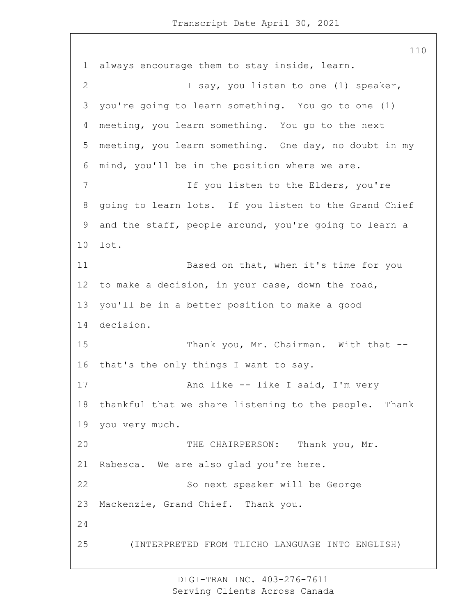always encourage them to stay inside, learn. 2 I say, you listen to one (1) speaker, you're going to learn something. You go to one (1) meeting, you learn something. You go to the next meeting, you learn something. One day, no doubt in my mind, you'll be in the position where we are. 7 If you listen to the Elders, you're going to learn lots. If you listen to the Grand Chief and the staff, people around, you're going to learn a lot. 11 Based on that, when it's time for you to make a decision, in your case, down the road, you'll be in a better position to make a good decision. 15 Thank you, Mr. Chairman. With that -- that's the only things I want to say. 17 And like -- like I said, I'm very thankful that we share listening to the people. Thank you very much. 20 THE CHAIRPERSON: Thank you, Mr. Rabesca. We are also glad you're here. 22 So next speaker will be George Mackenzie, Grand Chief. Thank you. 25 (INTERPRETED FROM TLICHO LANGUAGE INTO ENGLISH)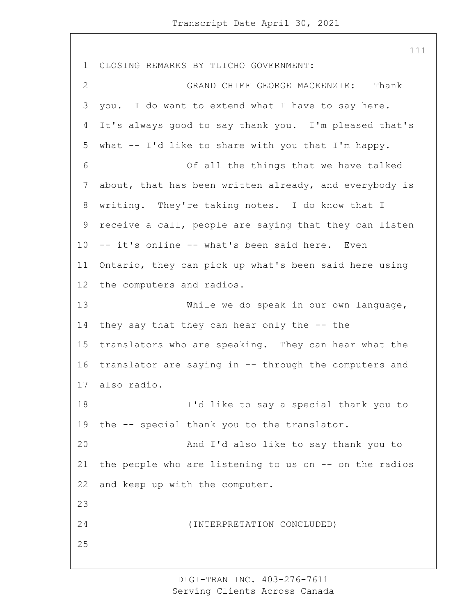CLOSING REMARKS BY TLICHO GOVERNMENT: 2 GRAND CHIEF GEORGE MACKENZIE: Thank you. I do want to extend what I have to say here. It's always good to say thank you. I'm pleased that's what -- I'd like to share with you that I'm happy. 6 Of all the things that we have talked about, that has been written already, and everybody is writing. They're taking notes. I do know that I receive a call, people are saying that they can listen -- it's online -- what's been said here. Even Ontario, they can pick up what's been said here using the computers and radios. 13 While we do speak in our own language, they say that they can hear only the -- the translators who are speaking. They can hear what the translator are saying in -- through the computers and also radio. 18 I'd like to say a special thank you to the -- special thank you to the translator. 20 And I'd also like to say thank you to the people who are listening to us on -- on the radios and keep up with the computer. 24 (INTERPRETATION CONCLUDED) 

> DIGI-TRAN INC. 403-276-7611 Serving Clients Across Canada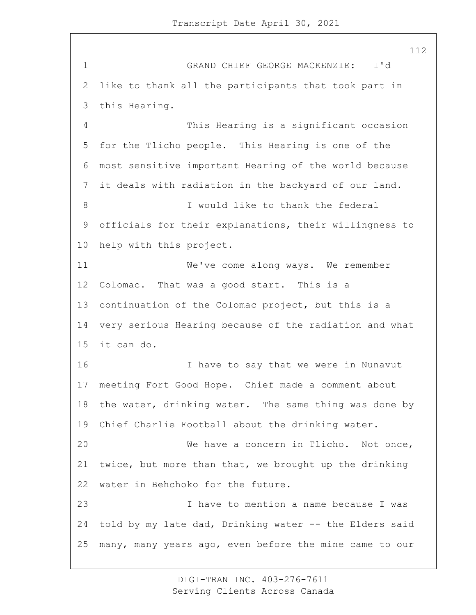1 GRAND CHIEF GEORGE MACKENZIE: I'd like to thank all the participants that took part in this Hearing. 4 This Hearing is a significant occasion for the Tlicho people. This Hearing is one of the most sensitive important Hearing of the world because it deals with radiation in the backyard of our land. 8 I would like to thank the federal officials for their explanations, their willingness to help with this project. 11 We've come along ways. We remember Colomac. That was a good start. This is a continuation of the Colomac project, but this is a very serious Hearing because of the radiation and what it can do. 16 16 I have to say that we were in Nunavut meeting Fort Good Hope. Chief made a comment about the water, drinking water. The same thing was done by Chief Charlie Football about the drinking water. 20 We have a concern in Tlicho. Not once, twice, but more than that, we brought up the drinking water in Behchoko for the future. 23 I have to mention a name because I was told by my late dad, Drinking water -- the Elders said many, many years ago, even before the mine came to our

> DIGI-TRAN INC. 403-276-7611 Serving Clients Across Canada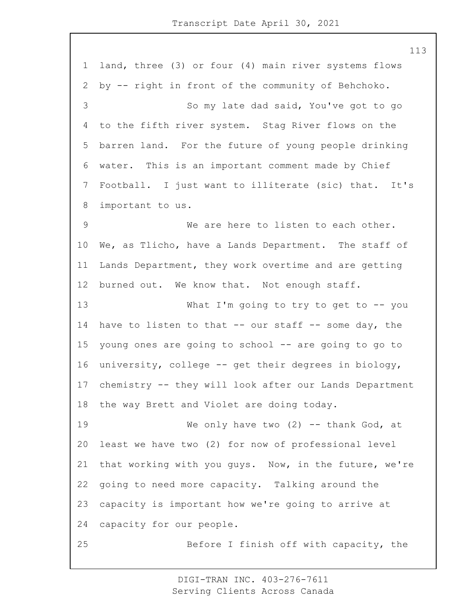land, three (3) or four (4) main river systems flows by -- right in front of the community of Behchoko. 3 So my late dad said, You've got to go to the fifth river system. Stag River flows on the barren land. For the future of young people drinking water. This is an important comment made by Chief Football. I just want to illiterate (sic) that. It's important to us. 9 We are here to listen to each other. We, as Tlicho, have a Lands Department. The staff of Lands Department, they work overtime and are getting burned out. We know that. Not enough staff. 13 What I'm going to try to get to -- you have to listen to that -- our staff -- some day, the young ones are going to school -- are going to go to university, college -- get their degrees in biology, chemistry -- they will look after our Lands Department the way Brett and Violet are doing today. 19 We only have two (2) -- thank God, at least we have two (2) for now of professional level that working with you guys. Now, in the future, we're going to need more capacity. Talking around the capacity is important how we're going to arrive at capacity for our people. 25 Before I finish off with capacity, the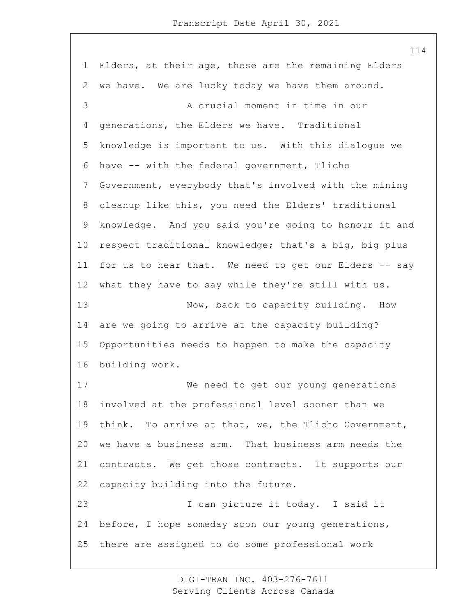Elders, at their age, those are the remaining Elders we have. We are lucky today we have them around. 3 A crucial moment in time in our generations, the Elders we have. Traditional knowledge is important to us. With this dialogue we have -- with the federal government, Tlicho Government, everybody that's involved with the mining cleanup like this, you need the Elders' traditional knowledge. And you said you're going to honour it and respect traditional knowledge; that's a big, big plus for us to hear that. We need to get our Elders -- say what they have to say while they're still with us. 13 Now, back to capacity building. How are we going to arrive at the capacity building? Opportunities needs to happen to make the capacity building work. 17 We need to get our young generations involved at the professional level sooner than we think. To arrive at that, we, the Tlicho Government, we have a business arm. That business arm needs the contracts. We get those contracts. It supports our capacity building into the future. 23 I can picture it today. I said it before, I hope someday soon our young generations, there are assigned to do some professional work

> DIGI-TRAN INC. 403-276-7611 Serving Clients Across Canada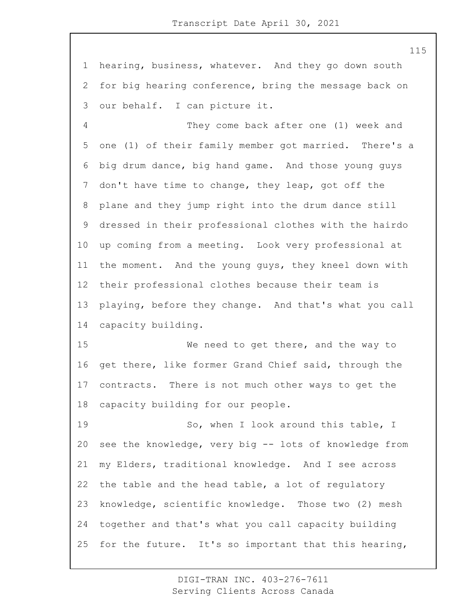hearing, business, whatever. And they go down south for big hearing conference, bring the message back on our behalf. I can picture it.

4 They come back after one (1) week and one (1) of their family member got married. There's a big drum dance, big hand game. And those young guys don't have time to change, they leap, got off the plane and they jump right into the drum dance still dressed in their professional clothes with the hairdo up coming from a meeting. Look very professional at the moment. And the young guys, they kneel down with their professional clothes because their team is playing, before they change. And that's what you call capacity building.

15 We need to get there, and the way to get there, like former Grand Chief said, through the contracts. There is not much other ways to get the capacity building for our people.

19 So, when I look around this table, I see the knowledge, very big -- lots of knowledge from my Elders, traditional knowledge. And I see across the table and the head table, a lot of regulatory knowledge, scientific knowledge. Those two (2) mesh together and that's what you call capacity building for the future. It's so important that this hearing,

> DIGI-TRAN INC. 403-276-7611 Serving Clients Across Canada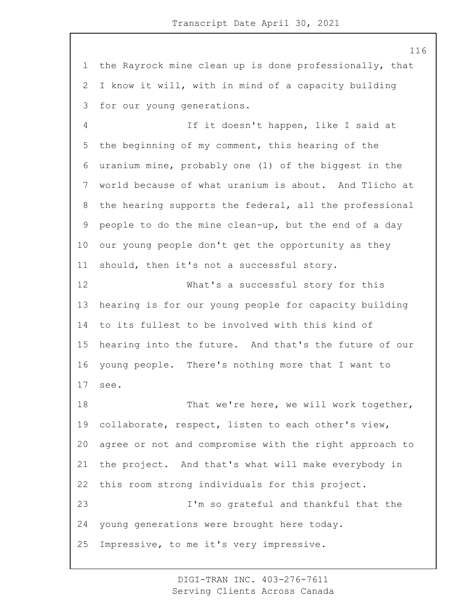the Rayrock mine clean up is done professionally, that I know it will, with in mind of a capacity building for our young generations.

4 If it doesn't happen, like I said at the beginning of my comment, this hearing of the uranium mine, probably one (1) of the biggest in the world because of what uranium is about. And Tlicho at the hearing supports the federal, all the professional people to do the mine clean-up, but the end of a day our young people don't get the opportunity as they should, then it's not a successful story.

12 What's a successful story for this hearing is for our young people for capacity building to its fullest to be involved with this kind of hearing into the future. And that's the future of our young people. There's nothing more that I want to see.

18 That we're here, we will work together, collaborate, respect, listen to each other's view, agree or not and compromise with the right approach to the project. And that's what will make everybody in this room strong individuals for this project. 23 I'm so grateful and thankful that the young generations were brought here today. Impressive, to me it's very impressive.

> DIGI-TRAN INC. 403-276-7611 Serving Clients Across Canada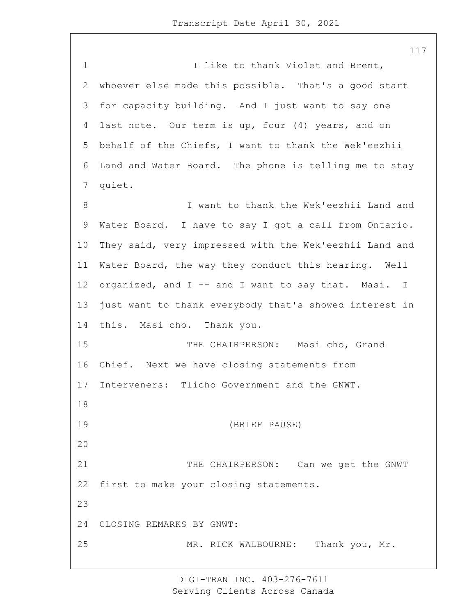1 1 I like to thank Violet and Brent, whoever else made this possible. That's a good start for capacity building. And I just want to say one last note. Our term is up, four (4) years, and on behalf of the Chiefs, I want to thank the Wek'eezhii Land and Water Board. The phone is telling me to stay quiet. 8 I want to thank the Wek'eezhii Land and Water Board. I have to say I got a call from Ontario. They said, very impressed with the Wek'eezhii Land and Water Board, the way they conduct this hearing. Well organized, and I -- and I want to say that. Masi. I just want to thank everybody that's showed interest in this. Masi cho. Thank you. 15 THE CHAIRPERSON: Masi cho, Grand Chief. Next we have closing statements from Interveners: Tlicho Government and the GNWT. 19 (BRIEF PAUSE) 21 THE CHAIRPERSON: Can we get the GNWT first to make your closing statements. CLOSING REMARKS BY GNWT: 25 MR. RICK WALBOURNE: Thank you, Mr.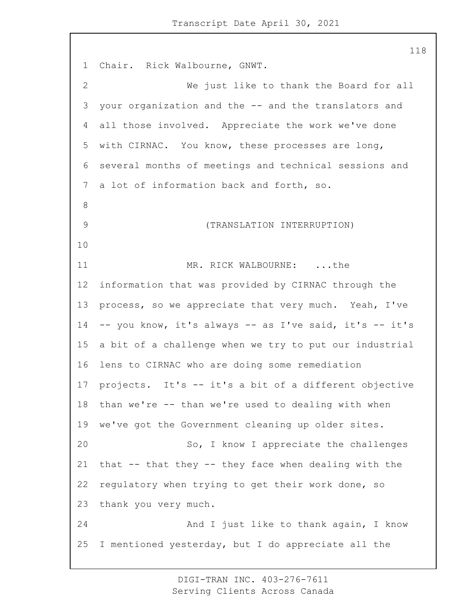Chair. Rick Walbourne, GNWT. 2 We just like to thank the Board for all your organization and the -- and the translators and all those involved. Appreciate the work we've done with CIRNAC. You know, these processes are long, several months of meetings and technical sessions and a lot of information back and forth, so. 9 (TRANSLATION INTERRUPTION) 11 MR. RICK WALBOURNE: ...the information that was provided by CIRNAC through the process, so we appreciate that very much. Yeah, I've -- you know, it's always -- as I've said, it's -- it's a bit of a challenge when we try to put our industrial lens to CIRNAC who are doing some remediation projects. It's -- it's a bit of a different objective than we're -- than we're used to dealing with when we've got the Government cleaning up older sites. 20 So, I know I appreciate the challenges that -- that they -- they face when dealing with the regulatory when trying to get their work done, so thank you very much. 24 And I just like to thank again, I know I mentioned yesterday, but I do appreciate all the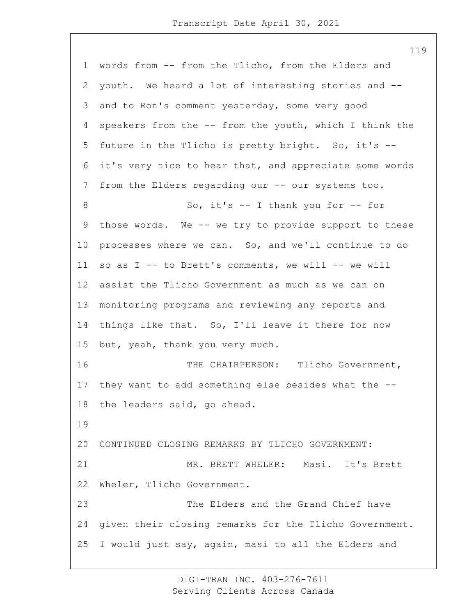words from -- from the Tlicho, from the Elders and youth. We heard a lot of interesting stories and -- and to Ron's comment yesterday, some very good speakers from the -- from the youth, which I think the future in the Tlicho is pretty bright. So, it's -- it's very nice to hear that, and appreciate some words from the Elders regarding our -- our systems too. 8 So, it's -- I thank you for -- for those words. We -- we try to provide support to these processes where we can. So, and we'll continue to do so as I -- to Brett's comments, we will -- we will assist the Tlicho Government as much as we can on monitoring programs and reviewing any reports and things like that. So, I'll leave it there for now but, yeah, thank you very much. 16 THE CHAIRPERSON: Tlicho Government, they want to add something else besides what the -- the leaders said, go ahead. CONTINUED CLOSING REMARKS BY TLICHO GOVERNMENT: 21 MR. BRETT WHELER: Masi. It's Brett Wheler, Tlicho Government. 23 The Elders and the Grand Chief have given their closing remarks for the Tlicho Government. I would just say, again, masi to all the Elders and

> DIGI-TRAN INC. 403-276-7611 Serving Clients Across Canada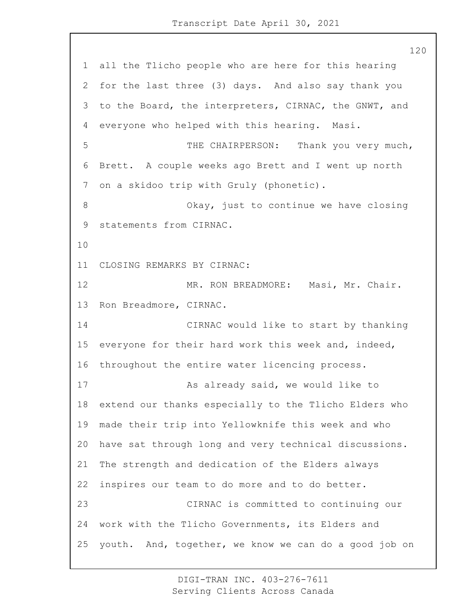all the Tlicho people who are here for this hearing for the last three (3) days. And also say thank you to the Board, the interpreters, CIRNAC, the GNWT, and everyone who helped with this hearing. Masi. 5 THE CHAIRPERSON: Thank you very much, Brett. A couple weeks ago Brett and I went up north on a skidoo trip with Gruly (phonetic). 8 Okay, just to continue we have closing statements from CIRNAC. CLOSING REMARKS BY CIRNAC: 12 MR. RON BREADMORE: Masi, Mr. Chair. Ron Breadmore, CIRNAC. 14 CIRNAC would like to start by thanking everyone for their hard work this week and, indeed, throughout the entire water licencing process. 17 As already said, we would like to extend our thanks especially to the Tlicho Elders who made their trip into Yellowknife this week and who have sat through long and very technical discussions. The strength and dedication of the Elders always inspires our team to do more and to do better. 23 CIRNAC is committed to continuing our work with the Tlicho Governments, its Elders and youth. And, together, we know we can do a good job on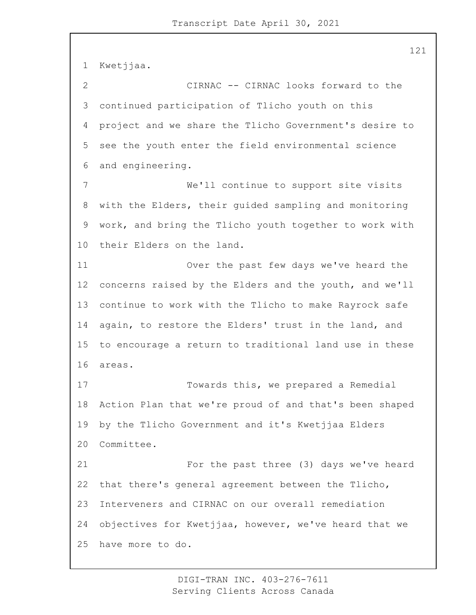Kwetjjaa. 2 CIRNAC -- CIRNAC looks forward to the continued participation of Tlicho youth on this project and we share the Tlicho Government's desire to see the youth enter the field environmental science and engineering. 7 We'll continue to support site visits with the Elders, their guided sampling and monitoring work, and bring the Tlicho youth together to work with their Elders on the land. 11 Over the past few days we've heard the concerns raised by the Elders and the youth, and we'll continue to work with the Tlicho to make Rayrock safe again, to restore the Elders' trust in the land, and to encourage a return to traditional land use in these areas. 17 Towards this, we prepared a Remedial Action Plan that we're proud of and that's been shaped by the Tlicho Government and it's Kwetjjaa Elders Committee. 21 For the past three (3) days we've heard that there's general agreement between the Tlicho, Interveners and CIRNAC on our overall remediation objectives for Kwetjjaa, however, we've heard that we have more to do.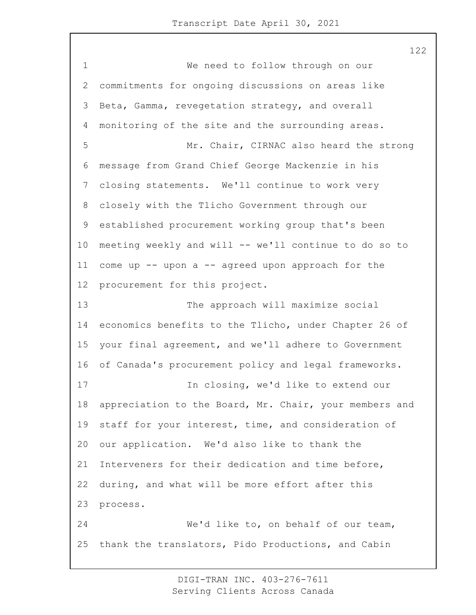1 We need to follow through on our commitments for ongoing discussions on areas like Beta, Gamma, revegetation strategy, and overall monitoring of the site and the surrounding areas. 5 Mr. Chair, CIRNAC also heard the strong message from Grand Chief George Mackenzie in his closing statements. We'll continue to work very closely with the Tlicho Government through our established procurement working group that's been meeting weekly and will -- we'll continue to do so to come up -- upon a -- agreed upon approach for the procurement for this project. 13 The approach will maximize social economics benefits to the Tlicho, under Chapter 26 of your final agreement, and we'll adhere to Government of Canada's procurement policy and legal frameworks. 17 In closing, we'd like to extend our appreciation to the Board, Mr. Chair, your members and staff for your interest, time, and consideration of our application. We'd also like to thank the Interveners for their dedication and time before, during, and what will be more effort after this process. 24 We'd like to, on behalf of our team, thank the translators, Pido Productions, and Cabin

> DIGI-TRAN INC. 403-276-7611 Serving Clients Across Canada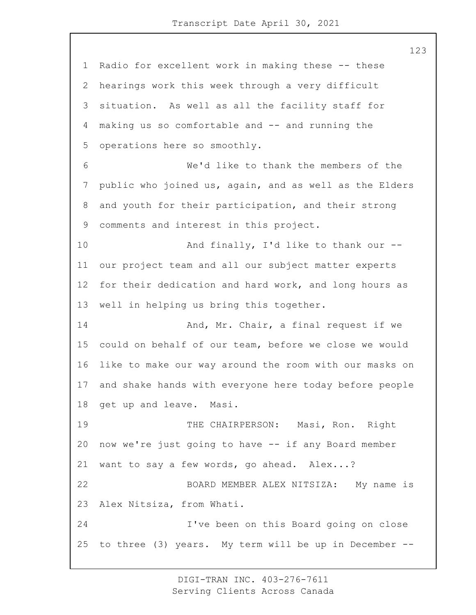Radio for excellent work in making these -- these hearings work this week through a very difficult situation. As well as all the facility staff for making us so comfortable and -- and running the operations here so smoothly. 6 We'd like to thank the members of the public who joined us, again, and as well as the Elders and youth for their participation, and their strong comments and interest in this project. 10 And finally, I'd like to thank our -- our project team and all our subject matter experts for their dedication and hard work, and long hours as well in helping us bring this together. 14 And, Mr. Chair, a final request if we could on behalf of our team, before we close we would like to make our way around the room with our masks on and shake hands with everyone here today before people get up and leave. Masi. 19 THE CHAIRPERSON: Masi, Ron. Right now we're just going to have -- if any Board member want to say a few words, go ahead. Alex...? 22 BOARD MEMBER ALEX NITSIZA: My name is Alex Nitsiza, from Whati. 24 I've been on this Board going on close to three (3) years. My term will be up in December --

> DIGI-TRAN INC. 403-276-7611 Serving Clients Across Canada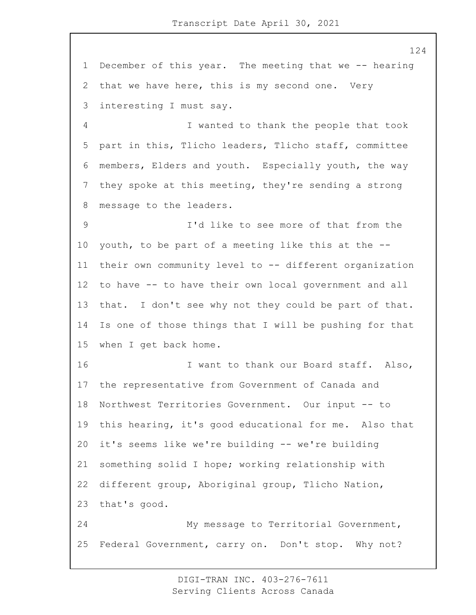December of this year. The meeting that we -- hearing that we have here, this is my second one. Very interesting I must say. 4 I wanted to thank the people that took part in this, Tlicho leaders, Tlicho staff, committee members, Elders and youth. Especially youth, the way they spoke at this meeting, they're sending a strong message to the leaders. 9 I'd like to see more of that from the youth, to be part of a meeting like this at the -- their own community level to -- different organization to have -- to have their own local government and all that. I don't see why not they could be part of that. Is one of those things that I will be pushing for that when I get back home. 16 I want to thank our Board staff. Also, the representative from Government of Canada and Northwest Territories Government. Our input -- to this hearing, it's good educational for me. Also that it's seems like we're building -- we're building something solid I hope; working relationship with different group, Aboriginal group, Tlicho Nation, that's good. 24 My message to Territorial Government, Federal Government, carry on. Don't stop. Why not?

> DIGI-TRAN INC. 403-276-7611 Serving Clients Across Canada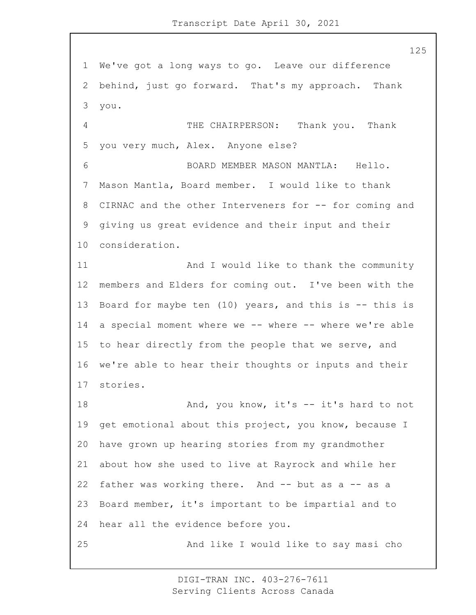We've got a long ways to go. Leave our difference behind, just go forward. That's my approach. Thank you.

4 THE CHAIRPERSON: Thank you. Thank you very much, Alex. Anyone else?

6 BOARD MEMBER MASON MANTLA: Hello. Mason Mantla, Board member. I would like to thank 8 CIRNAC and the other Interveners for -- for coming and giving us great evidence and their input and their consideration.

11 And I would like to thank the community members and Elders for coming out. I've been with the 13 Board for maybe ten (10) years, and this is -- this is 14 a special moment where we -- where -- where we're able to hear directly from the people that we serve, and we're able to hear their thoughts or inputs and their stories.

18 And, you know, it's -- it's hard to not get emotional about this project, you know, because I have grown up hearing stories from my grandmother about how she used to live at Rayrock and while her father was working there. And -- but as a -- as a Board member, it's important to be impartial and to hear all the evidence before you.

25 And like I would like to say masi cho

DIGI-TRAN INC. 403-276-7611 Serving Clients Across Canada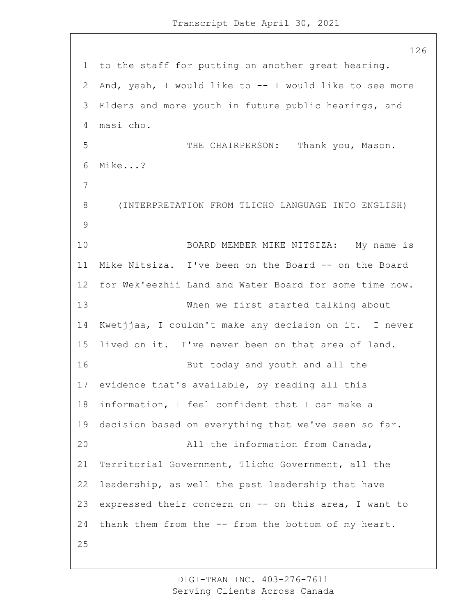to the staff for putting on another great hearing. And, yeah, I would like to -- I would like to see more Elders and more youth in future public hearings, and masi cho. 5 THE CHAIRPERSON: Thank you, Mason. Mike...? 8 (INTERPRETATION FROM TLICHO LANGUAGE INTO ENGLISH) 10 BOARD MEMBER MIKE NITSIZA: My name is Mike Nitsiza. I've been on the Board -- on the Board for Wek'eezhii Land and Water Board for some time now. 13 When we first started talking about Kwetjjaa, I couldn't make any decision on it. I never lived on it. I've never been on that area of land. 16 But today and youth and all the evidence that's available, by reading all this information, I feel confident that I can make a decision based on everything that we've seen so far. 20 All the information from Canada, Territorial Government, Tlicho Government, all the leadership, as well the past leadership that have expressed their concern on -- on this area, I want to thank them from the -- from the bottom of my heart.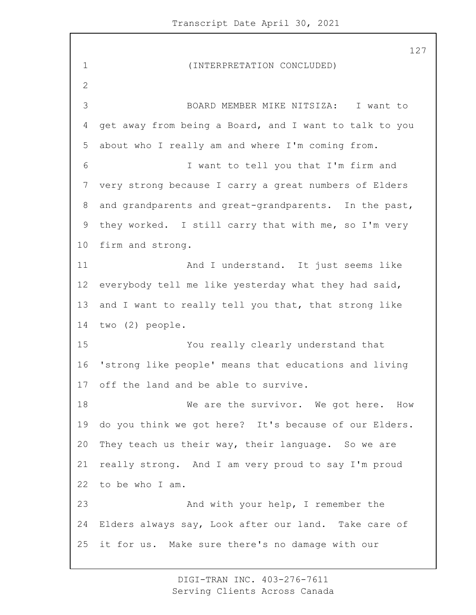1 (INTERPRETATION CONCLUDED) 3 BOARD MEMBER MIKE NITSIZA: I want to get away from being a Board, and I want to talk to you about who I really am and where I'm coming from. 6 I want to tell you that I'm firm and very strong because I carry a great numbers of Elders and grandparents and great-grandparents. In the past, they worked. I still carry that with me, so I'm very firm and strong. 11 And I understand. It just seems like everybody tell me like yesterday what they had said, 13 and I want to really tell you that, that strong like two (2) people. 15 You really clearly understand that 'strong like people' means that educations and living off the land and be able to survive. 18 Me are the survivor. We got here. How do you think we got here? It's because of our Elders. They teach us their way, their language. So we are really strong. And I am very proud to say I'm proud to be who I am. 23 And with your help, I remember the Elders always say, Look after our land. Take care of it for us. Make sure there's no damage with our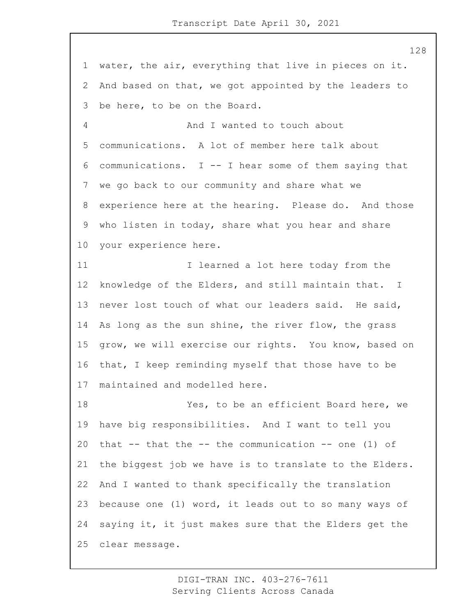water, the air, everything that live in pieces on it. And based on that, we got appointed by the leaders to be here, to be on the Board. 4 And I wanted to touch about communications. A lot of member here talk about communications. I -- I hear some of them saying that we go back to our community and share what we experience here at the hearing. Please do. And those who listen in today, share what you hear and share your experience here. 11 12 I learned a lot here today from the knowledge of the Elders, and still maintain that. I never lost touch of what our leaders said. He said, As long as the sun shine, the river flow, the grass grow, we will exercise our rights. You know, based on that, I keep reminding myself that those have to be maintained and modelled here. 18 Yes, to be an efficient Board here, we have big responsibilities. And I want to tell you 20 that  $--$  that the  $--$  the communication  $--$  one (1) of the biggest job we have is to translate to the Elders. And I wanted to thank specifically the translation because one (1) word, it leads out to so many ways of

 saying it, it just makes sure that the Elders get the clear message.

> DIGI-TRAN INC. 403-276-7611 Serving Clients Across Canada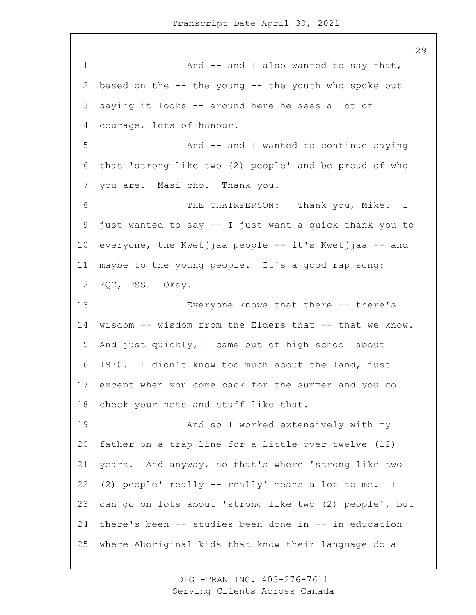1 And -- and I also wanted to say that, based on the -- the young -- the youth who spoke out saying it looks -- around here he sees a lot of courage, lots of honour. 5 And -- and I wanted to continue saying that 'strong like two (2) people' and be proud of who you are. Masi cho. Thank you. 8 THE CHAIRPERSON: Thank you, Mike. I just wanted to say -- I just want a quick thank you to everyone, the Kwetjjaa people -- it's Kwetjjaa -- and maybe to the young people. It's a good rap song: EQC, PSS. Okay. 13 Everyone knows that there -- there's wisdom -- wisdom from the Elders that -- that we know. And just quickly, I came out of high school about 1970. I didn't know too much about the land, just except when you come back for the summer and you go check your nets and stuff like that. 19 And so I worked extensively with my father on a trap line for a little over twelve (12) years. And anyway, so that's where 'strong like two (2) people' really -- really' means a lot to me. I can go on lots about 'strong like two (2) people', but there's been -- studies been done in -- in education where Aboriginal kids that know their language do a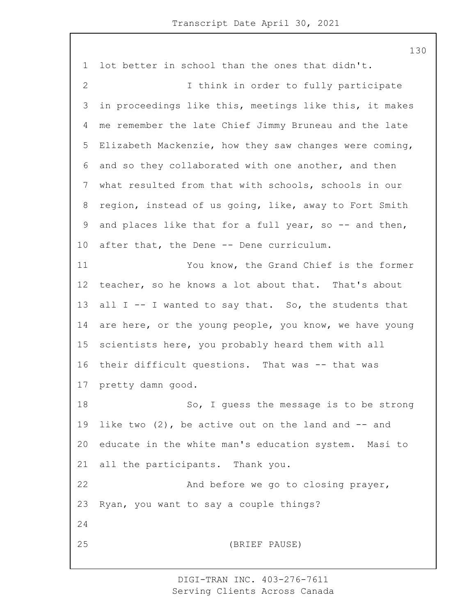lot better in school than the ones that didn't. 2 I think in order to fully participate in proceedings like this, meetings like this, it makes me remember the late Chief Jimmy Bruneau and the late Elizabeth Mackenzie, how they saw changes were coming, and so they collaborated with one another, and then what resulted from that with schools, schools in our region, instead of us going, like, away to Fort Smith 9 and places like that for a full year, so -- and then, after that, the Dene -- Dene curriculum. 11 You know, the Grand Chief is the former teacher, so he knows a lot about that. That's about all I -- I wanted to say that. So, the students that are here, or the young people, you know, we have young scientists here, you probably heard them with all their difficult questions. That was -- that was pretty damn good. 18 So, I guess the message is to be strong 19 like two  $(2)$ , be active out on the land and  $-$  and educate in the white man's education system. Masi to all the participants. Thank you. 22 And before we go to closing prayer, Ryan, you want to say a couple things? 25 (BRIEF PAUSE)

> DIGI-TRAN INC. 403-276-7611 Serving Clients Across Canada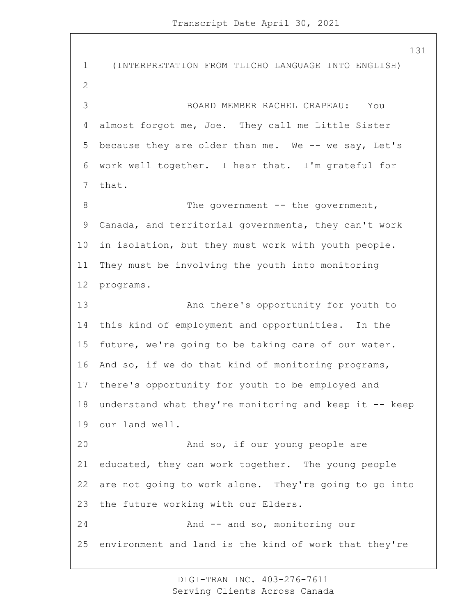1 (INTERPRETATION FROM TLICHO LANGUAGE INTO ENGLISH) 3 BOARD MEMBER RACHEL CRAPEAU: You almost forgot me, Joe. They call me Little Sister because they are older than me. We -- we say, Let's work well together. I hear that. I'm grateful for that. 8 The government -- the government, Canada, and territorial governments, they can't work in isolation, but they must work with youth people. They must be involving the youth into monitoring programs. 13 And there's opportunity for youth to this kind of employment and opportunities. In the future, we're going to be taking care of our water. And so, if we do that kind of monitoring programs, there's opportunity for youth to be employed and understand what they're monitoring and keep it -- keep our land well. 20 And so, if our young people are educated, they can work together. The young people are not going to work alone. They're going to go into the future working with our Elders. 24 And -- and so, monitoring our environment and land is the kind of work that they're

> DIGI-TRAN INC. 403-276-7611 Serving Clients Across Canada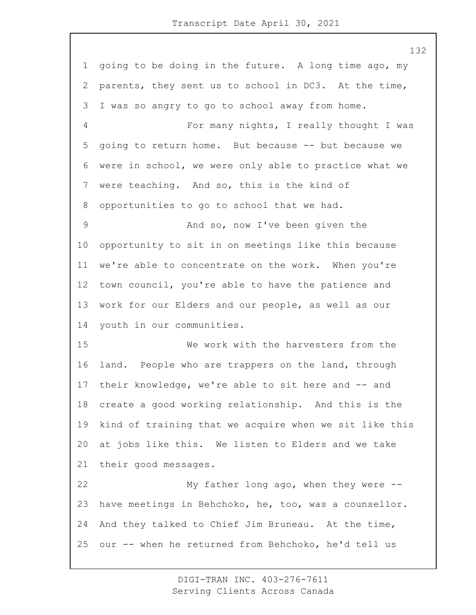going to be doing in the future. A long time ago, my parents, they sent us to school in DC3. At the time, I was so angry to go to school away from home. 4 For many nights, I really thought I was going to return home. But because -- but because we were in school, we were only able to practice what we were teaching. And so, this is the kind of opportunities to go to school that we had. 9 And so, now I've been given the opportunity to sit in on meetings like this because we're able to concentrate on the work. When you're town council, you're able to have the patience and work for our Elders and our people, as well as our youth in our communities. 15 We work with the harvesters from the land. People who are trappers on the land, through their knowledge, we're able to sit here and -- and create a good working relationship. And this is the kind of training that we acquire when we sit like this at jobs like this. We listen to Elders and we take their good messages. 22 My father long ago, when they were -- have meetings in Behchoko, he, too, was a counsellor. And they talked to Chief Jim Bruneau. At the time, our -- when he returned from Behchoko, he'd tell us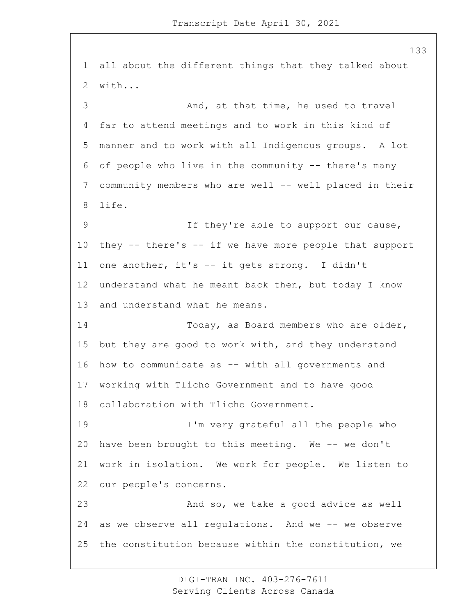all about the different things that they talked about with... 3 And, at that time, he used to travel far to attend meetings and to work in this kind of manner and to work with all Indigenous groups. A lot of people who live in the community -- there's many community members who are well -- well placed in their life. 9 If they're able to support our cause, they -- there's -- if we have more people that support one another, it's -- it gets strong. I didn't understand what he meant back then, but today I know and understand what he means. 14 Today, as Board members who are older, but they are good to work with, and they understand how to communicate as -- with all governments and working with Tlicho Government and to have good collaboration with Tlicho Government. 19 I'm very grateful all the people who have been brought to this meeting. We -- we don't work in isolation. We work for people. We listen to our people's concerns. 23 And so, we take a good advice as well as we observe all regulations. And we -- we observe the constitution because within the constitution, we

> DIGI-TRAN INC. 403-276-7611 Serving Clients Across Canada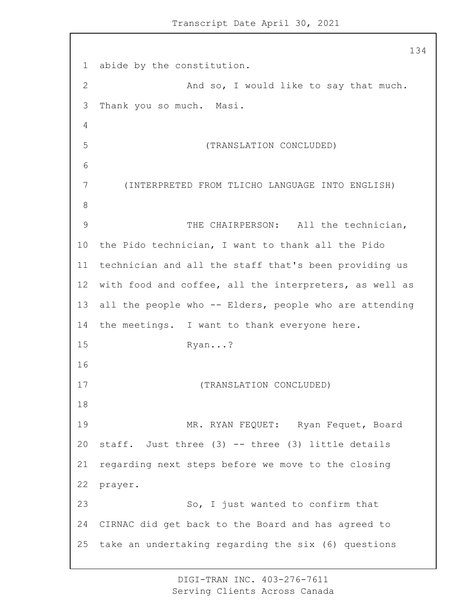abide by the constitution. 2 And so, I would like to say that much. Thank you so much. Masi. 5 (TRANSLATION CONCLUDED) 7 (INTERPRETED FROM TLICHO LANGUAGE INTO ENGLISH) 9 THE CHAIRPERSON: All the technician, the Pido technician, I want to thank all the Pido technician and all the staff that's been providing us with food and coffee, all the interpreters, as well as all the people who -- Elders, people who are attending the meetings. I want to thank everyone here. 15 Ryan...? 17 (TRANSLATION CONCLUDED) 19 MR. RYAN FEQUET: Ryan Fequet, Board staff. Just three (3) -- three (3) little details regarding next steps before we move to the closing prayer. 23 So, I just wanted to confirm that CIRNAC did get back to the Board and has agreed to take an undertaking regarding the six (6) questions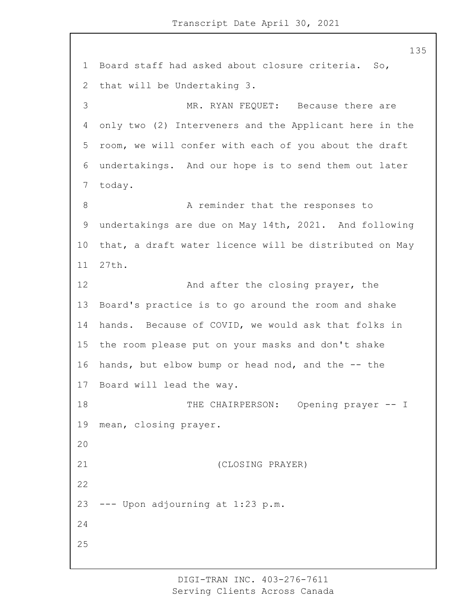Board staff had asked about closure criteria. So, that will be Undertaking 3. 3 MR. RYAN FEQUET: Because there are only two (2) Interveners and the Applicant here in the room, we will confer with each of you about the draft undertakings. And our hope is to send them out later today. 8 A reminder that the responses to undertakings are due on May 14th, 2021. And following that, a draft water licence will be distributed on May 27th. 12 And after the closing prayer, the Board's practice is to go around the room and shake hands. Because of COVID, we would ask that folks in the room please put on your masks and don't shake hands, but elbow bump or head nod, and the -- the Board will lead the way. 18 THE CHAIRPERSON: Opening prayer -- I mean, closing prayer. 21 (CLOSING PRAYER) --- Upon adjourning at 1:23 p.m. 

> DIGI-TRAN INC. 403-276-7611 Serving Clients Across Canada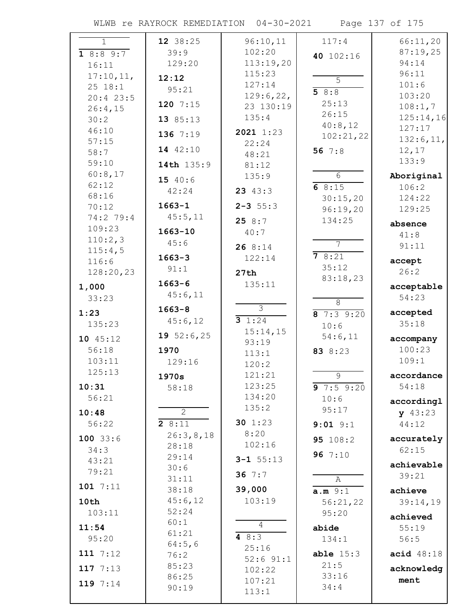WLWB re RAYROCK REMEDIATION 04-30-2021 Page 137 of 175

| $\mathbf{1}$ | 12 38:25       | 96:10,11         | 117:4           | 66:11,20            |
|--------------|----------------|------------------|-----------------|---------------------|
| 18:89:7      | 39:9           | 102:20           | 40 102:16       | 87:19,25            |
| 16:11        | 129:20         | 113:19,20        |                 | 94:14               |
| 17:10,11,    |                | 115:23           |                 | 96:11               |
| 25 18:1      | 12:12          | 127:14           | $\overline{5}$  | 101:6               |
| $20:4$ 23:5  | 95:21          | 129:6,22,        | 58:8            | 103:20              |
| 26:4,15      | 120 $7:15$     | 23 130:19        | 25:13           | 108:1,7             |
| 30:2         | 13 85:13       | 135:4            | 26:15           | 125:14,16           |
| 46:10        |                | 2021 1:23        | 40:8,12         | 127:17              |
| 57:15        | 136 7:19       | 22:24            | 102:21,22       | 132:6, 11,          |
| 58:7         | 14 42:10       | 48:21            | 56 $7:8$        | 12, 17              |
| 59:10        | 14th 135:9     | 81:12            |                 | 133:9               |
| 60:8,17      |                | 135:9            | $6\overline{6}$ | Aboriginal          |
| 62:12        | 15 40:6        |                  | 68:15           | 106:2               |
| 68:16        | 42:24          | 23 $43:3$        | 30:15,20        | 124:22              |
| 70:12        | $1663 - 1$     | $2 - 3$ 55:3     | 96:19,20        | 129:25              |
| 74:2 79:4    | 45:5,11        | 258:7            | 134:25          |                     |
| 109:23       | $1663 - 10$    | 40:7             |                 | absence             |
| 110:2,3      | 45:6           |                  | $\overline{7}$  | 41:8                |
| 115:4,5      |                | 268:14           |                 | 91:11               |
| 116:6        | $1663 - 3$     | 122:14           | 78:21           | accept              |
| 128:20,23    | 91:1           | 27th             | 35:12           | 26:2                |
| 1,000        | $1663 - 6$     | 135:11           | 83:18,23        | acceptable          |
| 33:23        | 45:6,11        |                  |                 | 54:23               |
|              | $1663 - 8$     | $\overline{3}$   | $\overline{8}$  |                     |
| 1:23         | 45:6,12        | 31:24            | 87:39:20        | accepted            |
| 135:23       |                | 15:14,15         | 10:6            | 35:18               |
| 10 45:12     | 19 $52:6,25$   | 93:19            | 54:6,11         | accompany           |
| 56:18        | 1970           | 113:1            | 83 8:23         | 100:23              |
| 103:11       | 129:16         | 120:2            |                 | 109:1               |
| 125:13       | 1970s          | 121:21           | $\overline{9}$  | accordance          |
| 10:31        | 58:18          | 123:25           | 97:59:20        | 54:18               |
| 56:21        |                | 134:20           | 10:6            |                     |
|              | $\overline{2}$ | 135:2            | 95:17           | accordingl          |
| 10:48        |                | 30 $1:23$        |                 | y 43:23             |
| 56:22        | 28:11          | 8:20             | $9:01$ $9:1$    | 44:12               |
| $100$ 33:6   | 26:3,8,18      | 102:16           | 95 108:2        | accurately          |
| 34:3         | 28:18<br>29:14 |                  | 96 $7:10$       | 62:15               |
| 43:21        | 30:6           | $3 - 1$ 55:13    |                 | achievable          |
| 79:21        | 31:11          | 36 $7:7$         |                 | 39:21               |
| 1017:11      | 38:18          | 39,000           | Α               |                     |
| 10th         | 45:6,12        | 103:19           | a.m.9:1         | achieve<br>39:14,19 |
| 103:11       | 52:24          |                  | 56:21,22        |                     |
|              | 60:1           |                  | 95:20           | achieved            |
| 11:54        | 61:21          | 4                | abide           | 55:19               |
| 95:20        | 64:5,6         | 4 $8:3$          | 134:1           | 56:5                |
| 111 $7:12$   | 76:2           | 25:16            | able $15:3$     | acid $48:18$        |
| 117 $7:13$   | 85:23          | $52:6$ $91:1$    | 21:5            | acknowledg          |
|              | 86:25          | 102:22<br>107:21 | 33:16           | ment                |
| 119 7:14     | 90:19          |                  | 34:4            |                     |
|              |                | 113:1            |                 |                     |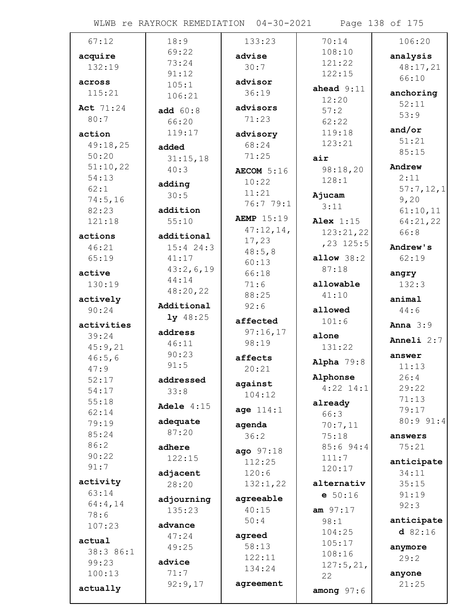WLWB re RAYROCK REMEDIATION 04-30-2021 Page 138 of 175

| 67:12      | 18:9         | 133:23             | 70:14          | 106:20       |
|------------|--------------|--------------------|----------------|--------------|
| acquire    | 69:22        | advise             | 108:10         | analysis     |
| 132:19     | 73:24        | 30:7               | 121:22         | 48:17,21     |
|            | 91:12        |                    | 122:15         | 66:10        |
| across     | 105:1        | advisor            | ahead $9:11$   |              |
| 115:21     | 106:21       | 36:19              | 12:20          | anchoring    |
| Act 71:24  | add $60:8$   | advisors           | 57:2           | 52:11        |
| 80:7       | 66:20        | 71:23              | 62:22          | 53:9         |
| action     | 119:17       | advisory           | 119:18         | and/or       |
| 49:18,25   | added        | 68:24              | 123:21         | 51:21        |
| 50:20      | 31:15,18     | 71:25              | air            | 85:15        |
| 51:10,22   | 40:3         | AECOM 5:16         | 98:18,20       | Andrew       |
| 54:13      |              | 10:22              | 128:1          | 2:11         |
| 62:1       | adding       | 11:21              |                | 57:7,12,1    |
| 74:5,16    | 30:5         | 76:7 79:1          | Ajucam         | 9,20         |
| 82:23      | addition     |                    | 3:11           | 61:10,11     |
| 121:18     | 55:10        | <b>AEMP</b> 15:19  | Alex $1:15$    | 64:21,22     |
| actions    | additional   | 47:12,14,          | 123:21,22      | 66:8         |
| 46:21      | $15:4$ 24:3  | 17,23              | $, 23$ 125:5   | Andrew's     |
| 65:19      | 41:17        | 48:5,8             | allow $38:2$   | 62:19        |
|            | 43:2,6,19    | 60:13              | 87:18          |              |
| active     | 44:14        | 66:18              |                | angry        |
| 130:19     | 48:20,22     | 71:6               | allowable      | 132:3        |
| actively   | Additional   | 88:25              | 41:10          | animal       |
| 90:24      |              | 92:6               | allowed        | 44:6         |
| activities | $1y$ 48:25   | affected           | 101:6          | Anna $3:9$   |
| 39:24      | address      | 97:16,17           | alone          | Anneli $2:7$ |
| 45:9,21    | 46:11        | 98:19              | 131:22         |              |
| 46:5,6     | 90:23        | affects            | Alpha $79:8$   | answer       |
| 47:9       | 91:5         | 20:21              |                | 11:13        |
| 52:17      | addressed    | against            | Alphonse       | 26:4         |
| 54:17      | 33:8         | 104:12             | $4:22$ 14:1    | 29:22        |
| 55:18      | Adele $4:15$ |                    | already        | 71:13        |
| 62:14      |              | age 114:1          | 66:3           | 79:17        |
| 79:19      | adequate     | agenda             | 70:7,11        | 80:9 91:4    |
| 85:24      | 87:20        | 36:2               | 75:18          | answers      |
| 86:2       | adhere       | ago 97:18          | 85:694:4       | 75:21        |
| 90:22      | 122:15       | 112:25             | 111:7          | anticipate   |
| 91:7       | adjacent     | 120:6              | 120:17         | 34:11        |
| activity   | 28:20        | 132:1,22           | alternativ     | 35:15        |
| 63:14      |              |                    | e 50:16        | 91:19        |
| 64:4,14    | adjourning   | agreeable<br>40:15 |                | 92:3         |
| 78:6       | 135:23       | 50:4               | am 97:17       | anticipate   |
| 107:23     | advance      |                    | 98:1<br>104:25 | d82:16       |
| actual     | 47:24        | agreed             | 105:17         |              |
| 38:3 86:1  | 49:25        | 58:13              | 108:16         | anymore      |
| 99:23      | advice       | 122:11             | 127:5,21,      | 29:2         |
| 100:13     | 71:7         | 134:24             | 22             | anyone       |
|            | 92:9,17      | agreement          |                | 21:25        |
| actually   |              |                    | among $97:6$   |              |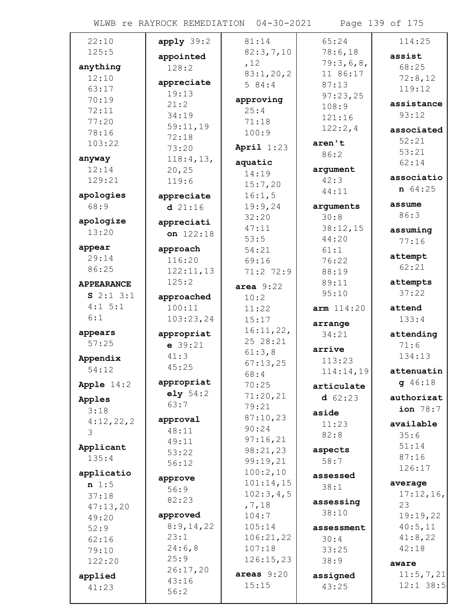WLWB re RAYROCK REMEDIATION 04-30-2021 Page 139 of 175

| 22:10             | $apply$ 39:2 | 81:14         | 65:24      | 114:25      |
|-------------------|--------------|---------------|------------|-------------|
| 125:5             |              | 82:3,7,10     | 78:6,18    | assist      |
|                   | appointed    | ,12           | 79:3,6,8,  |             |
| anything          | 128:2        | 83:1,20,2     | 11 86:17   | 68:25       |
| 12:10             | appreciate   | 584:4         | 87:13      | 72:8,12     |
| 63:17             | 19:13        |               |            | 119:12      |
| 70:19             | 21:2         | approving     | 97:23,25   | assistance  |
| 72:11             |              | 25:4          | 108:9      |             |
| 77:20             | 34:19        | 71:18         | 121:16     | 93:12       |
| 78:16             | 59:11,19     | 100:9         | 122:2,4    | associated  |
| 103:22            | 72:18        |               | aren't     | 52:21       |
|                   | 73:20        | April $1:23$  |            | 53:21       |
| anyway            | 118:4,13,    | aquatic       | 86:2       | 62:14       |
| 12:14             | 20, 25       | 14:19         | argument   |             |
| 129:21            | 119:6        |               | 42:3       | associatio  |
|                   |              | 15:7,20       | 44:11      | $n \ 64:25$ |
| apologies         | appreciate   | 16:1,5        |            |             |
| 68:9              | d21:16       | 19:9,24       | arguments  | assume      |
| apologize         |              | 32:20         | 30:8       | 86:3        |
| 13:20             | appreciati   | 47:11         | 38:12,15   | assuming    |
|                   | on $122:18$  | 53:5          | 44:20      | 77:16       |
| appear            | approach     | 54:21         | 61:1       |             |
| 29:14             | 116:20       | 69:16         | 76:22      | attempt     |
| 86:25             | 122:11,13    | $71:2$ $72:9$ | 88:19      | 62:21       |
|                   | 125:2        |               |            |             |
| <b>APPEARANCE</b> |              | area $9:22$   | 89:11      | attempts    |
| $S$ 2:1 3:1       | approached   | 10:2          | 95:10      | 37:22       |
| 4:1 5:1           | 100:11       | 11:22         | arm 114:20 | attend      |
| 6:1               | 103:23,24    | 15:17         |            | 133:4       |
|                   |              | 16:11,22,     | arrange    |             |
| appears           | appropriat   | 25 28:21      | 34:21      | attending   |
| 57:25             | $e$ 39:21    |               | arrive     | 71:6        |
| Appendix          | 41:3         | 61:3,8        | 113:23     | 134:13      |
| 54:12             | 45:25        | 67:13,25      |            | attenuatin  |
|                   |              | 68:4          | 114:14,19  |             |
| Apple $14:2$      | appropriat   | 70:25         | articulate | 946:18      |
| Apples            | e1y 54:2     | 71:20,21      | $d$ 62:23  | authorizat  |
| 3:18              | 63:7         | 79:21         |            | ion 78:7    |
|                   | approval     | 87:10,23      | aside      |             |
| 4:12,22,2         | 48:11        | 90:24         | 11:23      | available   |
| 3                 | 49:11        | 97:16,21      | 82:8       | 35:6        |
| Applicant         |              | 98:21,23      | aspects    | 51:14       |
| 135:4             | 53:22        | 99:19,21      | 58:7       | 87:16       |
|                   | 56:12        |               |            | 126:17      |
| applicatio        | approve      | 100:2,10      | assessed   |             |
| n 1:5             | 56:9         | 101:14,15     | 38:1       | average     |
| 37:18             | 82:23        | 102:3,4,5     |            | 17:12,16,   |
| 47:13,20          |              | , 7, 18       | assessing  | 23          |
| 49:20             | approved     | 104:7         | 38:10      | 19:19,22    |
| 52:9              | 8:9,14,22    | 105:14        | assessment | 40:5,11     |
| 62:16             | 23:1         | 106:21,22     | 30:4       | 41:8,22     |
| 79:10             | 24:6,8       | 107:18        | 33:25      | 42:18       |
|                   | 25:9         | 126:15,23     | 38:9       |             |
| 122:20            | 26:17,20     |               |            | aware       |
| applied           | 43:16        | areas $9:20$  | assigned   | 11:5, 7, 21 |
| 41:23             |              | 15:15         | 43:25      | $12:1$ 38:5 |
|                   | 56:2         |               |            |             |
|                   |              |               |            |             |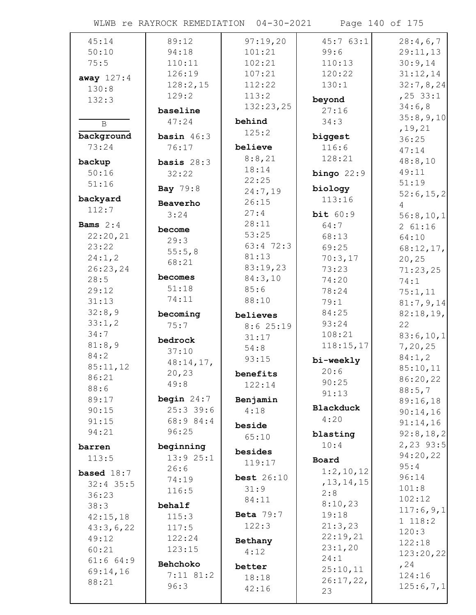|  | WLWB re RAYROCK REMEDIATION 04-30-2021 |  |
|--|----------------------------------------|--|
|  |                                        |  |

Page 140 of 175

| 45:14             | 89:12            | 97:19,20         | 45:763:1            | 28:4,6,7              |
|-------------------|------------------|------------------|---------------------|-----------------------|
| 50:10             | 94:18            | 101:21           | 99:6                | 29:11,13              |
| 75:5              | 110:11           | 102:21           | 110:13              | 30:9,14               |
| away $127:4$      | 126:19           | 107:21           | 120:22              | 31:12,14              |
| 130:8             | 128:2,15         | 112:22           | 130:1               | 32:7,8,24             |
| 132:3             | 129:2            | 113:2            | beyond              | $, 25$ 33:1           |
|                   | baseline         | 132:23,25        | 27:16               | 34:6,8                |
| $\, {\bf B}$      | 47:24            | behind           | 34:3                | 35:8,9,10             |
| background        | basin $46:3$     | 125:2            |                     | , 19, 21              |
| 73:24             | 76:17            | believe          | biggest<br>116:6    | 36:25                 |
|                   |                  | 8:8,21           | 128:21              | 47:14                 |
| backup            | basis $28:3$     | 18:14            |                     | 48:8,10               |
| 50:16             | 32:22            | 22:25            | bingo $22:9$        | 49:11                 |
| 51:16             | <b>Bay 79:8</b>  | 24:7,19          | biology             | 51:19                 |
| backyard          | Beaverho         | 26:15            | 113:16              | 52:6, 15, 2<br>4      |
| 112:7             | 3:24             | 27:4             | bit 60:9            | 56:8,10,1             |
| <b>Bams</b> $2:4$ |                  | 28:11            | 64:7                | 261:16                |
| 22:20,21          | become           | 53:25            | 68:13               | 64:10                 |
| 23:22             | 29:3             | 63:4 72:3        | 69:25               | 68:12,17,             |
| 24:1,2            | 55:5,8           | 81:13            | 70:3,17             | 20, 25                |
| 26:23,24          | 68:21            | 83:19,23         | 73:23               | 71:23,25              |
| 28:5              | becomes          | 84:3,10          | 74:20               | 74:1                  |
| 29:12             | 51:18            | 85:6             | 78:24               | 75:1,11               |
| 31:13             | 74:11            | 88:10            | 79:1                | 81:7,9,14             |
| 32:8,9            | becoming         | believes         | 84:25               | 82:18,19,             |
| 33:1,2            | 75:7             | 8:625:19         | 93:24               | 22                    |
| 34:7              | bedrock          | 31:17            | 108:21              | 83:6,10,1             |
| 81:8,9            | 37:10            | 54:8             | 118:15,17           | 7,20,25               |
| 84:2              | 48:14,17,        | 93:15            | bi-weekly           | 84:1,2                |
| 85:11,12          | 20, 23           | benefits         | 20:6                | 85:10,11              |
| 86:21             | 49:8             | 122:14           | 90:25               | 86:20,22              |
| 88:6<br>89:17     | begin $24:7$     |                  | 91:13               | 88:5,7                |
| 90:15             | $25:3$ 39:6      | Benjamin         | <b>Blackduck</b>    | 89:16,18              |
| 91:15             | 68:9 84:4        | 4:18             | 4:20                | 90:14,16              |
| 94:21             | 96:25            | beside           |                     | 91:14,16<br>92:8,18,2 |
|                   |                  | 65:10            | blasting<br>10:4    | 2,23 93:5             |
| barren            | beginning        | besides          |                     | 94:20,22              |
| 113:5             | 13:925:1<br>26:6 | 119:17           | Board               | 95:4                  |
| based $18:7$      | 74:19            | best $26:10$     | 1:2,10,12           | 96:14                 |
| $32:4$ 35:5       | 116:5            | 31:9             | , 13, 14, 15        | 101:8                 |
| 36:23             |                  | 84:11            | 2:8                 | 102:12                |
| 38:3              | behalf           | <b>Beta</b> 79:7 | 8:10,23             | 117:6,9,1             |
| 42:15,18          | 115:3            | 122:3            | 19:18               | 1 118:2               |
| 43:3,6,22         | 117:5            |                  | 21:3,23<br>22:19,21 | 120:3                 |
| 49:12             | 122:24           | Bethany          | 23:1,20             | 122:18                |
| 60:21             | 123:15           | 4:12             | 24:1                | 123:20,22             |
| 61:664:9          | Behchoko         | better           | 25:10,11            | , 24                  |
| 69:14,16<br>88:21 | $7:11$ 81:2      | 18:18            | 26:17,22,           | 124:16                |
|                   | 96:3             | 42:16            | 23                  | 125:6,7,1             |
|                   |                  |                  |                     |                       |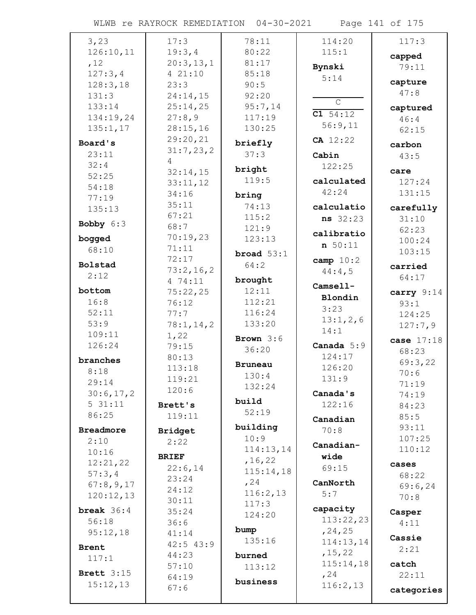WLWB re RAYROCK REMEDIATION 04-30-2021 Page 141 of 175

| 3,23             | 17:3           | 78:11          | 114:20       | 117:3      |
|------------------|----------------|----------------|--------------|------------|
| 126:10,11        | 19:3,4         | 80:22          | 115:1        |            |
| ,12              | 20:3,13,1      | 81:17          |              | capped     |
| 127:3,4          | 4 21:10        | 85:18          | Bynski       | 79:11      |
| 128:3,18         | 23:3           | 90:5           | 5:14         | capture    |
| 131:3            | 24:14,15       | 92:20          |              | 47:8       |
| 133:14           | 25:14,25       | 95:7,14        | $\mathsf{C}$ | captured   |
| 134:19,24        | 27:8,9         | 117:19         | C1 54:12     | 46:4       |
| 135:1,17         | 28:15,16       | 130:25         | 56:9,11      | 62:15      |
| Board's          | 29:20,21       |                | $CA$ 12:22   |            |
|                  | 31:7,23,2      | briefly        |              | carbon     |
| 23:11<br>32:4    | 4              | 37:3           | Cabin        | 43:5       |
| 52:25            | 32:14,15       | bright         | 122:25       | care       |
| 54:18            | 33:11,12       | 119:5          | calculated   | 127:24     |
| 77:19            | 34:16          | bring          | 42:24        | 131:15     |
| 135:13           | 35:11          | 74:13          | calculatio   | carefully  |
|                  | 67:21          | 115:2          | ns 32:23     | 31:10      |
| Bobby 6:3        | 68:7           | 121:9          |              | 62:23      |
| bogged           | 70:19,23       | 123:13         | calibratio   | 100:24     |
| 68:10            | 71:11          | broad $53:1$   | n 50:11      | 103:15     |
| Bolstad          | 72:17          |                | camp $10:2$  |            |
| 2:12             | 73:2,16,2      | 64:2           | 44:4,5       | carried    |
|                  | 4 74:11        | brought        | Camsell-     | 64:17      |
| bottom           | 75:22,25       | 12:11          | Blondin      | carry 9:14 |
| 16:8             | 76:12          | 112:21         | 3:23         | 93:1       |
| 52:11            | 77:7           | 116:24         | 13:1,2,6     | 124:25     |
| 53:9             | 78:1, 14, 2    | 133:20         | 14:1         | 127:7,9    |
| 109:11           | 1,22           | Brown $3:6$    |              | case 17:18 |
| 126:24           | 79:15          | 36:20          | Canada $5:9$ | 68:23      |
| branches         | 80:13          | <b>Bruneau</b> | 124:17       | 69:3,22    |
| 8:18             | 113:18         | 130:4          | 126:20       | 70:6       |
| 29:14            | 119:21         | 132:24         | 131:9        | 71:19      |
| 30:6,17,2        | 120:6          |                | Canada's     | 74:19      |
| 531:11           | Brett's        | build          | 122:16       | 84:23      |
| 86:25            | 119:11         | 52:19          | Canadian     | 85:5       |
| <b>Breadmore</b> | <b>Bridget</b> | building       | 70:8         | 93:11      |
| 2:10             | 2:22           | 10:9           | Canadian-    | 107:25     |
| 10:16            | <b>BRIEF</b>   | 114:13,14      | wide         | 110:12     |
| 12:21,22         | 22:6,14        | , 16, 22       | 69:15        | cases      |
| 57:3,4           | 23:24          | 115:14,18      |              | 68:22      |
| 67:8,9,17        | 24:12          | , 24           | CanNorth     | 69:6,24    |
| 120:12,13        | 30:11          | 116:2,13       | 5:7          | 70:8       |
| break $36:4$     | 35:24          | 117:3          | capacity     | Casper     |
| 56:18            | 36:6           | 124:20         | 113:22,23    | 4:11       |
| 95:12,18         | 41:14          | bump           | , 24, 25     |            |
| <b>Brent</b>     | $42:5$ $43:9$  | 135:16         | 114:13,14    | Cassie     |
| 117:1            | 44:23          | burned         | , 15, 22     | 2:21       |
|                  | 57:10          | 113:12         | 115:14,18    | catch      |
| Brett $3:15$     | 64:19          | business       | , 24         | 22:11      |
| 15:12,13         | 67:6           |                | 116:2,13     | categories |
|                  |                |                |              |            |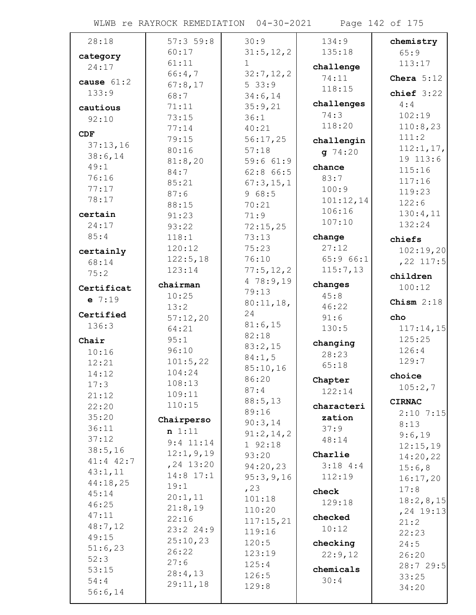WLWB re RAYROCK REMEDIATION 04-30-2021 Page 142 of 175

| 28:18           | 57:359:8       | 30:9              | 134:9             | chemistry            |
|-----------------|----------------|-------------------|-------------------|----------------------|
| category        | 60:17          | 31:5, 12, 2       | 135:18            | 65:9                 |
| 24:17           | 61:11          | $\mathbf 1$       | challenge         | 113:17               |
| cause $61:2$    | 66:4,7         | 32:7,12,2         | 74:11             | Chera $5:12$         |
| 133:9           | 67:8,17        | 533:9             | 118:15            | chief $3:22$         |
|                 | 68:7           | 34:6,14           | challenges        | 4:4                  |
| cautious        | 71:11          | 35:9,21           | 74:3              | 102:19               |
| 92:10           | 73:15          | 36:1              | 118:20            | 110:8,23             |
| CDF             | 77:14<br>79:15 | 40:21             |                   | 111:2                |
| 37:13,16        | 80:16          | 56:17,25<br>57:18 | challengin        | 112:1, 17,           |
| 38:6,14         | 81:8,20        | 59:661:9          | $g$ 74:20         | 19 113:6             |
| 49:1            | 84:7           | $62:8$ $66:5$     | chance            | 115:16               |
| 76:16           | 85:21          | 67:3,15,1         | 83:7              | 117:16               |
| 77:17           | 87:6           | 968:5             | 100:9             | 119:23               |
| 78:17           | 88:15          | 70:21             | 101:12,14         | 122:6                |
| certain         | 91:23          | 71:9              | 106:16            | 130:4,11             |
| 24:17           | 93:22          | 72:15,25          | 107:10            | 132:24               |
| 85:4            | 118:1          | 73:13             | change            | chiefs               |
| certainly       | 120:12         | 75:23             | 27:12             | 102:19,20            |
| 68:14           | 122:5,18       | 76:10             | 65:966:1          | $, 22$ 117:5         |
| 75:2            | 123:14         | 77:5, 12, 2       | 115:7,13          |                      |
|                 | chairman       | 478:9,19          | changes           | children             |
| Certificat      | 10:25          | 79:13             | 45:8              | 100:12               |
| $e$ 7:19        | 13:2           | 80:11,18,         | 46:22             | Chism $2:18$         |
| Certified       | 57:12,20       | 24                | 91:6              | cho                  |
| 136:3           | 64:21          | 81:6,15           | 130:5             | 117:14,15            |
| Chair           | 95:1           | 82:18             |                   | 125:25               |
| 10:16           | 96:10          | 83:2,15           | changing<br>28:23 | 126:4                |
| 12:21           | 101:5,22       | 84:1,5            | 65:18             | 129:7                |
| 14:12           | 104:24         | 85:10,16          |                   | choice               |
| 17:3            | 108:13         | 86:20             | Chapter           | 105:2,7              |
| 21:12           | 109:11         | 87:4              | 122:14            |                      |
| 22:20           | 110:15         | 88:5,13           | characteri        | <b>CIRNAC</b>        |
| 35:20           | Chairperso     | 89:16<br>90:3,14  | zation            | $2:10$ 7:15          |
| 36:11           | n 1:11         | 91:2,14,2         | 37:9              | 8:13                 |
| 37:12           | $9:4$ 11:14    | 192:18            | 48:14             | 9:6,19               |
| 38:5,16         | 12:1, 9, 19    | 93:20             | Charlie           | 12:15,19<br>14:20,22 |
| 41:4 42:7       | $, 24$ 13:20   | 94:20,23          | 3:184:3           | 15:6,8               |
| 43:1,11         | 14:8 17:1      | 95:3,9,16         | 112:19            | 16:17,20             |
| 44:18,25        | 19:1           | , 23              |                   | 17:8                 |
| 45:14           | 20:1,11        | 101:18            | check<br>129:18   | 18:2,8,15            |
| 46:25           | 21:8,19        | 110:20            |                   | $, 24$ 19:13         |
| 47:11           | 22:16          | 117:15,21         | checked           | 21:2                 |
| 48:7,12         | 23:224:9       | 119:16            | 10:12             | 22:23                |
| 49:15           | 25:10,23       | 120:5             | checking          | 24:5                 |
| 51:6,23<br>52:3 | 26:22          | 123:19            | 22:9,12           | 26:20                |
| 53:15           | 27:6           | 125:4             | chemicals         | 28:7 29:5            |
| 54:4            | 28:4,13        | 126:5             | 30:4              | 33:25                |
| 56:6,14         | 29:11,18       | 129:8             |                   | 34:20                |
|                 |                |                   |                   |                      |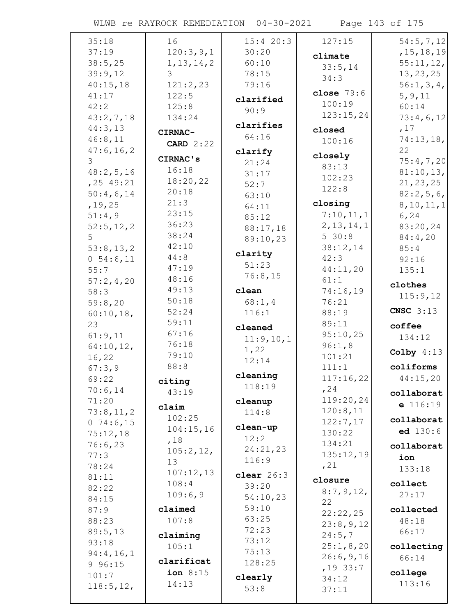WLWB re RAYROCK REMEDIATION 04-30-2021 Page 143 of 175

| 35:18        | 16               | 15:420:3     | 127:15          | 54:5, 7, 12  |
|--------------|------------------|--------------|-----------------|--------------|
| 37:19        | 120:3,9,1        | 30:20        | climate         | , 15, 18, 19 |
| 38:5,25      | 1, 13, 14, 2     | 60:10        | 33:5,14         | 55:11,12,    |
| 39:9,12      | 3                | 78:15        | 34:3            | 13, 23, 25   |
| 40:15,18     | 121:2,23         | 79:16        |                 | 56:1, 3, 4,  |
| 41:17        | 122:5            | clarified    | close $79:6$    | 5, 9, 11     |
| 42:2         | 125:8            | 90:9         | 100:19          | 60:14        |
| 43:2,7,18    | 134:24           |              | 123:15,24       | 73:4,6,12    |
| 44:3,13      | CIRNAC-          | clarifies    | closed          | ,17          |
| 46:8,11      | <b>CARD</b> 2:22 | 64:16        | 100:16          | 74:13,18,    |
| 47:6, 16, 2  |                  | clarify      |                 | 22           |
| 3            | CIRNAC's         | 21:24        | closely         | 75:4,7,20    |
| 48:2,5,16    | 16:18            | 31:17        | 83:13<br>102:23 | 81:10,13,    |
| $, 25$ 49:21 | 18:20,22         | 52:7         |                 | 21, 23, 25   |
| 50:4,6,14    | 20:18            | 63:10        | 122:8           | 82:2,5,6,    |
| , 19, 25     | 21:3             | 64:11        | closing         | 8, 10, 11, 1 |
| 51:4,9       | 23:15            | 85:12        | 7:10,11,1       | 6, 24        |
| 52:5, 12, 2  | 36:23            | 88:17,18     | 2, 13, 14, 1    | 83:20,24     |
| 5            | 38:24            | 89:10,23     | 530:8           | 84:4,20      |
| 53:8,13,2    | 42:10            |              | 38:12,14        | 85:4         |
| 0 54:6,11    | 44:8             | clarity      | 42:3            | 92:16        |
| 55:7         | 47:19            | 51:23        | 44:11,20        | 135:1        |
| 57:2,4,20    | 48:16            | 76:8,15      | 61:1            | clothes      |
| 58:3         | 49:13            | clean        | 74:16,19        | 115:9,12     |
| 59:8,20      | 50:18            | 68:1, 4      | 76:21           |              |
| 60:10,18,    | 52:24            | 116:1        | 88:19           | CNSC $3:13$  |
|              |                  |              |                 |              |
| 23           | 59:11            |              | 89:11           | coffee       |
| 61:9,11      | 67:16            | cleaned      | 95:10,25        | 134:12       |
| 64:10,12,    | 76:18            | 11:9,10,1    | 96:1,8          |              |
| 16,22        | 79:10            | 1,22         | 101:21          | Colby $4:13$ |
| 67:3,9       | 88:8             | 12:14        | 111:1           | coliforms    |
| 69:22        | citing           | cleaning     | 117:16,22       | 44:15,20     |
| 70:6,14      | 43:19            | 118:19       | , 24            | collaborat   |
| 71:20        |                  | cleanup      | 119:20,24       |              |
| 73:8,11,2    | claim            | 114:8        | 120:8,11        | $e$ 116:19   |
| 074:6,15     | 102:25           |              | 122:7,17        | collaborat   |
| 75:12,18     | 104:15,16        | clean-up     | 130:22          | ed 130:6     |
| 76:6,23      | ,18              | 12:2         | 134:21          | collaborat   |
| 77:3         | 105:2,12,        | 24:21,23     | 135:12,19       | ion          |
| 78:24        | 13               | 116:9        | , 21            | 133:18       |
| 81:11        | 107:12,13        | clear $26:3$ | closure         |              |
| 82:22        | 108:4            | 39:20        | 8:7,9,12,       | collect      |
| 84:15        | 109:6,9          | 54:10,23     | 22              | 27:17        |
| 87:9         | claimed          | 59:10        | 22:22,25        | collected    |
| 88:23        | 107:8            | 63:25        | 23:8,9,12       | 48:18        |
| 89:5,13      | claiming         | 72:23        | 24:5,7          | 66:17        |
| 93:18        | 105:1            | 73:12        | 25:1,8,20       | collecting   |
| 94:4,16,1    |                  | 75:13        | 26:6,9,16       | 66:14        |
| 9 96:15      | clarificat       | 128:25       | ,1933:7         |              |
| 101:7        | ion $8:15$       | clearly      | 34:12           | college      |
| 118:5, 12,   | 14:13            | 53:8         | 37:11           | 113:16       |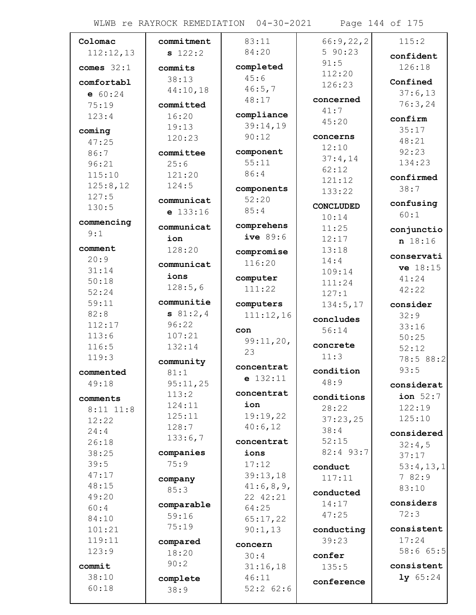WLWB re RAYROCK REMEDIATION 04-30-2021 Page 144 of 175

| Colomac       | commitment    | 83:11                  | 66:9,22,2        | 115:2              |
|---------------|---------------|------------------------|------------------|--------------------|
| 112:12,13     | s 122:2       | 84:20                  | 590:23           | confident          |
| comes $32:1$  | commits       | completed              | 91:5             | 126:18             |
|               | 38:13         | 45:6                   | 112:20           |                    |
| comfortabl    | 44:10,18      | 46:5,7                 | 126:23           | Confined           |
| e 60:24       |               | 48:17                  | concerned        | 37:6,13            |
| 75:19         | committed     |                        | 41:7             | 76:3,24            |
| 123:4         | 16:20         | compliance<br>39:14,19 | 45:20            | confirm            |
| coming        | 19:13         | 90:12                  | concerns         | 35:17              |
| 47:25         | 120:23        |                        | 12:10            | 48:21              |
| 86:7          | committee     | component              | 37:4,14          | 92:23              |
| 96:21         | 25:6          | 55:11                  | 62:12            | 134:23             |
| 115:10        | 121:20        | 86:4                   | 121:12           | confirmed          |
| 125:8,12      | 124:5         | components             | 133:22           | 38:7               |
| 127:5         | communicat    | 52:20                  |                  | confusing          |
| 130:5         | $e$ 133:16    | 85:4                   | <b>CONCLUDED</b> | 60:1               |
| commencing    | communicat    | comprehens             | 10:14            |                    |
| 9:1           |               | ive $89:6$             | 11:25            | conjunctio         |
| comment       | ion<br>128:20 |                        | 12:17<br>13:18   | n 18:16            |
| 20:9          |               | compromise             | 14:4             | conservati         |
| 31:14         | communicat    | 116:20                 | 109:14           | ve 18:15           |
| 50:18         | ions          | computer               | 111:24           | 41:24              |
| 52:24         | 128:5,6       | 111:22                 | 127:1            | 42:22              |
| 59:11         | communitie    | computers              | 134:5,17         | consider           |
| 82:8          | 81:2,4        | 111:12,16              |                  | 32:9               |
| 112:17        | 96:22         |                        | concludes        | 33:16              |
| 113:6         | 107:21        | con                    | 56:14            | 50:25              |
| 116:5         | 132:14        | 99:11,20,              | concrete         | 52:12              |
| 119:3         | community     | 23                     | 11:3             | 78:5 88:2          |
| commented     | 81:1          | concentrat             | condition        | 93:5               |
| 49:18         | 95:11,25      | $e$ 132:11             | 48:9             | considerat         |
|               | 113:2         | concentrat             | conditions       | ion $52:7$         |
| comments      | 124:11        | ion                    | 28:22            | 122:19             |
| $8:11$ $11:8$ | 125:11        | 19:19,22               | 37:23,25         | 125:10             |
| 12:22<br>24:4 | 128:7         | 40:6,12                | 38:4             |                    |
| 26:18         | 133:6,7       | concentrat             | 52:15            | considered         |
| 38:25         | companies     | ions                   | 82:4 93:7        | 32:4,5             |
| 39:5          | 75:9          | 17:12                  |                  | 37:17              |
| 47:17         |               | 39:13,18               | conduct          | 53:4,13,1<br>782:9 |
| 48:15         | company       | 41:6,8,9,              | 117:11           | 83:10              |
| 49:20         | 85:3          | 22 42:21               | conducted        |                    |
| 60:4          | comparable    | 64:25                  | 14:17            | considers          |
| 84:10         | 59:16         | 65:17,22               | 47:25            | 72:3               |
| 101:21        | 75:19         | 90:1,13                | conducting       | consistent         |
| 119:11        | compared      |                        | 39:23            | 17:24              |
| 123:9         | 18:20         | concern<br>30:4        | confer           | 58:6 65:5          |
| commit        | 90:2          | 31:16,18               | 135:5            | consistent         |
| 38:10         | complete      | 46:11                  |                  | 1y 65:24           |
| 60:18         | 38:9          | $52:2$ 62:6            | conference       |                    |
|               |               |                        |                  |                    |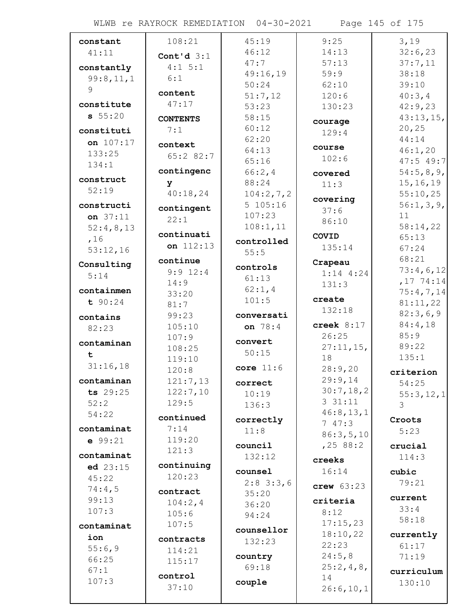WLWB re RAYROCK REMEDIATION 04-30-2021 Page 145 of 175

| constant   | 108:21          | 45:19                 | 9:25         | 3,19              |
|------------|-----------------|-----------------------|--------------|-------------------|
| 41:11      | Cont'd $3:1$    | 46:12                 | 14:13        | 32:6,23           |
| constantly | $4:1 \ 5:1$     | 47:7                  | 57:13        | 37:7,11           |
| 99:8,11,1  | 6:1             | 49:16,19              | 59:9         | 38:18             |
| 9          |                 | 50:24                 | 62:10        | 39:10             |
|            | content         | 51:7,12               | 120:6        | 40:3,4            |
| constitute | 47:17           | 53:23                 | 130:23       | 42:9,23           |
| 55:20      | <b>CONTENTS</b> | 58:15                 | courage      | 43:13,15,         |
| constituti | 7:1             | 60:12                 | 129:4        | 20, 25            |
| on 107:17  | context         | 62:20                 | course       | 44:14             |
| 133:25     | 65:282:7        | 64:13                 | 102:6        | 46:1,20           |
| 134:1      |                 | 65:16                 |              | $47:5$ 49:7       |
| construct  | contingenc      | 66:2,4                | covered      | 54:5,8,9,         |
| 52:19      | У               | 88:24                 | 11:3         | 15, 16, 19        |
|            | 40:18,24        | 104:2,7,2<br>5 105:16 | covering     | 55:10,25          |
| constructi | contingent      |                       | 37:6         | 56:1,3,9,         |
| on 37:11   | 22:1            | 107:23                | 86:10        | 11                |
| 52:4,8,13  | continuati      | 108:1,11              | COVID        | 58:14,22<br>65:13 |
| ,16        | on $112:13$     | controlled            | 135:14       | 67:24             |
| 53:12,16   |                 | 55:5                  |              | 68:21             |
| Consulting | continue        | controls              | Crapeau      | 73:4,6,12         |
| 5:14       | $9:9$ 12:4      | 61:13                 | $1:14$ 4:24  | ,1774:14          |
| containmen | 14:9            | 62:1, 4               | 131:3        | 75:4,7,14         |
| t 90:24    | 33:20<br>81:7   | 101:5                 | create       | 81:11,22          |
|            | 99:23           | conversati            | 132:18       | 82:3,6,9          |
| contains   | 105:10          | on 78:4               | creek $8:17$ | 84:4,18           |
| 82:23      | 107:9           |                       | 26:25        | 85:9              |
| contaminan | 108:25          | convert               | 27:11,15,    | 89:22             |
| t          | 119:10          | 50:15                 | 18           | 135:1             |
| 31:16,18   | 120:8           | core $11:6$           | 28:9,20      | criterion         |
| contaminan | 121:7,13        | correct               | 29:9,14      | 54:25             |
| ts 29:25   | 122:7,10        | 10:19                 | 30:7,18,2    | 55:3,12,1         |
| 52:2       | 129:5           | 136:3                 | 331:11       | 3                 |
| 54:22      | continued       |                       | 46:8, 13, 1  |                   |
| contaminat | 7:14            | correctly             | 747:3        | Croots            |
| e 99:21    | 119:20          | 11:8                  | 86:3,5,10    | 5:23              |
|            | 121:3           | council               | , 2588:2     | crucial           |
| contaminat |                 | 132:12                | creeks       | 114:3             |
| ed $23:15$ | continuing      | counsel               | 16:14        | cubic             |
| 45:22      | 120:23          | $2:8$ 3:3,6           | crew $63:23$ | 79:21             |
| 74:4,5     | contract        | 35:20                 |              | current           |
| 99:13      | 104:2,4         | 36:20                 | criteria     | 33:4              |
| 107:3      | 105:6           | 94:24                 | 8:12         | 58:18             |
| contaminat | 107:5           | counsellor            | 17:15,23     |                   |
| ion        | contracts       | 132:23                | 18:10,22     | currently         |
| 55:6,9     | 114:21          |                       | 22:23        | 61:17             |
| 66:25      | 115:17          | country               | 24:5,8       | 71:19             |
| 67:1       | control         | 69:18                 | 25:2,4,8,    | curriculum        |
| 107:3      | 37:10           | couple                | 14           | 130:10            |
|            |                 |                       | 26:6, 10, 1  |                   |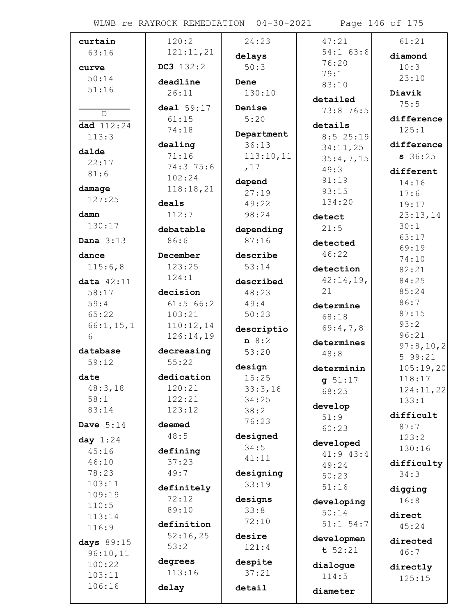WLWB re RAYROCK REMEDIATION 04-30-2021 Page 146 of 175

| curtain                | 120:2               | 24:23           | 47:21               | 61:21         |
|------------------------|---------------------|-----------------|---------------------|---------------|
| 63:16                  | 121:11,21           | delays          | $54:1$ 63:6         | diamond       |
| curve                  | DC3 132:2           | 50:3            | 76:20               | 10:3          |
| 50:14                  |                     |                 | 79:1                | 23:10         |
| 51:16                  | deadline            | Dene            | 83:10               |               |
|                        | 26:11               | 130:10          | detailed            | Diavik        |
| $\mathbb{D}$           | deal 59:17          | Denise          | 73:8 76:5           | 75:5          |
|                        | 61:15               | 5:20            |                     | difference    |
| dad 112:24<br>113:3    | 74:18               | Department      | details<br>8:525:19 | 125:1         |
|                        | dealing             | 36:13           | 34:11,25            | difference    |
| dalde                  | 71:16               | 113:10,11       | 35:4,7,15           | $s$ 36:25     |
| 22:17                  | 74:3 75:6           | ,17             | 49:3                |               |
| 81:6                   | 102:24              |                 | 91:19               | different     |
| damage                 | 118:18,21           | depend<br>27:19 | 93:15               | 14:16         |
| 127:25                 | deals               | 49:22           | 134:20              | 17:6<br>19:17 |
| damn                   | 112:7               | 98:24           |                     | 23:13,14      |
| 130:17                 |                     |                 | detect              | 30:1          |
|                        | debatable           | depending       | 21:5                | 63:17         |
| Dana $3:13$            | 86:6                | 87:16           | detected            | 69:19         |
| dance                  | December            | describe        | 46:22               | 74:10         |
| 115:6,8                | 123:25              | 53:14           | detection           | 82:21         |
| data $42:11$           | 124:1               | described       | 42:14,19,           | 84:25         |
| 58:17                  | decision            | 48:23           | 21                  | 85:24         |
| 59:4                   | 61:5 66:2           | 49:4            |                     | 86:7          |
| 65:22                  | 103:21              | 50:23           | determine<br>68:18  | 87:15         |
| 66:1, 15, 1            | 110:12,14           |                 |                     | 93:2          |
| 6                      | 126:14,19           | descriptio      | 69:4,7,8            | 96:21         |
|                        |                     | n 8:2           | determines          | 97:8,10,2     |
| database               | decreasing<br>55:22 | 53:20           | 48:8                | 599:21        |
| 59:12                  |                     | design          | determinin          | 105:19,20     |
| date                   | dedication          | 15:25           | g 51:17             | 118:17        |
| 48:3,18                | 120:21              | 33:3,16         | 68:25               | 124:11,22     |
| 58:1                   | 122:21              | 34:25           | develop             | 133:1         |
| 83:14                  | 123:12              | 38:2            | 51:9                | difficult     |
| Dave $5:14$            | deemed              | 76:23           | 60:23               | 87:7          |
| day $1:24$             | 48:5                | designed        |                     | 123:2         |
| 45:16                  | defining            | 34:5            | developed           | 130:16        |
| 46:10                  | 37:23               | 41:11           | 41:9 43:4           | difficulty    |
| 78:23                  | 49:7                | designing       | 49:24               | 34:3          |
| 103:11                 |                     | 33:19           | 50:23               |               |
| 109:19                 | definitely          |                 | 51:16               | digging       |
| 110:5                  | 72:12               | designs         | developing          | 16:8          |
| 113:14                 | 89:10               | 33:8            | 50:14               | direct        |
| 116:9                  | definition          | 72:10           | $51:1$ 54:7         | 45:24         |
|                        | 52:16,25            | desire          | developmen          | directed      |
| days 89:15<br>96:10,11 | 53:2                | 121:4           | t 52:21             | 46:7          |
| 100:22                 | degrees             | despite         |                     |               |
| 103:11                 | 113:16              | 37:21           | dialogue            | directly      |
| 106:16                 |                     |                 | 114:5               | 125:15        |
|                        | delay               | detail          | diameter            |               |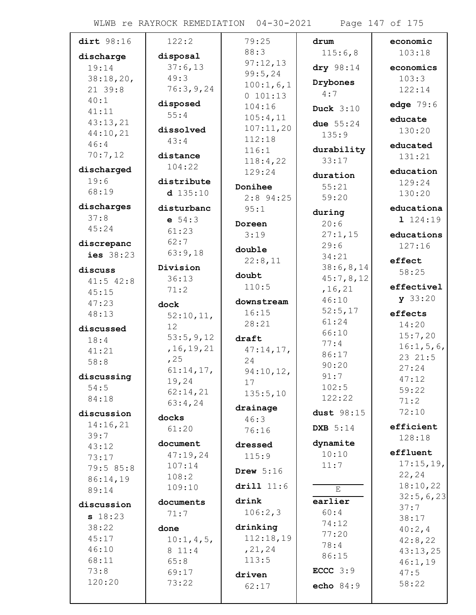WLWB re RAYROCK REMEDIATION 04-30-2021 Page 147 of 175

| dirt 98:16        | 122:2              | 79:25            | drum              | economic           |
|-------------------|--------------------|------------------|-------------------|--------------------|
|                   |                    | 88:3             | 115:6,8           | 103:18             |
| discharge         | disposal           | 97:12,13         |                   |                    |
| 19:14             | 37:6,13            | 99:5,24          | dry 98:14         | economics          |
| 38:18,20,         | 49:3               | 100:1,6,1        | Drybones          | 103:3              |
| 21 39:8           | 76:3,9,24          | 0 101:13         | 4:7               | 122:14             |
| 40:1              | disposed           | 104:16           | <b>Duck</b> 3:10  | edge 79:6          |
| 41:11<br>43:13,21 | 55:4               | 105:4,11         |                   | educate            |
| 44:10,21          | dissolved          | 107:11,20        | due $55:24$       | 130:20             |
| 46:4              | 43:4               | 112:18           | 135:9             |                    |
| 70:7,12           | distance           | 116:1            | durability        | educated<br>131:21 |
|                   | 104:22             | 118:4,22         | 33:17             |                    |
| discharged        |                    | 129:24           | duration          | education          |
| 19:6              | distribute         | Donihee          | 55:21             | 129:24             |
| 68:19             | $d$ 135:10         | $2:8$ 94:25      | 59:20             | 130:20             |
| discharges        | disturbanc         | 95:1             | during            | educationa         |
| 37:8              | e 54:3             | Doreen           | 20:6              | 1124:19            |
| 45:24             | 61:23              | 3:19             | 27:1,15           | educations         |
| discrepanc        | 62:7               |                  | 29:6              | 127:16             |
| ies 38:23         | 63:9,18            | double           | 34:21             |                    |
| discuss           | Division           | 22:8,11          | 38:6,8,14         | effect             |
| $41:5$ $42:8$     | 36:13              | doubt            | 45:7,8,12         | 58:25              |
| 45:15             | 71:2               | 110:5            | , 16, 21          | effectivel         |
| 47:23             | dock               | downstream       | 46:10             | y 33:20            |
| 48:13             | 52:10,11,          | 16:15            | 52:5,17           | effects            |
|                   | 12                 | 28:21            | 61:24             | 14:20              |
| discussed         | 53:5,9,12          | draft            | 66:10             | 15:7,20            |
| 18:4              | , 16, 19, 21       | 47:14,17,        | 77:4              | 16:1, 5, 6,        |
| 41:21<br>58:8     | , 25               | 24               | 86:17             | 23 21:5            |
|                   | 61:14,17,          | 94:10,12,        | 90:20             | 27:24              |
| discussing        | 19,24              | 17               | 91:7              | 47:12              |
| 54:5              | 62:14,21           | 135:5,10         | 102:5             | 59:22              |
| 84:18             | 63:4,24            |                  | 122:22            | 71:2               |
| discussion        | docks              | drainage<br>46:3 | dust 98:15        | 72:10              |
| 14:16,21          | 61:20              | 76:16            | <b>DXB</b> 5:14   | efficient          |
| 39:7              |                    |                  |                   | 128:18             |
| 43:12             | document           | dressed          | dynamite<br>10:10 | effluent           |
| 73:17             | 47:19,24<br>107:14 | 115:9            | 11:7              | 17:15,19,          |
| 79:5 85:8         | 108:2              | Drew $5:16$      |                   | 22,24              |
| 86:14,19          | 109:10             | drill 11:6       |                   | 18:10,22           |
| 89:14             |                    |                  | E                 | 32:5,6,23          |
| discussion        | documents          | drink            | earlier           | 37:7               |
| s 18:23           | 71:7               | 106:2,3          | 60:4              | 38:17              |
| 38:22             | done               | drinking         | 74:12<br>77:20    | 40:2, 4            |
| 45:17             | $10:1,4,5$ ,       | 112:18,19        | 78:4              | 42:8,22            |
| 46:10             | 8 11:4             | , 21, 24         | 86:15             | 43:13,25           |
| 68:11             | 65:8               | 113:5            |                   | 46:1,19            |
| 73:8              | 69:17              | driven           | ECCC $3:9$        | 47:5               |
| 120:20            | 73:22              | 62:17            | echo 84:9         | 58:22              |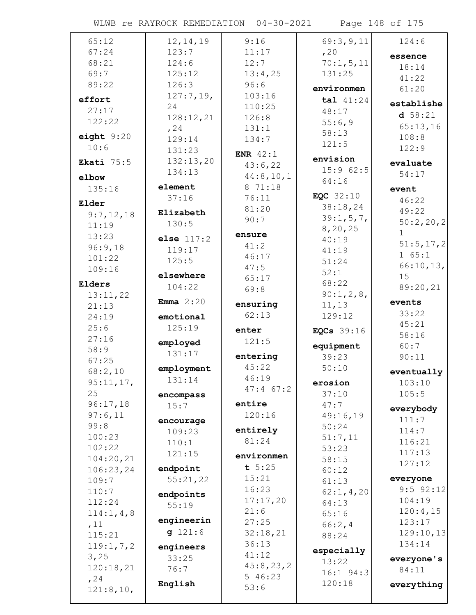WLWB re RAYROCK REMEDIATION 04-30-2021 Page 148 of 175

| 65:12        | 12, 14, 19   | 9:16              | 69:3,9,11   | 124:6         |
|--------------|--------------|-------------------|-------------|---------------|
| 67:24        | 123:7        | 11:17             | , 20        | essence       |
| 68:21        | 124:6        | 12:7              | 70:1, 5, 11 | 18:14         |
| 69:7         | 125:12       | 13:4,25           | 131:25      | 41:22         |
| 89:22        | 126:3        | 96:6              | environmen  | 61:20         |
| effort       | 127:7,19,    | 103:16            |             |               |
|              | 24           | 110:25            | tal 41:24   | establishe    |
| 27:17        | 128:12,21    | 126:8             | 48:17       | d 58:21       |
| 122:22       | , 24         | 131:1             | 55:6,9      | 65:13,16      |
| eight $9:20$ | 129:14       | 134:7             | 58:13       | 108:8         |
| 10:6         | 131:23       |                   | 121:5       | 122:9         |
| Ekati $75:5$ | 132:13,20    | ENR $42:1$        | envision    | evaluate      |
|              | 134:13       | 43:6,22           | 15:962:5    |               |
| elbow        |              | 44:8,10,1         | 64:16       | 54:17         |
| 135:16       | element      | 8 71:18           |             | event         |
| Elder        | 37:16        | 76:11             | EQC $32:10$ | 46:22         |
| 9:7,12,18    | Elizabeth    | 81:20             | 38:18,24    | 49:22         |
| 11:19        | 130:5        | 90:7              | 39:1, 5, 7, | 50:2,20,2     |
| 13:23        |              | ensure            | 8,20,25     | 1             |
| 96:9,18      | else $117:2$ | 41:2              | 40:19       | 51:5, 17, 2   |
| 101:22       | 119:17       | 46:17             | 41:19       | 1 65:1        |
| 109:16       | 125:5        | 47:5              | 51:24       | 66:10,13,     |
|              | elsewhere    | 65:17             | 52:1        | 15            |
| Elders       | 104:22       | 69:8              | 68:22       | 89:20,21      |
| 13:11,22     |              |                   | 90:1,2,8,   |               |
| 21:13        | Emma $2:20$  | ensuring          | 11, 13      | events        |
| 24:19        | emotional    | 62:13             | 129:12      | 33:22         |
| 25:6         | 125:19       | enter             | EQCs 39:16  | 45:21         |
| 27:16        | employed     | 121:5             |             | 58:16         |
| 58:9         | 131:17       |                   | equipment   | 60:7          |
| 67:25        |              | entering          | 39:23       | 90:11         |
| 68:2,10      | employment   | 45:22             | 50:10       | eventually    |
| 95:11,17,    | 131:14       | 46:19             | erosion     | 103:10        |
| 25           | encompass    | $47:4$ 67:2       | 37:10       | 105:5         |
| 96:17,18     | 15:7         | entire            | 47:7        |               |
| 97:6,11      |              | 120:16            | 49:16,19    | everybody     |
| 99:8         | encourage    |                   | 50:24       | 111:7         |
| 100:23       | 109:23       | entirely<br>81:24 | 51:7,11     | 114:7         |
| 102:22       | 110:1        |                   | 53:23       | 116:21        |
| 104:20,21    | 121:15       | environmen        | 58:15       | 117:13        |
| 106:23,24    | endpoint     | t 5:25            | 60:12       | 127:12        |
| 109:7        | 55:21,22     | 15:21             | 61:13       | everyone      |
| 110:7        | endpoints    | 16:23             | 62:1, 4, 20 | $9:5$ $92:12$ |
| 112:24       |              | 17:17,20          | 64:13       | 104:19        |
| 114:1, 4, 8  | 55:19        | 21:6              | 65:16       | 120:4,15      |
| ,11          | engineerin   | 27:25             | 66:2,4      | 123:17        |
| 115:21       | g 121:6      | 32:18,21          | 88:24       | 129:10,13     |
| 119:1, 7, 2  | engineers    | 36:13             |             | 134:14        |
| 3,25         | 33:25        | 41:12             | especially  |               |
| 120:18,21    | 76:7         | 45:8,23,2         | 13:22       | everyone's    |
| , 24         |              | 5 46:23           | 16:1 94:3   | 84:11         |
| 121:8,10,    | English      | 53:6              | 120:18      | everything    |
|              |              |                   |             |               |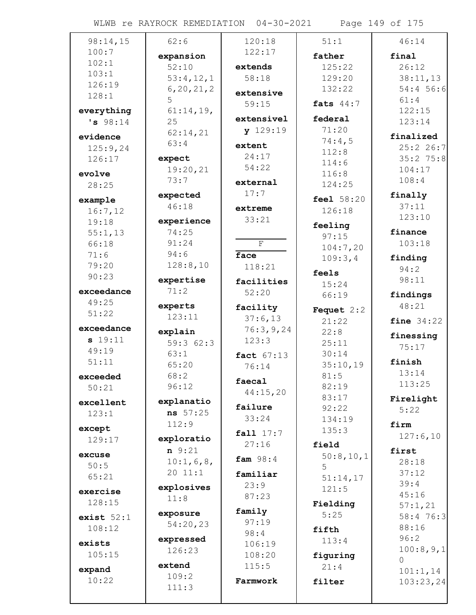WLWB re RAYROCK REMEDIATION 04-30-2021 Page 149 of 175

| 98:14,15     | 62:6                 | 120:18                  | 51:1                | 46:14        |
|--------------|----------------------|-------------------------|---------------------|--------------|
| 100:7        | expansion            | 122:17                  | father              | final        |
| 102:1        | 52:10                | extends                 | 125:22              | 26:12        |
| 103:1        | 53:4,12,1            | 58:18                   | 129:20              | 38:11,13     |
| 126:19       | 6, 20, 21, 2         |                         | 132:22              | 54:4 56:6    |
| 128:1        | 5                    | extensive               |                     | 61:4         |
| everything   | 61:14,19,            | 59:15                   | fats $44:7$         | 122:15       |
| 's 98:14     | 25                   | extensivel              | federal             | 123:14       |
|              | 62:14,21             | y 129:19                | 71:20               |              |
| evidence     | 63:4                 | extent                  | 74:4,5              | finalized    |
| 125:9,24     |                      | 24:17                   | 112:8               | 25:226:7     |
| 126:17       | expect               | 54:22                   | 114:6               | $35:2$ 75:8  |
| evolve       | 19:20,21             |                         | 116:8               | 104:17       |
| 28:25        | 73:7                 | external                | 124:25              | 108:4        |
| example      | expected             | 17:7                    | feel 58:20          | finally      |
| 16:7,12      | 46:18                | extreme                 | 126:18              | 37:11        |
| 19:18        | experience           | 33:21                   |                     | 123:10       |
| 55:1,13      | 74:25                |                         | feeling             | finance      |
| 66:18        | 91:24                | $\overline{\mathrm{F}}$ | 97:15               | 103:18       |
| 71:6         | 94:6                 | face                    | 104:7,20            |              |
| 79:20        | 128:8,10             | 118:21                  | 109:3,4             | finding      |
| 90:23        |                      |                         | feels               | 94:2         |
|              | expertise            | facilities              | 15:24               | 98:11        |
| exceedance   | 71:2                 | 52:20                   | 66:19               | findings     |
| 49:25        | experts              | facility                | <b>Fequet</b> $2:2$ | 48:21        |
| 51:22        | 123:11               | 37:6,13                 | 21:22               | fine $34:22$ |
| exceedance   | explain              | 76:3,9,24               | 22:8                |              |
| s 19:11      | 59:362:3             | 123:3                   | 25:11               | finessing    |
| 49:19        | 63:1                 | fact 67:13              | 30:14               | 75:17        |
| 51:11        | 65:20                | 76:14                   | 35:10,19            | finish       |
| exceeded     | 68:2                 |                         | 81:5                | 13:14        |
| 50:21        | 96:12                | faecal                  | 82:19               | 113:25       |
|              |                      | 44:15,20                | 83:17               | Firelight    |
| excellent    | explanatio           | failure                 | 92:22               | 5:22         |
| 123:1        | ns 57:25             | 33:24                   | 134:19              |              |
| except       | 112:9                | fall 17:7               | 135:3               | firm         |
| 129:17       | exploratio           | 27:16                   | field               | 127:6,10     |
| excuse       | $n \t 9:21$          |                         | 50:8,10,1           | first        |
| 50:5         | 10:1, 6, 8,          | fam $98:4$              | 5                   | 28:18        |
| 65:21        | 20 11:1              | familiar                | 51:14,17            | 37:12        |
|              | explosives           | 23:9                    | 121:5               | 39:4         |
| exercise     | 11:8                 | 87:23                   |                     | 45:16        |
| 128:15       |                      | family                  | Fielding            | 57:1,21      |
| exist $52:1$ | exposure<br>54:20,23 | 97:19                   | 5:25                | 58:4 76:3    |
| 108:12       |                      | 98:4                    | fifth               | 88:16        |
| exists       | expressed            | 106:19                  | 113:4               | 96:2         |
| 105:15       | 126:23               | 108:20                  | figuring            | 100:8,9,1    |
|              | extend               | 115:5                   | 21:4                | $\Omega$     |
| expand       | 109:2                |                         |                     | 101:1,14     |
| 10:22        | 111:3                | Farmwork                | filter              | 103:23,24    |
|              |                      |                         |                     |              |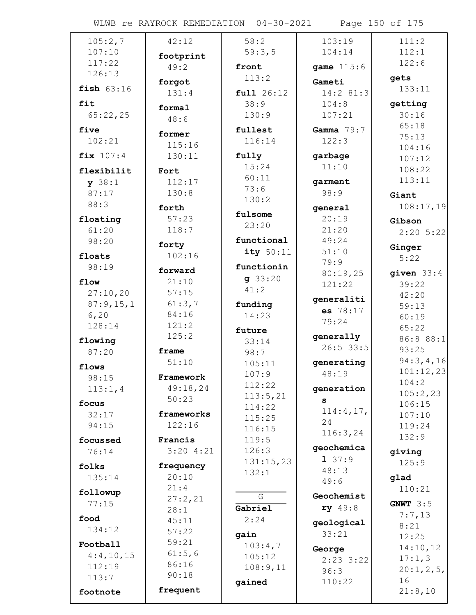WLWB re RAYROCK REMEDIATION 04-30-2021 Page 150 of 175

| 105:2,7         | 42:12      | 58:2           | 103:19          | 111:2          |
|-----------------|------------|----------------|-----------------|----------------|
| 107:10          |            | 59:3,5         | 104:14          | 112:1          |
| 117:22          | footprint  |                |                 | 122:6          |
| 126:13          | 49:2       | front          | game 115:6      |                |
| fish $63:16$    | forgot     | 113:2          | Gameti          | gets<br>133:11 |
|                 | 131:4      | full 26:12     | 14:2 81:3       |                |
| fit             | formal     | 38:9           | 104:8           | getting        |
| 65:22,25        | 48:6       | 130:9          | 107:21          | 30:16          |
| five            | former     | fullest        | Gamma $79:7$    | 65:18          |
| 102:21          | 115:16     | 116:14         | 122:3           | 75:13          |
| fix 107:4       | 130:11     | fully          | garbage         | 104:16         |
|                 |            | 15:24          | 11:10           | 107:12         |
| flexibilit      | Fort       | 60:11          |                 | 108:22         |
| y 38:1          | 112:17     | 73:6           | garment         | 113:11         |
| 87:17           | 130:8      | 130:2          | 98:9            | Giant          |
| 88:3            | forth      |                | general         | 108:17,19      |
| floating        | 57:23      | fulsome        | 20:19           | Gibson         |
| 61:20           | 118:7      | 23:20          | 21:20           | $2:20$ 5:22    |
| 98:20           | forty      | functional     | 49:24           |                |
| floats          | 102:16     | ity $50:11$    | 51:10           | Ginger         |
| 98:19           |            | functionin     | 79:9            | 5:22           |
|                 | forward    |                | 80:19,25        | given $33:4$   |
| flow            | 21:10      | g33:20<br>41:2 | 121:22          | 39:22          |
| 27:10,20        | 57:15      |                | generaliti      | 42:20          |
| 87:9,15,1       | 61:3,7     | funding        | es 78:17        | 59:13          |
| 6, 20           | 84:16      | 14:23          | 79:24           | 60:19          |
| 128:14          | 121:2      | future         |                 | 65:22          |
| flowing         | 125:2      | 33:14          | generally       | 86:8 88:1      |
| 87:20           | frame      | 98:7           | $26:5$ 33:5     | 93:25          |
|                 | 51:10      | 105:11         | generating      | 94:3,4,16      |
| flows           | Framework  | 107:9          | 48:19           | 101:12,23      |
| 98:15           | 49:18,24   | 112:22         |                 | 104:2          |
| 113:1,4         | 50:23      | 113:5,21       | generation      | 105:2,23       |
| focus           |            | 114:22         | s               | 106:15         |
| 32:17           | frameworks | 115:25         | 114:4,17,<br>24 | 107:10         |
| 94:15           | 122:16     | 116:15         | 116:3,24        | 119:24         |
| focussed        | Francis    | 119:5          |                 | 132:9          |
| 76:14           | 3:204:21   | 126:3          | geochemica      | giving         |
| folks           | frequency  | 131:15,23      | 137:9           | 125:9          |
| 135:14          | 20:10      | 132:1          | 48:13           |                |
|                 | 21:4       |                | 49:6            | glad<br>110:21 |
| followup        | 27:2,21    | G              | Geochemist      |                |
| 77:15           | 28:1       | Gabriel        | ry 49:8         | GNWT $3:5$     |
| food            | 45:11      | 2:24           |                 | 7:7,13         |
| 134:12          | 57:22      |                | geological      | 8:21           |
|                 | 59:21      | gain           | 33:21           | 12:25          |
| Football        | 61:5,6     | 103:4,7        | George          | 14:10,12       |
| 4:4,10,15       | 86:16      | 105:12         | $2:23$ 3:22     | 17:1,3         |
| 112:19<br>113:7 | 90:18      | 108:9,11       | 96:3            | 20:1, 2, 5,    |
|                 |            | gained         | 110:22          | 16             |
| footnote        | frequent   |                |                 | 21:8,10        |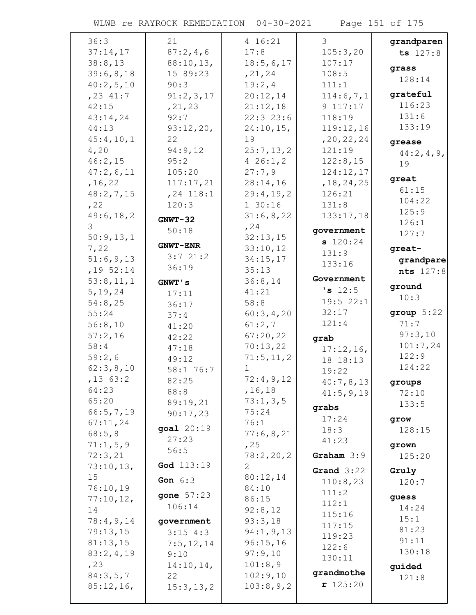WLWB re RAYROCK REMEDIATION 04-30-2021 Page 151 of 175

| 36:3                | 21                    | 4 16:21          | 3                        | grandparen      |
|---------------------|-----------------------|------------------|--------------------------|-----------------|
| 37:14,17            | 87:2,4,6              | 17:8             | 105:3,20                 | ts 127:8        |
| 38:8,13             | 88:10,13,             | 18:5,6,17        | 107:17                   | grass           |
| 39:6,8,18           | 15 89:23              | , 21, 24         | 108:5                    | 128:14          |
| 40:2,5,10           | 90:3                  | 19:2,4           | 111:1                    |                 |
| $, 23$ 41:7         | 91:2,3,17             | 20:12,14         | 114:6,7,1                | grateful        |
| 42:15               | , 21, 23              | 21:12,18         | 9 117:17                 | 116:23          |
| 43:14,24            | 92:7                  | 22:323:6         | 118:19                   | 131:6           |
| 44:13               | 93:12,20,             | $24:10,15$ ,     | 119:12,16                | 133:19          |
| 45:4,10,1           | 22                    | 19               | , 20, 22, 24             | grease          |
| 4,20                | 94:9,12               | 25:7,13,2        | 121:19                   | 44:2, 4, 9,     |
| 46:2,15             | 95:2                  | 426:1,2          | 122:8,15                 | 19              |
| 47:2,6,11           | 105:20                | 27:7,9           | 124:12,17                | great           |
| , 16, 22            | 117:17,21             | 28:14,16         | , 18, 24, 25             | 61:15           |
| 48:2,7,15           | $, 24$ 118:1<br>120:3 | 29:4,19,2        | 126:21<br>131:8          | 104:22          |
| , 22<br>49:6, 18, 2 |                       | 130:16           |                          | 125:9           |
| 3                   | $GNWT-32$             | 31:6,8,22        | 133:17,18                | 126:1           |
| 50:9,13,1           | 50:18                 | , 24<br>32:13,15 | government               | 127:7           |
| 7,22                | <b>GNWT-ENR</b>       | 33:10,12         | s 120:24                 | great-          |
| 51:6,9,13           | 3:721:2               | 34:15,17         | 131:9                    |                 |
| $, 19$ 52:14        | 36:19                 | 35:13            | 133:16                   | grandpare       |
| 53:8,11,1           | GNWT's                | 36:8,14          | Government               | nts 127:8       |
| 5, 19, 24           |                       | 41:21            | 's 12:5                  | ground          |
| 54:8,25             | 17:11<br>36:17        | 58:8             | 19:522:1                 | 10:3            |
| 55:24               | 37:4                  | 60:3,4,20        | 32:17                    | group 5:22      |
| 56:8,10             | 41:20                 | 61:2,7           | 121:4                    | 71:7            |
| 57:2,16             | 42:22                 | 67:20,22         | grab                     | 97:3,10         |
| 58:4                | 47:18                 | 70:13,22         |                          | 101:7,24        |
| 59:2,6              | 49:12                 | 71:5, 11, 2      | $17:12,16$ ,<br>18 18:13 | 122:9           |
| 62:3,8,10           | 58:1 76:7             | $\mathbf 1$      | 19:22                    | 124:22          |
| $,13$ 63:2          | 82:25                 | 72:4,9,12        | 40:7,8,13                |                 |
| 64:23               | 88:8                  | , 16, 18         | 41:5,9,19                | groups<br>72:10 |
| 65:20               | 89:19,21              | 73:1,3,5         |                          | 133:5           |
| 66:5,7,19           | 90:17,23              | 75:24            | grabs                    |                 |
| 67:11,24            | goal 20:19            | 76:1             | 17:24                    | grow            |
| 68:5,8              | 27:23                 | 77:6,8,21        | 18:3                     | 128:15          |
| 71:1,5,9            | 56:5                  | , 25             | 41:23                    | grown           |
| 72:3,21             |                       | 78:2,20,2        | Graham $3:9$             | 125:20          |
| 73:10,13,           | God 113:19            | $\mathbf{2}$     | Grand $3:22$             | Gruly           |
| 15                  | Gon $6:3$             | 80:12,14         | 110:8,23                 | 120:7           |
| 76:10,19            |                       | 84:10            | 111:2                    |                 |
| 77:10,12,           | gone $57:23$          | 86:15            | 112:1                    | guess           |
| 14                  | 106:14                | 92:8,12          | 115:16                   | 14:24           |
| 78:4,9,14           | government            | 93:3,18          | 117:15                   | 15:1            |
| 79:13,15            | $3:15$ 4:3            | 94:1, 9, 13      | 119:23                   | 81:23           |
| 81:13,15            | 7:5,12,14             | 96:15,16         | 122:6                    | 91:11           |
| 83:2,4,19           | 9:10                  | 97:9,10          | 130:11                   | 130:18          |
| , 23                | 14:10,14,             | 101:8,9          |                          | guided          |
| 84:3,5,7            | 22                    | 102:9,10         | grandmothe               | 121:8           |
| 85:12,16,           | 15:3, 13, 2           | 103:8,9,2        | r 125:20                 |                 |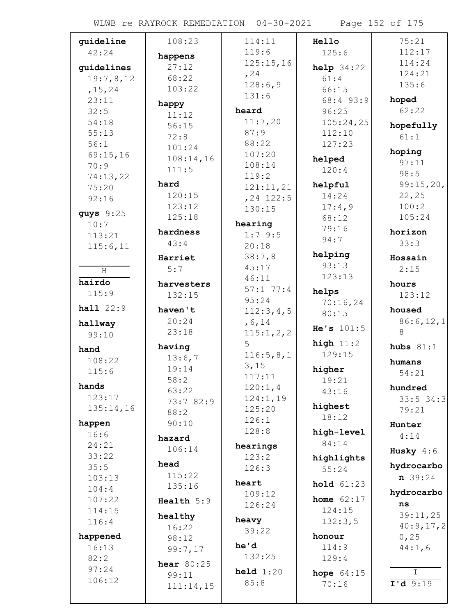| guideline   | 108:23       | 114:11            | Hello        | 75:21                                             |
|-------------|--------------|-------------------|--------------|---------------------------------------------------|
| 42:24       | happens      | 119:6             | 125:6        | 112:17                                            |
| guidelines  | 27:12        | 125:15,16         | help 34:22   | 114:24                                            |
| 19:7,8,12   | 68:22        | , 24              | 61:4         | 124:21                                            |
| , 15, 24    | 103:22       | 128:6,9           | 66:15        | 135:6                                             |
| 23:11       |              | 131:6             | 68:4 93:9    | hoped                                             |
| 32:5        | happy        | heard             | 96:25        | 62:22                                             |
| 54:18       | 11:12        | 11:7,20           | 105:24,25    |                                                   |
| 55:13       | 56:15        | 87:9              | 112:10       | hopefully                                         |
| 56:1        | 72:8         | 88:22             | 127:23       | 61:1                                              |
| 69:15,16    | 101:24       | 107:20            |              | hoping                                            |
| 70:9        | 108:14,16    | 108:14            | helped       | 97:11                                             |
| 74:13,22    | 111:5        | 119:2             | 120:4        | 98:5                                              |
| 75:20       | hard         | 121:11,21         | helpful      | 99:15,20,                                         |
| 92:16       | 120:15       | $, 24$ 122:5      | 14:24        | 22, 25                                            |
|             | 123:12       | 130:15            | 17:4,9       | 100:2                                             |
| guys $9:25$ | 125:18       | hearing           | 68:12        | 105:24                                            |
| 10:7        | hardness     |                   | 79:16        | horizon                                           |
| 113:21      | 43:4         | 1:79:5            | 94:7         | 33:3                                              |
| 115:6,11    |              | 20:18<br>38:7,8   | helping      |                                                   |
|             | Harriet      | 45:17             | 93:13        | Hossain                                           |
| H           | 5:7          |                   | 123:13       | 2:15                                              |
| hairdo      | harvesters   | 46:11<br>57:177:4 |              | hours                                             |
| 115:9       | 132:15       | 95:24             | helps        | 123:12                                            |
| hall 22:9   | haven't      | 112:3,4,5         | 70:16,24     | housed                                            |
|             | 20:24        | , 6, 14           | 80:15        | 86:6,12,1                                         |
| hallway     | 23:18        | 115:1,2,2         | He's $101:5$ | 8                                                 |
| 99:10       |              | 5                 | high $11:2$  |                                                   |
| hand        | having       | 116:5,8,1         | 129:15       | hubs $81:1$                                       |
| 108:22      | 13:6,7       | 3,15              |              | humans                                            |
| 115:6       | 19:14        | 117:11            | higher       | 54:21                                             |
| hands       | 58:2         | 120:1,4           | 19:21        | hundred                                           |
| 123:17      | 63:22        | 124:1,19          | 43:16        | $33:5$ 34:3                                       |
| 135:14,16   | 73:7 82:9    | 125:20            | highest      | 79:21                                             |
|             | 88:2         | 126:1             | 18:12        |                                                   |
| happen      | 90:10        | 128:8             | high-level   | Hunter                                            |
| 16:6        | hazard       |                   | 84:14        | 4:14                                              |
| 24:21       | 106:14       | hearings          |              | Husky $4:6$                                       |
| 33:22       | head         | 123:2             | highlights   | hydrocarbo                                        |
| 35:5        | 115:22       | 126:3             | 55:24        | $n \ 39:24$                                       |
| 103:13      | 135:16       | heart             | hold 61:23   |                                                   |
| 104:4       |              | 109:12            | home $62:17$ | hydrocarbo                                        |
| 107:22      | Health 5:9   | 126:24            | 124:15       | ns                                                |
| 114:15      | healthy      | heavy             |              | 39:11,25                                          |
| 116:4       | 16:22        | 39:22             | 132:3,5      | 40:9,17,2                                         |
| happened    | 98:12        |                   | honour       | 0,25                                              |
| 16:13       | 99:7,17      | he'd              | 114:9        | 44:1,6                                            |
| 82:2        | hear $80:25$ | 132:25            | 129:4        |                                                   |
| 97:24       | 99:11        | held $1:20$       | hope $64:15$ | $\mathbb{I}$                                      |
| 106:12      | 111:14,15    | 85:8              | 70:16        | $\overline{\mathbf{I}^{\dagger} \mathbf{d} 9:19}$ |
|             |              |                   |              |                                                   |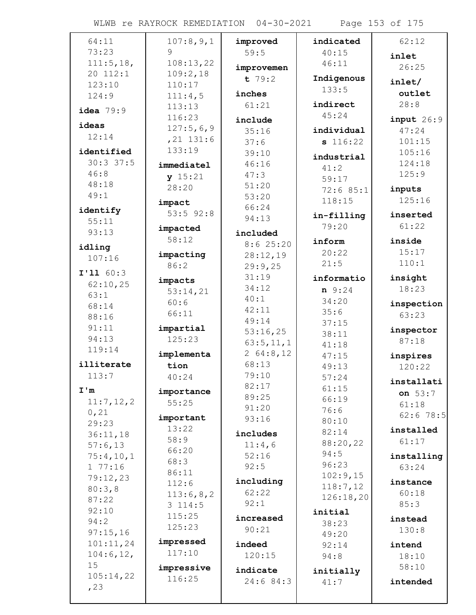WLWB re RAYROCK REMEDIATION 04-30-2021 Page 153 of 175

| 64:11          | 107:8,9,1           | improved    | indicated   | 62:12            |
|----------------|---------------------|-------------|-------------|------------------|
| 73:23          | 9                   | 59:5        | 40:15       | inlet            |
| 111:5, 18,     | 108:13,22           | improvemen  | 46:11       | 26:25            |
| 20 112:1       | 109:2,18            | $t$ 79:2    | Indigenous  |                  |
| 123:10         | 110:17              |             | 133:5       | inlet/           |
| 124:9          | 111:4,5             | inches      |             | outlet           |
| idea 79:9      | 113:13              | 61:21       | indirect    | 28:8             |
| ideas          | 116:23              | include     | 45:24       | input 26:9       |
| 12:14          | 127:5,6,9           | 35:16       | individual  | 47:24            |
|                | $, 21$ 131:6        | 37:6        | s 116:22    | 101:15           |
| identified     | 133:19              | 39:10       | industrial  | 105:16           |
| 30:337:5       | immediatel          | 46:16       | 41:2        | 124:18           |
| 46:8           | y 15:21             | 47:3        | 59:17       | 125:9            |
| 48:18          | 28:20               | 51:20       | 72:685:1    | inputs           |
| 49:1           | impact              | 53:20       | 118:15      | 125:16           |
| identify       | $53:5$ $92:8$       | 66:24       | in-filling  | inserted         |
| 55:11          |                     | 94:13       | 79:20       | 61:22            |
| 93:13          | impacted            | included    |             |                  |
| idling         | 58:12               | 8:625:20    | inform      | inside           |
| 107:16         | impacting           | 28:12,19    | 20:22       | 15:17            |
|                | 86:2                | 29:9,25     | 21:5        | 110:1            |
| I'11 60:3      | impacts             | 31:19       | informatio  | insight          |
| 62:10,25       | 53:14,21            | 34:12       | $n \t 9:24$ | 18:23            |
| 63:1           | 60:6                | 40:1        | 34:20       | inspection       |
| 68:14          | 66:11               | 42:11       | 35:6        | 63:23            |
| 88:16          |                     | 49:14       | 37:15       |                  |
| 91:11<br>94:13 | impartial<br>125:23 | 53:16,25    | 38:11       | inspector        |
| 119:14         |                     | 63:5, 11, 1 | 41:18       | 87:18            |
|                | implementa          | 264:8,12    | 47:15       | inspires         |
| illiterate     | tion                | 68:13       | 49:13       | 120:22           |
| 113:7          | 40:24               | 79:10       | 57:24       | installati       |
| I'm            | importance          | 82:17       | 61:15       | on $53:7$        |
| 11:7, 12, 2    | 55:25               | 89:25       | 66:19       | 61:18            |
| 0,21           |                     | 91:20       | 76:6        | $62:6$ 78:5      |
| 29:23          | important<br>13:22  | 93:16       | 80:10       |                  |
| 36:11,18       | 58:9                | includes    | 82:14       | installed        |
| 57:6,13        | 66:20               | 11:4,6      | 88:20,22    | 61:17            |
| 75:4,10,1      | 68:3                | 52:16       | 94:5        | installing       |
| 177:16         | 86:11               | 92:5        | 96:23       | 63:24            |
| 79:12,23       | 112:6               | including   | 102:9,15    | instance         |
| 80:3,8         | 113:6,8,2           | 62:22       | 118:7,12    | 60:18            |
| 87:22          | 3114:5              | 92:1        | 126:18,20   | 85:3             |
| 92:10          | 115:25              | increased   | initial     |                  |
| 94:2           | 125:23              | 90:21       | 38:23       | instead<br>130:8 |
| 97:15,16       |                     |             | 49:20       |                  |
| 101:11,24      | impressed           | indeed      | 92:14       | intend           |
| 104:6, 12,     | 117:10              | 120:15      | 94:8        | 18:10            |
| 15             | impressive          | indicate    | initially   | 58:10            |
| 105:14,22      | 116:25              | 24:6 84:3   | 41:7        | intended         |
| , 23           |                     |             |             |                  |
|                |                     |             |             |                  |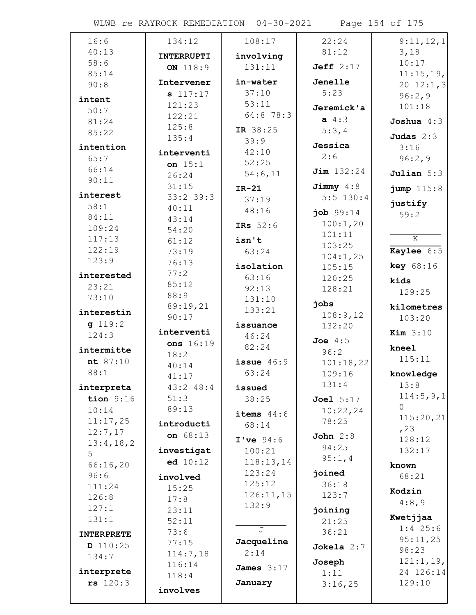WLWB re RAYROCK REMEDIATION 04-30-2021 Page 154 of 175

| 16:6              | 134:12            | 108:17                  | 22:24            | 9:11,12,1               |
|-------------------|-------------------|-------------------------|------------------|-------------------------|
| 40:13             | <b>INTERRUPTI</b> | involving               | 81:12            | 3,18                    |
| 58:6              | ON 118:9          | 131:11                  | Jeff $2:17$      | 10:17                   |
| 85:14             |                   |                         |                  | 11:15,19,               |
| 90:8              | Intervener        | in-water                | Jenelle          | 20 $12:1,3$             |
| intent            | s 117:17          | 37:10                   | 5:23             | 96:2,9                  |
| 50:7              | 121:23            | 53:11                   | Jeremick'a       | 101:18                  |
| 81:24             | 122:21            | 64:8 78:3               | $a \, 4:3$       | Joshua $4:3$            |
| 85:22             | 125:8             | IR 38:25                | 5:3,4            |                         |
|                   | 135:4             | 39:9                    | Jessica          | Judas $2:3$             |
| intention         | interventi        | 42:10                   | 2:6              | 3:16                    |
| 65:7              | on $15:1$         | 52:25                   |                  | 96:2,9                  |
| 66:14             | 26:24             | 54:6,11                 | $Jim$ $132:24$   | Julian $5:3$            |
| 90:11             | 31:15             | $IR-21$                 | Jimmy $4:8$      | jump 115:8              |
| interest          | $33:2$ 39:3       | 37:19                   | $5:5$ 130:4      |                         |
| 58:1              | 40:11             | 48:16                   | job 99:14        | justify                 |
| 84:11             | 43:14             |                         | 100:1,20         | 59:2                    |
| 109:24            | 54:20             | IRs 52:6                | 101:11           |                         |
| 117:13            | 61:12             | isn't                   | 103:25           | $\overline{\mathbf{K}}$ |
| 122:19            | 73:19             | 63:24                   | 104:1,25         | <b>Kaylee</b> $6:5$     |
| 123:9             | 76:13             | isolation               | 105:15           | <b>key</b> $68:16$      |
| interested        | 77:2              | 63:16                   | 120:25           |                         |
| 23:21             | 85:12             | 92:13                   | 128:21           | kids                    |
| 73:10             | 88:9              | 131:10                  |                  | 129:25                  |
| interestin        | 89:19,21          | 133:21                  | jobs             | kilometres              |
| q 119:2           | 90:17             |                         | 108:9,12         | 103:20                  |
| 124:3             | interventi        | issuance<br>46:24       | 132:20           | Kim $3:10$              |
|                   | ons 16:19         | 82:24                   | Joe $4:5$        |                         |
| intermitte        | 18:2              |                         | 96:2             | kneel                   |
| nt 87:10          | 40:14             | issue $46:9$            | 101:18,22        | 115:11                  |
| 88:1              | 41:17             | 63:24                   | 109:16           | knowledge               |
| interpreta        | 43:248:4          | issued                  | 131:4            | 13:8                    |
| tion $9:16$       | 51:3              | 38:25                   | <b>Joel</b> 5:17 | 114:5,9,1               |
| 10:14             | 89:13             | items $44:6$            | 10:22,24         | $\Omega$                |
| 11:17,25          | introducti        | 68:14                   | 78:25            | 115:20,21               |
| 12:7,17           | on 68:13          |                         | John $2:8$       | , 23                    |
| 13:4,18,2         |                   | I've 94:6               | 94:25            | 128:12                  |
| 5                 | investigat        | 100:21                  | 95:1,4           | 132:17                  |
| 66:16,20          | ed 10:12          | 118:13,14               |                  | known                   |
| 96:6              | involved          | 123:24                  | joined           | 68:21                   |
| 111:24            | 15:25             | 125:12                  | 36:18            | Kodzin                  |
| 126:8             | 17:8              | 126:11,15               | 123:7            | 4:8,9                   |
| 127:1             | 23:11             | 132:9                   | joining          |                         |
| 131:1             | 52:11             |                         | 21:25            | Kwetjjaa                |
| <b>INTERPRETE</b> | 73:6              | $\overline{\mathbb{J}}$ | 36:21            | $1:4$ 25:6              |
| D 110:25          | 77:15             | Jacqueline              | Jokela $2:7$     | 95:11,25                |
| 134:7             | 114:7,18          | 2:14                    |                  | 98:23                   |
| interprete        | 116:14            | James $3:17$            | Joseph           | 121:1,19,<br>24 126:14  |
| rs 120:3          | 118:4             | January                 | 1:11             | 129:10                  |
|                   | involves          |                         | 3:16,25          |                         |
|                   |                   |                         |                  |                         |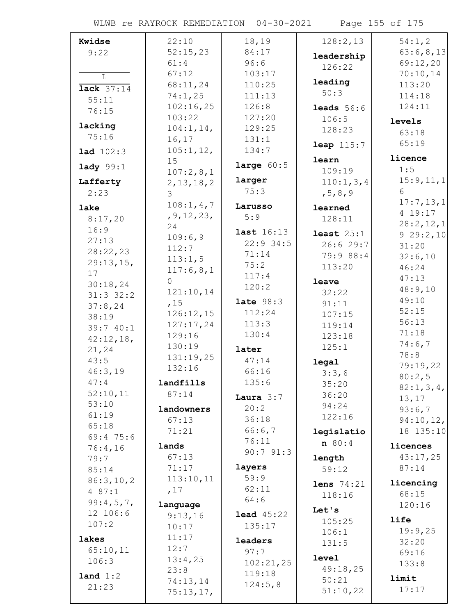WLWB re RAYROCK REMEDIATION 04-30-2021 Page 155 of 175

| Kwidse             | 22:10            | 18,19             | 128:2,13            | 54:1,2               |
|--------------------|------------------|-------------------|---------------------|----------------------|
| 9:22               | 52:15,23         | 84:17             | leadership          | 63:6,8,13            |
|                    | 61:4             | 96:6              | 126:22              | 69:12,20             |
| L                  | 67:12            | 103:17            |                     | 70:10,14             |
| lack $37:14$       | 68:11,24         | 110:25            | leading             | 113:20               |
| 55:11              | 74:1,25          | 111:13            | 50:3                | 114:18               |
| 76:15              | 102:16,25        | 126:8             | <b>leads</b> $56:6$ | 124:11               |
|                    | 103:22           | 127:20            | 106:5               | levels               |
| lacking            | 104:1, 14,       | 129:25            | 128:23              | 63:18                |
| 75:16              | 16,17            | 131:1             | <b>leap</b> $115:7$ | 65:19                |
| <b>lad</b> $102:3$ | 105:1, 12,       | 134:7             |                     |                      |
| $1$ ady $99:1$     | 15               | large $60:5$      | learn               | licence              |
|                    | 107:2,8,1        |                   | 109:19              | 1:5                  |
| Lafferty           | 2, 13, 18, 2     | larger            | 110:1, 3, 4         | 15:9, 11, 1          |
| 2:23               | 3                | 75:3              | , 5, 8, 9           | 6                    |
| lake               | 108:1, 4, 7      | Larusso           | learned             | 17:7,13,1<br>4 19:17 |
| 8:17,20            | , 9, 12, 23,     | 5:9               | 128:11              | 28:2,12,1            |
| 16:9               | 24               | last 16:13        | least $25:1$        | 929:2,10             |
| 27:13              | 109:6,9          | $22:9$ 34:5       | 26:629:7            | 31:20                |
| 28:22,23           | 112:7            | 71:14             | 79:9 88:4           | 32:6,10              |
| 29:13,15,          | 113:1,5          | 75:2              | 113:20              | 46:24                |
| 17                 | 117:6,8,1        | 117:4             |                     | 47:13                |
| 30:18,24           | $\overline{0}$   | 120:2             | leave               | 48:9,10              |
| $31:3$ $32:2$      | 121:10,14        | late $98:3$       | 32:22               | 49:10                |
| 37:8,24            | ,15              | 112:24            | 91:11               | 52:15                |
| 38:19              | 126:12,15        | 113:3             | 107:15              | 56:13                |
| 39:7 40:1          | 127:17,24        | 130:4             | 119:14              | 71:18                |
| 42:12,18,          | 129:16<br>130:19 |                   | 123:18              | 74:6,7               |
| 21, 24             | 131:19,25        | later             | 125:1               | 78:8                 |
| 43:5               | 132:16           | 47:14             | legal               | 79:19,22             |
| 46:3,19            |                  | 66:16             | 3:3,6               | 80:2,5               |
| 47:4               | landfills        | 135:6             | 35:20               | 82:1,3,4,            |
| 52:10,11           | 87:14            | Laura $3:7$       | 36:20               | 13,17                |
| 53:10              | landowners       | 20:2              | 94:24               | 93:6,7               |
| 61:19              | 67:13            | 36:18             | 122:16              | 94:10,12,            |
| 65:18              | 71:21            | 66:6,7            | legislatio          | 18 135:10            |
| 69:475:6           | lands            | 76:11             | n 80:4              | licences             |
| 76:4,16<br>79:7    | 67:13            | 90:791:3          | length              | 43:17,25             |
| 85:14              | 71:17            | layers            | 59:12               | 87:14                |
| 86:3,10,2          | 113:10,11        | 59:9              |                     |                      |
| 487:1              | ,17              | 62:11             | lens $74:21$        | licencing            |
| 99:4,5,7,          |                  | 64:6              | 118:16              | 68:15                |
| 12 106:6           | language         | <b>lead</b> 45:22 | Let's               | 120:16               |
| 107:2              | 9:13,16          | 135:17            | 105:25              | life                 |
|                    | 10:17            |                   | 106:1               | 19:9,25              |
| lakes              | 11:17<br>12:7    | leaders           | 131:5               | 32:20                |
| 65:10,11           | 13:4,25          | 97:7              | <b>level</b>        | 69:16                |
| 106:3              | 23:8             | 102:21,25         | 49:18,25            | 133:8                |
| land 1:2           | 74:13,14         | 119:18            | 50:21               | limit                |
| 21:23              | 75:13,17,        | 124:5,8           | 51:10,22            | 17:17                |
|                    |                  |                   |                     |                      |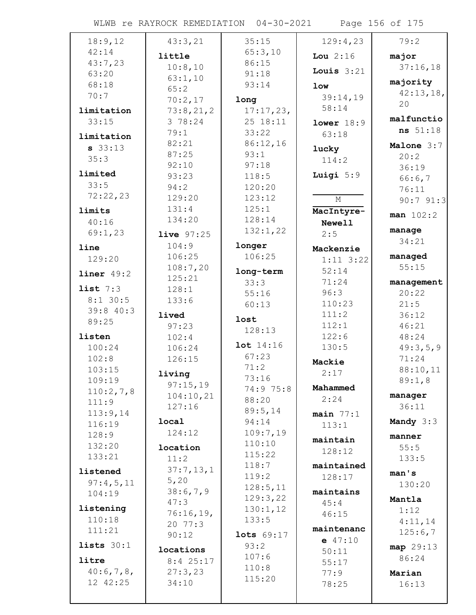WLWB re RAYROCK REMEDIATION 04-30-2021 Page 156 of 175

| 18:9,12                 | 43:3,21           | 35:15           | 129:4,23           | 79:2        |
|-------------------------|-------------------|-----------------|--------------------|-------------|
| 42:14                   | little            | 65:3,10         | Lou $2:16$         | major       |
| 43:7,23                 | 10:8,10           | 86:15           | Louis $3:21$       | 37:16,18    |
| 63:20                   | 63:1,10           | 91:18           |                    | majority    |
| 68:18                   | 65:2              | 93:14           | <b>low</b>         | 42:13,18,   |
| 70:7                    | 70:2,17           | long            | 39:14,19           | 20          |
| limitation              | 73:8,21,2         | 17:17,23,       | 58:14              |             |
| 33:15                   | 3 78:24           | 25 18:11        | lower 18:9         | malfunctio  |
| limitation              | 79:1              | 33:22           | 63:18              | ns 51:18    |
| $s$ 33:13               | 82:21             | 86:12,16        | lucky              | Malone 3:7  |
| 35:3                    | 87:25             | 93:1            | 114:2              | 20:2        |
| limited                 | 92:10             | 97:18           |                    | 36:19       |
| 33:5                    | 93:23             | 118:5           | Luigi 5:9          | 66:6,7      |
| 72:22,23                | 94:2              | 120:20          |                    | 76:11       |
|                         | 129:20            | 123:12          | $\mathbf M$        | 90:791:3    |
| limits                  | 131:4<br>134:20   | 125:1<br>128:14 | MacIntyre-         | man 102:2   |
| 40:16                   |                   | 132:1,22        | <b>Newell</b>      | manage      |
| 69:1,23                 | <b>live</b> 97:25 |                 | 2:5                | 34:21       |
| line                    | 104:9             | longer          | Mackenzie          |             |
| 129:20                  | 106:25            | 106:25          | $1:11$ $3:22$      | managed     |
| $\mathbf{liner}$ 49:2   | 108:7,20          | long-term       | 52:14              | 55:15       |
|                         | 125:21            | 33:3            | 71:24              | management  |
| list $7:3$              | 128:1             | 55:16           | 96:3               | 20:22       |
| $8:1$ 30:5<br>39:8 40:3 | 133:6             | 60:13           | 110:23             | 21:5        |
| 89:25                   | lived             | lost            | 111:2              | 36:12       |
|                         | 97:23             | 128:13          | 112:1              | 46:21       |
| listen                  | 102:4             | lot 14:16       | 122:6              | 48:24       |
| 100:24                  | 106:24            | 67:23           | 130:5              | 49:3,5,9    |
| 102:8                   | 126:15            | 71:2            | Mackie             | 71:24       |
| 103:15                  | living            | 73:16           | 2:17               | 88:10,11    |
| 109:19                  | 97:15,19          | 74:9 75:8       | Mahammed           | 89:1,8      |
| 110:2,7,8<br>111:9      | 104:10,21         | 88:20           | 2:24               | manager     |
| 113:9,14                | 127:16            | 89:5,14         | $main$ $77:1$      | 36:11       |
| 116:19                  | local             | 94:14           | 113:1              | Mandy $3:3$ |
| 128:9                   | 124:12            | 109:7,19        |                    | manner      |
| 132:20                  | location          | 110:10          | maintain           | 55:5        |
| 133:21                  | 11:2              | 115:22          | 128:12             | 133:5       |
| listened                | 37:7,13,1         | 118:7           | maintained         |             |
| 97:4,5,11               | 5,20              | 119:2           | 128:17             | man's       |
| 104:19                  | 38:6,7,9          | 128:5,11        | maintains          | 130:20      |
|                         | 47:3              | 129:3,22        | 45:4               | Mantla      |
| listening               | 76:16,19,         | 130:1,12        | 46:15              | 1:12        |
| 110:18                  | 20 77:3           | 133:5           |                    | 4:11,14     |
| 111:21                  | 90:12             | lots 69:17      | maintenanc         | 125:6,7     |
| lists $30:1$            | locations         | 93:2            | $e$ 47:10<br>50:11 | map 29:13   |
| litre                   | $8:4$ 25:17       | 107:6           | 55:17              | 86:24       |
| 40:6,7,8,               | 27:3,23           | 110:8           | 77:9               | Marian      |
| 12 42:25                | 34:10             | 115:20          | 78:25              | 16:13       |
|                         |                   |                 |                    |             |
|                         |                   |                 |                    |             |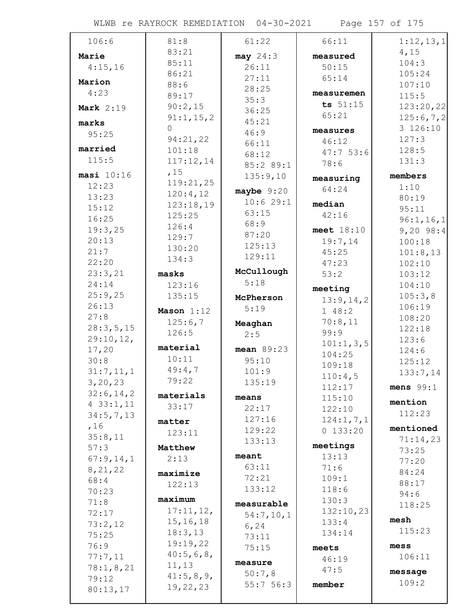WLWB re RAYROCK REMEDIATION 04-30-2021 Page 157 of 175

| 106:6            | 81:8        | 61:22        | 66:11       | 1:12,13,1      |
|------------------|-------------|--------------|-------------|----------------|
| Marie            | 83:21       | may 24:3     | measured    | 4,15           |
| 4:15,16          | 85:11       | 26:11        | 50:15       | 104:3          |
|                  | 86:21       | 27:11        | 65:14       | 105:24         |
| Marion           | 88:6        | 28:25        |             | 107:10         |
| 4:23             | 89:17       | 35:3         | measuremen  | 115:5          |
| <b>Mark</b> 2:19 | 90:2,15     | 36:25        | ts 51:15    | 123:20,22      |
| marks            | 91:1, 15, 2 | 45:21        | 65:21       | 125:6,7,2      |
| 95:25            | $\Omega$    | 46:9         | measures    | 3 126:10       |
|                  | 94:21,22    | 66:11        | 46:12       | 127:3          |
| married          | 101:18      | 68:12        | 47:753:6    | 128:5          |
| 115:5            | 117:12,14   | 85:2 89:1    | 78:6        | 131:3          |
| masi 10:16       | ,15         | 135:9,10     | measuring   | members        |
| 12:23            | 119:21,25   | maybe $9:20$ | 64:24       | 1:10           |
| 13:23            | 120:4,12    | 10:629:1     |             | 80:19          |
| 15:12            | 123:18,19   | 63:15        | median      | 95:11          |
| 16:25            | 125:25      | 68:9         | 42:16       | 96:1, 16, 1    |
| 19:3,25          | 126:4       | 87:20        | meet 18:10  | 9,20,98:4      |
| 20:13            | 129:7       | 125:13       | 19:7,14     | 100:18         |
| 21:7             | 130:20      | 129:11       | 45:25       | 101:8,13       |
| 22:20            | 134:3       |              | 47:23       | 102:10         |
| 23:3,21          | masks       | McCullough   | 53:2        | 103:12         |
| 24:14            | 123:16      | 5:18         | meeting     | 104:10         |
| 25:9,25          | 135:15      | McPherson    | 13:9,14,2   | 105:3,8        |
| 26:13            | Mason 1:12  | 5:19         | 148:2       | 106:19         |
| 27:8             | 125:6,7     |              | 70:8,11     | 108:20         |
| 28:3,5,15        | 126:5       | Meaghan      | 99:9        | 122:18         |
| 29:10,12,        |             | 2:5          | 101:1, 3, 5 | 123:6          |
| 17,20            | material    | mean 89:23   | 104:25      | 124:6          |
| 30:8             | 10:11       | 95:10        | 109:18      | 125:12         |
| 31:7,11,1        | 49:4,7      | 101:9        | 110:4,5     | 133:7,14       |
| 3, 20, 23        | 79:22       | 135:19       | 112:17      | mens $99:1$    |
| 32:6, 14, 2      | materials   | means        | 115:10      |                |
| 433:1,11         | 33:17       | 22:17        | 122:10      | mention        |
| 34:5,7,13        |             | 127:16       | 124:1, 7, 1 | 112:23         |
| ,16              | matter      | 129:22       | 0 133:20    | mentioned      |
| 35:8,11          | 123:11      | 133:13       |             | 71:14,23       |
| 57:3             | Matthew     |              | meetings    | 73:25          |
| 67:9,14,1        | 2:13        | meant        | 13:13       | 77:20          |
| 8, 21, 22        | maximize    | 63:11        | 71:6        | 84:24          |
| 68:4             | 122:13      | 72:21        | 109:1       | 88:17          |
| 70:23            |             | 133:12       | 118:6       | 94:6           |
| 71:8             | maximum     | measurable   | 130:3       | 118:25         |
| 72:17            | 17:11,12,   | 54:7,10,1    | 132:10,23   |                |
| 73:2,12          | 15, 16, 18  | 6, 24        | 133:4       | mesh<br>115:23 |
| 75:25            | 18:3,13     | 73:11        | 134:14      |                |
| 76:9             | 19:19,22    | 75:15        | meets       | mess           |
| 77:7,11          | 40:5,6,8,   | measure      | 46:19       | 106:11         |
| 78:1,8,21        | 11, 13      | 50:7,8       | 47:5        | message        |
| 79:12            | 41:5,8,9,   | 55:756:3     | member      | 109:2          |
| 80:13,17         | 19,22,23    |              |             |                |
|                  |             |              |             |                |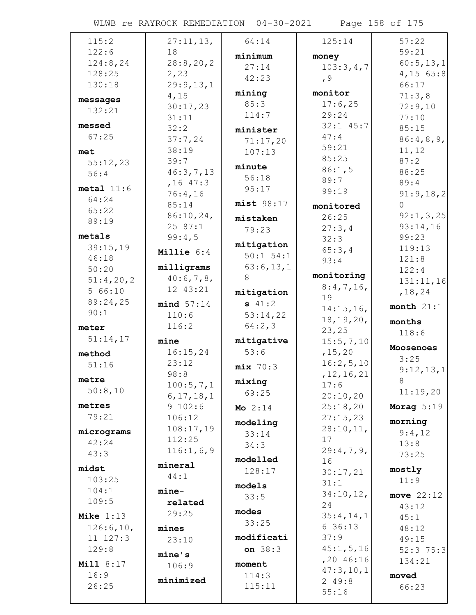WLWB re RAYROCK REMEDIATION 04-30-2021 Page 158 of 175

| 115:2            | 27:11,13,           | 64:14            | 125:14         | 57:22        |
|------------------|---------------------|------------------|----------------|--------------|
| 122:6            | 18                  | minimum          | money          | 59:21        |
| 124:8,24         | 28:8, 20, 2         | 27:14            | 103:3,4,7      | 60:5, 13, 1  |
| 128:25           | 2,23                | 42:23            |                | $4,15$ 65:8  |
| 130:18           | 29:9,13,1           |                  | , 9            | 66:17        |
| messages         | 4,15                | mining           | monitor        | 71:3,8       |
| 132:21           | 30:17,23            | 85:3             | 17:6,25        | 72:9,10      |
|                  | 31:11               | 114:7            | 29:24          | 77:10        |
| messed           | 32:2                | minister         | $32:1$ $45:7$  | 85:15        |
| 67:25            | 37:7,24             | 71:17,20         | 47:4           | 86:4,8,9,    |
| met              | 38:19               | 107:13           | 59:21          | 11,12        |
| 55:12,23         | 39:7                |                  | 85:25          | 87:2         |
| 56:4             | 46:3,7,13           | minute           | 86:1,5         | 88:25        |
|                  | $, 16$ 47:3         | 56:18            | 89:7           | 89:4         |
| $metal$ $11:6$   | 76:4,16             | 95:17            | 99:19          | 91:9,18,2    |
| 64:24            | 85:14               | $mist$ 98:17     | monitored      | $\Omega$     |
| 65:22            | $86:10,24$ ,        | mistaken         | 26:25          | 92:1, 3, 25  |
| 89:19            | 2587:1              | 79:23            | 27:3,4         | 93:14,16     |
| metals           | 99:4,5              |                  | 32:3           | 99:23        |
| 39:15,19         | <b>Millie</b> $6:4$ | mitigation       | 65:3,4         | 119:13       |
| 46:18            |                     | $50:1$ $54:1$    | 93:4           | 121:8        |
| 50:20            | milligrams          | 63:6,13,1        |                | 122:4        |
| 51:4,20,2        | 40:6,7,8,           | 8                | monitoring     | 131:11,16    |
| 566:10           | 12 43:21            | mitigation       | 8:4,7,16       | , 18, 24     |
| 89:24,25         | mind 57:14          | \$41:2           | 19             | month $21:1$ |
| 90:1             | 110:6               | 53:14,22         | 14:15,16,      |              |
| meter            | 116:2               | 64:2,3           | 18, 19, 20,    | months       |
| 51:14,17         |                     |                  | 23, 25         | 118:6        |
|                  | mine                | mitigative       | 15:5,7,10      | Moosenoes    |
| method           | 16:15,24            | 53:6             | , 15, 20       | 3:25         |
| 51:16            | 23:12               | mix 70:3         | 16:2,5,10      | 9:12,13,1    |
| metre            | 98:8                | mixing           | , 12, 16, 21   | $\mathsf{R}$ |
| 50:8,10          | 100:5,7,1           | 69:25            | 17:6           | 11:19,20     |
| metres           | 6, 17, 18, 1        |                  | 20:10,20       |              |
| 79:21            | 9 102:6             | <b>Mo</b> $2:14$ |                |              |
|                  |                     |                  | 25:18,20       | Morag $5:19$ |
|                  | 106:12              | modeling         | 27:15,23       | morning      |
| micrograms       | 108:17,19           | 33:14            | $28:10,11$ ,   | 9:4,12       |
| 42:24            | 112:25              | 34:3             | 17             | 13:8         |
| 43:3             | 116:1,6,9           |                  | 29:4,7,9,      | 73:25        |
| midst            | mineral             | modelled         | 16             |              |
|                  | 44:1                | 128:17           | 30:17,21       | mostly       |
| 103:25           |                     | models           | 31:1           | 11:9         |
| 104:1            | mine-               | 33:5             | 34:10,12,      | move $22:12$ |
| 109:5            | related             | modes            | 24             | 43:12        |
| Mike $1:13$      | 29:25               | 33:25            | 35:4,14,1      | 45:1         |
| 126:6,10,        | mines               |                  | 636:13         | 48:12        |
| 11 127:3         | 23:10               | modificati       | 37:9           | 49:15        |
| 129:8            | mine's              | on 38:3          | 45:1, 5, 16    | $52:3$ 75:3  |
| <b>Mill 8:17</b> | 106:9               | moment           | $, 20$ 46:16   | 134:21       |
| 16:9             |                     | 114:3            | 47:3,10,1      | moved        |
| 26:25            | minimized           | 115:11           | 249:8<br>55:16 | 66:23        |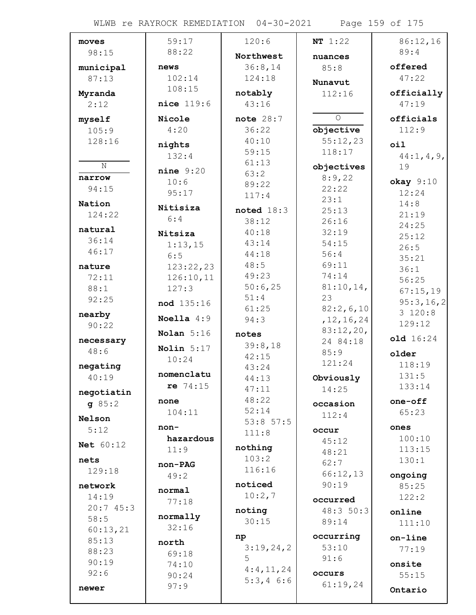WLWB re RAYROCK REMEDIATION 04-30-2021 Page 159 of 175

| moves             | 59:17          | 120:6              | NT 1:22              | 86:12,16      |
|-------------------|----------------|--------------------|----------------------|---------------|
| 98:15             | 88:22          | Northwest          | nuances              | 89:4          |
| municipal         | news           | 36:8,14            | 85:8                 | offered       |
| 87:13             | 102:14         | 124:18             | Nunavut              | 47:22         |
| Myranda           | 108:15         | notably            | 112:16               | officially    |
| 2:12              | $nice$ $119:6$ | 43:16              |                      | 47:19         |
| myself            | Nicole         | note $28:7$        | $\circ$              | officials     |
| 105:9             | 4:20           | 36:22              | objective            | 112:9         |
| 128:16            |                | 40:10              | 55:12,23             |               |
|                   | nights         | 59:15              | 118:17               | oil           |
| N                 | 132:4          | 61:13              |                      | 44:1, 4, 9,   |
| narrow            | $nine$ 9:20    | 63:2               | objectives<br>8:9,22 | 19            |
| 94:15             | 10:6           | 89:22              | 22:22                | $okay$ $9:10$ |
|                   | 95:17          | 117:4              | 23:1                 | 12:24         |
| Nation            | Nitisiza       | noted $18:3$       | 25:13                | 14:8          |
| 124:22            | 6:4            | 38:12              | 26:16                | 21:19         |
| natural           | Nitsiza        | 40:18              | 32:19                | 24:25         |
| 36:14             | 1:13,15        | 43:14              | 54:15                | 25:12         |
| 46:17             | 6:5            | 44:18              | 56:4                 | 26:5<br>35:21 |
| nature            | 123:22,23      | 48:5               | 69:11                | 36:1          |
| 72:11             | 126:10,11      | 49:23              | 74:14                | 56:25         |
| 88:1              | 127:3          | 50:6,25            | 81:10,14,            | 67:15,19      |
| 92:25             | nod 135:16     | 51:4               | 23                   | 95:3,16,2     |
| nearby            |                | 61:25              | 82:2,6,10            | 3120:8        |
| 90:22             | Noella $4:9$   | 94:3               | , 12, 16, 24         | 129:12        |
|                   | Nolan $5:16$   | notes              | 83:12,20,            | old 16:24     |
| necessary<br>48:6 | Nolin $5:17$   | 39:8,18            | 24 84:18             |               |
|                   | 10:24          | 42:15              | 85:9                 | older         |
| negating          | nomenclatu     | 43:24              | 121:24               | 118:19        |
| 40:19             | re 74:15       | 44:13              | Obviously            | 131:5         |
| negotiatin        |                | 47:11              | 14:25                | 133:14        |
| 95:2              | none           | 48:22              | occasion             | one-off       |
| Nelson            | 104:11         | 52:14              | 112:4                | 65:23         |
| 5:12              | non-           | 53:8 57:5<br>111:8 | occur                | ones          |
| Net 60:12         | hazardous      |                    | 45:12                | 100:10        |
|                   | 11:9           | nothing            | 48:21                | 113:15        |
| nets              | non-PAG        | 103:2              | 62:7                 | 130:1         |
| 129:18            | 49:2           | 116:16             | 66:12,13             | ongoing       |
| network           | normal         | noticed            | 90:19                | 85:25         |
| 14:19             | 77:18          | 10:2,7             | occurred             | 122:2         |
| 20:745:3          |                | noting             | 48:3 50:3            | online        |
| 58:5              | normally       | 30:15              | 89:14                | 111:10        |
| 60:13,21          | 32:16          | np                 | occurring            | on-line       |
| 85:13             | north          | 3:19,24,2          | 53:10                | 77:19         |
| 88:23             | 69:18          | 5                  | 91:6                 |               |
| 90:19             | 74:10          | 4:4,11,24          |                      | onsite        |
| 92:6              | 90:24          | $5:3,4$ 6:6        | occurs               | 55:15         |
| newer             | 97:9           |                    | 61:19,24             | Ontario       |
|                   |                |                    |                      |               |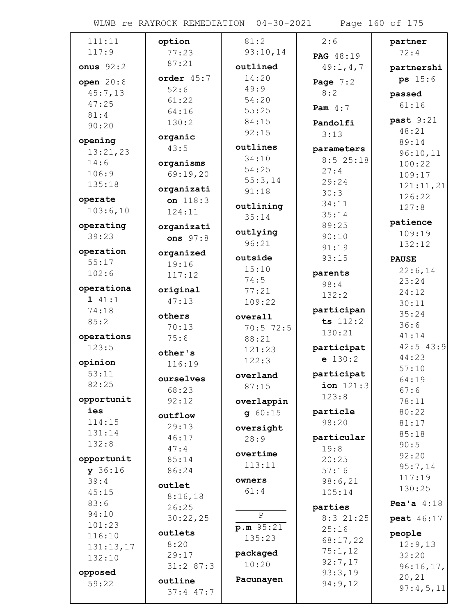WLWB re RAYROCK REMEDIATION 04-30-2021 Page 160 of 175

| 111:11              | option        | 81:2              | 2:6             | partner       |
|---------------------|---------------|-------------------|-----------------|---------------|
| 117:9               | 77:23         | 93:10,14          | PAG 48:19       | 72:4          |
| onus $92:2$         | 87:21         | outlined          | 49:1, 4, 7      | partnershi    |
| open 20:6           | order $45:7$  | 14:20             | Page $7:2$      | ps 15:6       |
| 45:7,13             | 52:6          | 49:9              | 8:2             | passed        |
| 47:25               | 61:22         | 54:20             |                 | 61:16         |
| 81:4                | 64:16         | 55:25             | Pam $4:7$       |               |
| 90:20               | 130:2         | 84:15             | Pandolfi        | past 9:21     |
|                     | organic       | 92:15             | 3:13            | 48:21         |
| opening<br>13:21,23 | 43:5          | outlines          | parameters      | 89:14         |
| 14:6                |               | 34:10             | 8:525:18        | 96:10,11      |
| 106:9               | organisms     | 54:25             | 27:4            | 100:22        |
| 135:18              | 69:19,20      | 55:3,14           | 29:24           | 109:17        |
|                     | organizati    | 91:18             | 30:3            | 121:11,21     |
| operate             | on $118:3$    | outlining         | 34:11           | 126:22        |
| 103:6,10            | 124:11        | 35:14             | 35:14           | 127:8         |
| operating           | organizati    |                   | 89:25           | patience      |
| 39:23               | ons $97:8$    | outlying          | 90:10           | 109:19        |
|                     |               | 96:21             | 91:19           | 132:12        |
| operation           | organized     | outside           | 93:15           | <b>PAUSE</b>  |
| 55:17               | 19:16         | 15:10             |                 | 22:6,14       |
| 102:6               | 117:12        | 74:5              | parents<br>98:4 | 23:24         |
| operationa          | original      | 77:21             | 132:2           | 24:12         |
| 141:1               | 47:13         | 109:22            |                 | 30:11         |
| 74:18               | others        | overall           | participan      | 35:24         |
| 85:2                | 70:13         | $70:5$ 72:5       | ts 112:2        | 36:6          |
| operations          | 75:6          | 88:21             | 130:21          | 41:14         |
| 123:5               |               | 121:23            | participat      | $42:5$ $43:9$ |
| opinion             | other's       | 122:3             | $e$ 130:2       | 44:23         |
| 53:11               | 116:19        |                   | participat      | 57:10         |
| 82:25               | ourselves     | overland          | ion 121:3       | 64:19         |
|                     | 68:23         | 87:15             | 123:8           | 67:6          |
| opportunit          | 92:12         | overlappin        |                 | 78:11         |
| ies                 | outflow       | 960:15            | particle        | 80:22         |
| 114:15              | 29:13         | oversight         | 98:20           | 81:17         |
| 131:14              | 46:17         | 28:9              | particular      | 85:18         |
| 132:8               | 47:4          |                   | 19:8            | 90:5          |
| opportunit          | 85:14         | overtime          | 20:25           | 92:20         |
| y 36:16             | 86:24         | 113:11            | 57:16           | 95:7,14       |
| 39:4                | outlet        | owners            | 98:6,21         | 117:19        |
| 45:15               | 8:16,18       | 61:4              | 105:14          | 130:25        |
| 83:6                | 26:25         |                   | parties         | Pea'a $4:18$  |
| 94:10               | 30:22,25      | $\overline{P}$    | $8:3$ 21:25     | peat 46:17    |
| 101:23              |               | p.m. 95:21        | 25:16           |               |
| 116:10              | outlets       | 135:23            | 68:17,22        | people        |
| 131:13,17           | 8:20          |                   | 75:1,12         | 12:9,13       |
| 132:10              | 29:17         | packaged<br>10:20 | 92:7,17         | 32:20         |
| opposed             | 31:287:3      |                   | 93:3,19         | 96:16,17,     |
| 59:22               | outline       | Pacunayen         | 94:9,12         | 20, 21        |
|                     | $37:4$ $47:7$ |                   |                 | 97:4,5,11     |
|                     |               |                   |                 |               |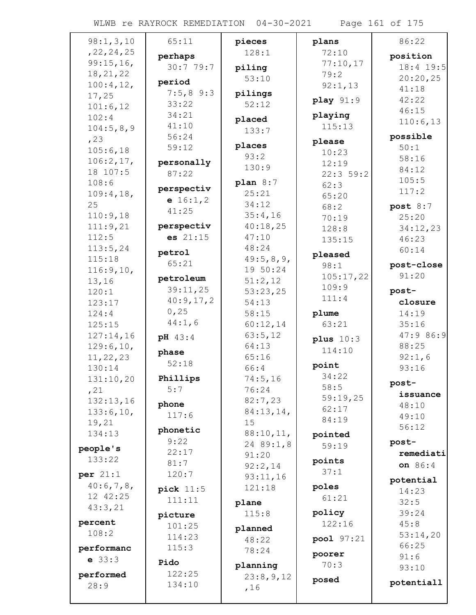WLWB re RAYROCK REMEDIATION 04-30-2021 Page 161 of 175

| 98:1, 3, 10          | 65:11                 | pieces           | plans       | 86:22           |
|----------------------|-----------------------|------------------|-------------|-----------------|
| , 22, 24, 25         | perhaps               | 128:1            | 72:10       | position        |
| 99:15,16,            | 30:779:7              | piling           | 77:10,17    | 18:4 19:5       |
| 18, 21, 22           |                       | 53:10            | 79:2        | 20:20,25        |
| 100:4, 12,           | period                |                  | 92:1,13     | 41:18           |
| 17,25                | $7:5,8$ 9:3           | pilings          | play 91:9   | 42:22           |
| 101:6,12             | 33:22                 | 52:12            |             | 46:15           |
| 102:4                | 34:21                 | placed           | playing     | 110:6,13        |
| 104:5,8,9            | 41:10                 | 133:7            | 115:13      |                 |
| , 23                 | 56:24                 | places           | please      | possible        |
| 105:6,18             | 59:12                 | 93:2             | 10:23       | 50:1            |
| 106:2,17,            | personally            | 130:9            | 12:19       | 58:16           |
| 18 107:5             | 87:22                 |                  | 22:359:2    | 84:12           |
| 108:6                | perspectiv            | plan $8:7$       | 62:3        | 105:5           |
| 109:4,18,            | e $16:1,2$            | 25:21            | 65:20       | 117:2           |
| 25                   | 41:25                 | 34:12            | 68:2        | post $8:7$      |
| 110:9,18             |                       | 35:4,16          | 70:19       | 25:20           |
| 111:9,21             | perspectiv            | 40:18,25         | 128:8       | 34:12,23        |
| 112:5                | es 21:15              | 47:10            | 135:15      | 46:23           |
| 113:5,24             | petrol                | 48:24            | pleased     | 60:14           |
| 115:18               | 65:21                 | 49:5,8,9,        | 98:1        | post-close      |
| 116:9,10,            |                       | 19 50:24         | 105:17,22   | 91:20           |
| 13,16                | petroleum<br>39:11,25 | 51:2,12          | 109:9       |                 |
| 120:1                | 40:9,17,2             | 53:23,25         | 111:4       | post-           |
| 123:17               | 0,25                  | 54:13            |             | closure         |
| 124:4                | 44:1,6                | 58:15            | plume       | 14:19           |
| 125:15               |                       | 60:12,14         | 63:21       | 35:16           |
| 127:14,16            | pH 43:4               | 63:5,12<br>64:13 | plus $10:3$ | 47:9 86:9       |
| 129:6,10,            | phase                 | 65:16            | 114:10      | 88:25           |
| 11, 22, 23<br>130:14 | 52:18                 | 66:4             | point       | 92:1,6<br>93:16 |
| 131:10,20            | Phillips              | 74:5,16          | 34:22       |                 |
| , 21                 | 5:7                   | 76:24            | 58:5        | post-           |
| 132:13,16            |                       | 82:7,23          | 59:19,25    | issuance        |
| 133:6,10,            | phone                 | 84:13,14,        | 62:17       | 48:10           |
| 19,21                | 117:6                 | 15               | 84:19       | 49:10           |
| 134:13               | phonetic              | 88:10,11,        | pointed     | 56:12           |
|                      | 9:22                  | 24 89:1,8        | 59:19       | post-           |
| people's             | 22:17                 | 91:20            |             | remediati       |
| 133:22               | 81:7                  | 92:2,14          | points      | on 86:4         |
| per $21:1$           | 120:7                 | 93:11,16         | 37:1        | potential       |
| 40:6,7,8,            | pick $11:5$           | 121:18           | poles       | 14:23           |
| 12 42:25             | 111:11                | plane            | 61:21       | 32:5            |
| 43:3,21              | picture               | 115:8            | policy      | 39:24           |
| percent              | 101:25                |                  | 122:16      | 45:8            |
| 108:2                | 114:23                | planned          |             | 53:14,20        |
| performanc           | 115:3                 | 48:22            | pool 97:21  | 66:25           |
| $e$ 33:3             |                       | 78:24            | poorer      | 91:6            |
|                      | Pido<br>122:25        | planning         | 70:3        | 93:10           |
| performed<br>28:9    | 134:10                | 23:8,9,12        | posed       | potentiall      |
|                      |                       | ,16              |             |                 |
|                      |                       |                  |             |                 |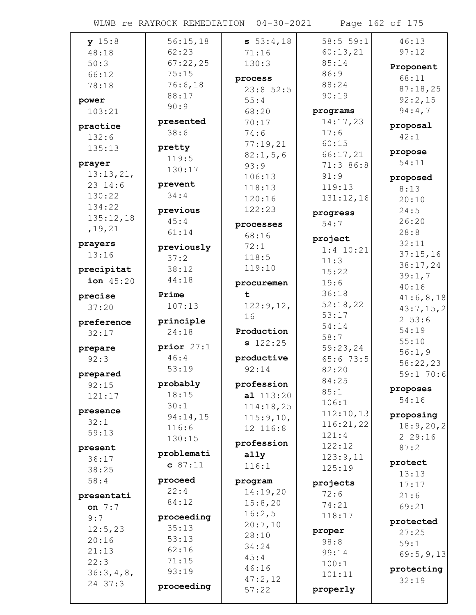WLWB re RAYROCK REMEDIATION 04-30-2021 Page 162 of 175

| y 15:8     | 56:15,18     | 53:4,18            | 58:555:1    | 46:13       |
|------------|--------------|--------------------|-------------|-------------|
| 48:18      | 62:23        | 71:16              | 60:13,21    | 97:12       |
| 50:3       | 67:22,25     | 130:3              | 85:14       |             |
| 66:12      | 75:15        |                    | 86:9        | Proponent   |
| 78:18      | 76:6,18      | process            | 88:24       | 68:11       |
|            | 88:17        | 23:852:5           | 90:19       | 87:18,25    |
| power      | 90:9         | 55:4               |             | 92:2,15     |
| 103:21     |              | 68:20              | programs    | 94:4,7      |
| practice   | presented    | 70:17              | 14:17,23    | proposal    |
| 132:6      | 38:6         | 74:6               | 17:6        | 42:1        |
| 135:13     | pretty       | 77:19,21           | 60:15       |             |
|            | 119:5        | 82:1,5,6           | 66:17,21    | propose     |
| prayer     | 130:17       | 93:9               | 71:3 86:8   | 54:11       |
| 13:13,21,  |              | 106:13             | 91:9        | proposed    |
| 23 14:6    | prevent      | 118:13             | 119:13      | 8:13        |
| 130:22     | 34:4         | 120:16             | 131:12,16   | 20:10       |
| 134:22     | previous     | 122:23             | progress    | 24:5        |
| 135:12,18  | 45:4         |                    | 54:7        | 26:20       |
| , 19, 21   | 61:14        | processes<br>68:16 |             | 28:8        |
| prayers    |              |                    | project     | 32:11       |
| 13:16      | previously   | 72:1               | $1:4$ 10:21 | 37:15,16    |
|            | 37:2         | 118:5              | 11:3        | 38:17,24    |
| precipitat | 38:12        | 119:10             | 15:22       | 39:1,7      |
| ion 45:20  | 44:18        | procuremen         | 19:6        | 40:16       |
| precise    | Prime        | t.                 | 36:18       | 41:6,8,18   |
| 37:20      | 107:13       | 122:9,12,          | 52:18,22    | 43:7, 15, 2 |
|            |              | 16                 | 53:17       | 253:6       |
| preference | principle    |                    | 54:14       | 54:19       |
| 32:17      | 24:18        | Production         | 58:7        | 55:10       |
| prepare    | prior $27:1$ | $s$ 122:25         | 59:23,24    | 56:1,9      |
| 92:3       | 46:4         | productive         | 65:673:5    |             |
|            | 53:19        | 92:14              | 82:20       | 58:22,23    |
| prepared   | probably     | profession         | 84:25       | 59:1 70:6   |
| 92:15      | 18:15        | al 113:20          | 85:1        | proposes    |
| 121:17     | 30:1         | 114:18,25          | 106:1       | 54:16       |
| presence   | 94:14,15     |                    | 112:10,13   | proposing   |
| 32:1       | 116:6        | 115:9,10,          | 116:21,22   | 18:9,20,2   |
| 59:13      | 130:15       | 12 116:8           | 121:4       | 229:16      |
| present    |              | profession         | 122:12      | 87:2        |
| 36:17      | problemati   | ally               | 123:9,11    |             |
| 38:25      | c 87:11      | 116:1              | 125:19      | protect     |
| 58:4       | proceed      | program            |             | 13:13       |
|            | 22:4         | 14:19,20           | projects    | 17:17       |
| presentati | 84:12        | 15:8,20            | 72:6        | 21:6        |
| on $7:7$   |              | 16:2,5             | 74:21       | 69:21       |
| 9:7        | proceeding   | 20:7,10            | 118:17      | protected   |
| 12:5,23    | 35:13        | 28:10              | proper      | 27:25       |
| 20:16      | 53:13        | 34:24              | 98:8        | 59:1        |
| 21:13      | 62:16        | 45:4               | 99:14       | 69:5,9,13   |
| 22:3       | 71:15        | 46:16              | 100:1       |             |
| 36:3,4,8,  | 93:19        |                    | 101:11      | protecting  |
| 24 37:3    |              |                    |             |             |
|            |              | 47:2,12            |             | 32:19       |
|            | proceeding   | 57:22              | properly    |             |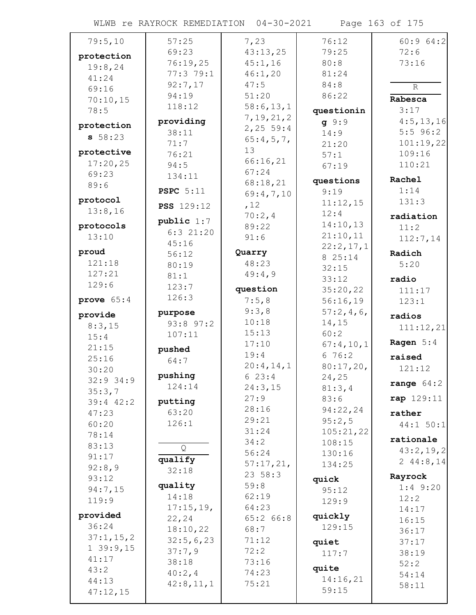WLWB re RAYROCK REMEDIATION 04-30-2021 Page 163 of 175

| 79:5,10      | 57:25             | 7,23         | 76:12        | 60:964:2     |
|--------------|-------------------|--------------|--------------|--------------|
| protection   | 69:23             | 43:13,25     | 79:25        | 72:6         |
|              | 76:19,25          | 45:1,16      | 80:8         | 73:16        |
| 19:8,24      | 77:379:1          | 46:1,20      | 81:24        |              |
| 41:24        | 92:7,17           | 47:5         | 84:8         |              |
| 69:16        | 94:19             | 51:20        | 86:22        | $\mathbb R$  |
| 70:10,15     |                   |              |              | Rabesca      |
| 78:5         | 118:12            | 58:6, 13, 1  | questionin   | 3:17         |
| protection   | providing         | 7, 19, 21, 2 | 9:9          | 4:5, 13, 16  |
|              | 38:11             | 2,25 59:4    | 14:9         | $5:5$ 96:2   |
| 58:23        | 71:7              | 65:4,5,7,    | 21:20        | 101:19,22    |
| protective   | 76:21             | 13           | 57:1         | 109:16       |
| 17:20,25     |                   | 66:16,21     |              | 110:21       |
| 69:23        | 94:5              | 67:24        | 67:19        |              |
|              | 134:11            | 68:18,21     | questions    | Rachel       |
| 89:6         | <b>PSPC</b> 5:11  | 69:4,7,10    | 9:19         | 1:14         |
| protocol     |                   |              | 11:12,15     | 131:3        |
| 13:8,16      | <b>PSS</b> 129:12 | ,12          | 12:4         |              |
|              | public $1:7$      | 70:2,4       |              | radiation    |
| protocols    | $6:3$ 21:20       | 89:22        | 14:10,13     | 11:2         |
| 13:10        | 45:16             | 91:6         | 21:10,11     | 112:7,14     |
| proud        |                   | Quarry       | 22:2,17,1    | Radich       |
| 121:18       | 56:12             |              | 8 25:14      |              |
|              | 80:19             | 48:23        | 32:15        | 5:20         |
| 127:21       | 81:1              | 49:4,9       | 33:12        | radio        |
| 129:6        | 123:7             | question     | 35:20,22     | 111:17       |
| prove $65:4$ | 126:3             | 7:5,8        | 56:16,19     | 123:1        |
|              |                   | 9:3,8        | 57:2,4,6     |              |
| provide      | purpose           | 10:18        |              | radios       |
| 8:3,15       | 93:8 97:2         |              | 14,15        | 111:12,21    |
| 15:4         | 107:11            | 15:13        | 60:2         |              |
| 21:15        | pushed            | 17:10        | 67:4,10,1    | Ragen $5:4$  |
| 25:16        | 64:7              | 19:4         | 676:2        | raised       |
| 30:20        |                   | 20:4,14,1    | $80:17,20$ , | 121:12       |
| $32:9$ 34:9  | pushing           | 623:4        | 24,25        |              |
| 35:3,7       | 124:14            | 24:3,15      | 81:3,4       | range $64:2$ |
|              |                   | 27:9         | 83:6         | rap 129:11   |
| 39:4 42:2    | putting           | 28:16        | 94:22,24     |              |
| 47:23        | 63:20             | 29:21        | 95:2,5       | rather       |
| 60:20        | 126:1             | 31:24        |              | 44:1 50:1    |
| 78:14        |                   |              | 105:21,22    | rationale    |
| 83:13        | Q                 | 34:2         | 108:15       | 43:2,19,2    |
| 91:17        | qualify           | 56:24        | 130:16       |              |
| 92:8,9       | 32:18             | 57:17,21,    | 134:25       | 2 $44:8,14$  |
| 93:12        |                   | 23 58:3      | quick        | Rayrock      |
| 94:7,15      | quality           | 59:8         | 95:12        | $1:4$ 9:20   |
| 119:9        | 14:18             | 62:19        |              | 12:2         |
|              | 17:15,19,         | 64:23        | 129:9        | 14:17        |
| provided     | 22, 24            | 65:2 66:8    | quickly      | 16:15        |
| 36:24        | 18:10,22          | 68:7         | 129:15       |              |
| 37:1, 15, 2  |                   | 71:12        |              | 36:17        |
| 139:9,15     | 32:5,6,23         |              | quiet        | 37:17        |
| 41:17        | 37:7,9            | 72:2         | 117:7        | 38:19        |
| 43:2         | 38:18             | 73:16        | quite        | 52:2         |
|              | 40:2, 4           | 74:23        | 14:16,21     | 54:14        |
| 44:13        | 42:8,11,1         | 75:21        |              | 58:11        |
| 47:12,15     |                   |              | 59:15        |              |
|              |                   |              |              |              |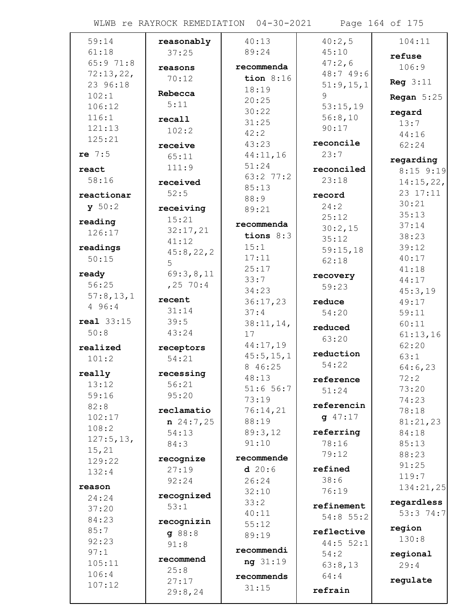WLWB re RAYROCK REMEDIATION 04-30-2021 Page 164 of 175

| 59:14             | reasonably         | 40:13            | 40:2,5      | 104:11            |
|-------------------|--------------------|------------------|-------------|-------------------|
| 61:18             | 37:25              | 89:24            | 45:10       | refuse            |
| 65:971:8          |                    | recommenda       | 47:2,6      | 106:9             |
| 72:13,22,         | reasons            | tion $8:16$      | 48:7 49:6   |                   |
| 23 96:18          | 70:12              | 18:19            | 51:9,15,1   | Reg $3:11$        |
| 102:1             | Rebecca            |                  | 9           | Regan $5:25$      |
| 106:12            | 5:11               | 20:25<br>30:22   | 53:15,19    |                   |
| 116:1             | recall             | 31:25            | 56:8,10     | regard            |
| 121:13            | 102:2              | 42:2             | 90:17       | 13:7              |
| 125:21            |                    | 43:23            | reconcile   | 44:16             |
| re $7:5$          | receive            | 44:11,16         | 23:7        | 62:24             |
|                   | 65:11              | 51:24            |             | regarding         |
| react             | 111:9              | 63:2 77:2        | reconciled  | $8:15$ 9:19       |
| 58:16             | received           | 85:13            | 23:18       | 14:15,22,         |
| reactionar        | 52:5               | 88:9             | record      | 23 17:11          |
| y 50:2            | receiving          | 89:21            | 24:2        | 30:21             |
| reading           | 15:21              |                  | 25:12       | 35:13             |
| 126:17            | 32:17,21           | recommenda       | 30:2,15     | 37:14             |
|                   | 41:12              | tions $8:3$      | 35:12       | 38:23             |
| readings          | 45:8,22,2          | 15:1             | 59:15,18    | 39:12             |
| 50:15             | 5                  | 17:11            | 62:18       | 40:17             |
| ready             | 69:3,8,11          | 25:17            | recovery    | 41:18             |
| 56:25             | $, 25$ 70:4        | 33:7             | 59:23       | 44:17             |
| 57:8,13,1         | recent             | 34:23            |             | 45:3,19           |
| 4 96:4            | 31:14              | 36:17,23<br>37:4 | reduce      | 49:17             |
| <b>real</b> 33:15 | 39:5               |                  | 54:20       | 59:11             |
| 50:8              | 43:24              | 38:11,14,<br>17  | reduced     | 60:11             |
|                   |                    | 44:17,19         | 63:20       | 61:13,16<br>62:20 |
| realized          | receptors          | 45:5, 15, 1      | reduction   | 63:1              |
| 101:2             | 54:21              | 8 46:25          | 54:22       | 64:6,23           |
| really            | recessing          | 48:13            | reference   | 72:2              |
| 13:12             | 56:21              | 51:656:7         | 51:24       | 73:20             |
| 59:16             | 95:20              | 73:19            |             | 74:23             |
| 82:8              | reclamatio         | 76:14,21         | referencin  | 78:18             |
| 102:17            | $n \ 24:7,25$      | 88:19            | $q$ 47:17   | 81:21,23          |
| 108:2             | 54:13              | 89:3,12          | referring   | 84:18             |
| 127:5, 13,        | 84:3               | 91:10            | 78:16       | 85:13             |
| 15, 21            |                    | recommende       | 79:12       | 88:23             |
| 129:22            | recognize<br>27:19 | d20:6            | refined     | 91:25             |
| 132:4             | 92:24              | 26:24            | 38:6        | 119:7             |
| reason            |                    | 32:10            | 76:19       | 134:21,25         |
| 24:24             | recognized         | 33:2             |             | regardless        |
| 37:20             | 53:1               | 40:11            | refinement  | 53:3 74:7         |
| 84:23             | recognizin         | 55:12            | $54:8$ 55:2 |                   |
| 85:7              | 98:8               | 89:19            | reflective  | region            |
| 92:23             | 91:8               |                  | $44:5$ 52:1 | 130:8             |
| 97:1              | recommend          | recommendi       | 54:2        | regional          |
| 105:11            | 25:8               | ng 31:19         | 63:8,13     | 29:4              |
| 106:4             | 27:17              | recommends       | 64:4        | regulate          |
| 107:12            | 29:8,24            | 31:15            | refrain     |                   |
|                   |                    |                  |             |                   |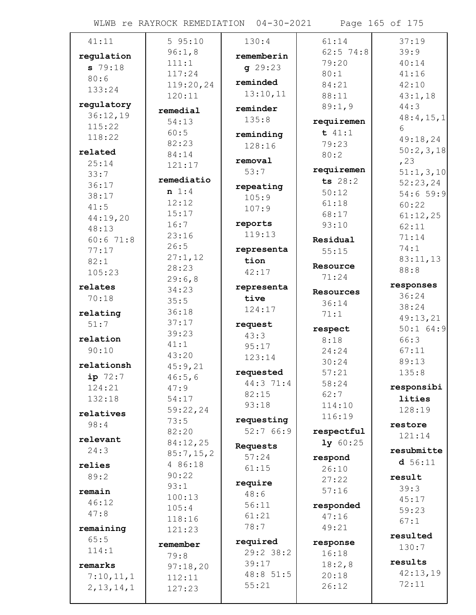WLWB re RAYROCK REMEDIATION 04-30-2021 Page 165 of 175

| 41:11        | 595:10               | 130:4       | 61:14           | 37:19                   |
|--------------|----------------------|-------------|-----------------|-------------------------|
| regulation   | 96:1,8               | rememberin  | $62:5$ 74:8     | 39:9                    |
| 579:18       | 111:1                | q29:23      | 79:20           | 40:14                   |
| 80:6         | 117:24               |             | 80:1            | 41:16                   |
| 133:24       | 119:20,24            | reminded    | 84:21           | 42:10                   |
|              | 120:11               | 13:10,11    | 88:11           | 43:1,18                 |
| regulatory   | remedial             | reminder    | 89:1,9          | 44:3                    |
| 36:12,19     | 54:13                | 135:8       | requiremen      | 48:4, 15, 1             |
| 115:22       | 60:5                 | reminding   | t 41:1          | 6                       |
| 118:22       | 82:23                | 128:16      | 79:23           | 49:18,24                |
| related      | 84:14                |             | 80:2            | 50:2,3,18               |
| 25:14        | 121:17               | removal     | requiremen      | , 23                    |
| 33:7         | remediatio           | 53:7        | ts $28:2$       | 51:1,3,10               |
| 36:17        | n 1:4                | repeating   | 50:12           | 52:23,24                |
| 38:17        | 12:12                | 105:9       | 61:18           | 54:659:9                |
| 41:5         | 15:17                | 107:9       | 68:17           | 60:22                   |
| 44:19,20     | 16:7                 | reports     | 93:10           | 61:12,25<br>62:11       |
| 48:13        | 23:16                | 119:13      |                 | 71:14                   |
| 60:671:8     | 26:5                 |             | Residual        | 74:1                    |
| 77:17        | 27:1,12              | representa  | 55:15           | 83:11,13                |
| 82:1         | 28:23                | tion        | Resource        | 88:8                    |
| 105:23       | 29:6,8               | 42:17       | 71:24           |                         |
| relates      | 34:23                | representa  | Resources       | responses               |
| 70:18        | 35:5                 | tive        | 36:14           | 36:24                   |
| relating     | 36:18                | 124:17      | 71:1            | 38:24                   |
| 51:7         | 37:17                | request     |                 | 49:13,21<br>$50:1$ 64:9 |
| relation     | 39:23                | 43:3        | respect<br>8:18 | 66:3                    |
| 90:10        | 41:1                 | 95:17       | 24:24           | 67:11                   |
|              | 43:20                | 123:14      | 30:24           | 89:13                   |
| relationsh   | 45:9,21              | requested   | 57:21           | 135:8                   |
| $ip$ 72:7    | 46:5,6               | 44:3 71:4   | 58:24           |                         |
| 124:21       | 47:9                 | 82:15       | 62:7            | responsibi              |
| 132:18       | 54:17                | 93:18       | 114:10          | lities                  |
| relatives    | 59:22,24             |             | 116:19          | 128:19                  |
| 98:4         | 73:5                 | requesting  |                 | restore                 |
| relevant     | 82:20                | 52:766:9    | respectful      | 121:14                  |
| 24:3         | 84:12,25             | Requests    | 1y 60:25        | resubmitte              |
|              | 85:7,15,2<br>4 86:18 | 57:24       | respond         | d 56:11                 |
| relies       | 90:22                | 61:15       | 26:10           |                         |
| 89:2         | 93:1                 | require     | 27:22           | result                  |
| remain       | 100:13               | 48:6        | 57:16           | 39:3                    |
| 46:12        | 105:4                | 56:11       | responded       | 45:17<br>59:23          |
| 47:8         | 118:16               | 61:21       | 47:16           | 67:1                    |
| remaining    | 121:23               | 78:7        | 49:21           |                         |
| 65:5         |                      | required    | response        | resulted                |
| 114:1        | remember             | $29:2$ 38:2 | 16:18           | 130:7                   |
| remarks      | 79:8                 | 39:17       | 18:2,8          | results                 |
| 7:10,11,1    | 97:18,20<br>112:11   | 48:8 51:5   | 20:18           | 42:13,19                |
| 2, 13, 14, 1 | 127:23               | 55:21       | 26:12           | 72:11                   |
|              |                      |             |                 |                         |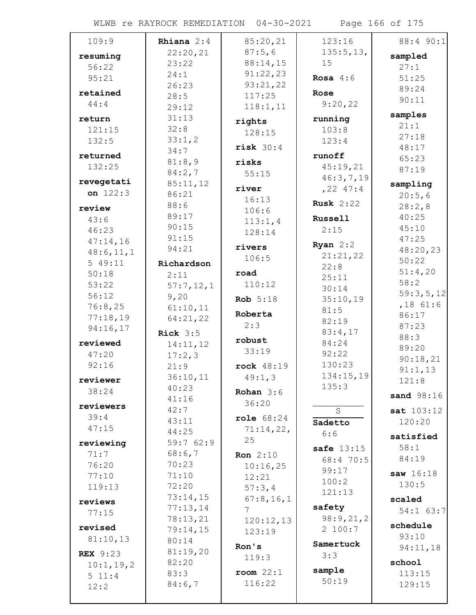WLWB re RAYROCK REMEDIATION 04-30-2021 Page 166 of 175

| 109:9                | Rhiana $2:4$         | 85:20,21        | 123:16           | 88:4 90:1         |
|----------------------|----------------------|-----------------|------------------|-------------------|
| resuming             | 22:20,21             | 87:5,6          | 135:5, 13,       | sampled           |
| 56:22                | 23:22                | 88:14,15        | 15               | 27:1              |
| 95:21                | 24:1                 | 91:22,23        | Rosa $4:6$       | 51:25             |
|                      | 26:23                | 93:21,22        |                  | 89:24             |
| retained             | 28:5                 | 117:25          | Rose             | 90:11             |
| 44:4                 | 29:12                | 118:1, 11       | 9:20,22          |                   |
| return               | 31:13                | rights          | running          | samples           |
| 121:15               | 32:8                 | 128:15          | 103:8            | 21:1<br>27:18     |
| 132:5                | 33:1,2               | risk 30:4       | 123:4            | 48:17             |
| returned             | 34:7                 |                 | runoff           | 65:23             |
| 132:25               | 81:8,9               | risks           | 45:19,21         | 87:19             |
|                      | 84:2,7               | 55:15           | 46:3,7,19        |                   |
| revegetati           | 85:11,12             | river           | $, 22$ 47:4      | sampling          |
| on $122:3$           | 86:21                | 16:13           | <b>Rusk</b> 2:22 | 20:5,6            |
| review               | 88:6                 | 106:6           |                  | 28:2,8            |
| 43:6                 | 89:17                | 113:1,4         | Russell          | 40:25             |
| 46:23                | 90:15                | 128:14          | 2:15             | 45:10             |
| 47:14,16             | 91:15<br>94:21       | rivers          | Ryan $2:2$       | 47:25             |
| 48:6, 11, 1          |                      | 106:5           | 21:21,22         | 48:20,23          |
| 549:11               | Richardson           |                 | 22:8             | 50:22             |
| 50:18                | 2:11                 | road            | 25:11            | 51:4,20           |
| 53:22                | 57:7,12,1            | 110:12          | 30:14            | 58:2<br>59:3,5,12 |
| 56:12                | 9,20                 | <b>Rob</b> 5:18 | 35:10,19         | $,18$ 61:6        |
| 76:8,25              | 61:10,11             | Roberta         | 81:5             | 86:17             |
| 77:18,19             | 64:21,22             | 2:3             | 82:19            | 87:23             |
| 94:16,17             | Rick $3:5$           |                 | 83:4,17          | 88:3              |
| reviewed             | 14:11,12             | robust          | 84:24            | 89:20             |
| 47:20                | 17:2,3               | 33:19           | 92:22            | 90:18,21          |
| 92:16                | 21:9                 | rock 48:19      | 130:23           | 91:1,13           |
| reviewer             | 36:10,11             | 49:1,3          | 134:15,19        | 121:8             |
| 38:24                | 40:23                | Rohan $3:6$     | 135:3            |                   |
| reviewers            | 41:16                | 36:20           |                  | sand 98:16        |
| 39:4                 | 42:7                 |                 | S                | sat 103:12        |
| 47:15                | 43:11                | role 68:24      | Sadetto          | 120:20            |
|                      | 44:25                | 71:14,22,<br>25 | 6:6              | satisfied         |
| reviewing            | 59:7 62:9            |                 | safe $13:15$     | 58:1              |
| 71:7                 | 68:6,7               | <b>Ron</b> 2:10 | 68:4 70:5        | 84:19             |
| 76:20                | 70:23                | 10:16,25        | 99:17            | saw 16:18         |
| 77:10                | 71:10                | 12:21           | 100:2            | 130:5             |
| 119:13               | 72:20                | 57:3,4          | 121:13           |                   |
| reviews              | 73:14,15             | 67:8, 16, 1     | safety           | scaled            |
| 77:15                | 77:13,14<br>78:13,21 | 7               | 98:9,21,2        | 54:1 63:7         |
| revised              | 79:14,15             | 120:12,13       | 2 100:7          | schedule          |
| 81:10,13             | 80:14                | 123:19          |                  | 93:10             |
|                      | 81:19,20             | Ron's           | Samertuck        | 94:11,18          |
| <b>REX</b> 9:23      | 82:20                | 119:3           | 3:3              | school            |
| 10:1, 19, 2<br>511:4 | 83:3                 | $room$ $22:1$   | sample           | 113:15            |
| 12:2                 | 84:6,7               | 116:22          | 50:19            | 129:15            |
|                      |                      |                 |                  |                   |
|                      |                      |                 |                  |                   |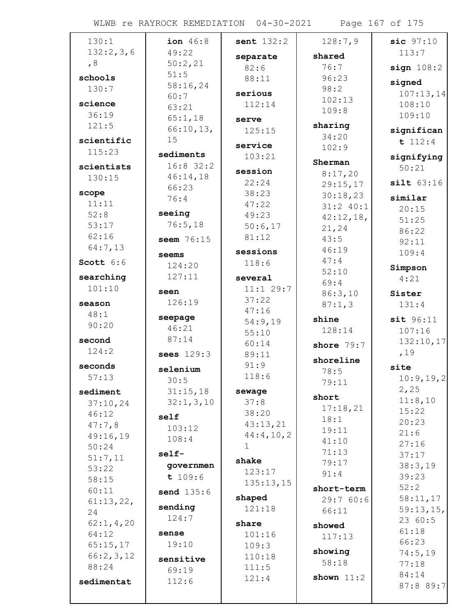WLWB re RAYROCK REMEDIATION 04-30-2021 Page 167 of 175

| 130:1            | ion 46:8    | sent $132:2$   | 128:7,9      | $sic$ $97:10$    |
|------------------|-------------|----------------|--------------|------------------|
| 132:2,3,6        | 49:22       | separate       | shared       | 113:7            |
| , 8              | 50:2,21     | 82:6           | 76:7         | sign 108:2       |
| schools          | 51:5        | 88:11          | 96:23        | signed           |
| 130:7            | 58:16,24    | serious        | 98:2         | 107:13,14        |
| science          | 60:7        | 112:14         | 102:13       | 108:10           |
| 36:19            | 63:21       |                | 109:8        | 109:10           |
| 121:5            | 65:1,18     | serve          | sharing      |                  |
|                  | 66:10,13,   | 125:15         | 34:20        | significan       |
| scientific       | 15          | service        | 102:9        | t 112:4          |
| 115:23           | sediments   | 103:21         | Sherman      | signifying       |
| scientists       | $16:8$ 32:2 | session        | 8:17,20      | 50:21            |
| 130:15           | 46:14,18    | 22:24          | 29:15,17     | silt 63:16       |
| scope            | 66:23       | 38:23          | 30:18,23     |                  |
| 11:11            | 76:4        | 47:22          | $31:2$ 40:1  | similar          |
| 52:8             | seeing      | 49:23          | 42:12,18,    | 20:15            |
| 53:17            | 76:5,18     | 50:6,17        | 21,24        | 51:25<br>86:22   |
| 62:16            | seem 76:15  | 81:12          | 43:5         | 92:11            |
| 64:7,13          |             | sessions       | 46:19        | 109:4            |
| Scott $6:6$      | seems       | 118:6          | 47:4         |                  |
|                  | 124:20      |                | 52:10        | Simpson          |
| searching        | 127:11      | several        | 69:4         | 4:21             |
| 101:10           | seen        | 11:1 29:7      | 86:3,10      | Sister           |
| season           | 126:19      | 37:22          | 87:1,3       | 131:4            |
| 48:1             | seepage     | 47:16          | shine        | sit 96:11        |
| 90:20            | 46:21       | 54:9,19        | 128:14       | 107:16           |
| second           | 87:14       | 55:10          |              | 132:10,17        |
| 124:2            | sees 129:3  | 60:14<br>89:11 | shore $79:7$ | ,19              |
|                  |             | 91:9           | shoreline    |                  |
| seconds<br>57:13 | selenium    | 118:6          | 78:5         | site             |
|                  | 30:5        |                | 79:11        | 10:9, 19, 2      |
| sediment         | 31:15,18    | sewage         | short        | 2,25             |
| 37:10,24         | 32:1, 3, 10 | 37:8           | 17:18,21     | 11:8,10<br>15:22 |
| 46:12            | self        | 38:20          | 18:1         | 20:23            |
| 47:7,8           | 103:12      | 43:13,21       | 19:11        | 21:6             |
| 49:16,19         | 108:4       | 44:4,10,2      | 41:10        | 27:16            |
| 50:24            | self-       | $\mathbf 1$    | 71:13        | 37:17            |
| 51:7,11          | governmen   | shake          | 79:17        | 38:3,19          |
| 53:22<br>58:15   | t 109:6     | 123:17         | 91:4         | 39:23            |
| 60:11            |             | 135:13,15      | short-term   | 52:2             |
| 61:13,22,        | send 135:6  | shaped         | 29:760:6     | 58:11,17         |
| 24               | sending     | 121:18         | 66:11        | 59:13,15,        |
| 62:1, 4, 20      | 124:7       | share          |              | 23 60:5          |
| 64:12            | sense       | 101:16         | showed       | 61:18            |
| 65:15,17         | 19:10       | 109:3          | 117:13       | 66:23            |
| 66:2,3,12        |             | 110:18         | showing      | 74:5,19          |
| 88:24            | sensitive   | 111:5          | 58:18        | 77:18            |
|                  | 69:19       | 121:4          | shown $11:2$ | 84:14            |
| sedimentat       | 112:6       |                |              | 87:8 89:7        |
|                  |             |                |              |                  |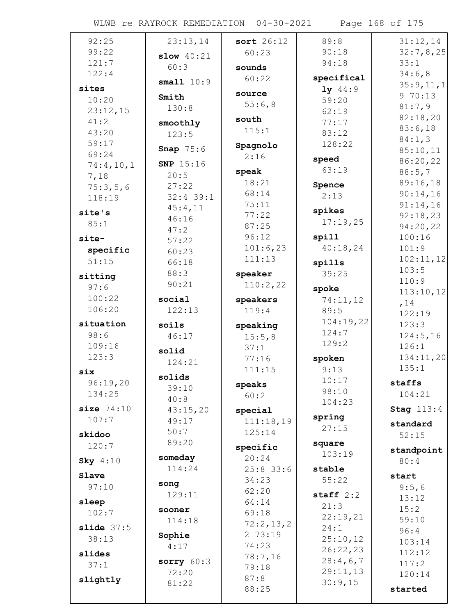WLWB re RAYROCK REMEDIATION 04-30-2021 Page 168 of 175

| 92:25              | 23:13,14             | sort 26:12        | 89:8            | 31:12,14          |
|--------------------|----------------------|-------------------|-----------------|-------------------|
| 99:22              |                      | 60:23             | 90:18           | 32:7,8,25         |
| 121:7              | slow $40:21$<br>60:3 |                   | 94:18           | 33:1              |
| 122:4              |                      | sounds            | specifical      | 34:6,8            |
| sites              | small $10:9$         | 60:22             | $1y$ 44:9       | 35:9,11,1         |
| 10:20              | Smith                | source            | 59:20           | 970:13            |
| 23:12,15           | 130:8                | 55:6,8            | 62:19           | 81:7,9            |
| 41:2               | smoothly             | south             | 77:17           | 82:18,20          |
| 43:20              | 123:5                | 115:1             | 83:12           | 83:6,18           |
| 59:17              |                      | Spagnolo          | 128:22          | 84:1,3            |
| 69:24              | Snap $75:6$          | 2:16              |                 | 85:10,11          |
| 74:4,10,1          | <b>SNP</b> 15:16     |                   | speed           | 86:20,22          |
| 7,18               | 20:5                 | speak             | 63:19           | 88:5,7            |
| 75:3,5,6           | 27:22                | 18:21             | Spence          | 89:16,18          |
| 118:19             | $32:4$ 39:1          | 68:14             | 2:13            | 90:14,16          |
| site's             | 45:4,11              | 75:11             | spikes          | 91:14,16          |
| 85:1               | 46:16                | 77:22             | 17:19,25        | 92:18,23          |
|                    | 47:2                 | 87:25             | spill           | 94:20,22          |
| site-              | 57:22                | 96:12<br>101:6,23 | 40:18,24        | 100:16<br>101:9   |
| specific           | 60:23                | 111:13            |                 | 102:11,12         |
| 51:15              | 66:18                |                   | spills          | 103:5             |
| sitting            | 88:3                 | speaker           | 39:25           | 110:9             |
| 97:6               | 90:21                | 110:2,22          | spoke           | 113:10,12         |
| 100:22             | social               | speakers          | 74:11,12        | , 14              |
| 106:20             | 122:13               | 119:4             | 89:5            | 122:19            |
| situation          |                      |                   | 104:19,22       |                   |
|                    | soils                |                   |                 | 123:3             |
| 98:6               | 46:17                | speaking          | 124:7           | 124:5,16          |
| 109:16             |                      | 15:5,8<br>37:1    | 129:2           | 126:1             |
| 123:3              | solid                | 77:16             | spoken          | 134:11,20         |
|                    | 124:21               | 111:15            | 9:13            | 135:1             |
| six                | solids               |                   | 10:17           |                   |
| 96:19,20<br>134:25 | 39:10                | speaks            | 98:10           | staffs<br>104:21  |
|                    | 40:8                 | 60:2              | 104:23          |                   |
| size $74:10$       | 43:15,20             | special           |                 | <b>Stag 113:4</b> |
| 107:7              | 49:17                | 111:18,19         | spring<br>27:15 | standard          |
| skidoo             | 50:7                 | 125:14            |                 | 52:15             |
| 120:7              | 89:20                | specific          | square          | standpoint        |
| Sky 4:10           | someday              | 20:24             | 103:19          | 80:4              |
|                    | 114:24               | $25:8$ 33:6       | stable          |                   |
| Slave              | song                 | 34:23             | 55:22           | start             |
| 97:10              | 129:11               | 62:20             | staff $2:2$     | 9:5,6             |
| sleep              |                      | 64:14             | 21:3            | 13:12             |
| 102:7              | sooner               | 69:18             | 22:19,21        | 15:2<br>59:10     |
| slide $37:5$       | 114:18               | 72:2,13,2         | 24:1            | 96:4              |
| 38:13              | Sophie               | 2 73:19           | 25:10,12        | 103:14            |
| slides             | 4:17                 | 74:23             | 26:22,23        | 112:12            |
| 37:1               | sorry $60:3$         | 78:7,16           | 28:4,6,7        | 117:2             |
|                    | 72:20                | 79:18             | 29:11,13        | 120:14            |
| slightly           | 81:22                | 87:8<br>88:25     | 30:9,15         | started           |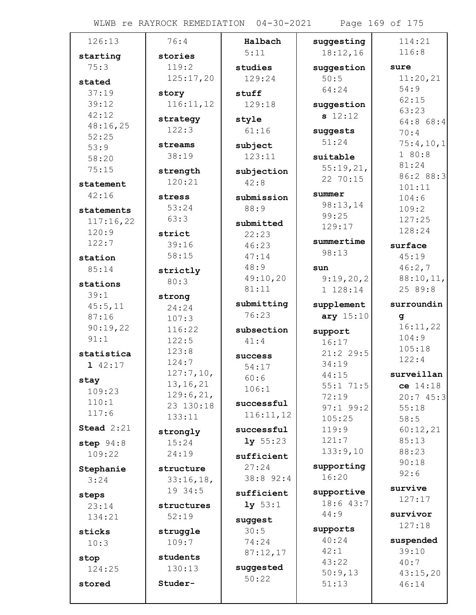WLWB re RAYROCK REMEDIATION 04-30-2021 Page 169 of 175

| 126:13            | 76:4              | Halbach    | suggesting             | 114:21              |
|-------------------|-------------------|------------|------------------------|---------------------|
| starting          | stories           | 5:11       | 18:12,16               | 116:8               |
| 75:3              | 119:2             | studies    | suggestion             | sure                |
| stated            | 125:17,20         | 129:24     | 50:5                   | 11:20,21            |
| 37:19             | story             | stuff      | 64:24                  | 54:9                |
| 39:12             | 116:11,12         | 129:18     | suggestion             | 62:15               |
| 42:12             |                   |            | s 12:12                | 63:23               |
| 48:16,25          | strategy<br>122:3 | style      |                        | $64:8$ 68:4         |
| 52:25             |                   | 61:16      | suggests               | 70:4                |
| 53:9              | streams           | subject    | 51:24                  | 75:4,10,1           |
| 58:20             | 38:19             | 123:11     | suitable               | 180:8               |
| 75:15             | strength          | subjection | 55:19,21,              | 81:24               |
| statement         | 120:21            | 42:8       | 22 70:15               | 86:2 88:3<br>101:11 |
| 42:16             | stress            | submission | summer                 | 104:6               |
| statements        | 53:24             | 88:9       | 98:13,14               | 109:2               |
| 117:16,22         | 63:3              | submitted  | 99:25                  | 127:25              |
| 120:9             | strict            | 22:23      | 129:17                 | 128:24              |
| 122:7             | 39:16             | 46:23      | summertime             | surface             |
| station           | 58:15             | 47:14      | 98:13                  | 45:19               |
| 85:14             |                   | 48:9       | sun                    | 46:2,7              |
|                   | strictly<br>80:3  | 49:10,20   | 9:19,20,2              | 88:10,11,           |
| stations          |                   | 81:11      | 1 128:14               | 25 89:8             |
| 39:1              | strong            | submitting | supplement             | surroundin          |
| 45:5,11<br>87:16  | 24:24             | 76:23      | ary 15:10              | q                   |
| 90:19,22          | 107:3             |            |                        | 16:11,22            |
| 91:1              | 116:22<br>122:5   | subsection | support                | 104:9               |
|                   | 123:8             | 41:4       | 16:17                  | 105:18              |
| statistica        | 124:7             | success    | $21:2$ 29:5            | 122:4               |
| 1 $42:17$         | 127:7,10,         | 54:17      | 34:19<br>44:15         | surveillan          |
| stay              | 13, 16, 21        | 60:6       | $55:1$ 71:5            | ce 14:18            |
| 109:23            | 129:6,21,         | 106:1      | 72:19                  | 20:745:3            |
| 110:1             | 23 130:18         | successful | $97:1$ 99:2            | 55:18               |
| 117:6             | 133:11            | 116:11,12  | 105:25                 | 58:5                |
| Stead $2:21$      | strongly          | successful | 119:9                  | 60:12,21            |
| step $94:8$       | 15:24             | 1y 55:23   | 121:7                  | 85:13               |
| 109:22            | 24:19             | sufficient | 133:9,10               | 88:23               |
|                   | structure         | 27:24      | supporting             | 90:18               |
| Stephanie<br>3:24 | 33:16,18,         | 38:8 92:4  | 16:20                  | 92:6                |
|                   | 19 34:5           |            |                        | survive             |
| steps             |                   | sufficient | supportive<br>18:643:7 | 127:17              |
| 23:14             | structures        | 1y 53:1    | 44:9                   | survivor            |
| 134:21            | 52:19             | suggest    |                        | 127:18              |
| sticks            | struggle          | 30:5       | supports<br>40:24      |                     |
| 10:3              | 109:7             | 74:24      | 42:1                   | suspended<br>39:10  |
| stop              | students          | 87:12,17   | 43:22                  | 40:7                |
| 124:25            | 130:13            | suggested  | 50:9,13                | 43:15,20            |
| stored            | Studer-           | 50:22      | 51:13                  | 46:14               |
|                   |                   |            |                        |                     |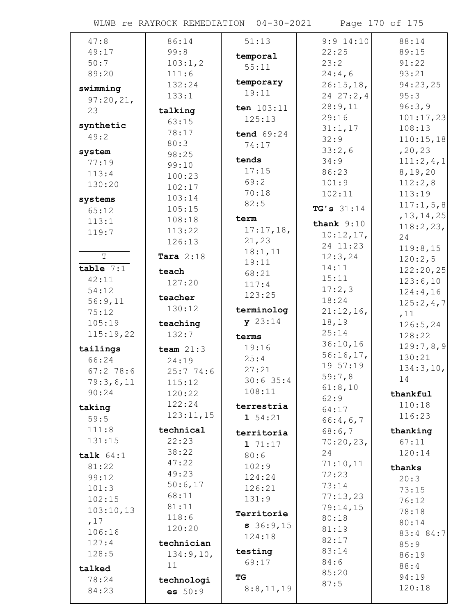WLWB re RAYROCK REMEDIATION 04-30-2021 Page 170 of 175

| 47:8               | 86:14            | 51:13        | $9:9$ 14:10  | 88:14                |
|--------------------|------------------|--------------|--------------|----------------------|
| 49:17              | 99:8             | temporal     | 22:25        | 89:15                |
| 50:7               | 103:1,2          | 55:11        | 23:2         | 91:22                |
| 89:20              | 111:6            |              | 24:4,6       | 93:21                |
| swimming           | 132:24           | temporary    | 26:15,18,    | 94:23,25             |
| 97:20,21,          | 133:1            | 19:11        | 2427:2,4     | 95:3                 |
| 23                 | talking          | ten 103:11   | 28:9,11      | 96:3,9               |
|                    | 63:15            | 125:13       | 29:16        | 101:17,23            |
| synthetic          | 78:17            | tend 69:24   | 31:1,17      | 108:13               |
| 49:2               | 80:3             | 74:17        | 32:9         | 110:15,18            |
| system             | 98:25            |              | 33:2,6       | , 20, 23             |
| 77:19              | 99:10            | tends        | 34:9         | 111:2,4,1            |
| 113:4              | 100:23           | 17:15        | 86:23        | 8,19,20              |
| 130:20             | 102:17           | 69:2         | 101:9        | 112:2,8              |
| systems            | 103:14           | 70:18        | 102:11       | 113:19               |
| 65:12              | 105:15           | 82:5         | TG's $31:14$ | 117:1,5,8            |
| 113:1              | 108:18           | term         | thank $9:10$ | , 13, 14, 25         |
| 119:7              | 113:22           | 17:17,18,    | 10:12,17,    | 118:2,23,            |
|                    | 126:13           | 21,23        | 24 11:23     | 24                   |
| $\overline{T}$     | Tara $2:18$      | 18:1,11      | 12:3,24      | 119:8,15             |
| table $7:1$        |                  | 19:11        | 14:11        | 120:2,5              |
| 42:11              | teach            | 68:21        | 15:11        | 122:20,25            |
| 54:12              | 127:20           | 117:4        | 17:2,3       | 123:6,10<br>124:4,16 |
| 56:9,11            | teacher          | 123:25       | 18:24        | 125:2,4,7            |
| 75:12              | 130:12           | terminolog   | 21:12,16,    | ,11                  |
| 105:19             | teaching         | y 23:14      | 18,19        | 126:5, 24            |
| 115:19,22          | 132:7            | terms        | 25:14        | 128:22               |
|                    |                  | 19:16        | 36:10,16     | 129:7,8,9            |
| tailings           | team $21:3$      | 25:4         | 56:16,17,    | 130:21               |
| 66:24<br>67:278:6  | 24:19            | 27:21        | 19 57:19     | 134:3,10,            |
|                    | 25:774:6         | $30:6$ 35:4  | 59:7,8       | 14                   |
| 79:3,6,11<br>90:24 | 115:12           | 108:11       | 61:8,10      |                      |
|                    | 120:22<br>122:24 |              | 62:9         | thankful             |
| taking             | 123:11,15        | terrestria   | 64:17        | 110:18               |
| 59:5               |                  | $1\;\;54:21$ | 66:4,6,7     | 116:23               |
| 111:8              | technical        | territoria   | 68:6,7       | thanking             |
| 131:15             | 22:23            | 171:17       | 70:20,23,    | 67:11                |
| talk $64:1$        | 38:22            | 80:6         | 24           | 120:14               |
| 81:22              | 47:22            | 102:9        | 71:10,11     | thanks               |
| 99:12              | 49:23            | 124:24       | 72:23        | 20:3                 |
| 101:3              | 50:6,17          | 126:21       | 73:14        | 73:15                |
| 102:15             | 68:11            | 131:9        | 77:13,23     | 76:12                |
| 103:10,13          | 81:11            | Territorie   | 79:14,15     | 78:18                |
| ,17                | 118:6            | 36:9,15      | 80:18        | 80:14                |
| 106:16             | 120:20           | 124:18       | 81:19        | 83:4 84:7            |
| 127:4              | technician       |              | 82:17        | 85:9                 |
| 128:5              | 134:9,10,        | testing      | 83:14        | 86:19                |
| talked             | 11               | 69:17        | 84:6         | 88:4                 |
| 78:24              | technologi       | ТG           | 85:20        | 94:19                |
| 84:23              | es 50:9          | 8:8,11,19    | 87:5         | 120:18               |
|                    |                  |              |              |                      |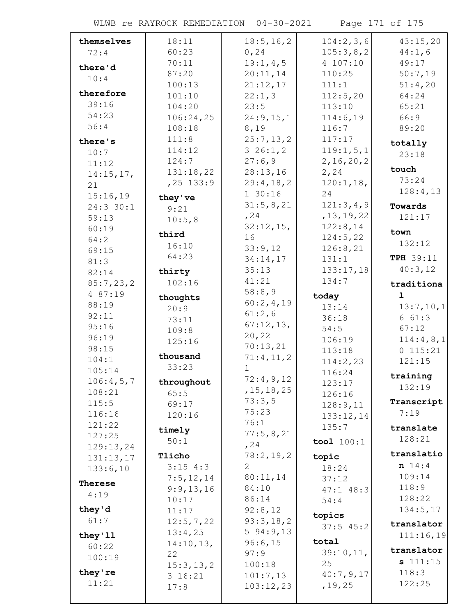WLWB re RAYROCK REMEDIATION 04-30-2021 Page 171 of 175

| themselves | 18:11        | 18:5, 16, 2  | 104:2,3,6             | 43:15,20       |
|------------|--------------|--------------|-----------------------|----------------|
| 72:4       | 60:23        | 0, 24        | 105:3,8,2             | 44:1,6         |
| there'd    | 70:11        | 19:1,4,5     | 4 107:10              | 49:17          |
| 10:4       | 87:20        | 20:11,14     | 110:25                | 50:7,19        |
|            | 100:13       | 21:12,17     | 111:1                 | 51:4,20        |
| therefore  | 101:10       | 22:1,3       | 112:5,20              | 64:24          |
| 39:16      | 104:20       | 23:5         | 113:10                | 65:21          |
| 54:23      | 106:24,25    | 24:9,15,1    | 114:6,19              | 66:9           |
| 56:4       | 108:18       | 8,19         | 116:7                 | 89:20          |
| there's    | 111:8        | 25:7,13,2    | 117:17                | totally        |
| 10:7       | 114:12       | $3\ 26:1,2$  | 119:1,5,1             | 23:18          |
| 11:12      | 124:7        | 27:6,9       | 2, 16, 20, 2          |                |
| 14:15,17,  | 131:18,22    | 28:13,16     | 2, 24                 | touch          |
| 21         | $, 25$ 133:9 | 29:4,18,2    | 120:1,18,             | 73:24          |
| 15:16,19   | they've      | 130:16       | 24                    | 128:4,13       |
| 24:3 30:1  | 9:21         | 31:5,8,21    | 121:3,4,9             | Towards        |
| 59:13      | 10:5,8       | , 24         | , 13, 19, 22          | 121:17         |
| 60:19      |              | $32:12,15$ , | 122:8,14              |                |
| 64:2       | third        | 16           | 124:5,22              | town<br>132:12 |
| 69:15      | 16:10        | 33:9,12      | 126:8,21              |                |
| 81:3       | 64:23        | 34:14,17     | 131:1                 | TPH 39:11      |
| 82:14      | thirty       | 35:13        | 133:17,18             | 40:3,12        |
| 85:7,23,2  | 102:16       | 41:21        | 134:7                 | traditiona     |
| 4 87:19    | thoughts     | 58:8,9       | today                 | ı              |
| 88:19      | 20:9         | 60:2,4,19    | 13:14                 | 13:7,10,1      |
| 92:11      | 73:11        | 61:2,6       | 36:18                 | 661:3          |
| 95:16      | 109:8        | 67:12,13,    | 54:5                  | 67:12          |
| 96:19      | 125:16       | 20, 22       | 106:19                | 114:4,8,1      |
| 98:15      |              | 70:13,21     | 113:18                | 0 115:21       |
| 104:1      | thousand     | 71:4,11,2    | 114:2,23              | 121:15         |
| 105:14     | 33:23        | $\mathbf 1$  | 116:24                |                |
| 106:4,5,7  | throughout   | 72:4,9,12    | 123:17                | training       |
| 108:21     | 65:5         | , 15, 18, 25 | 126:16                | 132:19         |
| 115:5      | 69:17        | 73:3,5       | 128:9,11              | Transcript     |
| 116:16     | 120:16       | 75:23        | 133:12,14             | 7:19           |
| 121:22     | timely       | 76:1         | 135:7                 | translate      |
| 127:25     | 50:1         | 77:5,8,21    | tool $100:1$          | 128:21         |
| 129:13,24  |              | , 24         |                       |                |
| 131:13,17  | Tlicho       | 78:2,19,2    | topic                 | translatio     |
| 133:6,10   | $3:15$ 4:3   | $\mathbf{2}$ | 18:24                 | n 14:4         |
| Therese    | 7:5,12,14    | 80:11,14     | 37:12                 | 109:14         |
| 4:19       | 9:9,13,16    | 84:10        | $47:1$ $48:3$         | 118:9          |
|            | 10:17        | 86:14        | 54:4                  | 128:22         |
| they'd     | 11:17        | 92:8,12      | topics                | 134:5,17       |
| 61:7       | 12:5,7,22    | 93:3,18,2    | $37:5$ 45:2           | translator     |
| they'11    | 13:4,25      | 594:9,13     |                       | 111:16,19      |
| 60:22      | 14:10,13,    | 96:6,15      | total                 | translator     |
| 100:19     | 22           | 97:9         | 39:10,11,             | s 111:15       |
| they're    | 15:3, 13, 2  | 100:18       | 25                    | 118:3          |
| 11:21      | 3 16:21      | 101:7,13     | 40:7,9,17<br>, 19, 25 | 122:25         |
|            | 17:8         | 103:12,23    |                       |                |
|            |              |              |                       |                |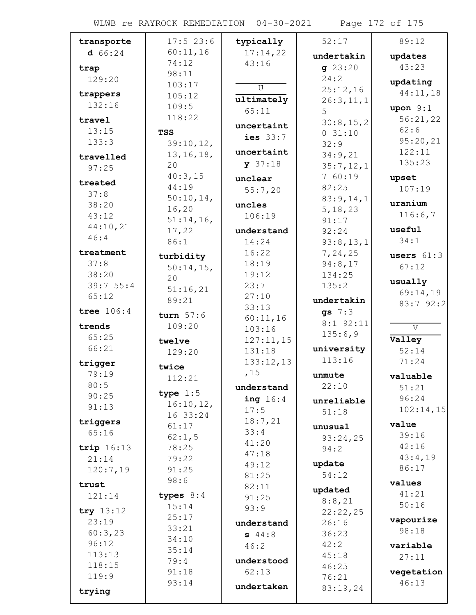WLWB re RAYROCK REMEDIATION 04-30-2021 Page 172 of 175

| transporte         | $17:5$ 23:6     | typically           | 52:17              | 89:12               |
|--------------------|-----------------|---------------------|--------------------|---------------------|
| d 66:24            | 60:11,16        | 17:14,22            | undertakin         | updates             |
| trap               | 74:12           | 43:16               | q23:20             | 43:23               |
| 129:20             | 98:11           |                     | 24:2               | updating            |
|                    | 103:17          | $\mathsf{U}$        | 25:12,16           | 44:11,18            |
| trappers<br>132:16 | 105:12          | ultimately          | 26:3,11,1          |                     |
|                    | 109:5           | 65:11               | 5                  | upon $9:1$          |
| travel             | 118:22          | uncertaint          | 30:8,15,2          | 56:21,22            |
| 13:15              | <b>TSS</b>      | ies $33:7$          | 031:10             | 62:6                |
| 133:3              | 39:10,12,       |                     | 32:9               | 95:20,21            |
| travelled          | 13, 16, 18,     | uncertaint          | 34:9,21            | 122:11              |
| 97:25              | 20              | y 37:18             | 35:7,12,1          | 135:23              |
| treated            | 40:3,15         | unclear             | 760:19             | upset               |
| 37:8               | 44:19           | 55:7,20             | 82:25              | 107:19              |
| 38:20              | $50:10,14$ ,    | uncles              | 83:9,14,1          | uranium             |
| 43:12              | 16, 20          | 106:19              | 5, 18, 23          | 116:6,7             |
| 44:10,21           | 51:14,16,       |                     | 91:17              | useful              |
| 46:4               | 17,22           | understand          | 92:24              | 34:1                |
| treatment          | 86:1            | 14:24<br>16:22      | 93:8,13,1          |                     |
| 37:8               | turbidity       | 18:19               | 7,24,25<br>94:8,17 | users $61:3$        |
| 38:20              | $50:14,15$ ,    | 19:12               | 134:25             | 67:12               |
| 39:755:4           | 20              | 23:7                | 135:2              | usually             |
| 65:12              | 51:16,21        | 27:10               |                    | 69:14,19            |
|                    | 89:21           | 33:13               | undertakin         | 83:7 92:2           |
| tree $106:4$       | turn $57:6$     | 60:11,16            | gs $7:3$           |                     |
| trends             | 109:20          | 103:16              | $8:1$ 92:11        | V                   |
| 65:25              | twelve          | 127:11,15           | 135:6,9            | Valley              |
| 66:21              | 129:20          | 131:18              | university         | 52:14               |
| trigger            |                 | 133:12,13           | 113:16             | 71:24               |
| 79:19              | twice<br>112:21 | ,15                 | unmute             | valuable            |
| 80:5               |                 | understand          | 22:10              | 51:21               |
| 90:25              | type $1:5$      | ing $16:4$          | unreliable         | 96:24               |
| 91:13              | 16:10,12,       | 17:5                | 51:18              | 102:14,15           |
| triggers           | 16 33:24        | 18:7,21             |                    |                     |
| 65:16              | 61:17           | 33:4                | unusual            | value               |
|                    | 62:1,5          | 41:20               | 93:24,25           | 39:16<br>42:16      |
| trip $16:13$       | 78:25           | 47:18               | 94:2               | 43:4,19             |
| 21:14              | 79:22<br>91:25  | 49:12               | update             | 86:17               |
| 120:7,19           | 98:6            | 81:25               | 54:12              |                     |
| trust              |                 | 82:11               | updated            | values              |
| 121:14             | types $8:4$     | 91:25               | 8:8,21             | 41:21               |
| try $13:12$        | 15:14           | 93:9                | 22:22,25           | 50:16               |
| 23:19              | 25:17           | understand          | 26:16              | vapourize           |
| 60:3,23            | 33:21           | 544:8               | 36:23              | 98:18               |
| 96:12              | 34:10           | 46:2                | 42:2               | variable            |
| 113:13             | 35:14           |                     | 45:18              | 27:11               |
| 118:15             | 79:4            | understood<br>62:13 | 46:25              |                     |
| 119:9              | 91:18<br>93:14  |                     | 76:21              | vegetation<br>46:13 |
| trying             |                 | undertaken          | 83:19,24           |                     |
|                    |                 |                     |                    |                     |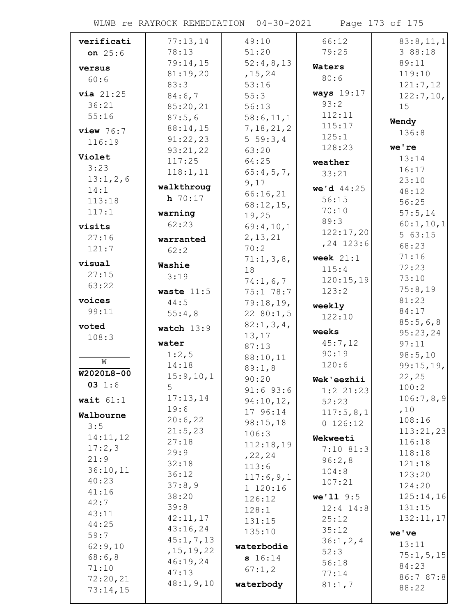WLWB re RAYROCK REMEDIATION 04-30-2021 Page 173 of 175

| verificati   | 77:13,14     | 49:10        | 66:12                 | 83:8,11,1                                                                             |
|--------------|--------------|--------------|-----------------------|---------------------------------------------------------------------------------------|
| on $25:6$    | 78:13        | 51:20        | 79:25                 | 3 88:18                                                                               |
|              | 79:14,15     | 52:4,8,13    | Waters                | 89:11                                                                                 |
| versus       | 81:19,20     | , 15, 24     | 80:6                  | 119:10                                                                                |
| 60:6         | 83:3         | 53:16        |                       | 121:7,12                                                                              |
| via 21:25    | 84:6,7       | 55:3         | <b>ways</b> 19:17     | 122:7,10,                                                                             |
| 36:21        | 85:20,21     | 56:13        | 93:2                  | 15                                                                                    |
| 55:16        | 87:5,6       | 58:6,11,1    | 112:11                | Wendy                                                                                 |
| $view\ 76:7$ | 88:14,15     | 7, 18, 21, 2 | 115:17                | 136:8                                                                                 |
| 116:19       | 91:22,23     | $5\;59:3,4$  | 125:1                 |                                                                                       |
|              | 93:21,22     | 63:20        | 128:23                | we're                                                                                 |
| Violet       | 117:25       | 64:25        | weather               | 13:14                                                                                 |
| 3:23         | 118:1, 11    | 65:4,5,7     | 33:21                 | 16:17                                                                                 |
| 13:1,2,6     | walkthroug   | 9,17         |                       | 23:10                                                                                 |
| 14:1         | $h$ 70:17    | 66:16,21     | we'd 44:25            | 48:12                                                                                 |
| 113:18       |              | $68:12,15$ , | 56:15                 | 56:25                                                                                 |
| 117:1        | warning      | 19,25        | 70:10                 | 57:5,14                                                                               |
| visits       | 62:23        | 69:4,10,1    | 89:3                  | 60:1,10,1                                                                             |
| 27:16        | warranted    | 2, 13, 21    | 122:17,20             | 563:15                                                                                |
| 121:7        | 62:2         | 70:2         | $, 24$ 123:6          | 68:23                                                                                 |
| visual       |              | 71:1,3,8,    | week $21:1$           | 71:16                                                                                 |
| 27:15        | Washie       | 18           | 115:4                 | 72:23                                                                                 |
| 63:22        | 3:19         | 74:1,6,7     | 120:15,19             | 73:10                                                                                 |
|              | waste $11:5$ | 75:1 78:7    | 123:2                 | 75:8,19                                                                               |
| voices       | 44:5         | 79:18,19,    | weekly                | 81:23                                                                                 |
| 99:11        | 55:4,8       | 2280:1,5     | 122:10                | 84:17                                                                                 |
| voted        |              |              |                       | 85:5,6,8                                                                              |
|              |              | 82:1, 3, 4,  |                       |                                                                                       |
| 108:3        | watch $13:9$ | 13, 17       | weeks                 | 95:23,24                                                                              |
|              | water        | 87:13        | 45:7,12               | 97:11                                                                                 |
|              | 1:2,5        | 88:10,11     | 90:19                 | 98:5,10                                                                               |
| W            | 14:18        | 89:1,8       | 120:6                 | 99:15,19,                                                                             |
| $W2020L8-00$ | 15:9, 10, 1  | 90:20        | Wek'eezhii            | 22,25                                                                                 |
| 03 1:6       | 5            | $91:6$ 93:6  | $1:2$ 21:23           | 100:2                                                                                 |
| wait $61:1$  | 17:13,14     | 94:10,12,    | 52:23                 |                                                                                       |
| Walbourne    | 19:6         | 17 96:14     | 117:5,8,1             | ,10                                                                                   |
| 3:5          | 20:6,22      | 98:15,18     | 0 126:12              | 108:16                                                                                |
| 14:11,12     | 21:5,23      | 106:3        | Wekweeti              |                                                                                       |
| 17:2,3       | 27:18        | 112:18,19    |                       | 116:18                                                                                |
| 21:9         | 29:9         | , 22, 24     | $7:10$ 81:3<br>96:2,8 | 118:18                                                                                |
| 36:10,11     | 32:18        | 113:6        | 104:8                 | 121:18                                                                                |
| 40:23        | 36:12        | 117:6,9,1    | 107:21                | 123:20                                                                                |
| 41:16        | 37:8,9       | 1 120:16     |                       | 124:20                                                                                |
| 42:7         | 38:20        | 126:12       | $we'11$ 9:5           |                                                                                       |
| 43:11        | 39:8         | 128:1        | $12:4$ $14:8$         | 131:15                                                                                |
| 44:25        | 42:11,17     | 131:15       | 25:12                 |                                                                                       |
| 59:7         | 43:16,24     | 135:10       | 35:12                 | we've                                                                                 |
| 62:9,10      | 45:1, 7, 13  | waterbodie   | 36:1, 2, 4            | 13:11                                                                                 |
| 68:6,8       | , 15, 19, 22 | s 16:14      | 52:3                  |                                                                                       |
| 71:10        | 46:19,24     | 67:1,2       | 56:18                 | 84:23                                                                                 |
| 72:20,21     | 47:13        |              | 77:14                 |                                                                                       |
| 73:14,15     | 48:1, 9, 10  | waterbody    | 81:1,7                | 106:7,8,9<br>113:21,23<br>125:14,16<br>132:11,17<br>75:1, 5, 15<br>86:7 87:8<br>88:22 |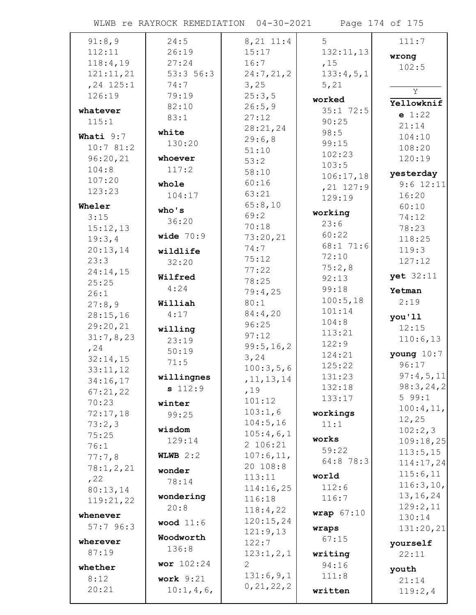WLWB re RAYROCK REMEDIATION 04-30-2021 Page 174 of 175

| 91:8,9       | 24:5        | $8, 21$ 11:4 | 5            | 111:7          |
|--------------|-------------|--------------|--------------|----------------|
| 112:11       | 26:19       | 15:17        | 132:11,13    | wrong          |
| 118:4,19     | 27:24       | 16:7         | ,15          | 102:5          |
| 121:11,21    | 53:356:3    | 24:7,21,2    | 133:4,5,1    |                |
| $, 24$ 125:1 | 74:7        | 3,25         | 5,21         |                |
| 126:19       | 79:19       | 25:3,5       |              | $\overline{Y}$ |
|              | 82:10       | 26:5,9       | worked       | Yellowknif     |
| whatever     | 83:1        | 27:12        | $35:1$ 72:5  | e 1:22         |
| 115:1        |             |              | 90:25        | 21:14          |
| Whati 9:7    | white       | 28:21,24     | 98:5         | 104:10         |
| 10:781:2     | 130:20      | 29:6,8       | 99:15        | 108:20         |
|              |             | 51:10        | 102:23       |                |
| 96:20,21     | whoever     | 53:2         | 103:5        | 120:19         |
| 104:8        | 117:2       | 58:10        | 106:17,18    | yesterday      |
| 107:20       | whole       | 60:16        | $, 21$ 127:9 | $9:6$ 12:11    |
| 123:23       | 104:17      | 63:21        | 129:19       | 16:20          |
| Wheler       |             | 65:8,10      |              | 60:10          |
| 3:15         | who's       | 69:2         | working      | 74:12          |
| 15:12,13     | 36:20       | 70:18        | 23:6         | 78:23          |
|              | wide $70:9$ | 73:20,21     | 60:22        |                |
| 19:3,4       |             | 74:7         | 68:1 71:6    | 118:25         |
| 20:13,14     | wildlife    |              | 72:10        | 119:3          |
| 23:3         | 32:20       | 75:12        | 75:2,8       | 127:12         |
| 24:14,15     | Wilfred     | 77:22        | 92:13        | yet 32:11      |
| 25:25        | 4:24        | 78:25        | 99:18        |                |
| 26:1         |             | 79:4,25      |              | Yetman         |
| 27:8,9       | Williah     | 80:1         | 100:5,18     | 2:19           |
| 28:15,16     | 4:17        | 84:4,20      | 101:14       | you'll         |
| 29:20,21     | willing     | 96:25        | 104:8        | 12:15          |
| 31:7,8,23    | 23:19       | 97:12        | 113:21       | 110:6,13       |
| , 24         | 50:19       | 99:5, 16, 2  | 122:9        |                |
| 32:14,15     |             | 3,24         | 124:21       | young $10:7$   |
| 33:11,12     | 71:5        | 100:3,5,6    | 125:22       | 96:17          |
| 34:16,17     | willingnes  | , 11, 13, 14 | 131:23       | 97:4,5,11      |
| 67:21,22     | s 112:9     | ,19          | 132:18       | 98:3,24,2      |
| 70:23        |             | 101:12       | 133:17       | 599:1          |
|              | winter      | 103:1,6      |              | 100:4,11,      |
| 72:17,18     | 99:25       | 104:5,16     | workings     | 12,25          |
| 73:2,3       | wisdom      |              | 11:1         | 102:2,3        |
| 75:25        | 129:14      | 105:4,6,1    | works        | 109:18,25      |
| 76:1         |             | 2 106:21     | 59:22        | 113:5,15       |
| 77:7,8       | WLWB $2:2$  | 107:6, 11,   | 64:8 78:3    | 114:17,24      |
| 78:1,2,21    | wonder      | 20 108:8     |              | 115:6,11       |
| , 22         | 78:14       | 113:11       | world        | 116:3,10,      |
| 80:13,14     |             | 114:16,25    | 112:6        | 13, 16, 24     |
| 119:21,22    | wondering   | 116:18       | 116:7        |                |
| whenever     | 20:8        | 118:4,22     | wrap $67:10$ | 129:2,11       |
| 57:796:3     | wood $11:6$ | 120:15,24    |              | 130:14         |
|              |             | 121:9,13     | wraps        | 131:20,21      |
| wherever     | Woodworth   | 122:7        | 67:15        | yourself       |
| 87:19        | 136:8       | 123:1,2,1    | writing      | 22:11          |
| whether      | wor 102:24  | 2            | 94:16        |                |
| 8:12         | work $9:21$ | 131:6,9,1    | 111:8        | youth          |
|              |             | 0, 21, 22, 2 |              | 21:14          |
| 20:21        | 10:1, 4, 6, |              | written      | 119:2,4        |
|              |             |              |              |                |